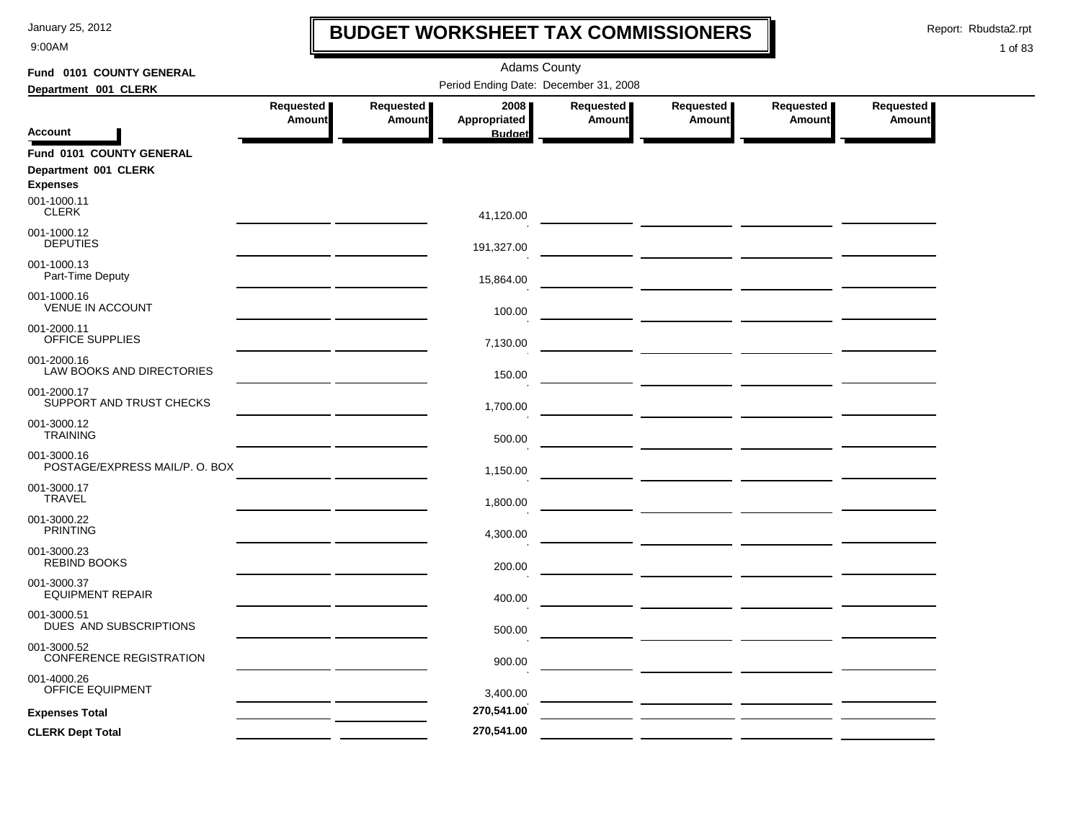9:00AM

## **BUDGET WORKSHEET TAX COMMISSIONERS**

Report: Rbudsta2.rpt

 $\mathbf l$ 

| Fund 0101 COUNTY GENERAL                 | <b>Adams County</b> |               |                                       |               |                                                 |               |               |  |  |
|------------------------------------------|---------------------|---------------|---------------------------------------|---------------|-------------------------------------------------|---------------|---------------|--|--|
| Department 001 CLERK                     |                     |               | Period Ending Date: December 31, 2008 |               |                                                 |               |               |  |  |
|                                          | Requested           | Requested     | 2008                                  | Requested     | Requested                                       | Requested     | Requested     |  |  |
| <b>Account</b>                           | <b>Amount</b>       | <b>Amount</b> | Appropriated<br><b>Budget</b>         | <b>Amount</b> | Amount                                          | <b>Amount</b> | <b>Amount</b> |  |  |
| Fund 0101 COUNTY GENERAL                 |                     |               |                                       |               |                                                 |               |               |  |  |
| Department 001 CLERK<br><b>Expenses</b>  |                     |               |                                       |               |                                                 |               |               |  |  |
| 001-1000.11                              |                     |               |                                       |               |                                                 |               |               |  |  |
| <b>CLERK</b>                             |                     |               | 41,120.00                             |               |                                                 |               |               |  |  |
| 001-1000.12<br><b>DEPUTIES</b>           |                     |               |                                       |               |                                                 |               |               |  |  |
| 001-1000.13                              |                     |               | 191,327.00                            |               |                                                 |               |               |  |  |
| Part-Time Deputy                         |                     |               | 15,864.00                             |               |                                                 |               |               |  |  |
| 001-1000.16                              |                     |               |                                       |               |                                                 |               |               |  |  |
| <b>VENUE IN ACCOUNT</b>                  |                     |               | 100.00                                |               |                                                 |               |               |  |  |
| 001-2000.11<br>OFFICE SUPPLIES           |                     |               | 7,130.00                              |               |                                                 |               |               |  |  |
| 001-2000.16<br>LAW BOOKS AND DIRECTORIES |                     |               |                                       |               |                                                 |               |               |  |  |
| 001-2000.17                              |                     |               | 150.00                                |               | <u> 1989 - Johann John Stone, mars et al. (</u> |               |               |  |  |
| SUPPORT AND TRUST CHECKS                 |                     |               | 1,700.00                              |               |                                                 |               |               |  |  |
| 001-3000.12<br><b>TRAINING</b>           |                     |               |                                       |               |                                                 |               |               |  |  |
| 001-3000.16                              |                     |               | 500.00                                |               |                                                 |               |               |  |  |
| POSTAGE/EXPRESS MAIL/P. O. BOX           |                     |               | 1,150.00                              |               |                                                 |               |               |  |  |
| 001-3000.17                              |                     |               |                                       |               |                                                 |               |               |  |  |
| <b>TRAVEL</b>                            |                     |               | 1,800.00                              |               |                                                 |               |               |  |  |
| 001-3000.22<br><b>PRINTING</b>           |                     |               | 4,300.00                              |               |                                                 |               |               |  |  |
| 001-3000.23                              |                     |               |                                       |               |                                                 |               |               |  |  |
| REBIND BOOKS                             |                     |               | 200.00                                |               |                                                 |               |               |  |  |
| 001-3000.37<br><b>EQUIPMENT REPAIR</b>   |                     |               | 400.00                                |               |                                                 |               |               |  |  |
| 001-3000.51                              |                     |               |                                       |               |                                                 |               |               |  |  |
| DUES AND SUBSCRIPTIONS                   |                     |               | 500.00                                |               |                                                 |               |               |  |  |
| 001-3000.52<br>CONFERENCE REGISTRATION   |                     |               | 900.00                                |               |                                                 |               |               |  |  |
| 001-4000.26                              |                     |               |                                       |               |                                                 |               |               |  |  |
| OFFICE EQUIPMENT                         |                     |               | 3,400.00                              |               |                                                 |               |               |  |  |
| <b>Expenses Total</b>                    |                     |               | 270,541.00                            |               |                                                 |               |               |  |  |
| <b>CLERK Dept Total</b>                  |                     |               | 270,541.00                            |               |                                                 |               |               |  |  |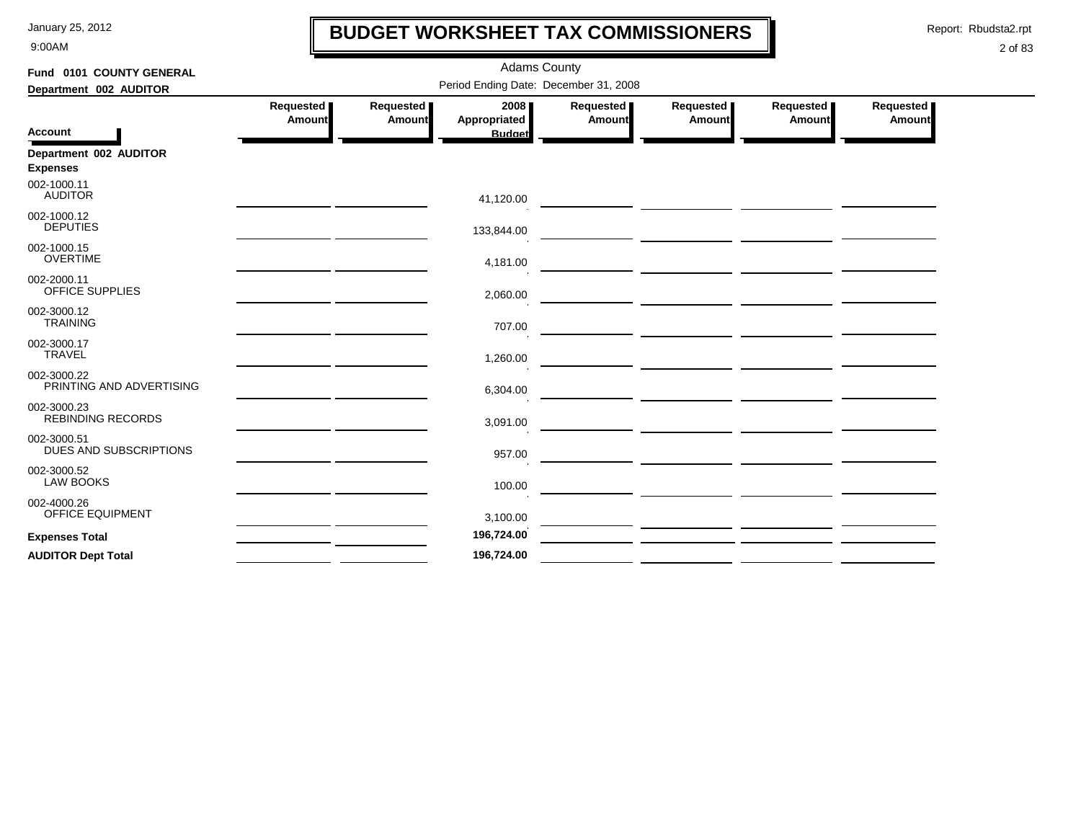9:00AM

## **BUDGET WORKSHEET TAX COMMISSIONERS**

Report: Rbudsta2.rpt

 $\mathbf l$ 

| Fund 0101 COUNTY GENERAL                  |                            |                              | <b>Adams County</b>                   |                     |                                                       |                                                         |                            |  |  |
|-------------------------------------------|----------------------------|------------------------------|---------------------------------------|---------------------|-------------------------------------------------------|---------------------------------------------------------|----------------------------|--|--|
| Department 002 AUDITOR                    |                            |                              | Period Ending Date: December 31, 2008 |                     |                                                       |                                                         |                            |  |  |
| <b>Account</b>                            | Requested<br><b>Amount</b> | Requested  <br><b>Amount</b> | 2008<br>Appropriated<br><b>Budget</b> | Requested<br>Amount | Requested  <br>Amount                                 | Requested<br><b>Amount</b>                              | Requested<br><b>Amount</b> |  |  |
| Department 002 AUDITOR<br><b>Expenses</b> |                            |                              |                                       |                     |                                                       |                                                         |                            |  |  |
| 002-1000.11<br><b>AUDITOR</b>             |                            |                              | 41,120.00                             |                     |                                                       |                                                         |                            |  |  |
| 002-1000.12<br><b>DEPUTIES</b>            |                            |                              | 133,844.00                            |                     | — <u>— — — — — — — — — — — — —</u>                    |                                                         |                            |  |  |
| 002-1000.15<br><b>OVERTIME</b>            |                            |                              | 4,181.00                              |                     |                                                       |                                                         |                            |  |  |
| 002-2000.11<br>OFFICE SUPPLIES            |                            |                              | 2,060.00                              |                     |                                                       |                                                         |                            |  |  |
| 002-3000.12<br><b>TRAINING</b>            |                            |                              | 707.00                                |                     |                                                       |                                                         |                            |  |  |
| 002-3000.17<br><b>TRAVEL</b>              |                            |                              | 1,260.00                              |                     | <u> 1989 - Johann Stoff, fransk politik (d. 1989)</u> |                                                         |                            |  |  |
| 002-3000.22<br>PRINTING AND ADVERTISING   |                            |                              | 6,304.00                              |                     |                                                       |                                                         |                            |  |  |
| 002-3000.23<br><b>REBINDING RECORDS</b>   |                            |                              | 3,091.00                              |                     |                                                       | <u> 1989 - Johann John Stein, syntantista politik (</u> |                            |  |  |
| 002-3000.51<br>DUES AND SUBSCRIPTIONS     |                            |                              | 957.00                                |                     |                                                       |                                                         |                            |  |  |
| 002-3000.52<br><b>LAW BOOKS</b>           |                            |                              | 100.00                                |                     |                                                       |                                                         |                            |  |  |
| 002-4000.26<br>OFFICE EQUIPMENT           |                            |                              | 3,100.00                              |                     |                                                       |                                                         |                            |  |  |
| <b>Expenses Total</b>                     |                            |                              | 196,724.00                            |                     |                                                       |                                                         |                            |  |  |
| <b>AUDITOR Dept Total</b>                 |                            |                              | 196,724.00                            |                     |                                                       |                                                         |                            |  |  |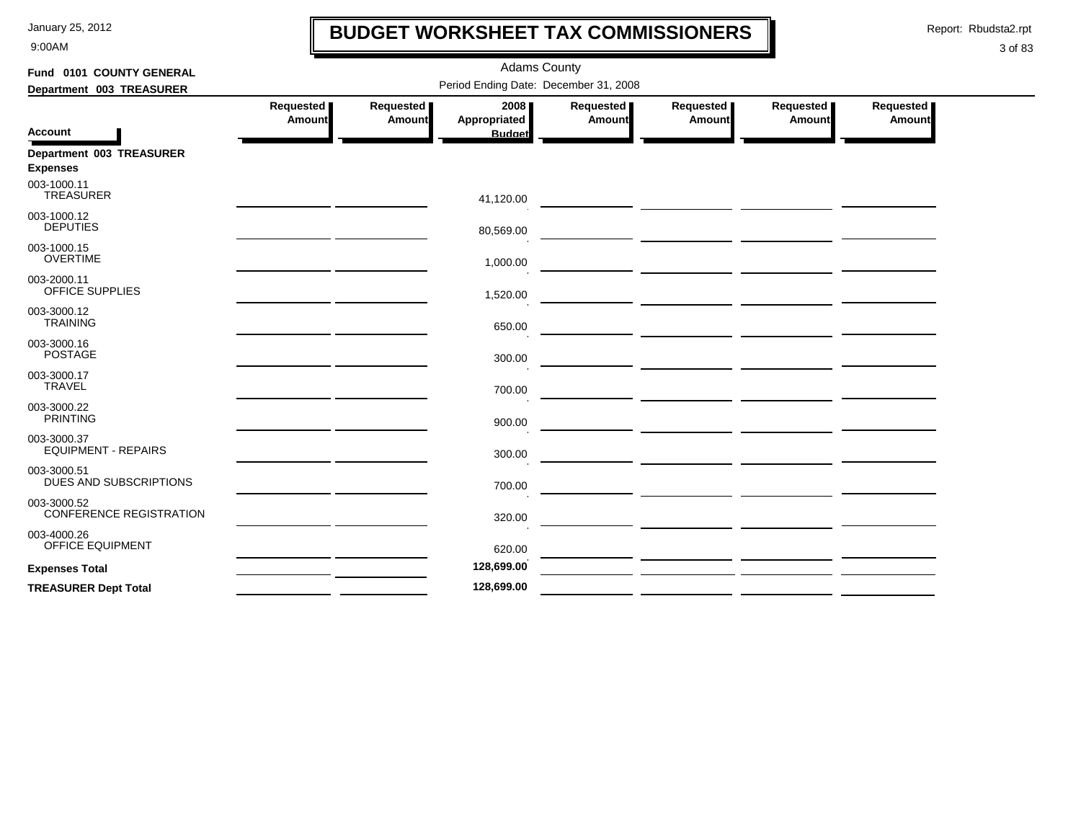9:00AM

## **BUDGET WORKSHEET TAX COMMISSIONERS**

Report: Rbudsta2.rpt

 $\mathbf l$ 

| Fund 0101 COUNTY GENERAL                      |                     |                     | <b>Adams County</b>                   |                     |                                                                                                                      |                                                                                                                        |                     |
|-----------------------------------------------|---------------------|---------------------|---------------------------------------|---------------------|----------------------------------------------------------------------------------------------------------------------|------------------------------------------------------------------------------------------------------------------------|---------------------|
| Department 003 TREASURER                      |                     |                     | Period Ending Date: December 31, 2008 |                     |                                                                                                                      |                                                                                                                        |                     |
|                                               | Requested<br>Amount | Requested<br>Amount | 2008<br>Appropriated                  | Requested<br>Amount | Requested<br>Amount                                                                                                  | Requested  <br>Amount                                                                                                  | Requested<br>Amount |
| <b>Account</b>                                |                     |                     | <b>Budget</b>                         |                     |                                                                                                                      |                                                                                                                        |                     |
| Department 003 TREASURER<br><b>Expenses</b>   |                     |                     |                                       |                     |                                                                                                                      |                                                                                                                        |                     |
| 003-1000.11<br><b>TREASURER</b>               |                     |                     | 41,120.00                             |                     |                                                                                                                      |                                                                                                                        |                     |
| 003-1000.12<br><b>DEPUTIES</b>                |                     |                     | 80,569.00                             |                     |                                                                                                                      |                                                                                                                        |                     |
| 003-1000.15<br><b>OVERTIME</b>                |                     |                     | 1,000.00                              |                     |                                                                                                                      |                                                                                                                        |                     |
| 003-2000.11<br>OFFICE SUPPLIES                |                     |                     | 1,520.00                              |                     |                                                                                                                      |                                                                                                                        |                     |
| 003-3000.12<br><b>TRAINING</b>                |                     |                     | 650.00                                |                     |                                                                                                                      |                                                                                                                        |                     |
| 003-3000.16<br><b>POSTAGE</b>                 |                     |                     | 300.00                                |                     |                                                                                                                      |                                                                                                                        |                     |
| 003-3000.17<br><b>TRAVEL</b>                  |                     |                     | 700.00                                |                     |                                                                                                                      |                                                                                                                        |                     |
| 003-3000.22<br><b>PRINTING</b>                |                     |                     | 900.00                                |                     | <u> Alexandria (Alexandria de Alexandria de Alexandria de Alexandria de Alexandria de Alexandria de Alexandria d</u> |                                                                                                                        |                     |
| 003-3000.37<br><b>EQUIPMENT - REPAIRS</b>     |                     |                     | 300.00                                |                     |                                                                                                                      |                                                                                                                        |                     |
| 003-3000.51<br>DUES AND SUBSCRIPTIONS         |                     |                     | 700.00                                |                     |                                                                                                                      | <u> The Common State of the Common State of the Common State of the Common State of the Common State of the Common</u> |                     |
| 003-3000.52<br><b>CONFERENCE REGISTRATION</b> |                     |                     | 320.00                                |                     |                                                                                                                      |                                                                                                                        |                     |
| 003-4000.26<br><b>OFFICE EQUIPMENT</b>        |                     |                     | 620.00                                |                     |                                                                                                                      |                                                                                                                        |                     |
| <b>Expenses Total</b>                         |                     |                     | 128,699.00                            |                     |                                                                                                                      |                                                                                                                        |                     |
| <b>TREASURER Dept Total</b>                   |                     |                     | 128,699.00                            |                     |                                                                                                                      |                                                                                                                        |                     |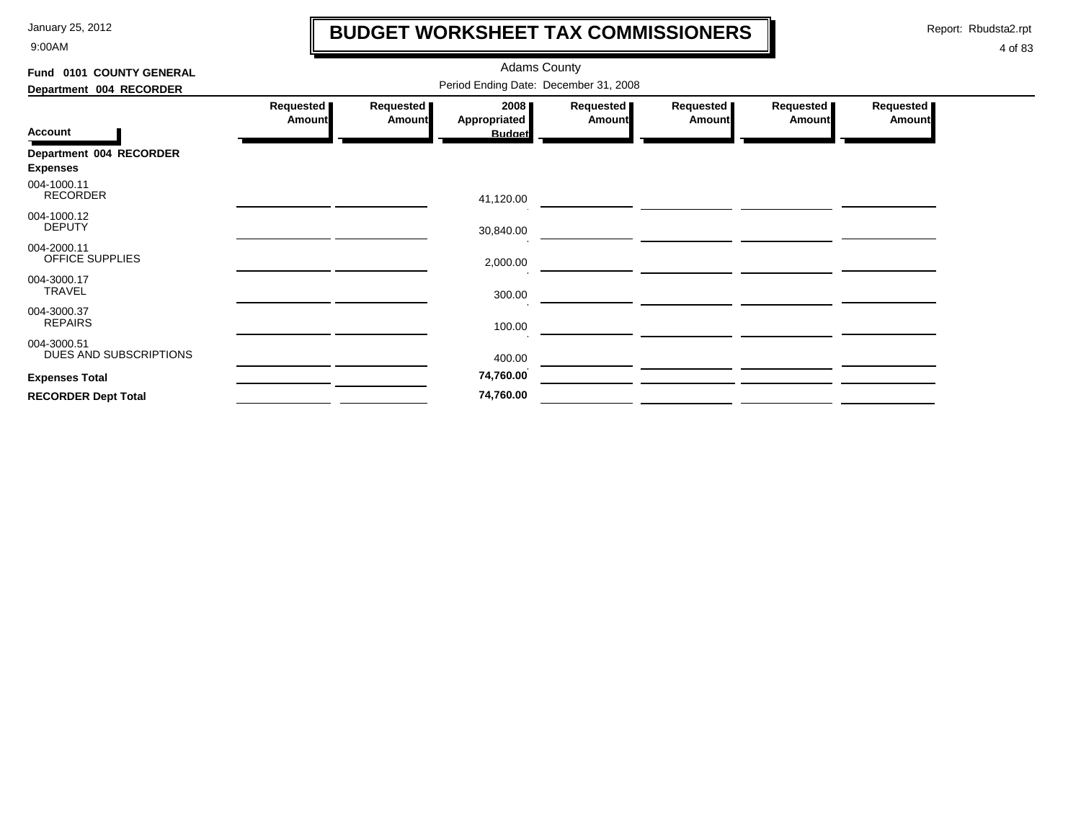9:00AM

## **BUDGET WORKSHEET TAX COMMISSIONERS**

Report: Rbudsta2.rpt

 $\mathbf l$ 

| Fund 0101 COUNTY GENERAL              |                     | <b>Adams County</b>                   |                      |                              |                     |                              |                     |  |  |  |  |
|---------------------------------------|---------------------|---------------------------------------|----------------------|------------------------------|---------------------|------------------------------|---------------------|--|--|--|--|
| Department 004 RECORDER               |                     | Period Ending Date: December 31, 2008 |                      |                              |                     |                              |                     |  |  |  |  |
|                                       | Requested<br>Amount | Requested  <br><b>Amount</b>          | 2008<br>Appropriated | Requested  <br><b>Amount</b> | Requested<br>Amount | Requested  <br><b>Amount</b> | Requested<br>Amount |  |  |  |  |
| <b>Account</b>                        |                     |                                       | <b>Budget</b>        |                              |                     |                              |                     |  |  |  |  |
| Department 004 RECORDER               |                     |                                       |                      |                              |                     |                              |                     |  |  |  |  |
| <b>Expenses</b>                       |                     |                                       |                      |                              |                     |                              |                     |  |  |  |  |
| 004-1000.11<br><b>RECORDER</b>        |                     |                                       | 41,120.00            |                              |                     |                              |                     |  |  |  |  |
| 004-1000.12<br><b>DEPUTY</b>          |                     |                                       | 30,840.00            |                              |                     |                              |                     |  |  |  |  |
| 004-2000.11<br>OFFICE SUPPLIES        |                     |                                       | 2,000.00             |                              |                     |                              |                     |  |  |  |  |
| 004-3000.17<br><b>TRAVEL</b>          |                     |                                       | 300.00               |                              |                     |                              |                     |  |  |  |  |
| 004-3000.37<br><b>REPAIRS</b>         |                     |                                       | 100.00               |                              |                     |                              |                     |  |  |  |  |
| 004-3000.51<br>DUES AND SUBSCRIPTIONS |                     |                                       | 400.00               |                              |                     |                              |                     |  |  |  |  |
| <b>Expenses Total</b>                 |                     |                                       | 74,760.00            |                              |                     |                              |                     |  |  |  |  |
| <b>RECORDER Dept Total</b>            |                     |                                       | 74,760.00            |                              |                     |                              |                     |  |  |  |  |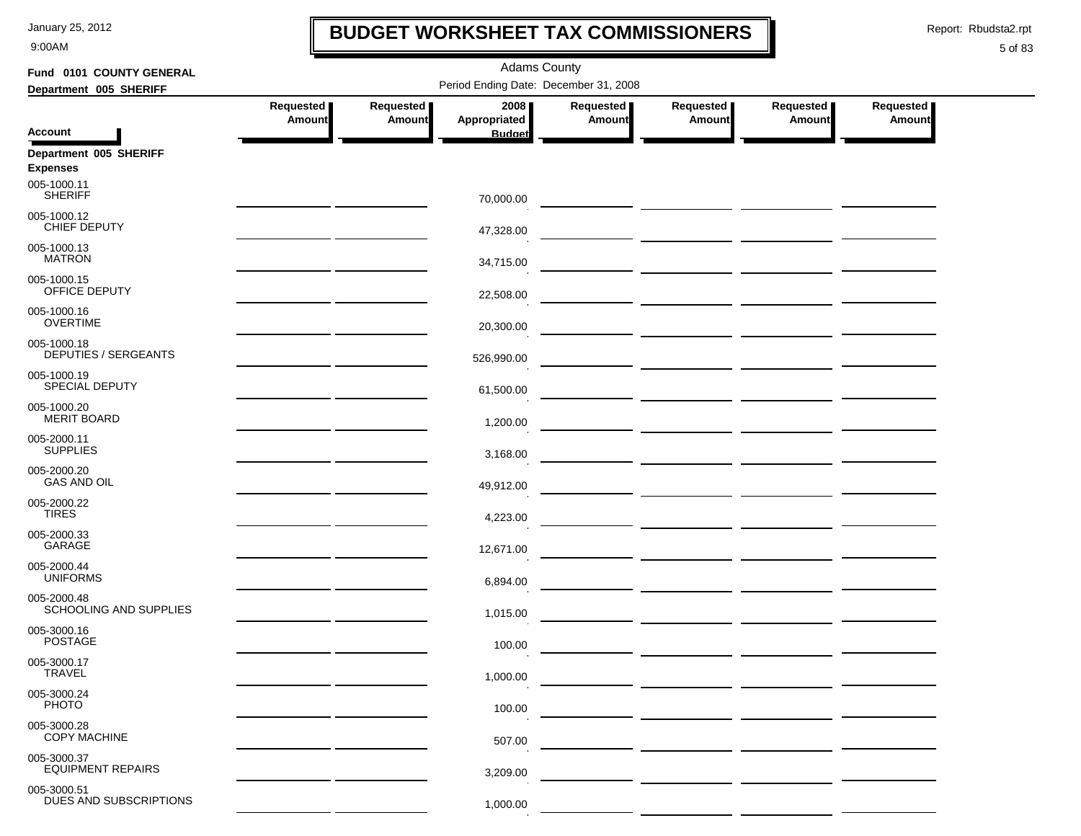9:00AM

### **BUDGET WORKSHEET TAX COMMISSIONERS**

Report: Rbudsta2.rpt

 $\mathbf \mathbf I$ 

| Fund 0101 COUNTY GENERAL                                 | <b>Adams County</b>                                                                                                   |                            |                                       |                            |                       |                              |                     |  |  |
|----------------------------------------------------------|-----------------------------------------------------------------------------------------------------------------------|----------------------------|---------------------------------------|----------------------------|-----------------------|------------------------------|---------------------|--|--|
| Department 005 SHERIFF                                   |                                                                                                                       |                            | Period Ending Date: December 31, 2008 |                            |                       |                              |                     |  |  |
|                                                          | Requested<br><b>Amount</b>                                                                                            | Requested<br><b>Amount</b> | 2008<br>Appropriated                  | Requested<br><b>Amount</b> | Requested  <br>Amount | Requested  <br><b>Amount</b> | Requested<br>Amount |  |  |
| <b>Account</b>                                           |                                                                                                                       |                            | <b>Budget</b>                         |                            |                       |                              |                     |  |  |
| Department 005 SHERIFF<br><b>Expenses</b><br>005-1000.11 |                                                                                                                       |                            |                                       |                            |                       |                              |                     |  |  |
| <b>SHERIFF</b>                                           |                                                                                                                       |                            | 70,000.00                             |                            |                       |                              |                     |  |  |
| 005-1000.12<br>CHIEF DEPUTY                              |                                                                                                                       |                            | 47,328.00                             |                            |                       |                              |                     |  |  |
| 005-1000.13<br><b>MATRON</b>                             |                                                                                                                       |                            | 34,715.00                             |                            |                       |                              |                     |  |  |
| 005-1000.15<br>OFFICE DEPUTY                             |                                                                                                                       |                            | 22,508.00                             |                            |                       |                              |                     |  |  |
| 005-1000.16<br><b>OVERTIME</b>                           |                                                                                                                       |                            | 20,300.00                             |                            |                       |                              |                     |  |  |
| 005-1000.18<br><b>DEPUTIES / SERGEANTS</b>               | <u> 1989 - Johann Harry Barn, mars and de Branch and de Branch and de Branch and de Branch and de Branch and de B</u> |                            | 526,990.00                            |                            |                       |                              |                     |  |  |
| 005-1000.19<br>SPECIAL DEPUTY                            | <u> 1989 - Johann Harry Harry Harry Harry Harry Harry Harry Harry Harry Harry Harry Harry Harry Harry Harry Harry</u> |                            | 61,500.00                             |                            |                       |                              |                     |  |  |
| 005-1000.20<br><b>MERIT BOARD</b>                        | <u> 1989 - Johann Harry Harry Harry Harry Harry Harry Harry Harry Harry Harry Harry Harry Harry Harry Harry Harry</u> |                            | 1,200.00                              |                            |                       |                              |                     |  |  |
| 005-2000.11<br><b>SUPPLIES</b>                           | <u> 1989 - Johann Harry Barn, mars and de Branch and de Branch and de Branch and de Branch and de Branch and de B</u> |                            | 3,168.00                              |                            |                       |                              |                     |  |  |
| 005-2000.20<br><b>GAS AND OIL</b>                        |                                                                                                                       |                            | 49,912.00                             |                            |                       |                              |                     |  |  |
| 005-2000.22<br><b>TIRES</b>                              |                                                                                                                       |                            | 4,223.00                              |                            |                       |                              |                     |  |  |
| 005-2000.33<br>GARAGE                                    |                                                                                                                       |                            | 12,671.00                             |                            |                       |                              |                     |  |  |
| 005-2000.44<br><b>UNIFORMS</b>                           | <u> 1989 - John Harry Barn, amerikansk politiker (</u>                                                                |                            | 6,894.00                              |                            |                       |                              |                     |  |  |
| 005-2000.48<br>SCHOOLING AND SUPPLIES                    |                                                                                                                       |                            | 1,015.00                              |                            |                       |                              |                     |  |  |
| 005-3000.16<br><b>POSTAGE</b>                            |                                                                                                                       |                            | 100.00                                |                            |                       |                              |                     |  |  |
| 005-3000.17<br><b>TRAVEL</b>                             |                                                                                                                       |                            | 1,000.00                              |                            |                       |                              |                     |  |  |
| 005-3000.24<br><b>PHOTO</b>                              |                                                                                                                       |                            | 100.00                                |                            |                       |                              |                     |  |  |
| 005-3000.28<br><b>COPY MACHINE</b>                       |                                                                                                                       |                            | 507.00                                |                            |                       |                              |                     |  |  |
| 005-3000.37<br><b>EQUIPMENT REPAIRS</b>                  |                                                                                                                       |                            | 3,209.00                              |                            |                       |                              |                     |  |  |
| 005-3000.51<br>DUES AND SUBSCRIPTIONS                    |                                                                                                                       |                            | 1,000.00                              |                            |                       |                              |                     |  |  |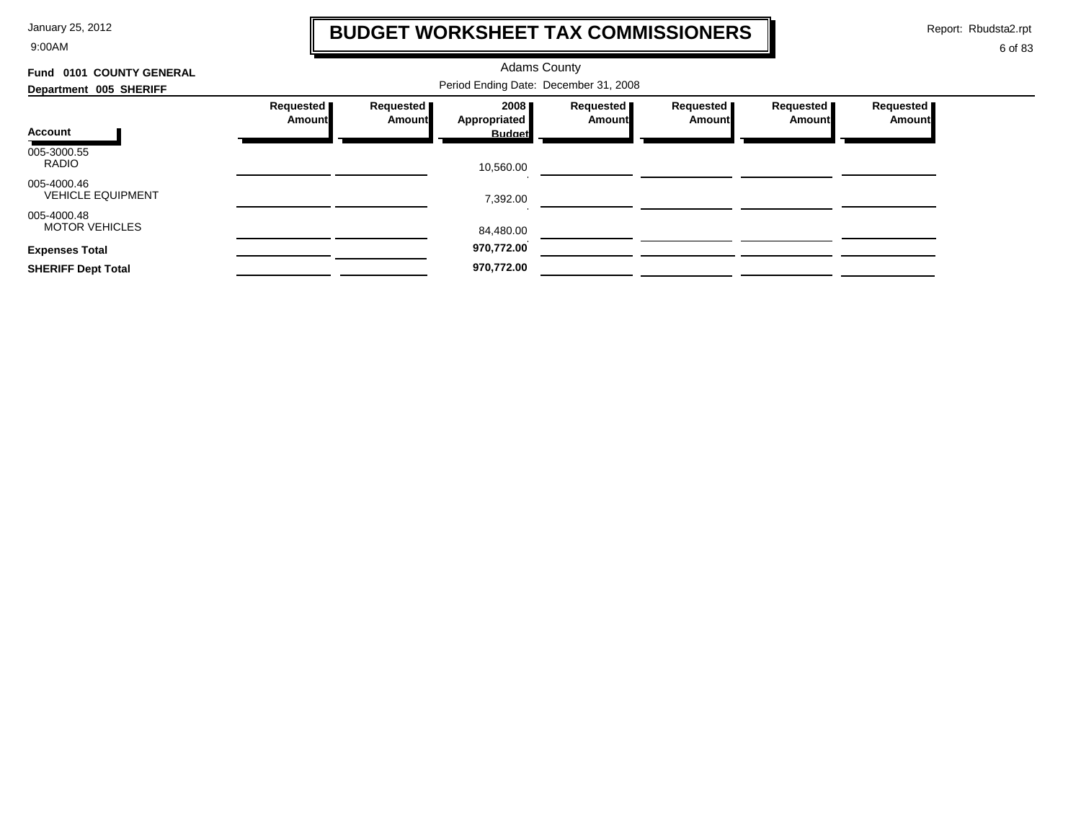9:00AM

## **BUDGET WORKSHEET TAX COMMISSIONERS**

Report: Rbudsta2.rpt

 $\mathbf l$ 

| Fund 0101 COUNTY GENERAL                | <b>Adams County</b>   |                     |                                       |                       |                       |                     |                            |
|-----------------------------------------|-----------------------|---------------------|---------------------------------------|-----------------------|-----------------------|---------------------|----------------------------|
| Department 005 SHERIFF                  |                       |                     | Period Ending Date: December 31, 2008 |                       |                       |                     |                            |
|                                         | Requested  <br>Amount | Requested<br>Amount | 2008<br>Appropriated                  | Requested  <br>Amount | Requested  <br>Amount | Requested<br>Amount | Requested<br><b>Amount</b> |
| Account                                 |                       |                     | <b>Budget</b>                         |                       |                       |                     |                            |
| 005-3000.55<br><b>RADIO</b>             |                       |                     | 10,560.00                             |                       |                       |                     |                            |
| 005-4000.46<br><b>VEHICLE EQUIPMENT</b> |                       |                     | 7,392.00                              |                       |                       |                     |                            |
| 005-4000.48<br><b>MOTOR VEHICLES</b>    |                       |                     | 84,480.00                             |                       |                       |                     |                            |
| <b>Expenses Total</b>                   |                       |                     | 970,772.00                            |                       |                       |                     |                            |
| <b>SHERIFF Dept Total</b>               |                       |                     | 970,772.00                            |                       |                       |                     |                            |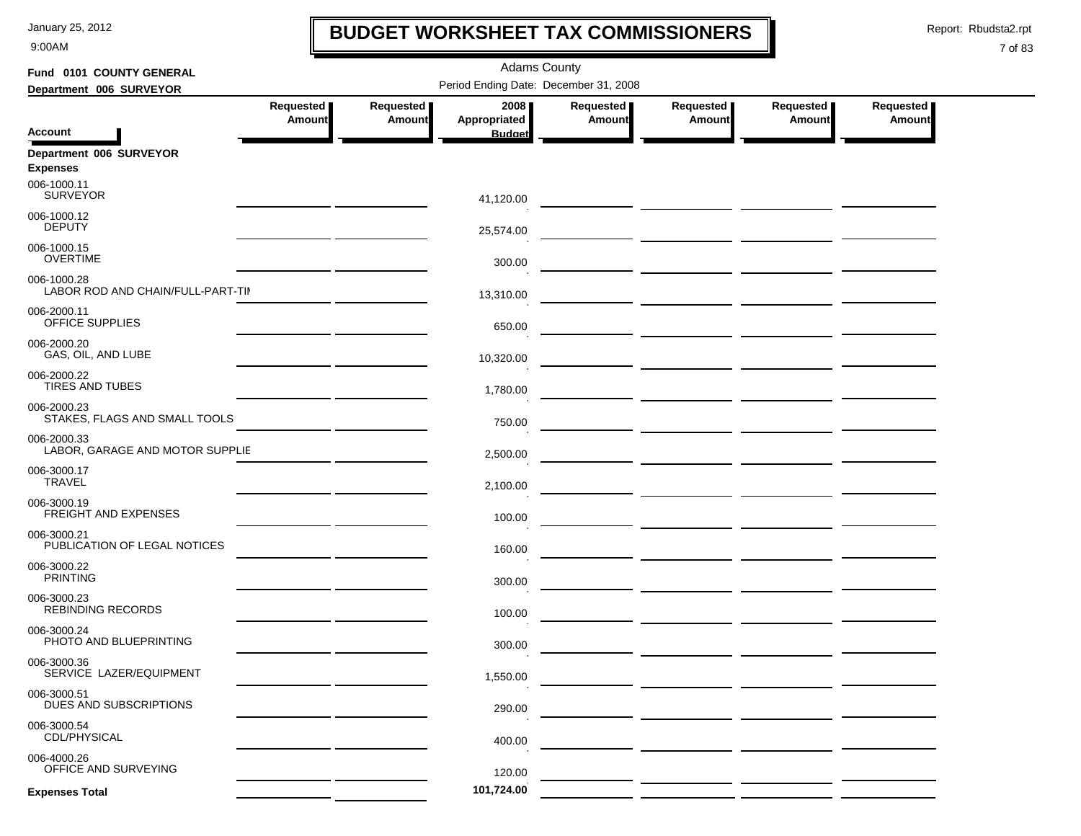9:00AM

## **BUDGET WORKSHEET TAX COMMISSIONERS**

Report: Rbudsta2.rpt

 $\mathbf I$ 

| Fund 0101 COUNTY GENERAL                         |                            |                     | <b>Adams County</b>                   |                                   |                                          |                            |                            |
|--------------------------------------------------|----------------------------|---------------------|---------------------------------------|-----------------------------------|------------------------------------------|----------------------------|----------------------------|
| Department 006 SURVEYOR                          |                            |                     | Period Ending Date: December 31, 2008 |                                   |                                          |                            |                            |
|                                                  | Requested<br><b>Amount</b> | Requested<br>Amount | 2008<br>Appropriated                  | <b>Requested</b><br><b>Amount</b> | Requested<br>Amount                      | Requested<br><b>Amount</b> | Requested<br><b>Amount</b> |
| <b>Account</b>                                   |                            |                     | <b>Budget</b>                         |                                   |                                          |                            |                            |
| Department 006 SURVEYOR<br><b>Expenses</b>       |                            |                     |                                       |                                   |                                          |                            |                            |
| 006-1000.11<br><b>SURVEYOR</b>                   |                            |                     | 41,120.00                             |                                   |                                          |                            |                            |
| 006-1000.12<br><b>DEPUTY</b>                     |                            |                     | 25,574.00                             |                                   |                                          |                            |                            |
| 006-1000.15<br><b>OVERTIME</b>                   |                            |                     | 300.00                                |                                   |                                          |                            |                            |
| 006-1000.28<br>LABOR ROD AND CHAIN/FULL-PART-TII |                            |                     | 13,310.00                             |                                   |                                          |                            |                            |
| 006-2000.11<br>OFFICE SUPPLIES                   |                            |                     | 650.00                                |                                   |                                          |                            |                            |
| 006-2000.20<br>GAS, OIL, AND LUBE                |                            |                     | 10,320.00                             |                                   | <u> 1990 - Johann Barbara, martin a</u>  |                            |                            |
| 006-2000.22<br><b>TIRES AND TUBES</b>            |                            |                     | 1,780.00                              |                                   |                                          |                            |                            |
| 006-2000.23<br>STAKES, FLAGS AND SMALL TOOLS     |                            |                     | 750.00                                |                                   |                                          |                            |                            |
| 006-2000.33<br>LABOR, GARAGE AND MOTOR SUPPLIE   |                            |                     | 2,500.00                              |                                   |                                          |                            |                            |
| 006-3000.17<br><b>TRAVEL</b>                     |                            |                     | 2,100.00                              |                                   |                                          |                            |                            |
| 006-3000.19<br><b>FREIGHT AND EXPENSES</b>       |                            |                     | 100.00                                |                                   |                                          |                            |                            |
| 006-3000.21<br>PUBLICATION OF LEGAL NOTICES      |                            |                     | 160.00                                |                                   | <u> 1990 - John Stone, mars et al. (</u> |                            |                            |
| 006-3000.22<br><b>PRINTING</b>                   |                            |                     | 300.00                                |                                   |                                          |                            |                            |
| 006-3000.23<br><b>REBINDING RECORDS</b>          |                            |                     | 100.00                                |                                   |                                          |                            |                            |
| 006-3000.24<br>PHOTO AND BLUEPRINTING            |                            |                     | 300.00                                |                                   |                                          |                            |                            |
| 006-3000.36<br>SERVICE LAZER/EQUIPMENT           |                            |                     | 1,550.00                              |                                   |                                          |                            |                            |
| 006-3000.51<br>DUES AND SUBSCRIPTIONS            |                            |                     | 290.00                                |                                   |                                          |                            |                            |
| 006-3000.54<br>CDL/PHYSICAL                      |                            |                     | 400.00                                |                                   |                                          |                            |                            |
| 006-4000.26<br>OFFICE AND SURVEYING              |                            |                     | 120.00                                |                                   |                                          |                            |                            |
| <b>Expenses Total</b>                            |                            |                     | 101,724.00                            |                                   |                                          |                            |                            |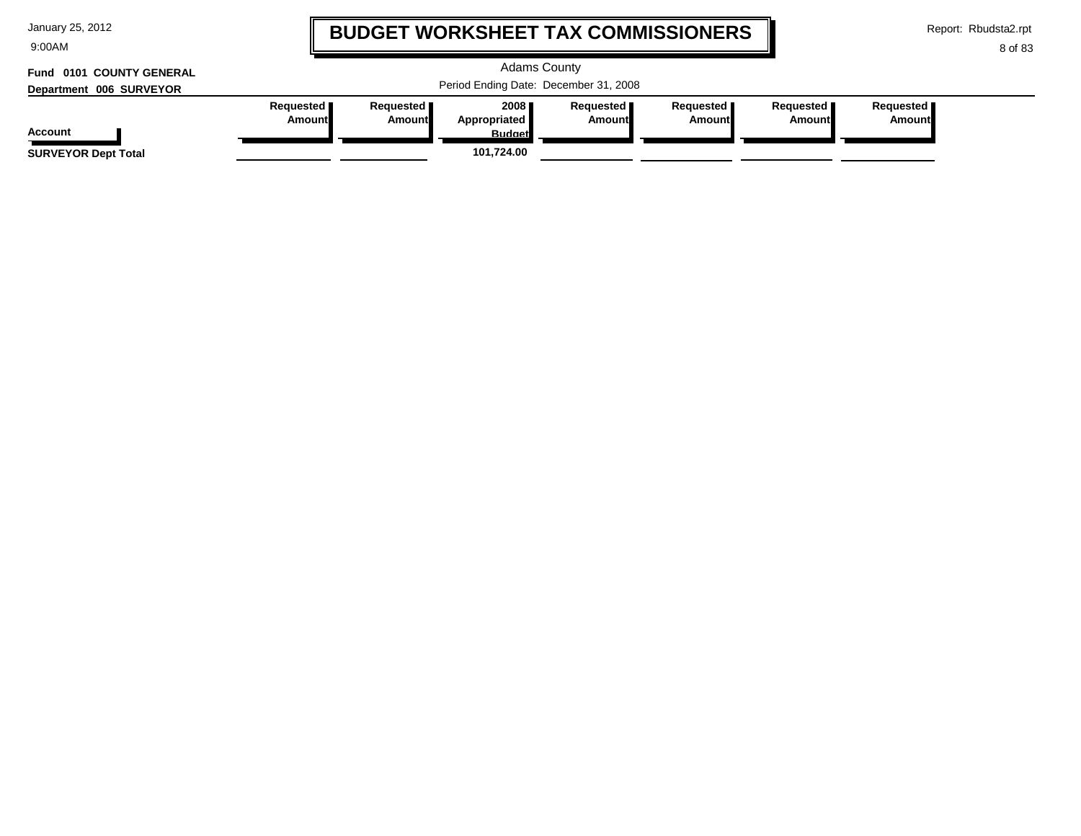| January 25, 2012 |  |  |
|------------------|--|--|
|------------------|--|--|

9:00AM

## **BUDGET WORKSHEET TAX COMMISSIONERS**

Adams County

Report: Rbudsta2.rpt

I

```
8 of 83
```
# **Fund 0101 COUNTY GENERAL**

| Department 006 SURVEYOR    | Period Ending Date: December 31, 2008 |                       |                                         |                              |                              |                        |                              |
|----------------------------|---------------------------------------|-----------------------|-----------------------------------------|------------------------------|------------------------------|------------------------|------------------------------|
| Account                    | Requested <b>I</b><br>Amountl         | Reauested I<br>Amount | 2008 ∎<br>Appropriated<br><b>Budget</b> | Requested <b>I</b><br>Amount | Requested <b>I</b><br>Amount | Requested I<br>Amountl | Reauested <b>I</b><br>Amount |
| <b>SURVEYOR Dept Total</b> |                                       |                       | 101.724.00                              |                              |                              |                        |                              |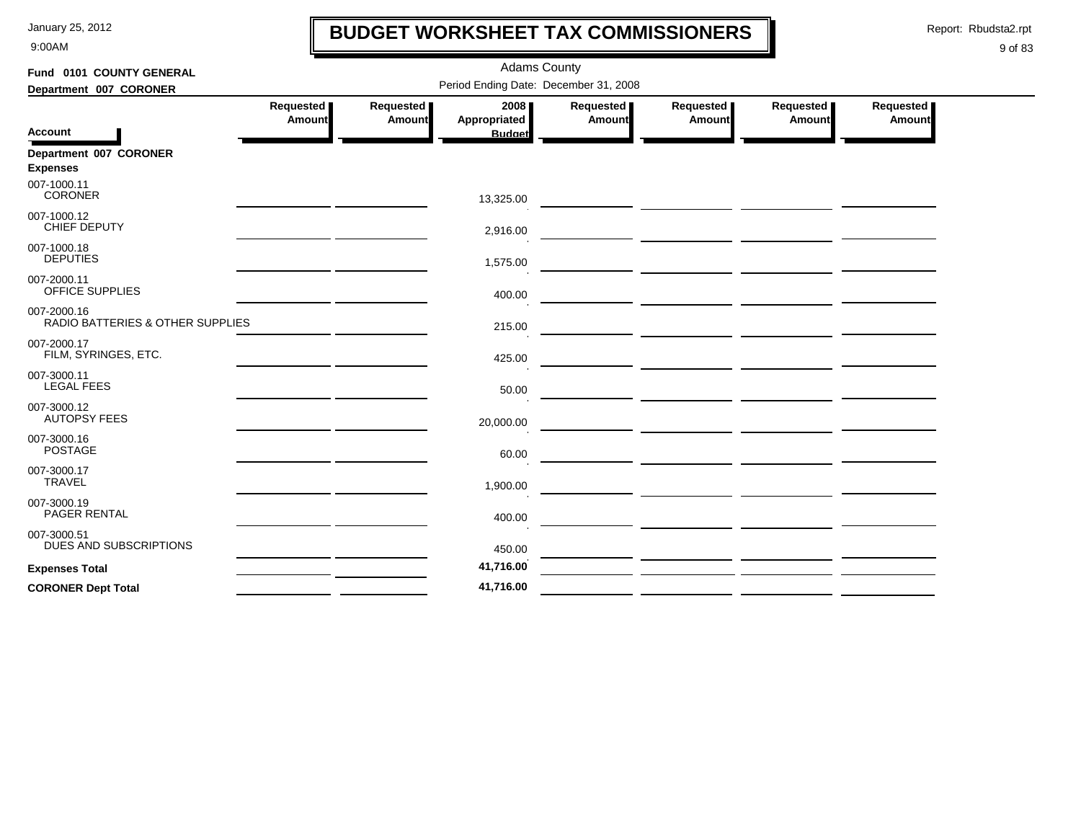9:00AM

## **BUDGET WORKSHEET TAX COMMISSIONERS**

Report: Rbudsta2.rpt

 $\mathbf l$ 

| Fund 0101 COUNTY GENERAL                        |                                                     |                     | <b>Adams County</b>                   |                     |                     |                            |                     |
|-------------------------------------------------|-----------------------------------------------------|---------------------|---------------------------------------|---------------------|---------------------|----------------------------|---------------------|
| Department 007 CORONER                          |                                                     |                     | Period Ending Date: December 31, 2008 |                     |                     |                            |                     |
|                                                 | Requested<br><b>Amount</b>                          | Requested<br>Amount | 2008<br>Appropriated                  | Requested<br>Amount | Requested<br>Amount | Requested<br><b>Amount</b> | Requested<br>Amount |
| <b>Account</b>                                  |                                                     |                     | <b>Budget</b>                         |                     |                     |                            |                     |
| Department 007 CORONER<br><b>Expenses</b>       |                                                     |                     |                                       |                     |                     |                            |                     |
| 007-1000.11<br><b>CORONER</b>                   |                                                     |                     | 13,325.00                             |                     |                     |                            |                     |
| 007-1000.12<br>CHIEF DEPUTY                     |                                                     |                     | 2,916.00                              |                     |                     |                            |                     |
| 007-1000.18<br><b>DEPUTIES</b>                  |                                                     |                     | 1,575.00                              |                     |                     |                            |                     |
| 007-2000.11<br><b>OFFICE SUPPLIES</b>           |                                                     |                     | 400.00                                |                     |                     |                            |                     |
| 007-2000.16<br>RADIO BATTERIES & OTHER SUPPLIES |                                                     |                     | 215.00                                |                     |                     |                            |                     |
| 007-2000.17<br>FILM, SYRINGES, ETC.             |                                                     |                     | 425.00                                |                     |                     |                            |                     |
| 007-3000.11<br><b>LEGAL FEES</b>                | the contract of the contract of the contract of the |                     | 50.00                                 |                     |                     |                            |                     |
| 007-3000.12<br><b>AUTOPSY FEES</b>              |                                                     |                     | 20,000.00                             |                     |                     |                            |                     |
| 007-3000.16<br><b>POSTAGE</b>                   |                                                     |                     | 60.00                                 |                     |                     |                            |                     |
| 007-3000.17<br><b>TRAVEL</b>                    |                                                     |                     | 1,900.00                              |                     |                     |                            |                     |
| 007-3000.19<br>PAGER RENTAL                     |                                                     |                     | 400.00                                |                     |                     |                            |                     |
| 007-3000.51<br>DUES AND SUBSCRIPTIONS           |                                                     |                     | 450.00                                |                     |                     |                            |                     |
| <b>Expenses Total</b>                           |                                                     |                     | 41,716.00                             |                     |                     |                            |                     |
| <b>CORONER Dept Total</b>                       |                                                     |                     | 41,716.00                             |                     |                     |                            |                     |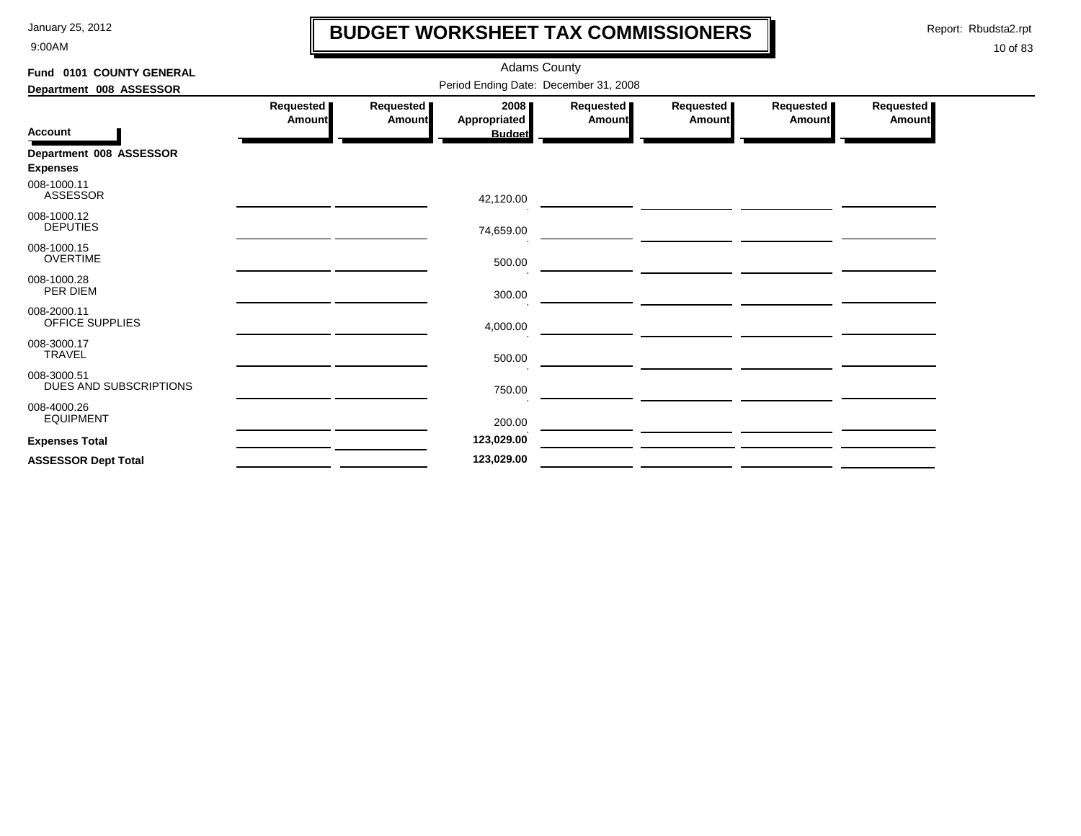9:00AM

## **BUDGET WORKSHEET TAX COMMISSIONERS**

Report: Rbudsta2.rpt

 $\mathbf I$ 

| Fund 0101 COUNTY GENERAL              |                                       |                     | <b>Adams County</b>  |                     |                     |                     |                            |  |
|---------------------------------------|---------------------------------------|---------------------|----------------------|---------------------|---------------------|---------------------|----------------------------|--|
| Department 008 ASSESSOR               | Period Ending Date: December 31, 2008 |                     |                      |                     |                     |                     |                            |  |
|                                       | Requested  <br><b>Amount</b>          | Requested<br>Amount | 2008<br>Appropriated | Requested<br>Amount | Requested<br>Amount | Requested<br>Amount | Requested<br><b>Amount</b> |  |
| <b>Account</b>                        |                                       |                     | <b>Budget</b>        |                     |                     |                     |                            |  |
| Department 008 ASSESSOR               |                                       |                     |                      |                     |                     |                     |                            |  |
| <b>Expenses</b>                       |                                       |                     |                      |                     |                     |                     |                            |  |
| 008-1000.11<br><b>ASSESSOR</b>        |                                       |                     | 42,120.00            |                     |                     |                     |                            |  |
| 008-1000.12<br><b>DEPUTIES</b>        |                                       |                     | 74,659.00            |                     |                     |                     |                            |  |
| 008-1000.15<br><b>OVERTIME</b>        |                                       |                     | 500.00               |                     |                     |                     |                            |  |
| 008-1000.28<br>PER DIEM               |                                       |                     | 300.00               |                     |                     |                     |                            |  |
| 008-2000.11<br>OFFICE SUPPLIES        |                                       |                     | 4,000.00             |                     |                     |                     |                            |  |
| 008-3000.17<br><b>TRAVEL</b>          |                                       |                     | 500.00               |                     |                     |                     |                            |  |
| 008-3000.51<br>DUES AND SUBSCRIPTIONS |                                       |                     | 750.00               |                     |                     |                     |                            |  |
| 008-4000.26<br><b>EQUIPMENT</b>       |                                       |                     | 200.00               |                     |                     |                     |                            |  |
| <b>Expenses Total</b>                 |                                       |                     | 123,029.00           |                     |                     |                     |                            |  |
| <b>ASSESSOR Dept Total</b>            |                                       |                     | 123,029.00           |                     |                     |                     |                            |  |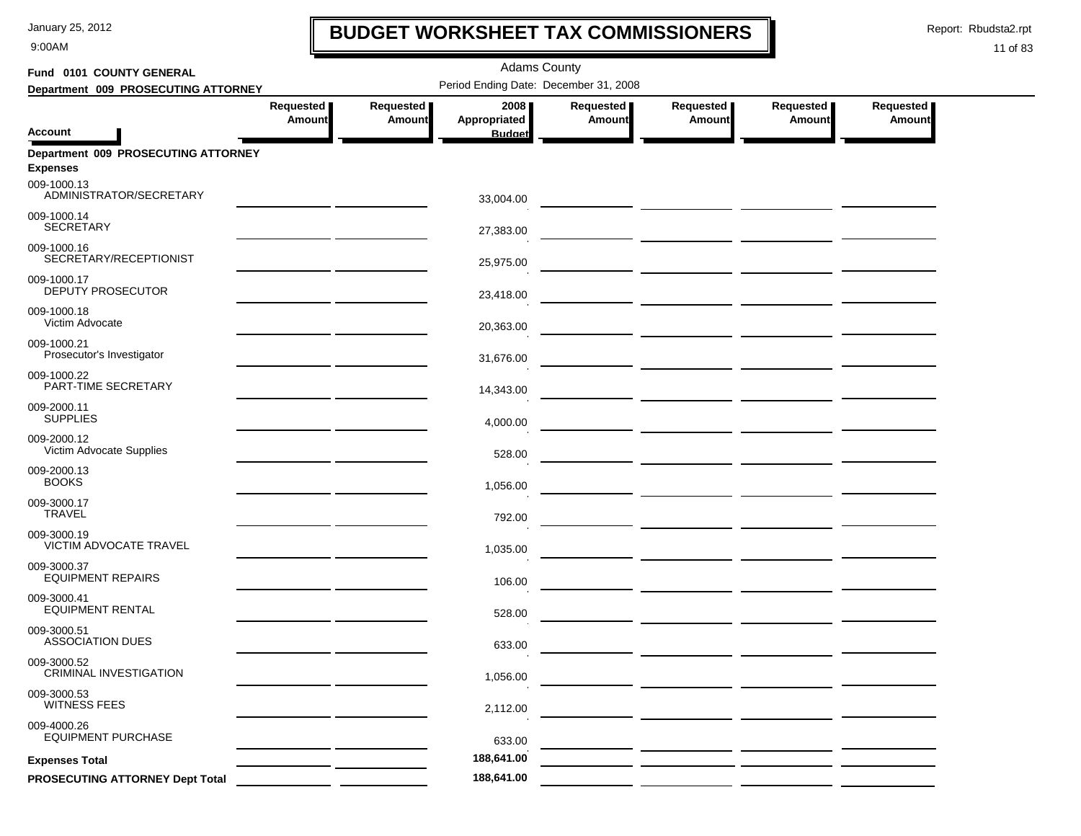9:00AM

## **BUDGET WORKSHEET TAX COMMISSIONERS**

Report: Rbudsta2.rpt

 $\mathbf I$ 

| Fund 0101 COUNTY GENERAL                               |                            |                            | <b>Adams County</b>                   |                     |                                                                                                                       |                     |                     |
|--------------------------------------------------------|----------------------------|----------------------------|---------------------------------------|---------------------|-----------------------------------------------------------------------------------------------------------------------|---------------------|---------------------|
| Department 009 PROSECUTING ATTORNEY                    |                            |                            | Period Ending Date: December 31, 2008 |                     |                                                                                                                       |                     |                     |
| <b>Account</b>                                         | Requested<br><b>Amount</b> | Requested<br><b>Amount</b> | 2008<br>Appropriated<br><b>Budget</b> | Requested<br>Amount | Requested<br><b>Amount</b>                                                                                            | Requested<br>Amount | Requested<br>Amount |
| Department 009 PROSECUTING ATTORNEY<br><b>Expenses</b> |                            |                            |                                       |                     |                                                                                                                       |                     |                     |
| 009-1000.13<br>ADMINISTRATOR/SECRETARY                 |                            |                            | 33,004.00                             |                     |                                                                                                                       |                     |                     |
| 009-1000.14<br><b>SECRETARY</b>                        |                            |                            | 27,383.00                             |                     |                                                                                                                       |                     |                     |
| 009-1000.16<br>SECRETARY/RECEPTIONIST                  |                            |                            | 25,975.00                             |                     |                                                                                                                       |                     |                     |
| 009-1000.17<br><b>DEPUTY PROSECUTOR</b>                |                            |                            | 23,418.00                             |                     |                                                                                                                       |                     |                     |
| 009-1000.18<br>Victim Advocate                         |                            |                            | 20,363.00                             |                     |                                                                                                                       |                     |                     |
| 009-1000.21<br>Prosecutor's Investigator               |                            |                            | 31,676.00                             |                     | <u> 1999 - Johann Harry Harry Harry Harry Harry Harry Harry Harry Harry Harry Harry Harry Harry Harry Harry Harry</u> |                     |                     |
| 009-1000.22<br>PART-TIME SECRETARY                     |                            |                            | 14,343.00                             |                     |                                                                                                                       |                     |                     |
| 009-2000.11<br><b>SUPPLIES</b>                         |                            |                            | 4,000.00                              |                     |                                                                                                                       |                     |                     |
| 009-2000.12<br>Victim Advocate Supplies                |                            |                            | 528.00                                |                     |                                                                                                                       |                     |                     |
| 009-2000.13<br><b>BOOKS</b>                            |                            |                            | 1,056.00                              |                     |                                                                                                                       |                     |                     |
| 009-3000.17<br><b>TRAVEL</b>                           |                            |                            | 792.00                                |                     |                                                                                                                       |                     |                     |
| 009-3000.19<br>VICTIM ADVOCATE TRAVEL                  |                            |                            | 1,035.00                              |                     |                                                                                                                       |                     |                     |
| 009-3000.37<br><b>EQUIPMENT REPAIRS</b>                |                            |                            | 106.00                                |                     | <u> Alexandria (Alexandria Alexandria)</u>                                                                            |                     |                     |
| 009-3000.41<br><b>EQUIPMENT RENTAL</b>                 |                            |                            | 528.00                                |                     | — <u>— — — — — — — — — — — —</u>                                                                                      |                     |                     |
| 009-3000.51<br><b>ASSOCIATION DUES</b>                 |                            |                            | 633.00                                |                     |                                                                                                                       |                     |                     |
| 009-3000.52<br>CRIMINAL INVESTIGATION                  |                            |                            | 1,056.00                              |                     |                                                                                                                       |                     |                     |
| 009-3000.53<br><b>WITNESS FEES</b>                     |                            |                            | 2,112.00                              |                     |                                                                                                                       |                     |                     |
| 009-4000.26<br><b>EQUIPMENT PURCHASE</b>               |                            |                            | 633.00                                |                     |                                                                                                                       |                     |                     |
| <b>Expenses Total</b>                                  |                            |                            | 188,641.00                            |                     |                                                                                                                       |                     |                     |
| PROSECUTING ATTORNEY Dept Total                        |                            |                            | 188,641.00                            |                     |                                                                                                                       |                     |                     |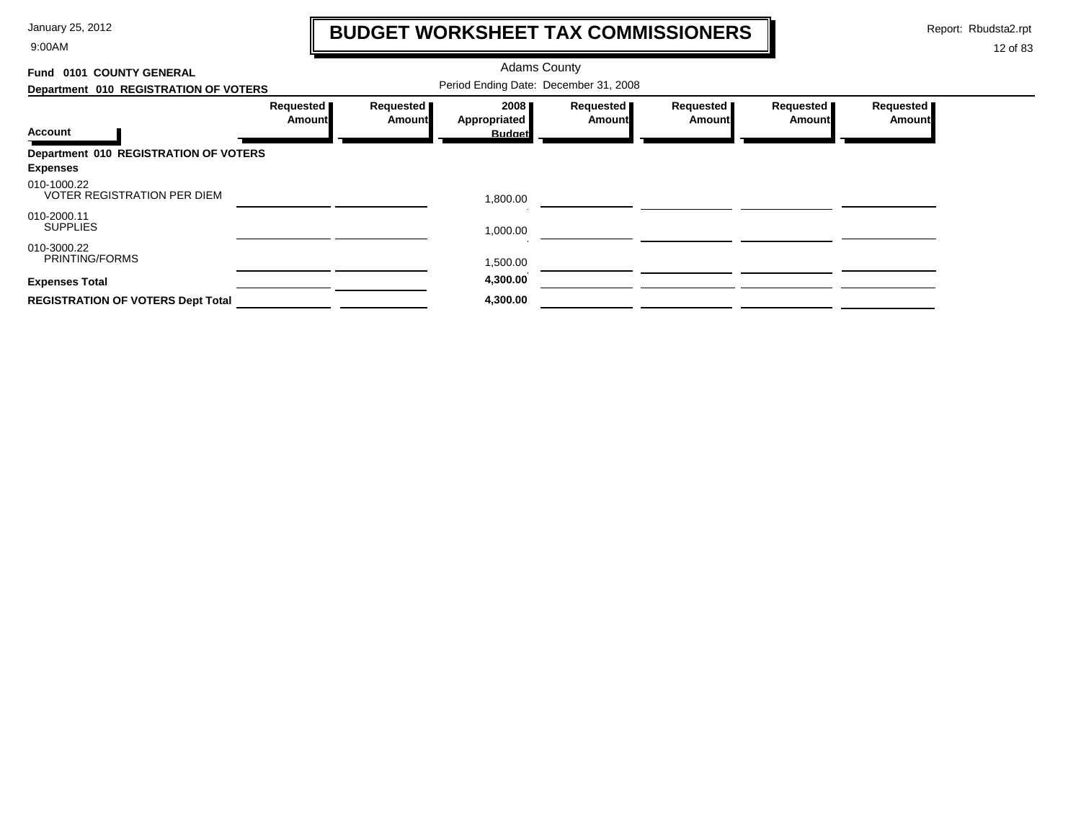9:00AM

## **BUDGET WORKSHEET TAX COMMISSIONERS**

Report: Rbudsta2.rpt

 $\mathbf \mathbf I$ 

| Fund 0101 COUNTY GENERAL                                 |                            |                                       | <b>Adams County</b>  |                            |                            |                            |                     |
|----------------------------------------------------------|----------------------------|---------------------------------------|----------------------|----------------------------|----------------------------|----------------------------|---------------------|
| Department 010 REGISTRATION OF VOTERS                    |                            | Period Ending Date: December 31, 2008 |                      |                            |                            |                            |                     |
|                                                          | Requested<br><b>Amount</b> | Requested<br>Amount                   | 2008<br>Appropriated | Requested<br><b>Amount</b> | Requested<br><b>Amount</b> | Requested<br><b>Amount</b> | Requested<br>Amount |
| <b>Account</b>                                           |                            |                                       | <b>Budget</b>        |                            |                            |                            |                     |
| Department 010 REGISTRATION OF VOTERS<br><b>Expenses</b> |                            |                                       |                      |                            |                            |                            |                     |
| 010-1000.22<br><b>VOTER REGISTRATION PER DIEM</b>        |                            |                                       | 1,800.00             |                            |                            |                            |                     |
| 010-2000.11<br><b>SUPPLIES</b>                           |                            |                                       | 1,000.00             |                            |                            |                            |                     |
| 010-3000.22<br>PRINTING/FORMS                            |                            |                                       | 1,500.00             |                            |                            |                            |                     |
| <b>Expenses Total</b>                                    |                            |                                       | 4,300.00             |                            |                            |                            |                     |
| <b>REGISTRATION OF VOTERS Dept Total</b>                 |                            |                                       | 4,300.00             |                            |                            |                            |                     |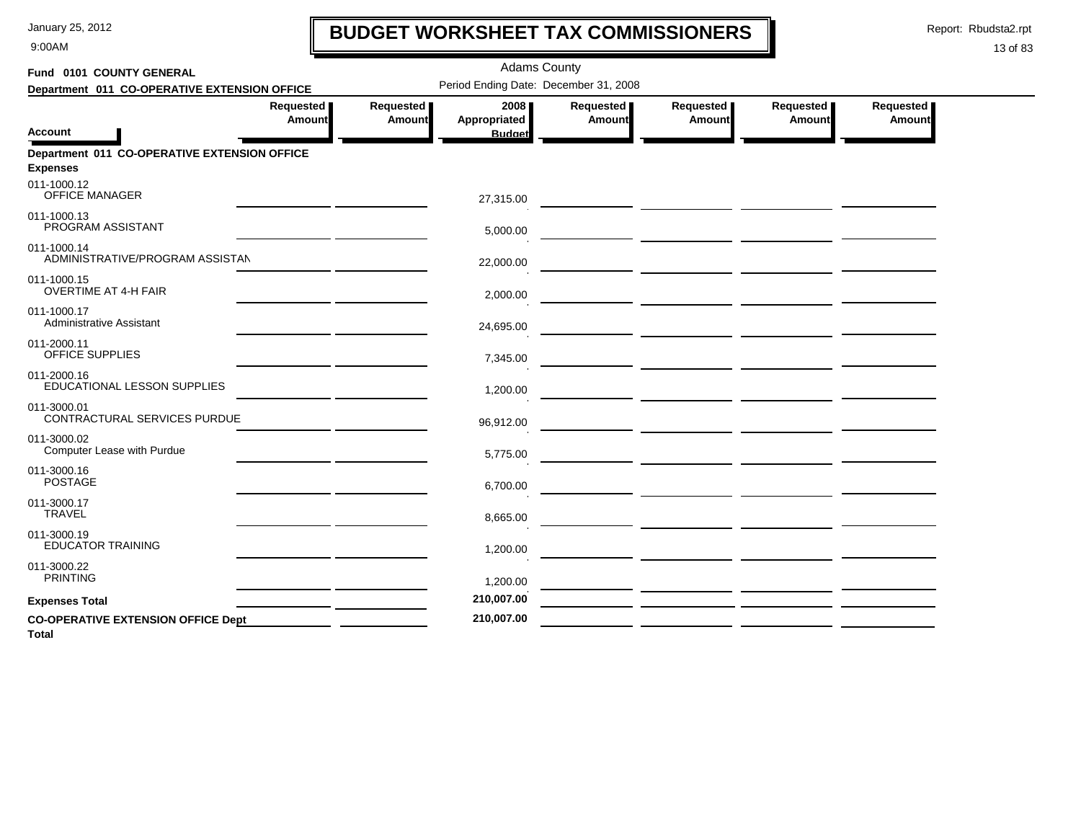9:00AM

## **BUDGET WORKSHEET TAX COMMISSIONERS**

Report: Rbudsta2.rpt

 $\mathbf l$ 

| Fund 0101 COUNTY GENERAL                                        |                                                                                                                     |                     | <b>Adams County</b>                   |                     |                     |                     |                     |
|-----------------------------------------------------------------|---------------------------------------------------------------------------------------------------------------------|---------------------|---------------------------------------|---------------------|---------------------|---------------------|---------------------|
| Department 011 CO-OPERATIVE EXTENSION OFFICE                    |                                                                                                                     |                     | Period Ending Date: December 31, 2008 |                     |                     |                     |                     |
| <b>Account</b>                                                  | Requested  <br>Amount                                                                                               | Requested<br>Amount | 2008<br>Appropriated<br><b>Budget</b> | Requested<br>Amount | Requested<br>Amount | Requested<br>Amount | Requested<br>Amount |
| Department 011 CO-OPERATIVE EXTENSION OFFICE<br><b>Expenses</b> |                                                                                                                     |                     |                                       |                     |                     |                     |                     |
| 011-1000.12<br>OFFICE MANAGER                                   |                                                                                                                     |                     | 27,315.00                             |                     |                     |                     |                     |
| 011-1000.13<br>PROGRAM ASSISTANT                                | <u> 1980 - John Harry Harry Harry Harry Harry Harry Harry Harry Harry Harry Harry Harry Harry Harry Harry Harry</u> |                     | 5,000.00                              |                     |                     |                     |                     |
| 011-1000.14<br>ADMINISTRATIVE/PROGRAM ASSISTAN                  |                                                                                                                     |                     | 22,000.00                             |                     |                     |                     |                     |
| 011-1000.15<br><b>OVERTIME AT 4-H FAIR</b>                      |                                                                                                                     |                     | 2,000.00                              |                     |                     |                     |                     |
| 011-1000.17<br>Administrative Assistant                         |                                                                                                                     |                     | 24,695.00                             |                     |                     |                     |                     |
| 011-2000.11<br><b>OFFICE SUPPLIES</b>                           |                                                                                                                     |                     | 7,345.00                              |                     |                     |                     |                     |
| 011-2000.16<br>EDUCATIONAL LESSON SUPPLIES                      |                                                                                                                     |                     | 1,200.00                              |                     |                     |                     |                     |
| 011-3000.01<br>CONTRACTURAL SERVICES PURDUE                     |                                                                                                                     |                     | 96,912.00                             |                     |                     |                     |                     |
| 011-3000.02<br><b>Computer Lease with Purdue</b>                |                                                                                                                     |                     | 5,775.00                              |                     |                     |                     |                     |
| 011-3000.16<br><b>POSTAGE</b>                                   |                                                                                                                     |                     | 6,700.00                              |                     |                     |                     |                     |
| 011-3000.17<br><b>TRAVEL</b>                                    |                                                                                                                     |                     | 8,665.00                              |                     |                     |                     |                     |
| 011-3000.19<br><b>EDUCATOR TRAINING</b>                         |                                                                                                                     |                     | 1,200.00                              |                     |                     |                     |                     |
| 011-3000.22<br><b>PRINTING</b>                                  |                                                                                                                     |                     | 1,200.00                              |                     |                     |                     |                     |
| <b>Expenses Total</b>                                           |                                                                                                                     |                     | 210,007.00                            |                     |                     |                     |                     |
| <b>CO-OPERATIVE EXTENSION OFFICE Dept</b><br><b>Total</b>       |                                                                                                                     |                     | 210,007.00                            |                     |                     |                     |                     |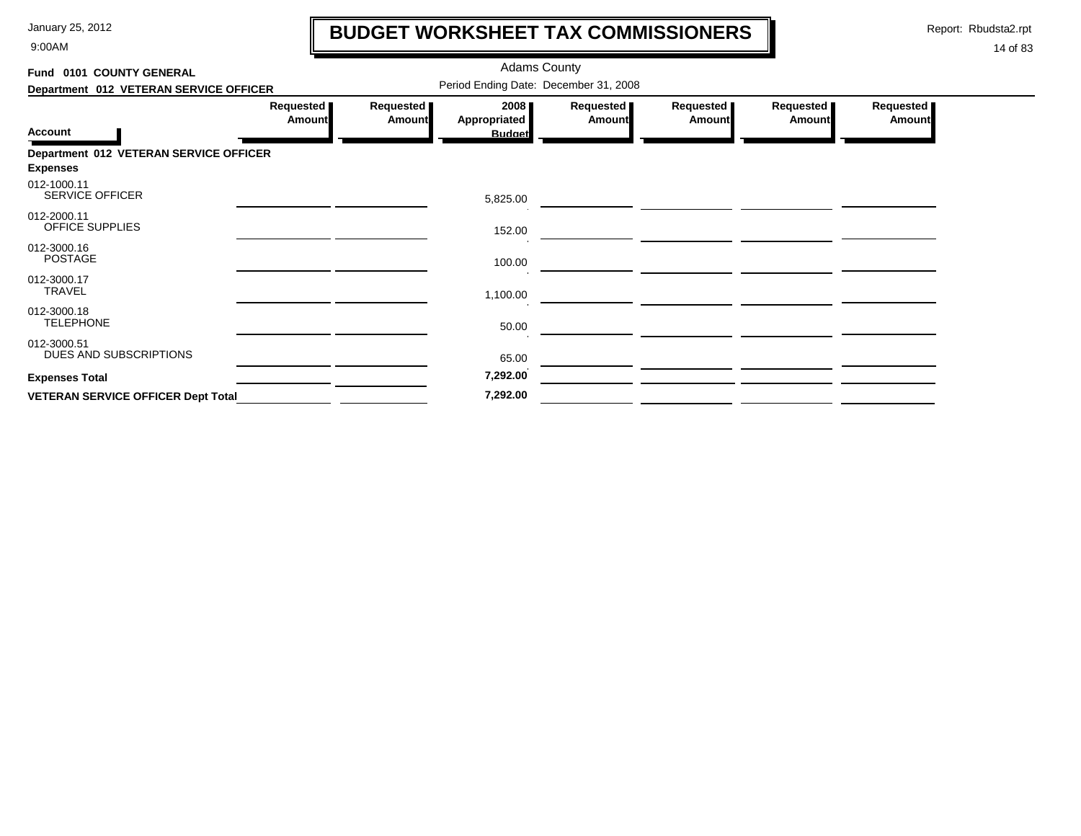9:00AM

## **BUDGET WORKSHEET TAX COMMISSIONERS**

Report: Rbudsta2.rpt

 $\mathbf l$ 

| Fund 0101 COUNTY GENERAL                  |                            |                            | <b>Adams County</b>                   |                            |                            |                     |                            |
|-------------------------------------------|----------------------------|----------------------------|---------------------------------------|----------------------------|----------------------------|---------------------|----------------------------|
| Department 012 VETERAN SERVICE OFFICER    |                            |                            | Period Ending Date: December 31, 2008 |                            |                            |                     |                            |
| <b>Account</b>                            | Requested<br><b>Amount</b> | Requested<br><b>Amount</b> | 2008<br>Appropriated<br><b>Budget</b> | Requested<br><b>Amount</b> | Requested<br><b>Amount</b> | Requested<br>Amount | Requested<br><b>Amount</b> |
| Department 012 VETERAN SERVICE OFFICER    |                            |                            |                                       |                            |                            |                     |                            |
| <b>Expenses</b>                           |                            |                            |                                       |                            |                            |                     |                            |
| 012-1000.11<br>SERVICE OFFICER            |                            |                            | 5,825.00                              |                            |                            |                     |                            |
| 012-2000.11<br>OFFICE SUPPLIES            |                            |                            | 152.00                                |                            |                            |                     |                            |
| 012-3000.16<br><b>POSTAGE</b>             |                            |                            | 100.00                                |                            |                            |                     |                            |
| 012-3000.17<br><b>TRAVEL</b>              |                            |                            | 1,100.00                              |                            |                            |                     |                            |
| 012-3000.18<br><b>TELEPHONE</b>           |                            |                            | 50.00                                 |                            |                            |                     |                            |
| 012-3000.51<br>DUES AND SUBSCRIPTIONS     |                            |                            | 65.00                                 |                            |                            |                     |                            |
| <b>Expenses Total</b>                     |                            |                            | 7,292.00                              |                            |                            |                     |                            |
| <b>VETERAN SERVICE OFFICER Dept Total</b> |                            |                            | 7,292.00                              |                            |                            |                     |                            |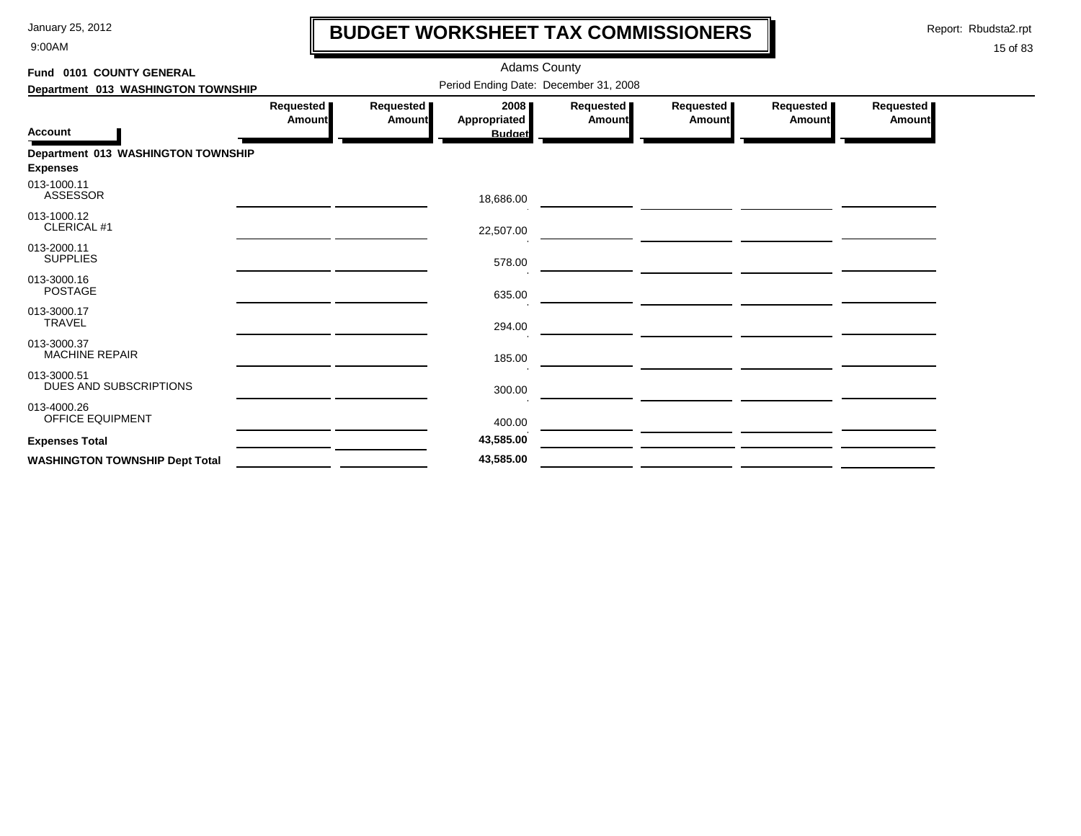9:00AM

## **BUDGET WORKSHEET TAX COMMISSIONERS**

Report: Rbudsta2.rpt

 $\mathbf l$ 

| Fund 0101 COUNTY GENERAL              |                     |                     |                                       | <b>Adams County</b>                   |                     |                       |                     |
|---------------------------------------|---------------------|---------------------|---------------------------------------|---------------------------------------|---------------------|-----------------------|---------------------|
| Department 013 WASHINGTON TOWNSHIP    |                     |                     |                                       | Period Ending Date: December 31, 2008 |                     |                       |                     |
| Account                               | Requested<br>Amount | Requested<br>Amount | 2008<br>Appropriated<br><b>Budget</b> | <b>Requested</b><br>Amount            | Requested<br>Amount | Requested  <br>Amount | Requested<br>Amount |
| Department 013 WASHINGTON TOWNSHIP    |                     |                     |                                       |                                       |                     |                       |                     |
| Expenses                              |                     |                     |                                       |                                       |                     |                       |                     |
| 013-1000.11<br>ASSESSOR               |                     |                     | 18,686.00                             |                                       |                     |                       |                     |
| 013-1000.12<br>CLERICAL #1            |                     |                     | 22,507.00                             |                                       |                     |                       |                     |
| 013-2000.11<br><b>SUPPLIES</b>        |                     |                     | 578.00                                |                                       |                     |                       |                     |
| 013-3000.16<br><b>POSTAGE</b>         |                     |                     | 635.00                                |                                       |                     |                       |                     |
| 013-3000.17<br><b>TRAVEL</b>          |                     |                     | 294.00                                |                                       |                     |                       |                     |
| 013-3000.37<br><b>MACHINE REPAIR</b>  |                     |                     | 185.00                                |                                       |                     |                       |                     |
| 013-3000.51<br>DUES AND SUBSCRIPTIONS |                     |                     | 300.00                                |                                       |                     |                       |                     |
| 013-4000.26<br>OFFICE EQUIPMENT       |                     |                     | 400.00                                |                                       |                     |                       |                     |
| <b>Expenses Total</b>                 |                     |                     | 43,585.00                             |                                       |                     |                       |                     |
| <b>WASHINGTON TOWNSHIP Dept Total</b> |                     |                     | 43,585.00                             |                                       |                     |                       |                     |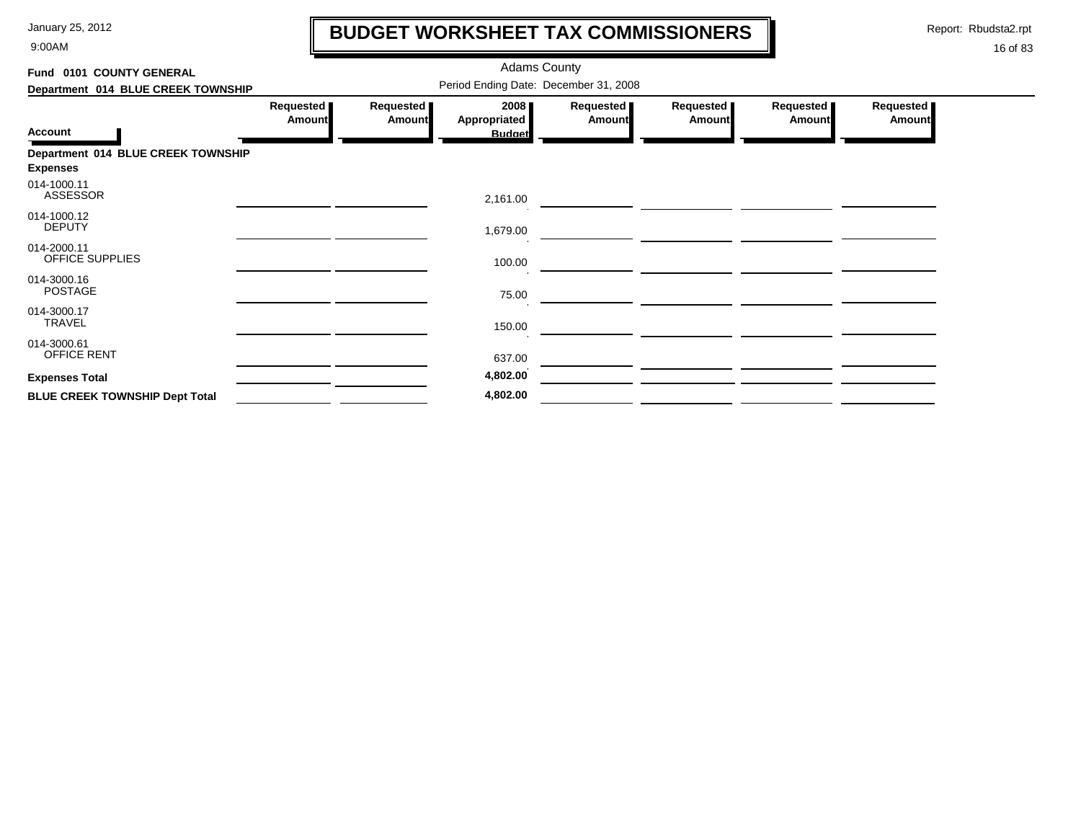9:00AM

## **BUDGET WORKSHEET TAX COMMISSIONERS**

Report: Rbudsta2.rpt

 $\mathbf l$ 

| Fund 0101 COUNTY GENERAL              |                                       |                            |                                       |                            |                            |                            |                            |  |  |  |  |
|---------------------------------------|---------------------------------------|----------------------------|---------------------------------------|----------------------------|----------------------------|----------------------------|----------------------------|--|--|--|--|
| Department 014 BLUE CREEK TOWNSHIP    | Period Ending Date: December 31, 2008 |                            |                                       |                            |                            |                            |                            |  |  |  |  |
| <b>Account</b>                        | Requested<br><b>Amount</b>            | Requested<br><b>Amount</b> | 2008<br>Appropriated<br><b>Budget</b> | Requested<br><b>Amount</b> | Requested<br><b>Amount</b> | Requested<br><b>Amount</b> | Requested<br><b>Amount</b> |  |  |  |  |
| Department 014 BLUE CREEK TOWNSHIP    |                                       |                            |                                       |                            |                            |                            |                            |  |  |  |  |
| <b>Expenses</b>                       |                                       |                            |                                       |                            |                            |                            |                            |  |  |  |  |
| 014-1000.11<br><b>ASSESSOR</b>        |                                       |                            | 2,161.00                              |                            |                            |                            |                            |  |  |  |  |
| 014-1000.12<br><b>DEPUTY</b>          |                                       |                            | 1,679.00                              |                            |                            |                            |                            |  |  |  |  |
| 014-2000.11<br>OFFICE SUPPLIES        |                                       |                            | 100.00                                |                            |                            |                            |                            |  |  |  |  |
| 014-3000.16<br><b>POSTAGE</b>         |                                       |                            | 75.00                                 |                            |                            |                            |                            |  |  |  |  |
| 014-3000.17<br><b>TRAVEL</b>          |                                       |                            | 150.00                                |                            |                            |                            |                            |  |  |  |  |
| 014-3000.61<br>OFFICE RENT            |                                       |                            | 637.00                                |                            |                            |                            |                            |  |  |  |  |
| <b>Expenses Total</b>                 |                                       |                            | 4,802.00                              |                            |                            |                            |                            |  |  |  |  |
| <b>BLUE CREEK TOWNSHIP Dept Total</b> |                                       |                            | 4,802.00                              |                            |                            |                            |                            |  |  |  |  |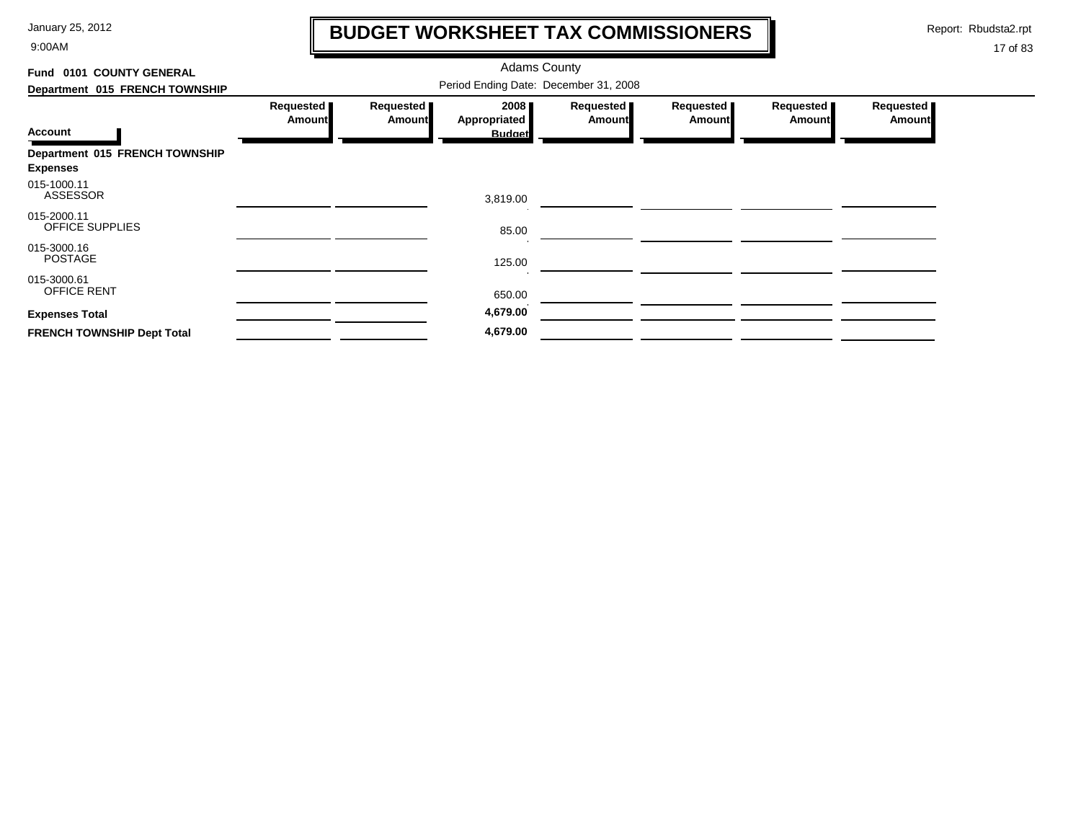9:00AM

## **BUDGET WORKSHEET TAX COMMISSIONERS**

Report: Rbudsta2.rpt

 $\mathbf l$ 

| Fund 0101 COUNTY GENERAL                          |                                       |                            |                                              |                            |                     |                            |                            |  |  |
|---------------------------------------------------|---------------------------------------|----------------------------|----------------------------------------------|----------------------------|---------------------|----------------------------|----------------------------|--|--|
| Department 015 FRENCH TOWNSHIP                    | Period Ending Date: December 31, 2008 |                            |                                              |                            |                     |                            |                            |  |  |
| Account                                           | Requested<br>Amount                   | Requested<br><b>Amount</b> | 2008<br><b>Appropriated</b><br><b>Budget</b> | Requested<br><b>Amount</b> | Requested<br>Amount | Requested<br><b>Amount</b> | Requested<br><b>Amount</b> |  |  |
| Department 015 FRENCH TOWNSHIP<br><b>Expenses</b> |                                       |                            |                                              |                            |                     |                            |                            |  |  |
| 015-1000.11<br><b>ASSESSOR</b>                    |                                       |                            | 3,819.00                                     |                            |                     |                            |                            |  |  |
| 015-2000.11<br>OFFICE SUPPLIES                    |                                       |                            | 85.00                                        |                            |                     |                            |                            |  |  |
| 015-3000.16<br><b>POSTAGE</b>                     |                                       |                            | 125.00                                       |                            |                     |                            |                            |  |  |
| 015-3000.61<br><b>OFFICE RENT</b>                 |                                       |                            | 650.00                                       |                            |                     |                            |                            |  |  |
| <b>Expenses Total</b>                             |                                       |                            | 4,679.00                                     |                            |                     |                            |                            |  |  |
| <b>FRENCH TOWNSHIP Dept Total</b>                 |                                       |                            | 4,679.00                                     |                            |                     |                            |                            |  |  |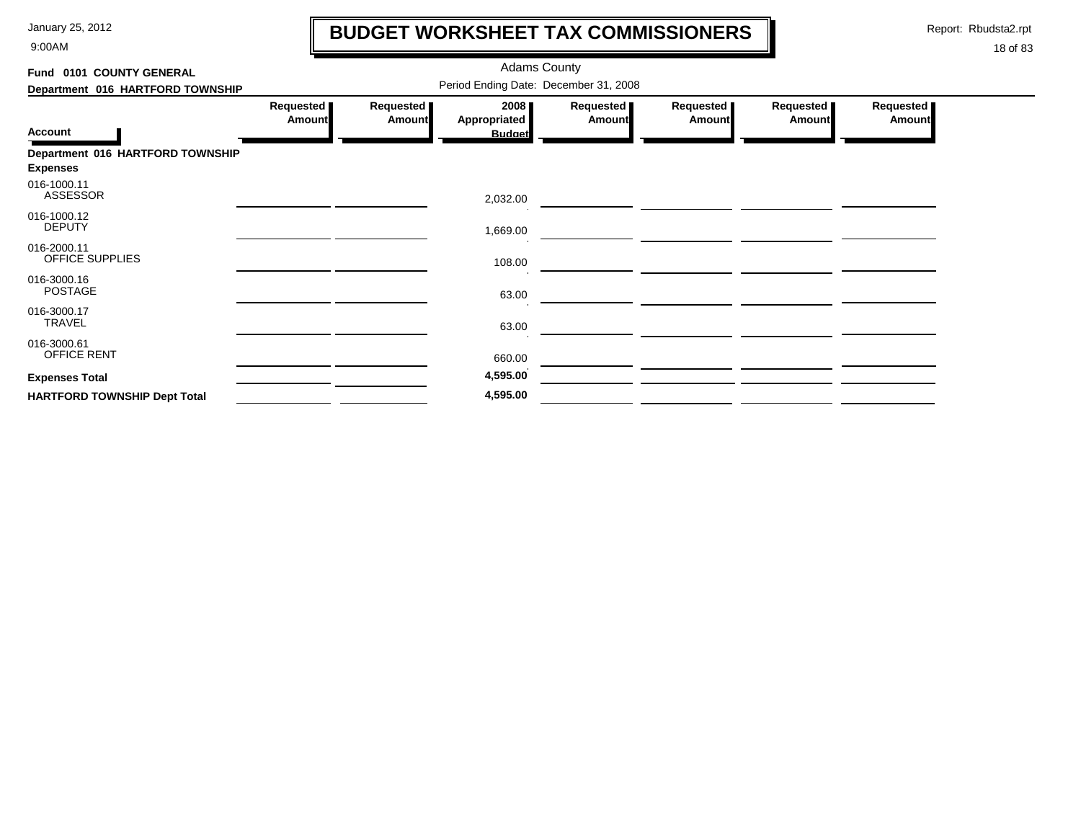9:00AM

## **BUDGET WORKSHEET TAX COMMISSIONERS**

Report: Rbudsta2.rpt

 $\mathbf l$ 

| Fund 0101 COUNTY GENERAL                            |                                       |                            | <b>Adams County</b>                   |                     |                     |                     |                            |  |  |  |
|-----------------------------------------------------|---------------------------------------|----------------------------|---------------------------------------|---------------------|---------------------|---------------------|----------------------------|--|--|--|
| Department 016 HARTFORD TOWNSHIP                    | Period Ending Date: December 31, 2008 |                            |                                       |                     |                     |                     |                            |  |  |  |
| <b>Account</b>                                      | Requested<br><b>Amount</b>            | Requested<br><b>Amount</b> | 2008<br>Appropriated<br><b>Budget</b> | Requested<br>Amount | Requested<br>Amount | Requested<br>Amount | Requested<br><b>Amount</b> |  |  |  |
| Department 016 HARTFORD TOWNSHIP<br><b>Expenses</b> |                                       |                            |                                       |                     |                     |                     |                            |  |  |  |
| 016-1000.11<br><b>ASSESSOR</b>                      |                                       |                            | 2,032.00                              |                     |                     |                     |                            |  |  |  |
| 016-1000.12<br><b>DEPUTY</b>                        |                                       |                            | 1,669.00                              |                     |                     |                     |                            |  |  |  |
| 016-2000.11<br>OFFICE SUPPLIES                      |                                       |                            | 108.00                                |                     |                     |                     |                            |  |  |  |
| 016-3000.16<br><b>POSTAGE</b>                       |                                       |                            | 63.00                                 |                     |                     |                     |                            |  |  |  |
| 016-3000.17<br>TRAVEL                               |                                       |                            | 63.00                                 |                     |                     |                     |                            |  |  |  |
| 016-3000.61<br>OFFICE RENT                          |                                       |                            | 660.00                                |                     |                     |                     |                            |  |  |  |
| <b>Expenses Total</b>                               |                                       |                            | 4,595.00                              |                     |                     |                     |                            |  |  |  |
| <b>HARTFORD TOWNSHIP Dept Total</b>                 |                                       |                            | 4,595.00                              |                     |                     |                     |                            |  |  |  |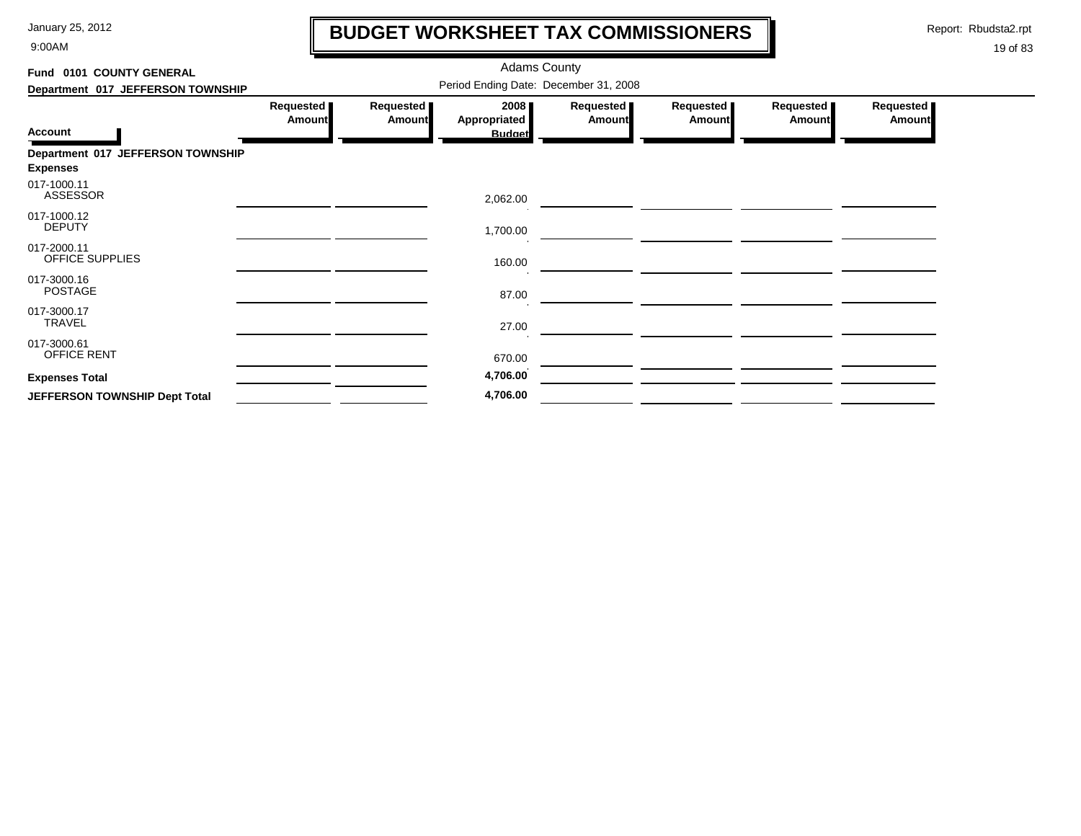9:00AM

## **BUDGET WORKSHEET TAX COMMISSIONERS**

Report: Rbudsta2.rpt

 $\mathbf l$ 

| Fund 0101 COUNTY GENERAL                             |                     |                     | <b>Adams County</b>                   |                            |                     |                     |                              |
|------------------------------------------------------|---------------------|---------------------|---------------------------------------|----------------------------|---------------------|---------------------|------------------------------|
| Department 017 JEFFERSON TOWNSHIP                    |                     |                     | Period Ending Date: December 31, 2008 |                            |                     |                     |                              |
| <b>Account</b>                                       | Requested<br>Amount | Requested<br>Amount | 2008<br>Appropriated<br><b>Budget</b> | Requested<br><b>Amount</b> | Requested<br>Amount | Requested<br>Amount | Requested  <br><b>Amount</b> |
| Department 017 JEFFERSON TOWNSHIP<br><b>Expenses</b> |                     |                     |                                       |                            |                     |                     |                              |
| 017-1000.11<br>ASSESSOR                              |                     |                     | 2,062.00                              |                            |                     |                     |                              |
| 017-1000.12<br><b>DEPUTY</b>                         |                     |                     | 1,700.00                              |                            |                     |                     |                              |
| 017-2000.11<br>OFFICE SUPPLIES                       |                     |                     | 160.00                                |                            |                     |                     |                              |
| 017-3000.16<br><b>POSTAGE</b>                        |                     |                     | 87.00                                 |                            |                     |                     |                              |
| 017-3000.17<br><b>TRAVEL</b>                         |                     |                     | 27.00                                 |                            |                     |                     |                              |
| 017-3000.61<br><b>OFFICE RENT</b>                    |                     |                     | 670.00                                |                            |                     |                     |                              |
| <b>Expenses Total</b>                                |                     |                     | 4,706.00                              |                            |                     |                     |                              |
| JEFFERSON TOWNSHIP Dept Total                        |                     |                     | 4,706.00                              |                            |                     |                     |                              |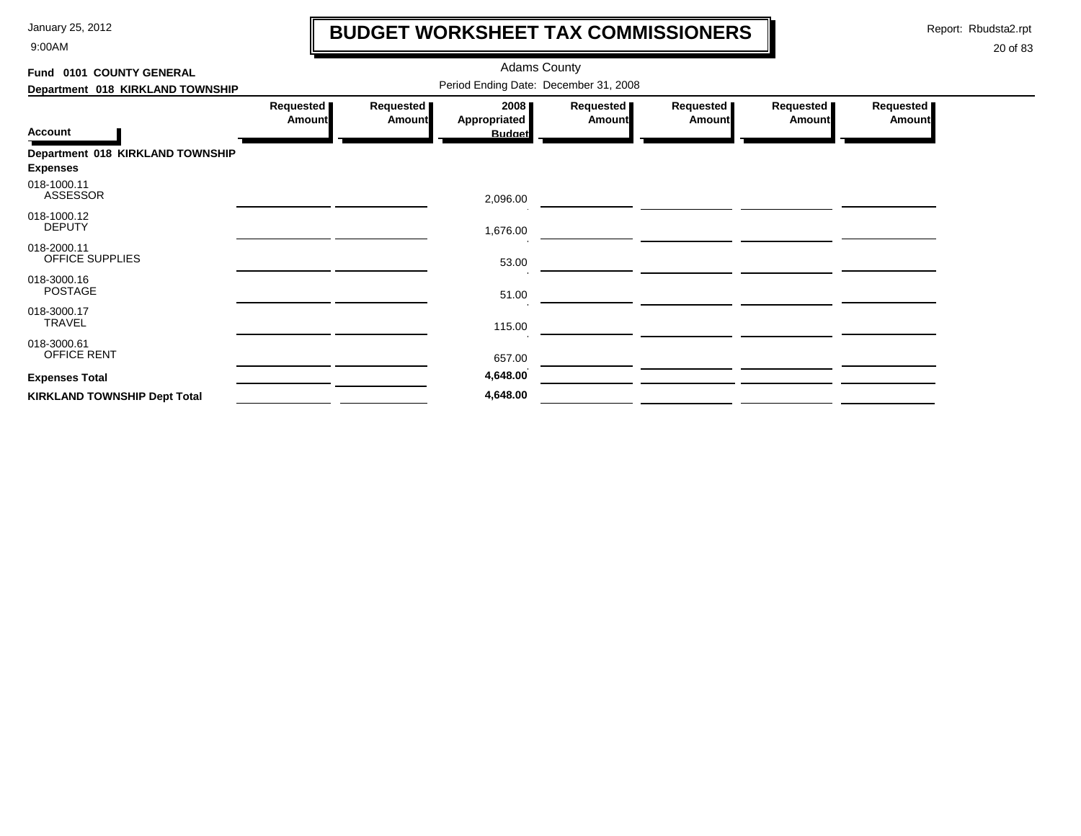9:00AM

## **BUDGET WORKSHEET TAX COMMISSIONERS**

Report: Rbudsta2.rpt

 $\mathbf l$ 

| Fund 0101 COUNTY GENERAL                            |                                       |                            | <b>Adams County</b>                   |                       |                     |                            |                     |  |  |  |  |
|-----------------------------------------------------|---------------------------------------|----------------------------|---------------------------------------|-----------------------|---------------------|----------------------------|---------------------|--|--|--|--|
| Department 018 KIRKLAND TOWNSHIP                    | Period Ending Date: December 31, 2008 |                            |                                       |                       |                     |                            |                     |  |  |  |  |
| <b>Account</b>                                      | Requested<br><b>Amount</b>            | Requested<br><b>Amount</b> | 2008<br>Appropriated<br><b>Budget</b> | Requested  <br>Amount | Requested<br>Amount | Requested<br><b>Amount</b> | Requested<br>Amount |  |  |  |  |
| Department 018 KIRKLAND TOWNSHIP<br><b>Expenses</b> |                                       |                            |                                       |                       |                     |                            |                     |  |  |  |  |
| 018-1000.11<br><b>ASSESSOR</b>                      |                                       |                            | 2,096.00                              |                       |                     |                            |                     |  |  |  |  |
| 018-1000.12<br><b>DEPUTY</b>                        |                                       |                            | 1,676.00                              |                       |                     |                            |                     |  |  |  |  |
| 018-2000.11<br>OFFICE SUPPLIES                      |                                       |                            | 53.00                                 |                       |                     |                            |                     |  |  |  |  |
| 018-3000.16<br><b>POSTAGE</b>                       |                                       |                            | 51.00                                 |                       |                     |                            |                     |  |  |  |  |
| 018-3000.17<br><b>TRAVEL</b>                        |                                       |                            | 115.00                                |                       |                     |                            |                     |  |  |  |  |
| 018-3000.61<br><b>OFFICE RENT</b>                   |                                       |                            | 657.00                                |                       |                     |                            |                     |  |  |  |  |
| <b>Expenses Total</b>                               |                                       |                            | 4,648.00                              |                       |                     |                            |                     |  |  |  |  |
| <b>KIRKLAND TOWNSHIP Dept Total</b>                 |                                       |                            | 4,648.00                              |                       |                     |                            |                     |  |  |  |  |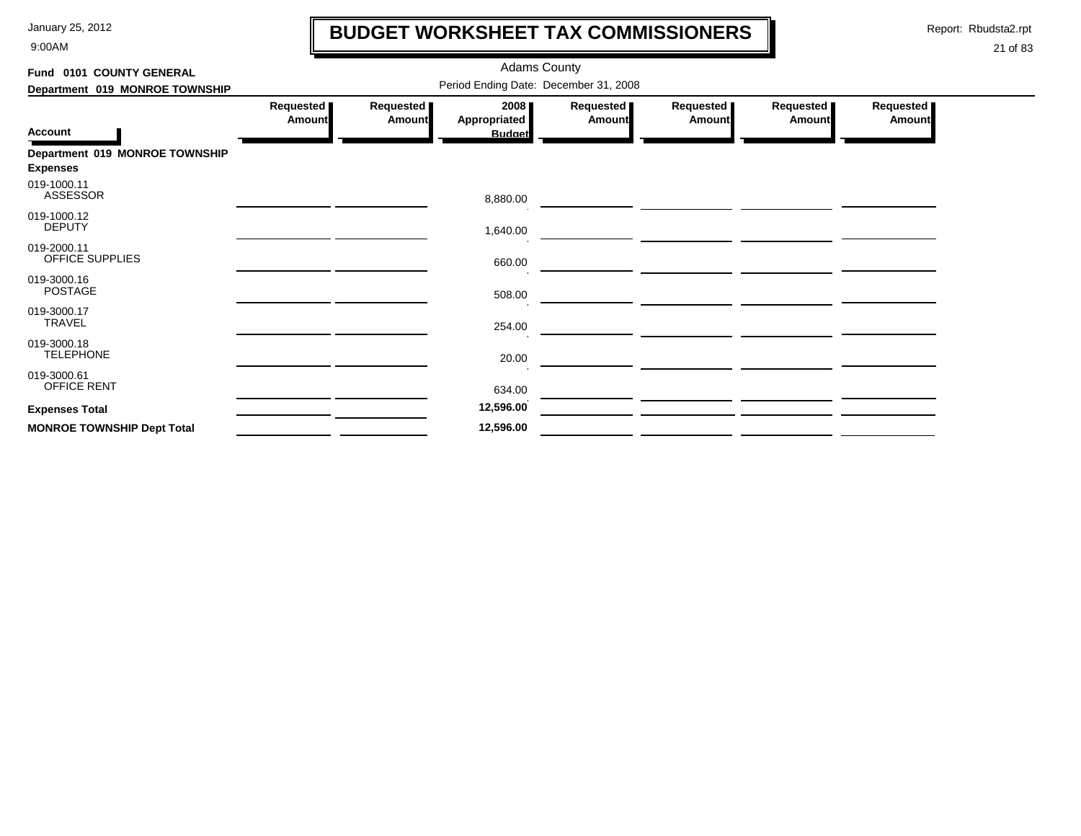9:00AM

## **BUDGET WORKSHEET TAX COMMISSIONERS**

Report: Rbudsta2.rpt

 $\mathbf \mathbf I$ 

| Fund 0101 COUNTY GENERAL                          |                                       |                            |                                              |                       |                     |                            |                              |  |  |  |  |
|---------------------------------------------------|---------------------------------------|----------------------------|----------------------------------------------|-----------------------|---------------------|----------------------------|------------------------------|--|--|--|--|
| Department 019 MONROE TOWNSHIP                    | Period Ending Date: December 31, 2008 |                            |                                              |                       |                     |                            |                              |  |  |  |  |
| <b>Account</b>                                    | Requested<br><b>Amount</b>            | Requested<br><b>Amount</b> | 2008<br><b>Appropriated</b><br><b>Budget</b> | Requested  <br>Amount | Requested<br>Amount | Requested<br><b>Amount</b> | Requested  <br><b>Amount</b> |  |  |  |  |
| Department 019 MONROE TOWNSHIP<br><b>Expenses</b> |                                       |                            |                                              |                       |                     |                            |                              |  |  |  |  |
| 019-1000.11<br>ASSESSOR                           |                                       |                            | 8,880.00                                     |                       |                     |                            |                              |  |  |  |  |
| 019-1000.12<br><b>DEPUTY</b>                      |                                       |                            | 1,640.00                                     |                       |                     |                            |                              |  |  |  |  |
| 019-2000.11<br><b>OFFICE SUPPLIES</b>             |                                       |                            | 660.00                                       |                       |                     |                            |                              |  |  |  |  |
| 019-3000.16<br><b>POSTAGE</b>                     |                                       |                            | 508.00                                       |                       |                     |                            |                              |  |  |  |  |
| 019-3000.17<br>TRAVEL                             |                                       |                            | 254.00                                       |                       |                     |                            |                              |  |  |  |  |
| 019-3000.18<br><b>TELEPHONE</b>                   |                                       |                            | 20.00                                        |                       |                     |                            |                              |  |  |  |  |
| 019-3000.61<br>OFFICE RENT                        |                                       |                            | 634.00                                       |                       |                     |                            |                              |  |  |  |  |
| <b>Expenses Total</b>                             |                                       |                            | 12,596.00                                    |                       |                     |                            |                              |  |  |  |  |
| <b>MONROE TOWNSHIP Dept Total</b>                 |                                       |                            | 12,596.00                                    |                       |                     |                            |                              |  |  |  |  |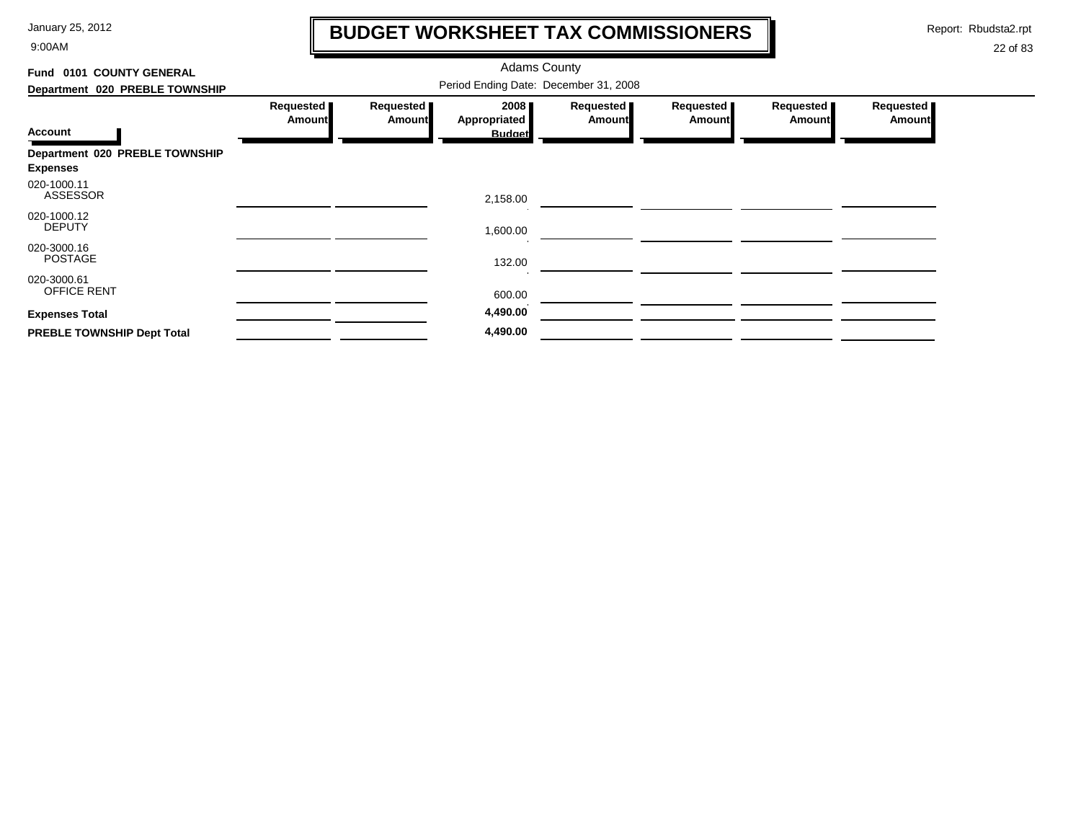9:00AM

## **BUDGET WORKSHEET TAX COMMISSIONERS**

Report: Rbudsta2.rpt

 $\mathbf l$ 

| Fund 0101 COUNTY GENERAL                          |                                       |                            |                                              |                            |                            |                            |                            |  |  |
|---------------------------------------------------|---------------------------------------|----------------------------|----------------------------------------------|----------------------------|----------------------------|----------------------------|----------------------------|--|--|
| Department 020 PREBLE TOWNSHIP                    | Period Ending Date: December 31, 2008 |                            |                                              |                            |                            |                            |                            |  |  |
| <b>Account</b>                                    | Requested<br>Amount                   | Requested<br><b>Amount</b> | 2008<br><b>Appropriated</b><br><b>Budget</b> | Requested<br><b>Amount</b> | Requested<br><b>Amount</b> | Requested<br><b>Amount</b> | Requested<br><b>Amount</b> |  |  |
| Department 020 PREBLE TOWNSHIP<br><b>Expenses</b> |                                       |                            |                                              |                            |                            |                            |                            |  |  |
| 020-1000.11<br><b>ASSESSOR</b>                    |                                       |                            | 2,158.00                                     |                            |                            |                            |                            |  |  |
| 020-1000.12<br><b>DEPUTY</b>                      |                                       |                            | 1,600.00                                     |                            |                            |                            |                            |  |  |
| 020-3000.16<br><b>POSTAGE</b>                     |                                       |                            | 132.00                                       |                            |                            |                            |                            |  |  |
| 020-3000.61<br>OFFICE RENT                        |                                       |                            | 600.00                                       |                            |                            |                            |                            |  |  |
| <b>Expenses Total</b>                             |                                       |                            | 4,490.00                                     |                            |                            |                            |                            |  |  |
| PREBLE TOWNSHIP Dept Total                        |                                       |                            | 4,490.00                                     |                            |                            |                            |                            |  |  |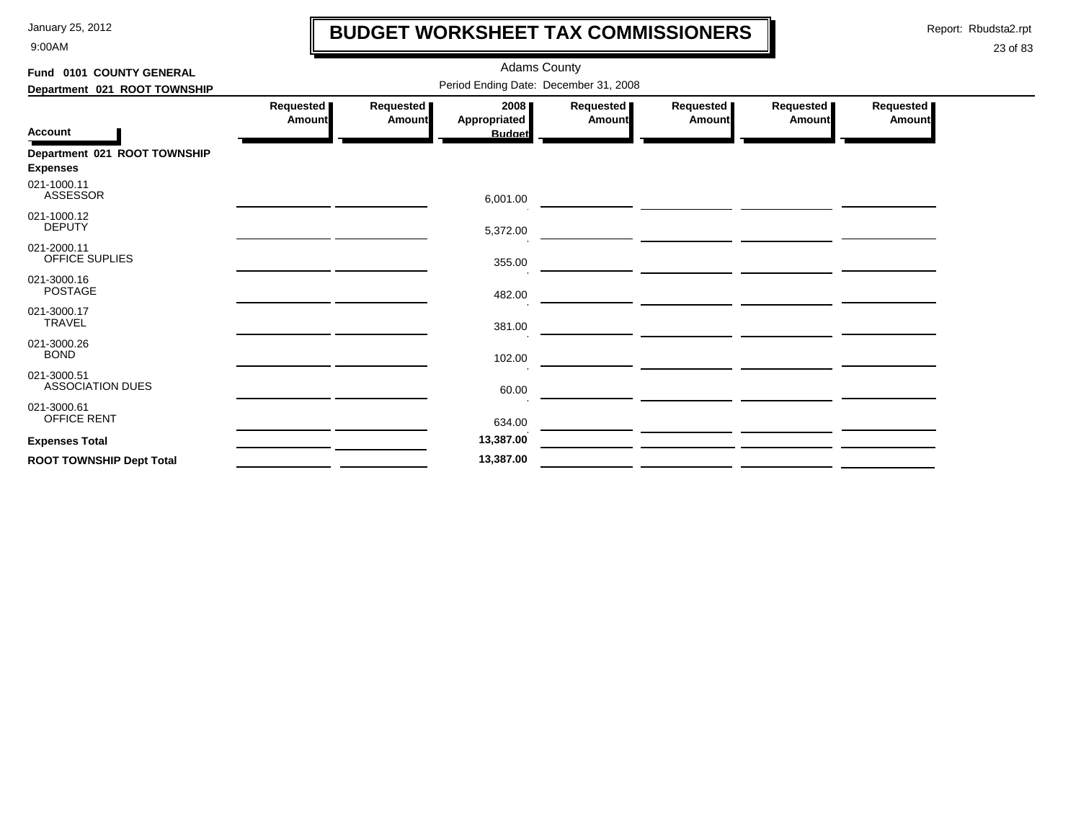9:00AM

## **BUDGET WORKSHEET TAX COMMISSIONERS**

Report: Rbudsta2.rpt

 $\mathbf \mathbf I$ 

| Fund 0101 COUNTY GENERAL                        | <b>Adams County</b>                   |                       |                                              |                            |                       |                       |                            |  |  |  |  |
|-------------------------------------------------|---------------------------------------|-----------------------|----------------------------------------------|----------------------------|-----------------------|-----------------------|----------------------------|--|--|--|--|
| Department 021 ROOT TOWNSHIP                    | Period Ending Date: December 31, 2008 |                       |                                              |                            |                       |                       |                            |  |  |  |  |
| <b>Account</b>                                  | Requested  <br>Amount                 | Requested  <br>Amount | 2008<br><b>Appropriated</b><br><b>Budget</b> | Requested<br><b>Amount</b> | Requested  <br>Amount | Requested  <br>Amount | Requested<br><b>Amount</b> |  |  |  |  |
| Department 021 ROOT TOWNSHIP<br><b>Expenses</b> |                                       |                       |                                              |                            |                       |                       |                            |  |  |  |  |
| 021-1000.11<br><b>ASSESSOR</b>                  |                                       |                       | 6,001.00                                     |                            |                       |                       |                            |  |  |  |  |
| 021-1000.12<br><b>DEPUTY</b>                    |                                       |                       | 5,372.00                                     |                            |                       |                       |                            |  |  |  |  |
| 021-2000.11<br><b>OFFICE SUPLIES</b>            |                                       |                       | 355.00                                       |                            |                       |                       |                            |  |  |  |  |
| 021-3000.16<br><b>POSTAGE</b>                   |                                       |                       | 482.00                                       |                            |                       |                       |                            |  |  |  |  |
| 021-3000.17<br><b>TRAVEL</b>                    |                                       |                       | 381.00                                       |                            |                       |                       |                            |  |  |  |  |
| 021-3000.26<br><b>BOND</b>                      |                                       |                       | 102.00                                       |                            |                       |                       |                            |  |  |  |  |
| 021-3000.51<br><b>ASSOCIATION DUES</b>          |                                       |                       | 60.00                                        |                            |                       |                       |                            |  |  |  |  |
| 021-3000.61<br>OFFICE RENT                      |                                       |                       | 634.00                                       |                            |                       |                       |                            |  |  |  |  |
| <b>Expenses Total</b>                           |                                       |                       | 13,387.00                                    |                            |                       |                       |                            |  |  |  |  |
| <b>ROOT TOWNSHIP Dept Total</b>                 |                                       |                       | 13,387.00                                    |                            |                       |                       |                            |  |  |  |  |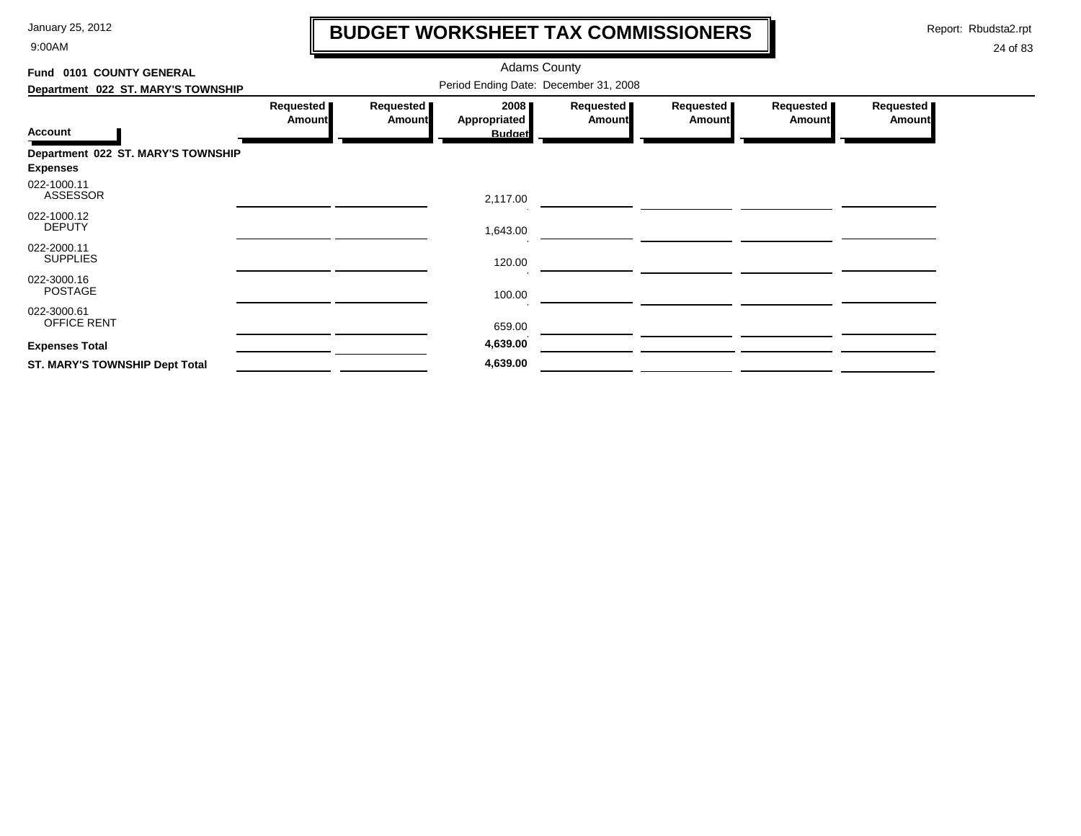9:00AM

## **BUDGET WORKSHEET TAX COMMISSIONERS**

Report: Rbudsta2.rpt

 $\mathbf \mathbf I$ 

| Fund 0101 COUNTY GENERAL              |                            |                            | <b>Adams County</b>  |                            |                            |                     |                     |
|---------------------------------------|----------------------------|----------------------------|----------------------|----------------------------|----------------------------|---------------------|---------------------|
| Department 022 ST. MARY'S TOWNSHIP    |                            |                            |                      |                            |                            |                     |                     |
|                                       | Requested<br><b>Amount</b> | Requested<br><b>Amount</b> | 2008<br>Appropriated | Requested<br><b>Amount</b> | Requested<br><b>Amount</b> | Requested<br>Amount | Requested<br>Amount |
| <b>Account</b>                        |                            |                            | <b>Budget</b>        |                            |                            |                     |                     |
| Department 022 ST. MARY'S TOWNSHIP    |                            |                            |                      |                            |                            |                     |                     |
| <b>Expenses</b>                       |                            |                            |                      |                            |                            |                     |                     |
| 022-1000.11<br><b>ASSESSOR</b>        |                            |                            | 2,117.00             |                            |                            |                     |                     |
| 022-1000.12<br><b>DEPUTY</b>          |                            |                            | 1,643.00             |                            |                            |                     |                     |
| 022-2000.11<br><b>SUPPLIES</b>        |                            |                            | 120.00               |                            |                            |                     |                     |
| 022-3000.16<br><b>POSTAGE</b>         |                            |                            | 100.00               |                            |                            |                     |                     |
| 022-3000.61<br>OFFICE RENT            |                            |                            | 659.00               |                            |                            |                     |                     |
| <b>Expenses Total</b>                 |                            |                            | 4,639.00             |                            |                            |                     |                     |
| <b>ST. MARY'S TOWNSHIP Dept Total</b> |                            |                            | 4,639.00             |                            |                            |                     |                     |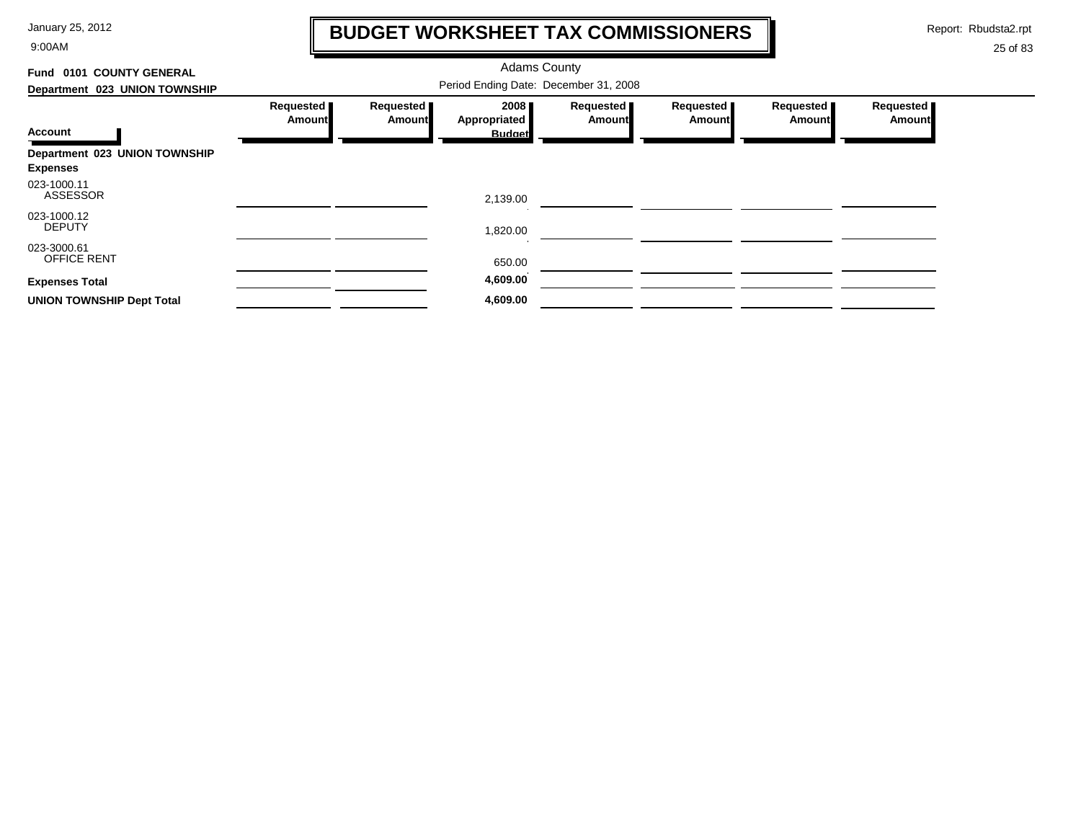9:00AM

## **BUDGET WORKSHEET TAX COMMISSIONERS**

Report: Rbudsta2.rpt

 $\mathbf \mathbf I$ 

| 0101 COUNTY GENERAL<br>Fund      |                     |                     |                      |                            |                     |                     |                            |
|----------------------------------|---------------------|---------------------|----------------------|----------------------------|---------------------|---------------------|----------------------------|
| Department 023 UNION TOWNSHIP    |                     |                     |                      |                            |                     |                     |                            |
|                                  | Requested<br>Amount | Requested<br>Amount | 2008<br>Appropriated | Requested<br><b>Amount</b> | Requested<br>Amount | Requested<br>Amount | Requested<br><b>Amount</b> |
| <b>Account</b>                   |                     |                     | <b>Budget</b>        |                            |                     |                     |                            |
| Department 023 UNION TOWNSHIP    |                     |                     |                      |                            |                     |                     |                            |
| <b>Expenses</b>                  |                     |                     |                      |                            |                     |                     |                            |
| 023-1000.11<br><b>ASSESSOR</b>   |                     |                     | 2,139.00             |                            |                     |                     |                            |
| 023-1000.12<br><b>DEPUTY</b>     |                     |                     | 1,820.00             |                            |                     |                     |                            |
| 023-3000.61<br>OFFICE RENT       |                     |                     | 650.00               |                            |                     |                     |                            |
| <b>Expenses Total</b>            |                     |                     | 4,609.00             |                            |                     |                     |                            |
| <b>UNION TOWNSHIP Dept Total</b> |                     |                     | 4,609.00             |                            |                     |                     |                            |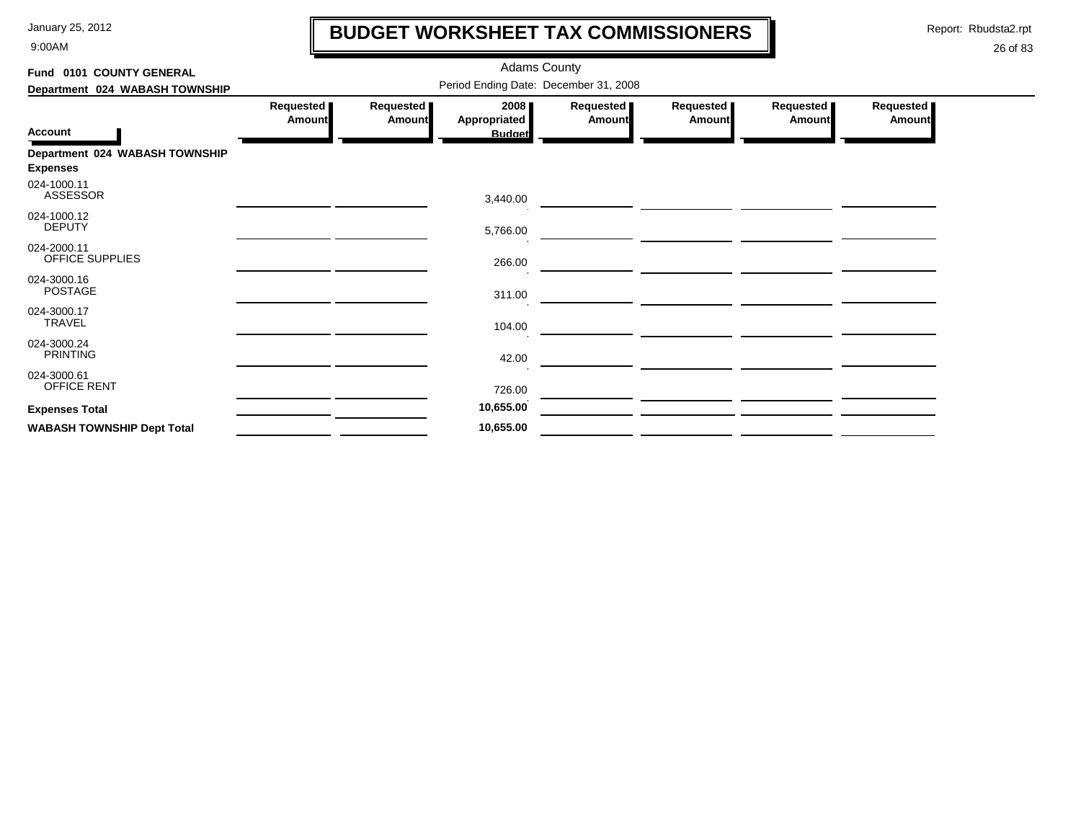9:00AM

## **BUDGET WORKSHEET TAX COMMISSIONERS**

Report: Rbudsta2.rpt

 $\mathbf \mathbf I$ 

| Fund 0101 COUNTY GENERAL                          |                                       |                     | <b>Adams County</b>                   |                            |                     |                            |                     |  |  |  |
|---------------------------------------------------|---------------------------------------|---------------------|---------------------------------------|----------------------------|---------------------|----------------------------|---------------------|--|--|--|
| Department 024 WABASH TOWNSHIP                    | Period Ending Date: December 31, 2008 |                     |                                       |                            |                     |                            |                     |  |  |  |
| <b>Account</b>                                    | Requested<br><b>Amount</b>            | Requested<br>Amount | 2008<br>Appropriated<br><b>Budget</b> | Requested<br><b>Amount</b> | Requested<br>Amount | Requested<br><b>Amount</b> | Requested<br>Amount |  |  |  |
| Department 024 WABASH TOWNSHIP<br><b>Expenses</b> |                                       |                     |                                       |                            |                     |                            |                     |  |  |  |
| 024-1000.11<br><b>ASSESSOR</b>                    |                                       |                     | 3,440.00                              |                            |                     |                            |                     |  |  |  |
| 024-1000.12<br><b>DEPUTY</b>                      |                                       |                     | 5,766.00                              |                            |                     |                            |                     |  |  |  |
| 024-2000.11<br>OFFICE SUPPLIES                    |                                       |                     | 266.00                                |                            |                     |                            |                     |  |  |  |
| 024-3000.16<br><b>POSTAGE</b>                     |                                       |                     | 311.00                                |                            |                     |                            |                     |  |  |  |
| 024-3000.17<br>TRAVEL                             |                                       |                     | 104.00                                |                            |                     |                            |                     |  |  |  |
| 024-3000.24<br><b>PRINTING</b>                    |                                       |                     | 42.00                                 |                            |                     |                            |                     |  |  |  |
| 024-3000.61<br>OFFICE RENT                        |                                       |                     | 726.00                                |                            |                     |                            |                     |  |  |  |
| <b>Expenses Total</b>                             |                                       |                     | 10,655.00                             |                            |                     |                            |                     |  |  |  |
| <b>WABASH TOWNSHIP Dept Total</b>                 |                                       |                     | 10,655.00                             |                            |                     |                            |                     |  |  |  |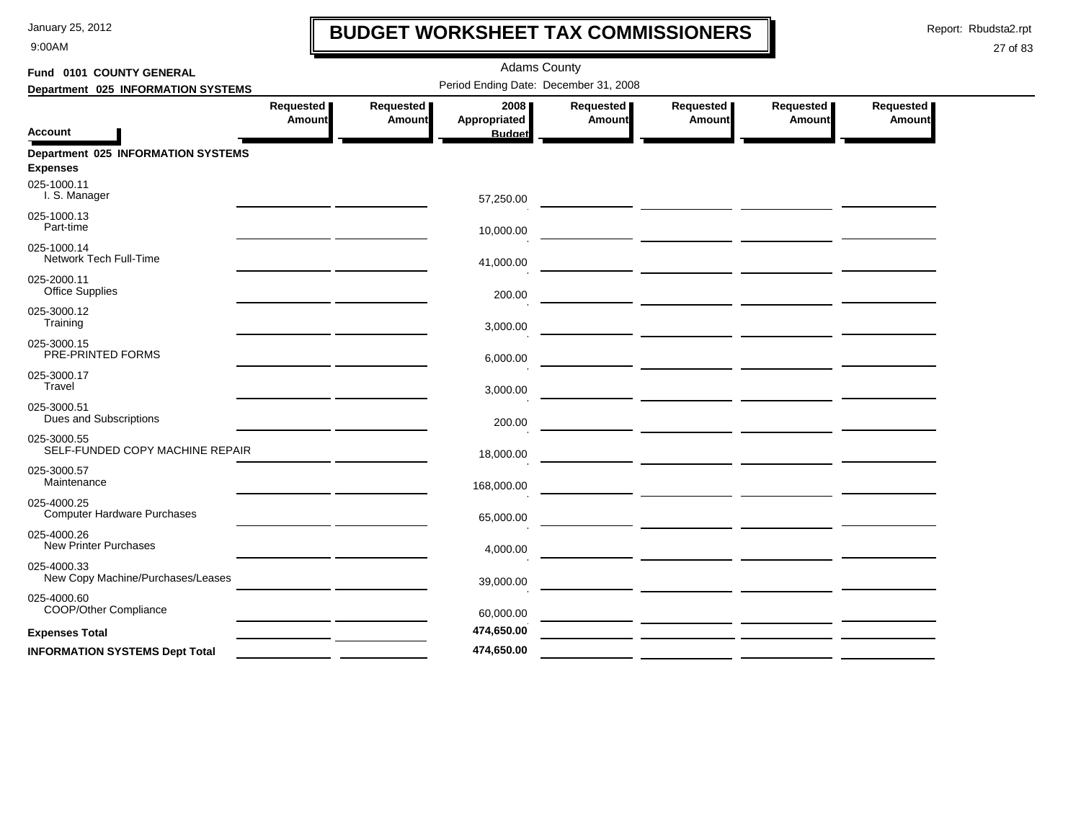9:00AM

## **BUDGET WORKSHEET TAX COMMISSIONERS**

Report: Rbudsta2.rpt

 $\mathbf l$ 

| Fund 0101 COUNTY GENERAL                              | <b>Adams County</b><br>Period Ending Date: December 31, 2008 |                            |                                       |                     |                            |                            |                     |  |  |  |
|-------------------------------------------------------|--------------------------------------------------------------|----------------------------|---------------------------------------|---------------------|----------------------------|----------------------------|---------------------|--|--|--|
| Department 025 INFORMATION SYSTEMS                    |                                                              |                            |                                       |                     |                            |                            |                     |  |  |  |
| Account                                               | Requested<br><b>Amount</b>                                   | Requested<br><b>Amount</b> | 2008<br>Appropriated<br><b>Budget</b> | Requested<br>Amount | Requested<br><b>Amount</b> | Requested<br><b>Amount</b> | Requested<br>Amount |  |  |  |
| Department 025 INFORMATION SYSTEMS<br><b>Expenses</b> |                                                              |                            |                                       |                     |                            |                            |                     |  |  |  |
| 025-1000.11<br>I. S. Manager                          |                                                              |                            | 57,250.00                             |                     |                            |                            |                     |  |  |  |
| 025-1000.13<br>Part-time                              |                                                              |                            | 10,000.00                             |                     |                            |                            |                     |  |  |  |
| 025-1000.14<br>Network Tech Full-Time                 |                                                              |                            | 41,000.00                             |                     |                            |                            |                     |  |  |  |
| 025-2000.11<br><b>Office Supplies</b>                 |                                                              |                            | 200.00                                |                     |                            |                            |                     |  |  |  |
| 025-3000.12<br>Training                               |                                                              |                            | 3,000.00                              |                     |                            |                            |                     |  |  |  |
| 025-3000.15<br>PRE-PRINTED FORMS                      |                                                              |                            | 6,000.00                              |                     |                            |                            |                     |  |  |  |
| 025-3000.17<br>Travel                                 |                                                              |                            | 3,000.00                              |                     |                            |                            |                     |  |  |  |
| 025-3000.51<br>Dues and Subscriptions                 |                                                              |                            | 200.00                                |                     |                            |                            |                     |  |  |  |
| 025-3000.55<br>SELF-FUNDED COPY MACHINE REPAIR        |                                                              |                            | 18,000.00                             |                     |                            |                            |                     |  |  |  |
| 025-3000.57<br>Maintenance                            |                                                              |                            | 168,000.00                            |                     |                            |                            |                     |  |  |  |
| 025-4000.25<br><b>Computer Hardware Purchases</b>     |                                                              |                            | 65,000.00                             |                     |                            |                            |                     |  |  |  |
| 025-4000.26<br><b>New Printer Purchases</b>           |                                                              |                            | 4,000.00                              |                     |                            |                            |                     |  |  |  |
| 025-4000.33<br>New Copy Machine/Purchases/Leases      |                                                              |                            | 39,000.00                             |                     |                            |                            |                     |  |  |  |
| 025-4000.60<br>COOP/Other Compliance                  |                                                              |                            | 60,000.00                             |                     |                            |                            |                     |  |  |  |
| <b>Expenses Total</b>                                 |                                                              |                            | 474,650.00                            |                     |                            |                            |                     |  |  |  |
| <b>INFORMATION SYSTEMS Dept Total</b>                 |                                                              |                            | 474,650.00                            |                     |                            |                            |                     |  |  |  |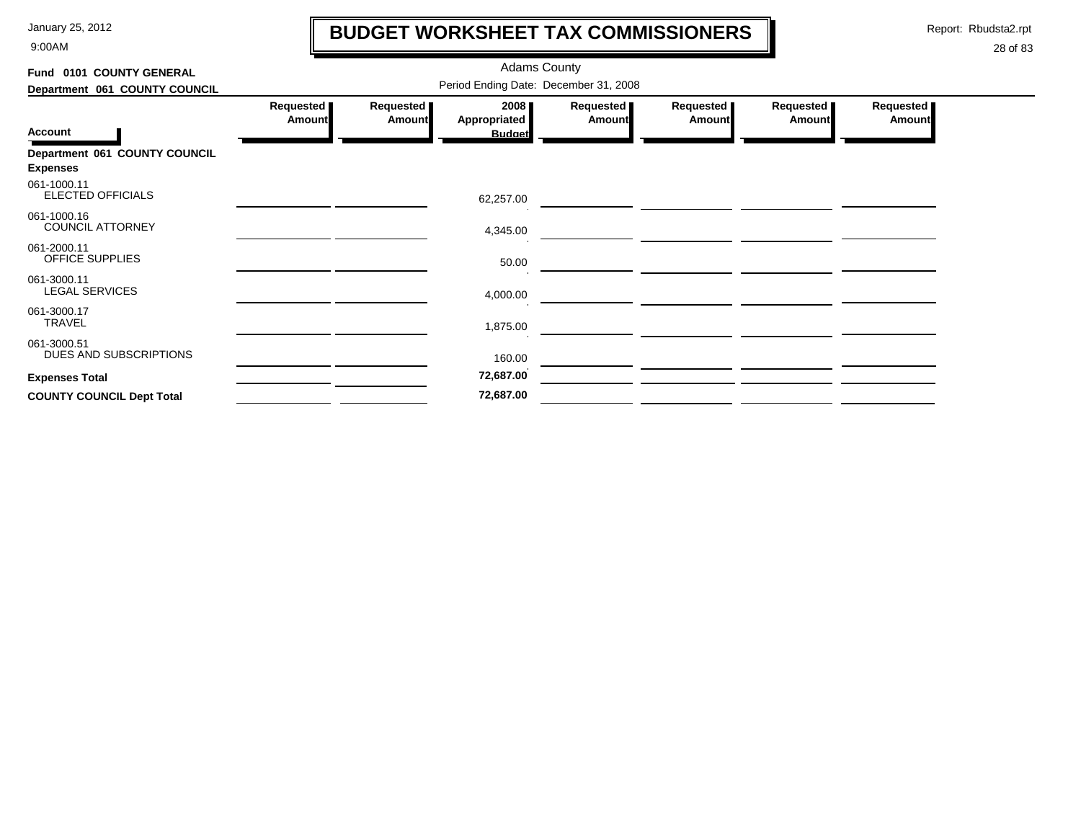9:00AM

## **BUDGET WORKSHEET TAX COMMISSIONERS**

Report: Rbudsta2.rpt

 $\mathbf l$ 

| Fund 0101 COUNTY GENERAL                         |                                       |                            | <b>Adams County</b>                          |                     |                            |                             |                            |  |  |  |
|--------------------------------------------------|---------------------------------------|----------------------------|----------------------------------------------|---------------------|----------------------------|-----------------------------|----------------------------|--|--|--|
| Department 061 COUNTY COUNCIL                    | Period Ending Date: December 31, 2008 |                            |                                              |                     |                            |                             |                            |  |  |  |
| <b>Account</b>                                   | Requested<br><b>Amount</b>            | Requested<br><b>Amount</b> | 2008<br><b>Appropriated</b><br><b>Budget</b> | Requested<br>Amount | Requested<br><b>Amount</b> | Requested<br><b>Amountl</b> | Requested<br><b>Amount</b> |  |  |  |
| Department 061 COUNTY COUNCIL<br><b>Expenses</b> |                                       |                            |                                              |                     |                            |                             |                            |  |  |  |
| 061-1000.11<br>ELECTED OFFICIALS                 |                                       |                            | 62,257.00                                    |                     |                            |                             |                            |  |  |  |
| 061-1000.16<br><b>COUNCIL ATTORNEY</b>           |                                       |                            | 4,345.00                                     |                     |                            |                             |                            |  |  |  |
| 061-2000.11<br>OFFICE SUPPLIES                   |                                       |                            | 50.00                                        |                     |                            |                             |                            |  |  |  |
| 061-3000.11<br><b>LEGAL SERVICES</b>             |                                       |                            | 4,000.00                                     |                     |                            |                             |                            |  |  |  |
| 061-3000.17<br>TRAVEL                            |                                       |                            | 1,875.00                                     |                     |                            |                             |                            |  |  |  |
| 061-3000.51<br>DUES AND SUBSCRIPTIONS            |                                       |                            | 160.00                                       |                     |                            |                             |                            |  |  |  |
| <b>Expenses Total</b>                            |                                       |                            | 72,687.00                                    |                     |                            |                             |                            |  |  |  |
| <b>COUNTY COUNCIL Dept Total</b>                 |                                       |                            | 72,687.00                                    |                     |                            |                             |                            |  |  |  |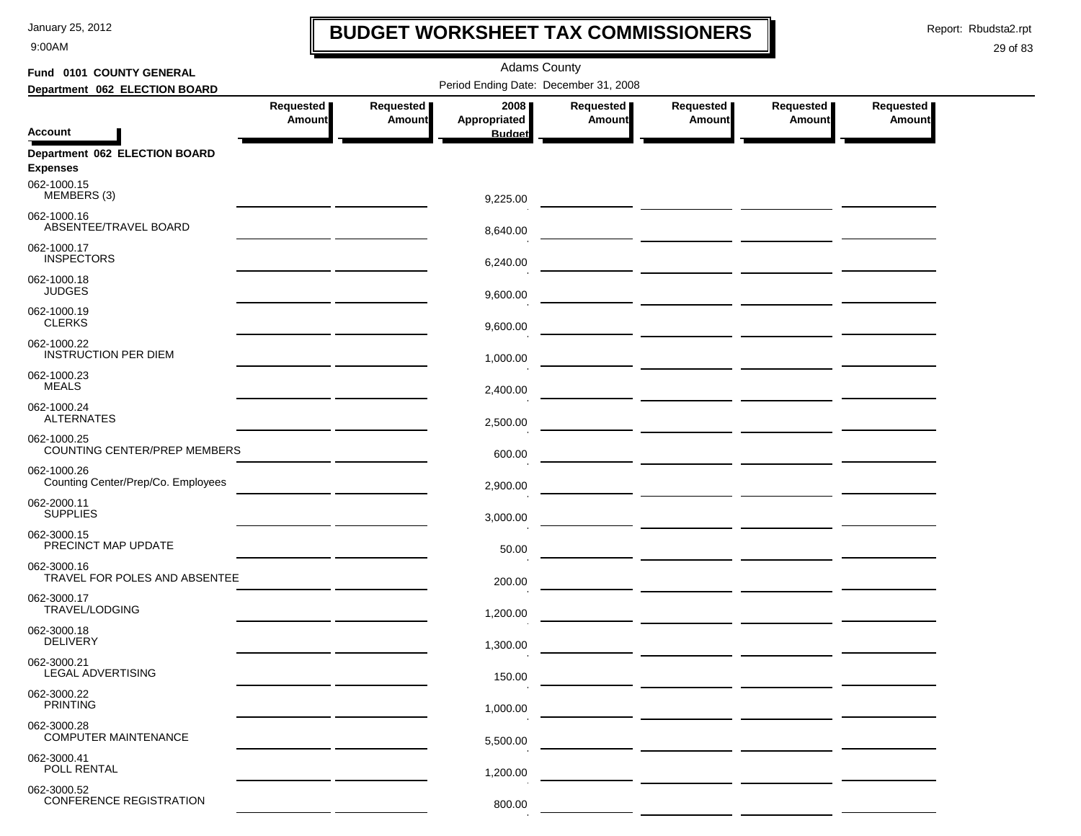9:00AM

## **BUDGET WORKSHEET TAX COMMISSIONERS**

Report: Rbudsta2.rpt

 $\mathbf I$ 

| Fund 0101 COUNTY GENERAL                          | <b>Adams County</b> |               |                                       |               |               |                                        |               |  |  |
|---------------------------------------------------|---------------------|---------------|---------------------------------------|---------------|---------------|----------------------------------------|---------------|--|--|
| Department 062 ELECTION BOARD                     |                     |               | Period Ending Date: December 31, 2008 |               |               |                                        |               |  |  |
|                                                   | Requested           | Requested     | 2008                                  | Requested     | Requested     | Requested                              | Requested     |  |  |
| <b>Account</b>                                    | <b>Amount</b>       | <b>Amount</b> | Appropriated<br><b>Budget</b>         | <b>Amount</b> | <b>Amount</b> | <b>Amount</b>                          | <b>Amount</b> |  |  |
| Department 062 ELECTION BOARD<br><b>Expenses</b>  |                     |               |                                       |               |               |                                        |               |  |  |
| 062-1000.15<br>MEMBERS (3)                        |                     |               | 9,225.00                              |               |               |                                        |               |  |  |
| 062-1000.16<br>ABSENTEE/TRAVEL BOARD              |                     |               | 8,640.00                              |               |               |                                        |               |  |  |
| 062-1000.17<br><b>INSPECTORS</b>                  |                     |               | 6,240.00                              |               |               |                                        |               |  |  |
| 062-1000.18<br><b>JUDGES</b>                      |                     |               | 9,600.00                              |               |               |                                        |               |  |  |
| 062-1000.19<br><b>CLERKS</b>                      |                     |               | 9,600.00                              |               |               |                                        |               |  |  |
| 062-1000.22<br><b>INSTRUCTION PER DIEM</b>        |                     |               | 1,000.00                              |               |               |                                        |               |  |  |
| 062-1000.23<br><b>MEALS</b>                       |                     |               | 2,400.00                              |               |               |                                        |               |  |  |
| 062-1000.24<br><b>ALTERNATES</b>                  |                     |               | 2,500.00                              |               |               |                                        |               |  |  |
| 062-1000.25<br>COUNTING CENTER/PREP MEMBERS       |                     |               | 600.00                                |               |               | — <u>— — — — — — — — — — — — — — —</u> |               |  |  |
| 062-1000.26<br>Counting Center/Prep/Co. Employees |                     |               | 2,900.00                              |               |               |                                        |               |  |  |
| 062-2000.11<br><b>SUPPLIES</b>                    |                     |               | 3,000.00                              |               |               |                                        |               |  |  |
| 062-3000.15<br>PRECINCT MAP UPDATE                |                     |               | 50.00                                 |               |               |                                        |               |  |  |
| 062-3000.16<br>TRAVEL FOR POLES AND ABSENTEE      |                     |               | 200.00                                |               |               | ___ __________ ___________ _________   |               |  |  |
| 062-3000.17<br>TRAVEL/LODGING                     |                     |               | 1,200.00                              |               |               |                                        |               |  |  |
| 062-3000.18<br><b>DELIVERY</b>                    |                     |               | 1,300.00                              |               |               |                                        |               |  |  |
| 062-3000.21<br>LEGAL ADVERTISING                  |                     |               | 150.00                                |               |               |                                        |               |  |  |
| 062-3000.22<br><b>PRINTING</b>                    |                     |               | 1,000.00                              |               |               |                                        |               |  |  |
| 062-3000.28<br><b>COMPUTER MAINTENANCE</b>        |                     |               | 5,500.00                              |               |               |                                        |               |  |  |
| 062-3000.41<br>POLL RENTAL                        |                     |               | 1,200.00                              |               |               |                                        |               |  |  |
| 062-3000.52<br><b>CONFERENCE REGISTRATION</b>     |                     |               | 800.00                                |               |               |                                        |               |  |  |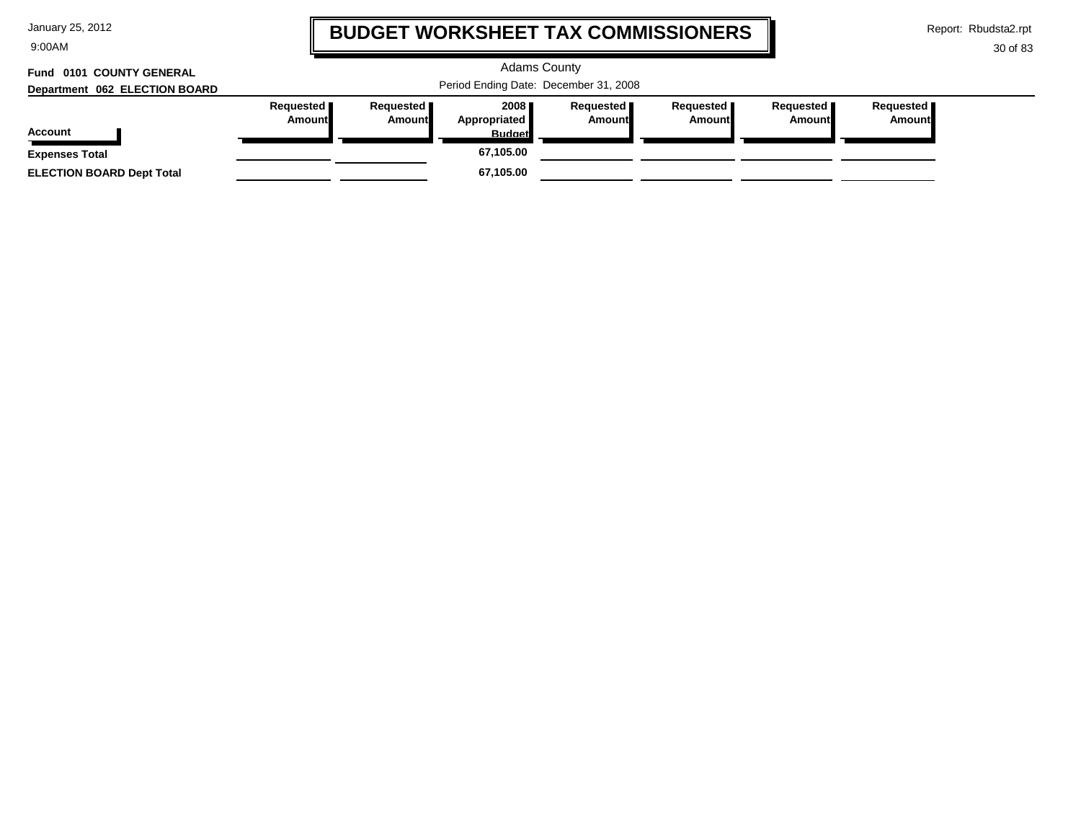9:00AM

## **BUDGET WORKSHEET TAX COMMISSIONERS**

Report: Rbudsta2.rpt

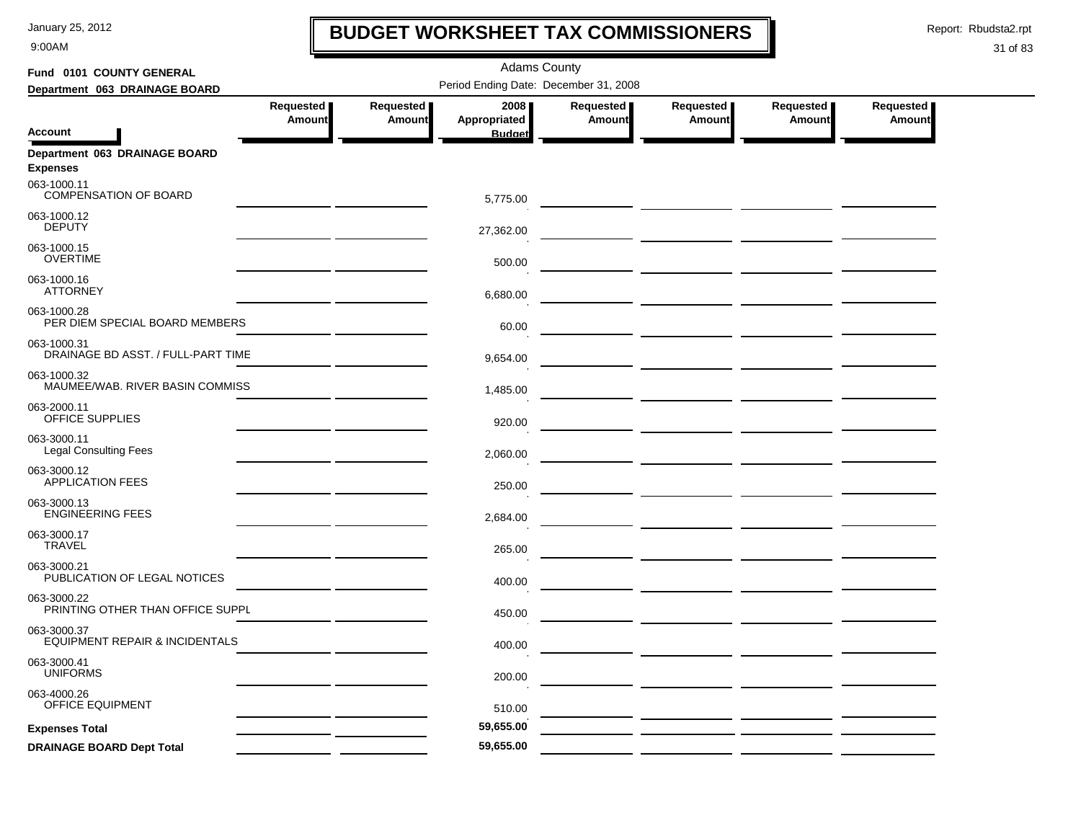9:00AM

## **BUDGET WORKSHEET TAX COMMISSIONERS**

Report: Rbudsta2.rpt

 $\mathbf l$ 

| Fund 0101 COUNTY GENERAL                                 |               |               | <b>Adams County</b>                   |           |                                                                                    |               |               |
|----------------------------------------------------------|---------------|---------------|---------------------------------------|-----------|------------------------------------------------------------------------------------|---------------|---------------|
| Department 063 DRAINAGE BOARD                            |               |               | Period Ending Date: December 31, 2008 |           |                                                                                    |               |               |
|                                                          | Requested     | Requested     | 2008                                  | Requested | Requested                                                                          | Requested     | Requested     |
| <b>Account</b>                                           | <b>Amount</b> | <b>Amount</b> | Appropriated<br><b>Budget</b>         | Amount    | <b>Amount</b>                                                                      | <b>Amount</b> | <b>Amount</b> |
| Department 063 DRAINAGE BOARD<br><b>Expenses</b>         |               |               |                                       |           |                                                                                    |               |               |
| 063-1000.11<br><b>COMPENSATION OF BOARD</b>              |               |               | 5,775.00                              |           |                                                                                    |               |               |
| 063-1000.12<br><b>DEPUTY</b>                             |               |               | 27,362.00                             |           |                                                                                    |               |               |
| 063-1000.15<br><b>OVERTIME</b>                           |               |               | 500.00                                |           | $\overline{\phantom{a}}$ and $\overline{\phantom{a}}$ and $\overline{\phantom{a}}$ |               |               |
| 063-1000.16<br><b>ATTORNEY</b>                           |               |               | 6,680.00                              |           |                                                                                    |               |               |
| 063-1000.28<br>PER DIEM SPECIAL BOARD MEMBERS            |               |               | 60.00                                 |           |                                                                                    |               |               |
| 063-1000.31<br>DRAINAGE BD ASST. / FULL-PART TIME        |               |               | 9,654.00                              |           |                                                                                    |               |               |
| 063-1000.32<br>MAUMEE/WAB. RIVER BASIN COMMISS           |               |               | 1,485.00                              |           |                                                                                    |               |               |
| 063-2000.11<br>OFFICE SUPPLIES                           |               |               | 920.00                                |           |                                                                                    |               |               |
| 063-3000.11<br><b>Legal Consulting Fees</b>              |               |               | 2,060.00                              |           |                                                                                    |               |               |
| 063-3000.12<br><b>APPLICATION FEES</b>                   |               |               | 250.00                                |           |                                                                                    |               |               |
| 063-3000.13<br><b>ENGINEERING FEES</b>                   |               |               | 2,684.00                              |           |                                                                                    |               |               |
| 063-3000.17<br><b>TRAVEL</b>                             |               |               | 265.00                                |           |                                                                                    |               |               |
| 063-3000.21<br>PUBLICATION OF LEGAL NOTICES              |               |               | 400.00                                |           |                                                                                    |               |               |
| 063-3000.22<br>PRINTING OTHER THAN OFFICE SUPPL          |               |               | 450.00                                |           |                                                                                    |               |               |
| 063-3000.37<br><b>EQUIPMENT REPAIR &amp; INCIDENTALS</b> |               |               | 400.00                                |           |                                                                                    |               |               |
| 063-3000.41<br><b>UNIFORMS</b>                           |               |               | 200.00                                |           |                                                                                    |               |               |
| 063-4000.26<br><b>OFFICE EQUIPMENT</b>                   |               |               | 510.00                                |           |                                                                                    |               |               |
| <b>Expenses Total</b>                                    |               |               | 59,655.00                             |           |                                                                                    |               |               |
| <b>DRAINAGE BOARD Dept Total</b>                         |               |               | 59,655.00                             |           |                                                                                    |               |               |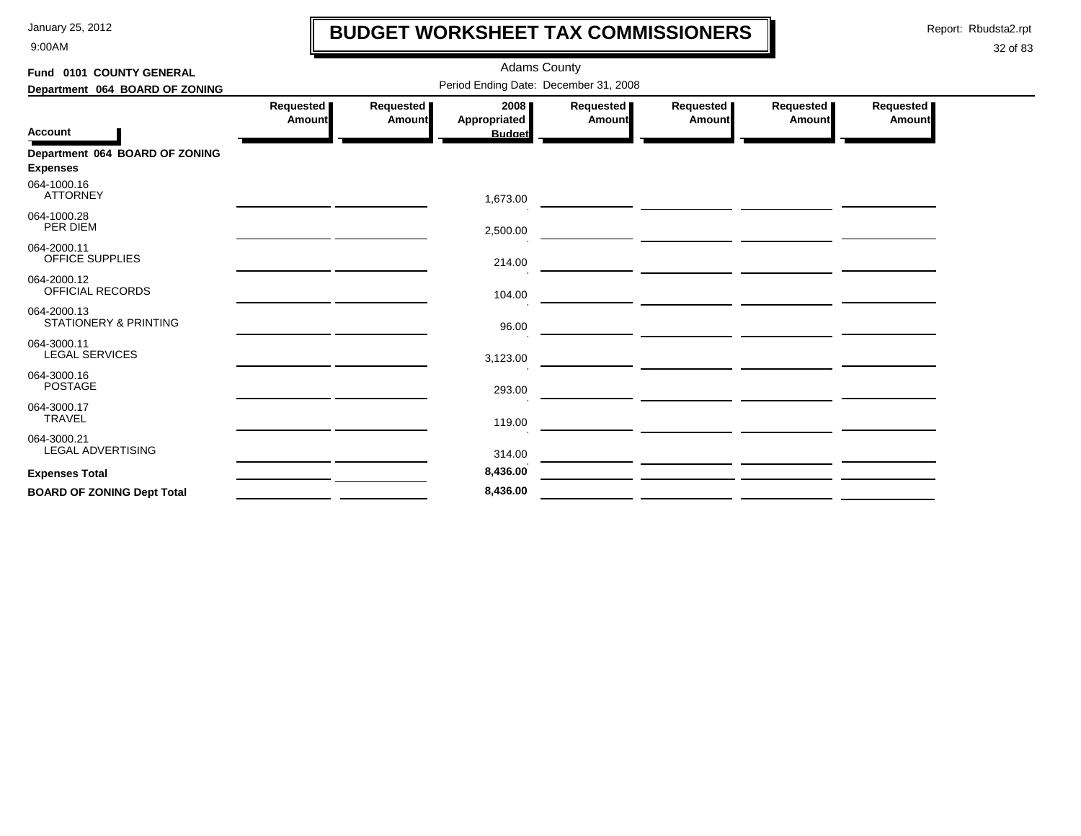9:00AM

## **BUDGET WORKSHEET TAX COMMISSIONERS**

Report: Rbudsta2.rpt

 $\mathbf l$ 

| Fund 0101 COUNTY GENERAL                          |                            |                     | <b>Adams County</b>                   |                            |                                                                                                                      |                              |                            |
|---------------------------------------------------|----------------------------|---------------------|---------------------------------------|----------------------------|----------------------------------------------------------------------------------------------------------------------|------------------------------|----------------------------|
| Department 064 BOARD OF ZONING                    |                            |                     | Period Ending Date: December 31, 2008 |                            |                                                                                                                      |                              |                            |
|                                                   | Requested<br><b>Amount</b> | Requested<br>Amount | 2008<br>Appropriated                  | Requested<br><b>Amount</b> | Requested<br>Amount                                                                                                  | Requested  <br><b>Amount</b> | Requested<br><b>Amount</b> |
| <b>Account</b>                                    |                            |                     | <b>Budget</b>                         |                            |                                                                                                                      |                              |                            |
| Department 064 BOARD OF ZONING<br><b>Expenses</b> |                            |                     |                                       |                            |                                                                                                                      |                              |                            |
| 064-1000.16<br><b>ATTORNEY</b>                    |                            |                     | 1,673.00                              |                            | <u> Alban a shekara ta 1999 a shekara ta 1999 a shekara ta 1999 a shekara ta 1999 a shekara ta 1999 a shekara t</u>  |                              |                            |
| 064-1000.28<br><b>PER DIEM</b>                    |                            |                     | 2,500.00                              |                            |                                                                                                                      |                              |                            |
| 064-2000.11<br><b>OFFICE SUPPLIES</b>             |                            |                     | 214.00                                |                            |                                                                                                                      |                              |                            |
| 064-2000.12<br>OFFICIAL RECORDS                   |                            |                     | 104.00                                |                            | <u> André de la companya de la companya de la compa</u>                                                              |                              |                            |
| 064-2000.13<br><b>STATIONERY &amp; PRINTING</b>   |                            |                     | 96.00                                 |                            | <u> 1989 - Johann Stein, mars an deus an deus an deus an deus an deus an deus an deus an deus an deus an deus an</u> |                              |                            |
| 064-3000.11<br><b>LEGAL SERVICES</b>              |                            |                     | 3,123.00                              |                            |                                                                                                                      |                              |                            |
| 064-3000.16<br><b>POSTAGE</b>                     |                            |                     | 293.00                                |                            | $\overline{\phantom{a}}$ and $\overline{\phantom{a}}$ and $\overline{\phantom{a}}$ and $\overline{\phantom{a}}$      |                              |                            |
| 064-3000.17<br><b>TRAVEL</b>                      |                            |                     | 119.00                                |                            |                                                                                                                      |                              |                            |
| 064-3000.21<br><b>LEGAL ADVERTISING</b>           |                            |                     | 314.00                                |                            |                                                                                                                      |                              |                            |
| <b>Expenses Total</b>                             |                            |                     | 8,436.00                              |                            |                                                                                                                      |                              |                            |
| <b>BOARD OF ZONING Dept Total</b>                 |                            |                     | 8,436.00                              |                            |                                                                                                                      |                              |                            |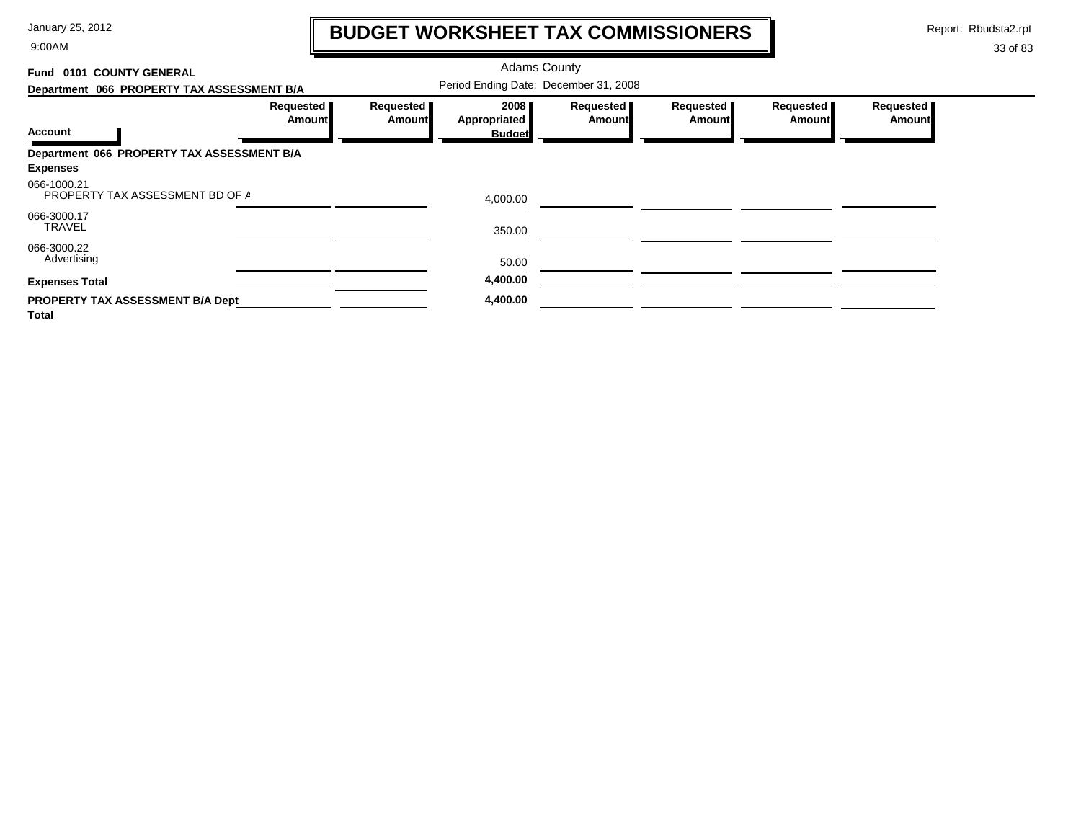9:00AM

## **BUDGET WORKSHEET TAX COMMISSIONERS**

Report: Rbudsta2.rpt

 $\mathbf l$ 

| Fund 0101 COUNTY GENERAL                       |                     |                                       | <b>Adams County</b>  |                            |                       |                            |                            |  |
|------------------------------------------------|---------------------|---------------------------------------|----------------------|----------------------------|-----------------------|----------------------------|----------------------------|--|
| Department 066 PROPERTY TAX ASSESSMENT B/A     |                     | Period Ending Date: December 31, 2008 |                      |                            |                       |                            |                            |  |
|                                                | Requested<br>Amount | Requested  <br>Amount                 | 2008<br>Appropriated | Requested<br><b>Amount</b> | Requested  <br>Amount | Requested<br><b>Amount</b> | Requested<br><b>Amount</b> |  |
| <b>Account</b>                                 |                     |                                       | <b>Budget</b>        |                            |                       |                            |                            |  |
| Department 066 PROPERTY TAX ASSESSMENT B/A     |                     |                                       |                      |                            |                       |                            |                            |  |
| <b>Expenses</b>                                |                     |                                       |                      |                            |                       |                            |                            |  |
| 066-1000.21<br>PROPERTY TAX ASSESSMENT BD OF A |                     |                                       | 4,000.00             |                            |                       |                            |                            |  |
| 066-3000.17<br><b>TRAVEL</b>                   |                     |                                       | 350.00               |                            |                       |                            |                            |  |
| 066-3000.22<br>Advertising                     |                     |                                       | 50.00                |                            |                       |                            |                            |  |
| <b>Expenses Total</b>                          |                     |                                       | 4,400.00             |                            |                       |                            |                            |  |
| PROPERTY TAX ASSESSMENT B/A Dept<br>Total      |                     |                                       | 4,400.00             |                            |                       |                            |                            |  |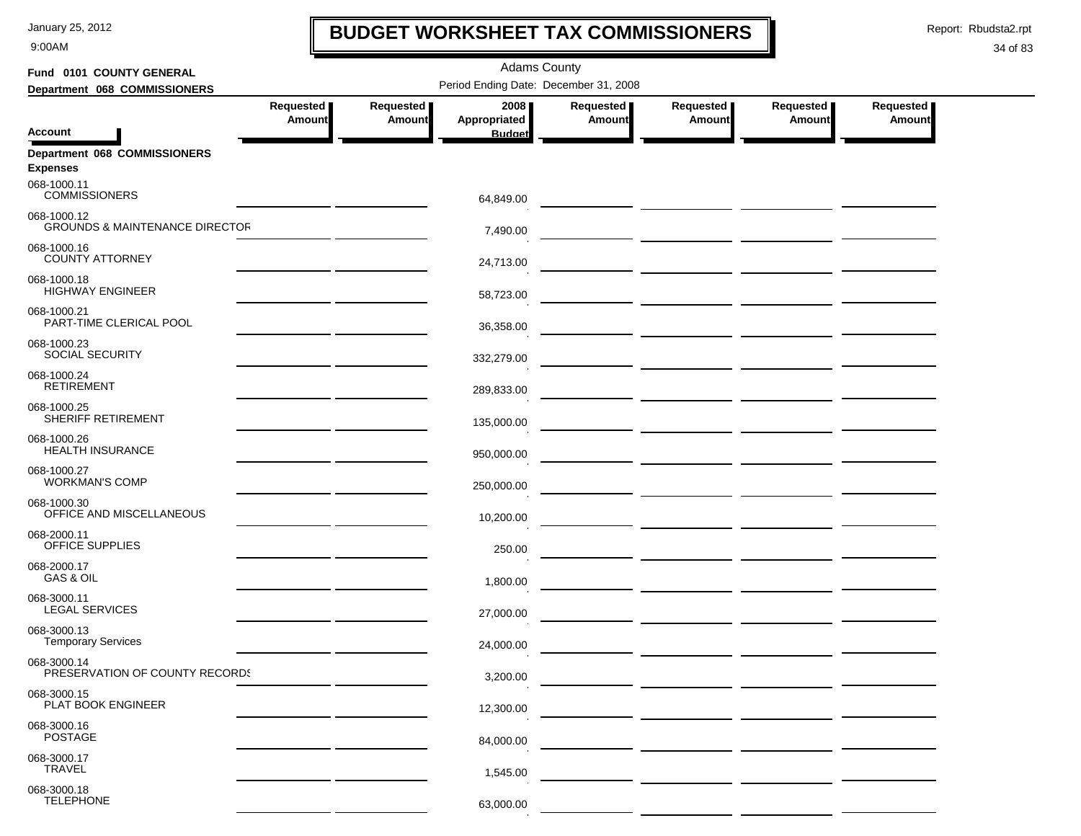9:00AM

## **BUDGET WORKSHEET TAX COMMISSIONERS**

Report: Rbudsta2.rpt

 $\mathbf I$ 

| Fund 0101 COUNTY GENERAL                                 | <b>Adams County</b>                          |                     |                                       |                     |                                                         |                              |                            |  |  |
|----------------------------------------------------------|----------------------------------------------|---------------------|---------------------------------------|---------------------|---------------------------------------------------------|------------------------------|----------------------------|--|--|
| Department 068 COMMISSIONERS                             |                                              |                     | Period Ending Date: December 31, 2008 |                     |                                                         |                              |                            |  |  |
|                                                          | Requested<br><b>Amount</b>                   | Requested<br>Amount | 2008<br>Appropriated                  | Requested<br>Amount | Requested<br>Amount                                     | Requested  <br><b>Amount</b> | <b>Requested</b><br>Amount |  |  |
| Account                                                  |                                              |                     | <b>Budget</b>                         |                     |                                                         |                              |                            |  |  |
| Department 068 COMMISSIONERS<br><b>Expenses</b>          |                                              |                     |                                       |                     |                                                         |                              |                            |  |  |
| 068-1000.11<br><b>COMMISSIONERS</b>                      |                                              |                     | 64,849.00                             |                     |                                                         |                              |                            |  |  |
| 068-1000.12<br><b>GROUNDS &amp; MAINTENANCE DIRECTOR</b> |                                              |                     | 7,490.00                              |                     |                                                         |                              |                            |  |  |
| 068-1000.16<br><b>COUNTY ATTORNEY</b>                    |                                              |                     | 24,713.00                             |                     |                                                         |                              |                            |  |  |
| 068-1000.18<br><b>HIGHWAY ENGINEER</b>                   |                                              |                     | 58,723.00                             |                     | <u> La Carlo Carlo Carlo Carlo Carlo Carlo Carlo Ca</u> |                              |                            |  |  |
| 068-1000.21<br>PART-TIME CLERICAL POOL                   |                                              |                     | 36,358.00                             |                     |                                                         |                              |                            |  |  |
| 068-1000.23<br>SOCIAL SECURITY                           |                                              |                     | 332,279.00                            |                     |                                                         |                              |                            |  |  |
| 068-1000.24<br><b>RETIREMENT</b>                         |                                              |                     | 289,833.00                            |                     |                                                         |                              |                            |  |  |
| 068-1000.25<br>SHERIFF RETIREMENT                        | the control of the control of the control of |                     | 135,000.00                            |                     |                                                         |                              |                            |  |  |
| 068-1000.26<br>HEALTH INSURANCE                          |                                              |                     | 950,000.00                            |                     | — <u>— ——————</u> <u>———————</u>                        |                              |                            |  |  |
| 068-1000.27<br><b>WORKMAN'S COMP</b>                     |                                              |                     | 250,000.00                            |                     |                                                         |                              |                            |  |  |
| 068-1000.30<br>OFFICE AND MISCELLANEOUS                  |                                              |                     | 10,200.00                             |                     |                                                         |                              |                            |  |  |
| 068-2000.11<br>OFFICE SUPPLIES                           |                                              |                     | 250.00                                |                     |                                                         |                              |                            |  |  |
| 068-2000.17<br>GAS & OIL                                 |                                              |                     | 1,800.00                              |                     |                                                         |                              |                            |  |  |
| 068-3000.11<br><b>LEGAL SERVICES</b>                     |                                              |                     | 27,000.00                             |                     |                                                         |                              |                            |  |  |
| 068-3000.13<br><b>Temporary Services</b>                 |                                              |                     | 24.000.00                             |                     |                                                         |                              |                            |  |  |
| 068-3000.14<br>PRESERVATION OF COUNTY RECORDS            |                                              |                     | 3,200.00                              |                     |                                                         |                              |                            |  |  |
| 068-3000.15<br>PLAT BOOK ENGINEER                        |                                              |                     | 12,300.00                             |                     |                                                         |                              |                            |  |  |
| 068-3000.16<br><b>POSTAGE</b>                            |                                              |                     | 84,000.00                             |                     |                                                         |                              |                            |  |  |
| 068-3000.17<br><b>TRAVEL</b>                             |                                              |                     | 1,545.00                              |                     |                                                         |                              |                            |  |  |
| 068-3000.18<br><b>TELEPHONE</b>                          |                                              |                     | 63,000.00                             |                     |                                                         |                              |                            |  |  |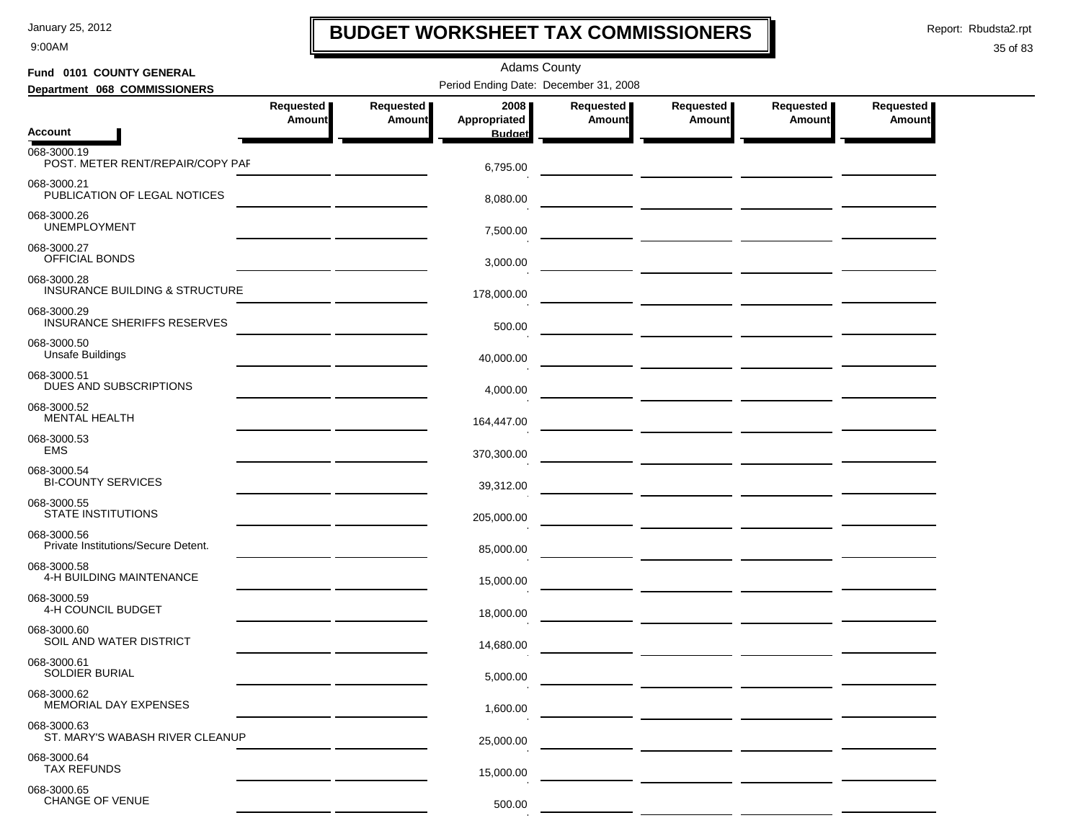9:00AM

## **BUDGET WORKSHEET TAX COMMISSIONERS**

Report: Rbudsta2.rpt

 $\mathbf I$ 

| Fund 0101 COUNTY GENERAL                                 |                                          | <b>Adams County</b> |                                       |                            |                            |                            |                            |  |  |  |  |
|----------------------------------------------------------|------------------------------------------|---------------------|---------------------------------------|----------------------------|----------------------------|----------------------------|----------------------------|--|--|--|--|
| Department 068 COMMISSIONERS                             |                                          |                     | Period Ending Date: December 31, 2008 |                            |                            |                            |                            |  |  |  |  |
|                                                          | Requested  <br><b>Amount</b>             | Requested<br>Amount | 2008<br>Appropriated                  | Requested<br><b>Amount</b> | Requested<br><b>Amount</b> | Requested<br><b>Amount</b> | Requested<br><b>Amount</b> |  |  |  |  |
| <b>Account</b><br>068-3000.19                            |                                          |                     | <b>Budget</b>                         |                            |                            |                            |                            |  |  |  |  |
| POST. METER RENT/REPAIR/COPY PAF                         |                                          |                     | 6,795.00                              |                            |                            |                            |                            |  |  |  |  |
| 068-3000.21<br>PUBLICATION OF LEGAL NOTICES              |                                          |                     | 8,080.00                              |                            |                            |                            |                            |  |  |  |  |
| 068-3000.26<br><b>UNEMPLOYMENT</b>                       |                                          |                     | 7,500.00                              |                            |                            |                            |                            |  |  |  |  |
| 068-3000.27<br>OFFICIAL BONDS                            |                                          |                     | 3,000.00                              |                            |                            |                            |                            |  |  |  |  |
| 068-3000.28<br><b>INSURANCE BUILDING &amp; STRUCTURE</b> |                                          |                     | 178,000.00                            |                            |                            |                            |                            |  |  |  |  |
| 068-3000.29<br><b>INSURANCE SHERIFFS RESERVES</b>        |                                          |                     | 500.00                                |                            |                            |                            |                            |  |  |  |  |
| 068-3000.50<br><b>Unsafe Buildings</b>                   |                                          |                     | 40,000.00                             |                            |                            |                            |                            |  |  |  |  |
| 068-3000.51<br>DUES AND SUBSCRIPTIONS                    |                                          |                     | 4,000.00                              |                            |                            |                            |                            |  |  |  |  |
| 068-3000.52<br><b>MENTAL HEALTH</b>                      | <u> 1989 - Andrea Andrew Maria III (</u> |                     | 164,447.00                            |                            |                            |                            |                            |  |  |  |  |
| 068-3000.53<br><b>EMS</b>                                |                                          |                     | 370,300.00                            |                            |                            |                            |                            |  |  |  |  |
| 068-3000.54<br><b>BI-COUNTY SERVICES</b>                 |                                          |                     | 39,312.00                             |                            |                            |                            |                            |  |  |  |  |
| 068-3000.55<br><b>STATE INSTITUTIONS</b>                 |                                          |                     | 205,000.00                            |                            |                            |                            |                            |  |  |  |  |
| 068-3000.56<br>Private Institutions/Secure Detent.       |                                          |                     | 85,000.00                             |                            |                            |                            |                            |  |  |  |  |
| 068-3000.58<br>4-H BUILDING MAINTENANCE                  |                                          |                     | 15,000.00                             |                            |                            |                            |                            |  |  |  |  |
| 068-3000.59<br>4-H COUNCIL BUDGET                        |                                          |                     | 18,000.00                             |                            |                            |                            |                            |  |  |  |  |
| 068-3000.60<br>SOIL AND WATER DISTRICT                   |                                          |                     | 14,680.00                             |                            |                            |                            |                            |  |  |  |  |
| 068-3000.61<br>SOLDIER BURIAL                            |                                          |                     | 5,000.00                              |                            |                            |                            |                            |  |  |  |  |
| 068-3000.62<br><b>MEMORIAL DAY EXPENSES</b>              |                                          |                     | 1,600.00                              |                            |                            |                            |                            |  |  |  |  |
| 068-3000.63<br>ST. MARY'S WABASH RIVER CLEANUP           |                                          |                     | 25,000.00                             |                            |                            |                            |                            |  |  |  |  |
| 068-3000.64<br><b>TAX REFUNDS</b>                        |                                          |                     | 15,000.00                             |                            |                            |                            |                            |  |  |  |  |
| 068-3000.65<br><b>CHANGE OF VENUE</b>                    |                                          |                     | 500.00                                |                            |                            |                            |                            |  |  |  |  |
|                                                          |                                          |                     |                                       |                            |                            |                            |                            |  |  |  |  |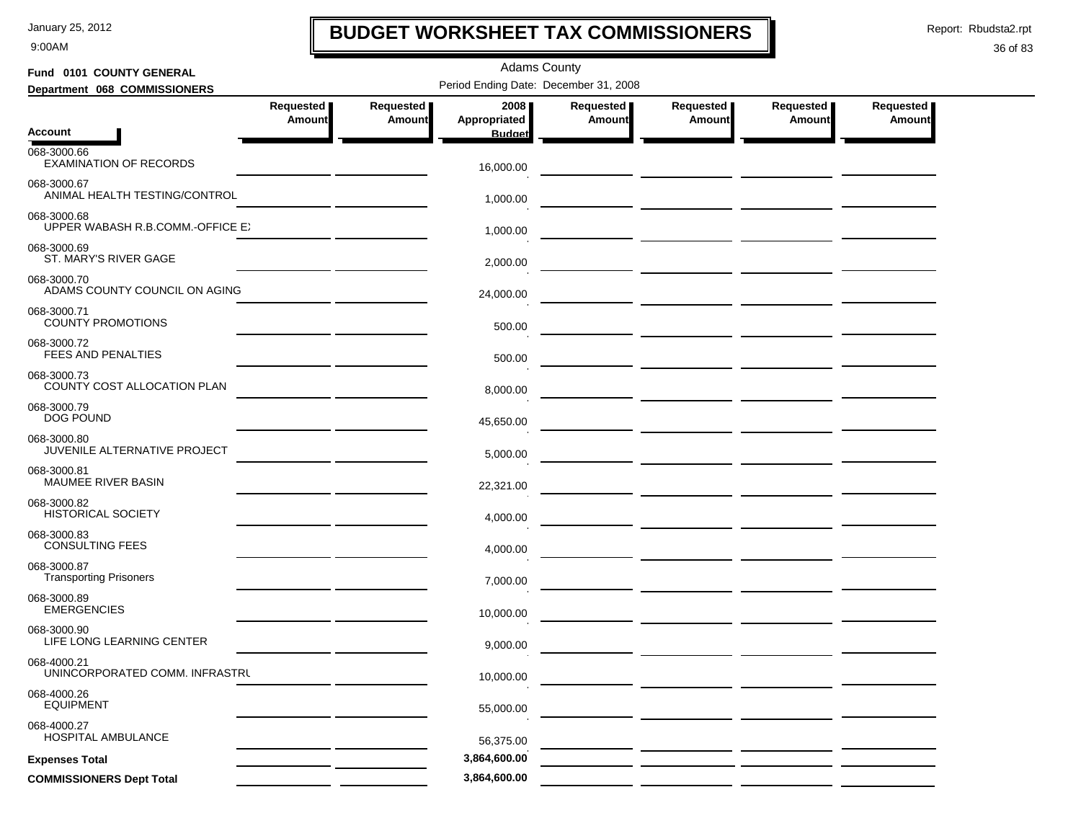9:00AM

## **BUDGET WORKSHEET TAX COMMISSIONERS**

Report: Rbudsta2.rpt

 $\mathbf l$ 

| Fund 0101 COUNTY GENERAL                        |                     |                                              | <b>Adams County</b>                   |                            |                            |                       |                            |
|-------------------------------------------------|---------------------|----------------------------------------------|---------------------------------------|----------------------------|----------------------------|-----------------------|----------------------------|
| Department 068 COMMISSIONERS                    |                     |                                              | Period Ending Date: December 31, 2008 |                            |                            |                       |                            |
|                                                 | Requested<br>Amount | Requested<br><b>Amount</b>                   | 2008<br>Appropriated                  | Requested<br><b>Amount</b> | Requested<br><b>Amount</b> | Requested  <br>Amount | Requested<br><b>Amount</b> |
| Account                                         |                     |                                              | <b>Budget</b>                         |                            |                            |                       |                            |
| 068-3000.66<br><b>EXAMINATION OF RECORDS</b>    |                     |                                              | 16,000.00                             |                            |                            |                       |                            |
| 068-3000.67<br>ANIMAL HEALTH TESTING/CONTROL    |                     |                                              | 1,000.00                              |                            |                            |                       |                            |
| 068-3000.68<br>UPPER WABASH R.B.COMM.-OFFICE EX |                     |                                              | 1,000.00                              |                            |                            |                       |                            |
| 068-3000.69<br>ST. MARY'S RIVER GAGE            |                     |                                              | 2,000.00                              |                            |                            |                       |                            |
| 068-3000.70<br>ADAMS COUNTY COUNCIL ON AGING    |                     |                                              | 24,000.00                             |                            |                            |                       |                            |
| 068-3000.71<br><b>COUNTY PROMOTIONS</b>         |                     |                                              | 500.00                                |                            |                            |                       |                            |
| 068-3000.72<br>FEES AND PENALTIES               |                     |                                              | 500.00                                |                            |                            |                       |                            |
| 068-3000.73<br>COUNTY COST ALLOCATION PLAN      |                     |                                              | 8,000.00                              |                            |                            |                       |                            |
| 068-3000.79<br><b>DOG POUND</b>                 |                     |                                              | 45,650.00                             |                            |                            |                       |                            |
| 068-3000.80<br>JUVENILE ALTERNATIVE PROJECT     |                     | <u> 1989 - John Stone, Amerikan bisa per</u> | 5,000.00                              |                            |                            |                       |                            |
| 068-3000.81<br>MAUMEE RIVER BASIN               |                     |                                              | 22,321.00                             |                            |                            |                       |                            |
| 068-3000.82<br><b>HISTORICAL SOCIETY</b>        |                     |                                              | 4,000.00                              |                            |                            |                       |                            |
| 068-3000.83<br><b>CONSULTING FEES</b>           |                     |                                              | 4,000.00                              |                            |                            |                       |                            |
| 068-3000.87<br><b>Transporting Prisoners</b>    |                     |                                              | 7,000.00                              |                            |                            |                       |                            |
| 068-3000.89<br><b>EMERGENCIES</b>               |                     |                                              | 10,000.00                             |                            |                            |                       |                            |
| 068-3000.90<br>LIFE LONG LEARNING CENTER        |                     |                                              | 9,000.00                              |                            |                            |                       |                            |
| 068-4000.21<br>UNINCORPORATED COMM. INFRASTRU   |                     |                                              | 10,000.00                             |                            |                            |                       |                            |
| 068-4000.26<br><b>EQUIPMENT</b>                 |                     |                                              | 55,000.00                             |                            |                            |                       |                            |
| 068-4000.27<br>HOSPITAL AMBULANCE               |                     |                                              | 56,375.00                             |                            |                            |                       |                            |
| <b>Expenses Total</b>                           |                     |                                              | 3,864,600.00                          |                            |                            |                       |                            |
| <b>COMMISSIONERS Dept Total</b>                 |                     |                                              | 3,864,600.00                          |                            |                            |                       |                            |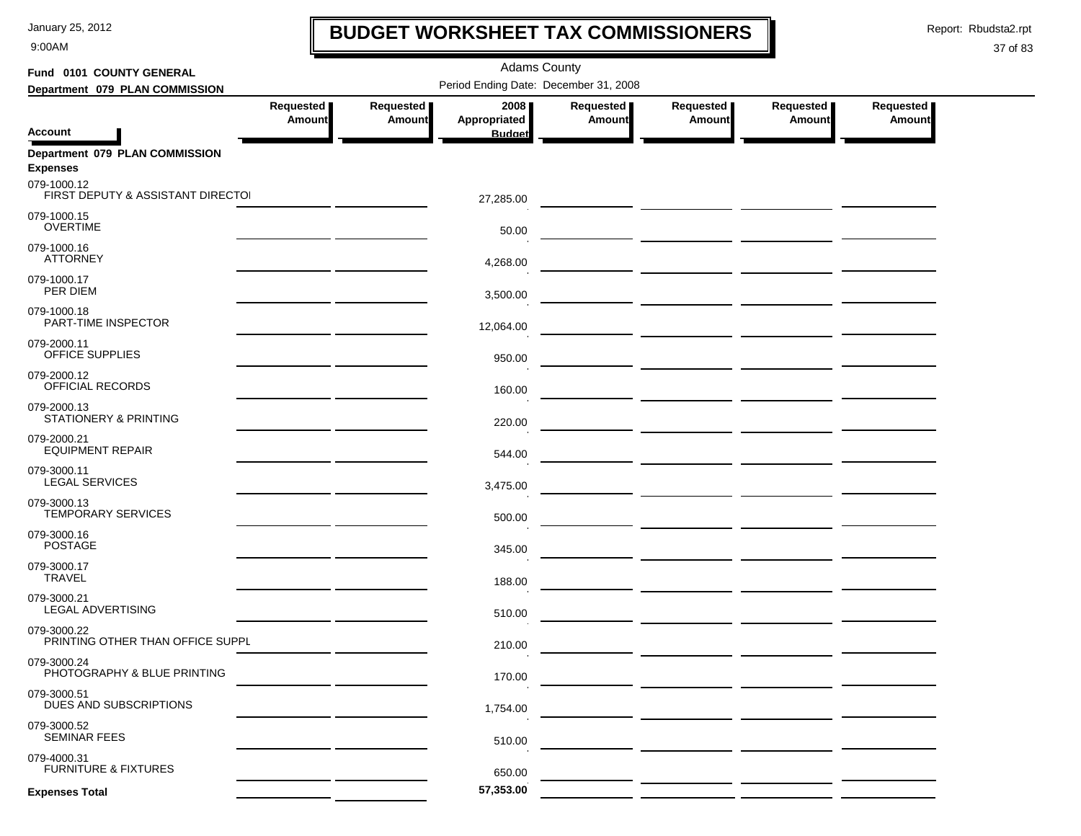9:00AM

### **BUDGET WORKSHEET TAX COMMISSIONERS**

Report: Rbudsta2.rpt

 $\mathbf l$ 

| Fund 0101 COUNTY GENERAL                          | <b>Adams County</b>        |                            |                                       |                            |                                                                                                                       |                     |                            |  |  |  |  |
|---------------------------------------------------|----------------------------|----------------------------|---------------------------------------|----------------------------|-----------------------------------------------------------------------------------------------------------------------|---------------------|----------------------------|--|--|--|--|
| Department 079 PLAN COMMISSION                    |                            |                            | Period Ending Date: December 31, 2008 |                            |                                                                                                                       |                     |                            |  |  |  |  |
|                                                   | Requested<br><b>Amount</b> | Requested<br><b>Amount</b> | 2008<br>Appropriated                  | Requested<br><b>Amount</b> | Requested<br><b>Amount</b>                                                                                            | Requested<br>Amount | Requested<br><b>Amount</b> |  |  |  |  |
| <b>Account</b>                                    |                            |                            | <b>Budget</b>                         |                            |                                                                                                                       |                     |                            |  |  |  |  |
| Department 079 PLAN COMMISSION<br><b>Expenses</b> |                            |                            |                                       |                            |                                                                                                                       |                     |                            |  |  |  |  |
| 079-1000.12<br>FIRST DEPUTY & ASSISTANT DIRECTO   |                            |                            | 27,285.00                             |                            |                                                                                                                       |                     |                            |  |  |  |  |
| 079-1000.15<br><b>OVERTIME</b>                    |                            |                            | 50.00                                 |                            | <u> 1990 - Johann Harry Harry Harry Harry Harry Harry Harry Harry Harry Harry Harry Harry Harry Harry Harry Harry</u> |                     |                            |  |  |  |  |
| 079-1000.16<br><b>ATTORNEY</b>                    |                            |                            | 4,268.00                              |                            |                                                                                                                       |                     |                            |  |  |  |  |
| 079-1000.17<br>PER DIEM                           |                            |                            | 3,500.00                              |                            |                                                                                                                       |                     |                            |  |  |  |  |
| 079-1000.18<br>PART-TIME INSPECTOR                |                            |                            | 12,064.00                             |                            |                                                                                                                       |                     |                            |  |  |  |  |
| 079-2000.11<br>OFFICE SUPPLIES                    |                            |                            | 950.00                                |                            | <u> 1990 - Johann John Stone, mars and de la partie de la partie de la partie de la partie de la partie de la pa</u>  |                     |                            |  |  |  |  |
| 079-2000.12<br>OFFICIAL RECORDS                   |                            |                            | 160.00                                |                            |                                                                                                                       |                     |                            |  |  |  |  |
| 079-2000.13<br>STATIONERY & PRINTING              |                            |                            | 220.00                                |                            |                                                                                                                       |                     |                            |  |  |  |  |
| 079-2000.21<br><b>EQUIPMENT REPAIR</b>            |                            |                            | 544.00                                |                            |                                                                                                                       |                     |                            |  |  |  |  |
| 079-3000.11<br><b>LEGAL SERVICES</b>              |                            |                            | 3,475.00                              |                            |                                                                                                                       |                     |                            |  |  |  |  |
| 079-3000.13<br>TEMPORARY SERVICES                 |                            |                            | 500.00                                |                            |                                                                                                                       |                     |                            |  |  |  |  |
| 079-3000.16<br><b>POSTAGE</b>                     |                            |                            | 345.00                                |                            |                                                                                                                       |                     |                            |  |  |  |  |
| 079-3000.17<br><b>TRAVEL</b>                      |                            |                            | 188.00                                |                            |                                                                                                                       |                     |                            |  |  |  |  |
| 079-3000.21<br>LEGAL ADVERTISING                  |                            |                            | 510.00                                |                            |                                                                                                                       |                     |                            |  |  |  |  |
| 079-3000.22<br>PRINTING OTHER THAN OFFICE SUPPL   |                            |                            | 210.00                                |                            |                                                                                                                       |                     |                            |  |  |  |  |
| 079-3000.24<br>PHOTOGRAPHY & BLUE PRINTING        |                            |                            | 170.00                                |                            |                                                                                                                       |                     |                            |  |  |  |  |
| 079-3000.51<br>DUES AND SUBSCRIPTIONS             |                            |                            | 1,754.00                              |                            |                                                                                                                       |                     |                            |  |  |  |  |
| 079-3000.52<br><b>SEMINAR FEES</b>                |                            |                            | 510.00                                |                            |                                                                                                                       |                     |                            |  |  |  |  |
| 079-4000.31<br><b>FURNITURE &amp; FIXTURES</b>    |                            |                            | 650.00                                |                            |                                                                                                                       |                     |                            |  |  |  |  |
| <b>Expenses Total</b>                             |                            |                            | 57,353.00                             |                            |                                                                                                                       |                     |                            |  |  |  |  |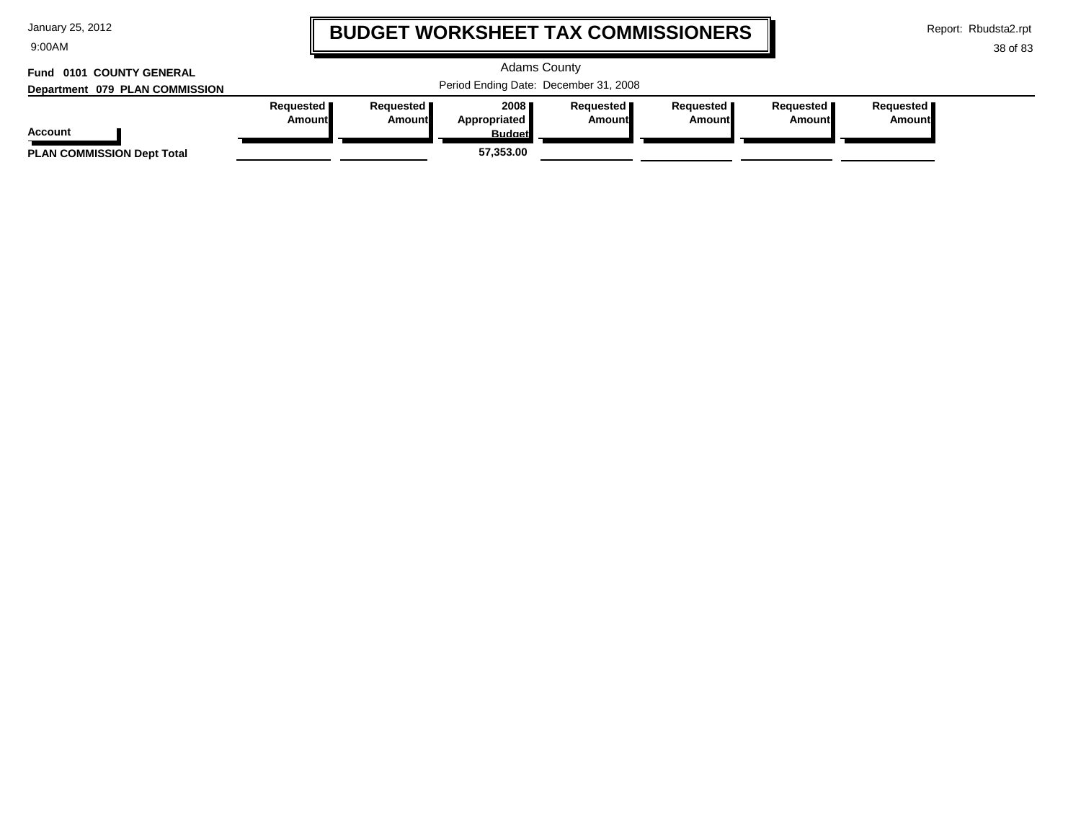9:00AM

# **BUDGET WORKSHEET TAX COMMISSIONERS**

Report: Rbudsta2.rpt

#### 38 of 83

#### Adams County Period Ending Date: December 31, 2008 **Account Department 079 PLAN COMMISSION Fund 0101 COUNTY GENERAL Requested Amount Requested Amount 2008 Appropriated Budget Requested Amount Requested Amount Requested Amount Requested Amount PLAN COMMISSION Dept Total 57,353.00**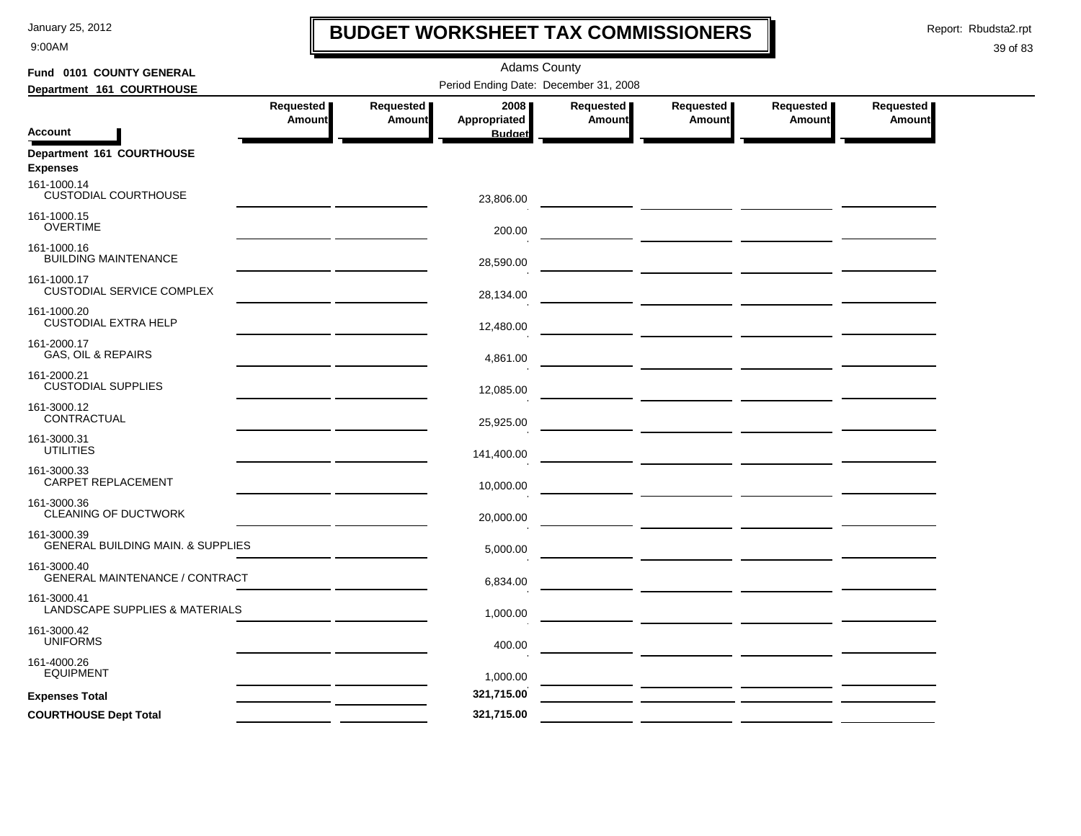9:00AM

# **BUDGET WORKSHEET TAX COMMISSIONERS**

Report: Rbudsta2.rpt

 $\mathbf l$ 

| Fund 0101 COUNTY GENERAL                                    | <b>Adams County</b>                   |           |                               |               |                                                                                                                                                                                                                                      |                                                                                 |               |  |  |  |
|-------------------------------------------------------------|---------------------------------------|-----------|-------------------------------|---------------|--------------------------------------------------------------------------------------------------------------------------------------------------------------------------------------------------------------------------------------|---------------------------------------------------------------------------------|---------------|--|--|--|
| Department 161 COURTHOUSE                                   | Period Ending Date: December 31, 2008 |           |                               |               |                                                                                                                                                                                                                                      |                                                                                 |               |  |  |  |
|                                                             | Requested                             | Requested | 2008                          | Requested     | Requested                                                                                                                                                                                                                            | Requested                                                                       | Requested     |  |  |  |
| <b>Account</b>                                              | <b>Amount</b>                         | Amount    | Appropriated<br><b>Budget</b> | <b>Amount</b> | Amount                                                                                                                                                                                                                               | Amount                                                                          | <b>Amount</b> |  |  |  |
| Department 161 COURTHOUSE<br><b>Expenses</b>                |                                       |           |                               |               |                                                                                                                                                                                                                                      |                                                                                 |               |  |  |  |
| 161-1000.14<br><b>CUSTODIAL COURTHOUSE</b>                  |                                       |           | 23,806.00                     |               |                                                                                                                                                                                                                                      |                                                                                 |               |  |  |  |
| 161-1000.15<br><b>OVERTIME</b>                              |                                       |           | 200.00                        |               | <u> The Common State of the Common State of the Common State of the Common State of the Common State of the Common State of the Common State of the Common State of the Common State of the Common State of the Common State of </u> |                                                                                 |               |  |  |  |
| 161-1000.16<br><b>BUILDING MAINTENANCE</b>                  |                                       |           | 28,590.00                     |               |                                                                                                                                                                                                                                      |                                                                                 |               |  |  |  |
| 161-1000.17<br>CUSTODIAL SERVICE COMPLEX                    |                                       |           | 28,134.00                     |               | <u> 1989 - John Harry John Harry Harry Harry Harry Harry Harry Harry Harry Harry Harry Harry Harry Harry Harry Har</u>                                                                                                               |                                                                                 |               |  |  |  |
| 161-1000.20<br><b>CUSTODIAL EXTRA HELP</b>                  |                                       |           | 12,480.00                     |               |                                                                                                                                                                                                                                      |                                                                                 |               |  |  |  |
| 161-2000.17<br>GAS, OIL & REPAIRS                           |                                       |           | 4,861.00                      |               |                                                                                                                                                                                                                                      |                                                                                 |               |  |  |  |
| 161-2000.21<br><b>CUSTODIAL SUPPLIES</b>                    |                                       |           | 12,085.00                     |               |                                                                                                                                                                                                                                      |                                                                                 |               |  |  |  |
| 161-3000.12<br>CONTRACTUAL                                  |                                       |           | 25,925.00                     |               | <u> 2000 - Jan James James Jan James James Jan James James Jan James James Jan Jan James James Jan Jan Jan Jan Ja</u>                                                                                                                |                                                                                 |               |  |  |  |
| 161-3000.31<br><b>UTILITIES</b>                             |                                       |           | 141,400.00                    |               | <u> 1980 - Johann Barbara, martin a</u>                                                                                                                                                                                              |                                                                                 |               |  |  |  |
| 161-3000.33<br>CARPET REPLACEMENT                           |                                       |           | 10,000.00                     |               |                                                                                                                                                                                                                                      |                                                                                 |               |  |  |  |
| 161-3000.36<br>CLEANING OF DUCTWORK                         |                                       |           | 20,000.00                     |               | <u> 1989 - Johann John Stone, mars and de la partie de la partie de la partie de la partie de la partie de la pa</u>                                                                                                                 |                                                                                 |               |  |  |  |
| 161-3000.39<br><b>GENERAL BUILDING MAIN. &amp; SUPPLIES</b> |                                       |           | 5,000.00                      |               |                                                                                                                                                                                                                                      |                                                                                 |               |  |  |  |
| 161-3000.40<br>GENERAL MAINTENANCE / CONTRACT               |                                       |           | 6,834.00                      |               |                                                                                                                                                                                                                                      | the contract of the contract of the contract of the contract of the contract of |               |  |  |  |
| 161-3000.41<br>LANDSCAPE SUPPLIES & MATERIALS               |                                       |           | 1,000.00                      |               |                                                                                                                                                                                                                                      |                                                                                 |               |  |  |  |
| 161-3000.42<br><b>UNIFORMS</b>                              |                                       |           | 400.00                        |               |                                                                                                                                                                                                                                      |                                                                                 |               |  |  |  |
| 161-4000.26<br><b>EQUIPMENT</b>                             |                                       |           | 1,000.00                      |               |                                                                                                                                                                                                                                      |                                                                                 |               |  |  |  |
| <b>Expenses Total</b>                                       |                                       |           | 321,715.00                    |               | <u>and the community of the community</u>                                                                                                                                                                                            |                                                                                 |               |  |  |  |
| <b>COURTHOUSE Dept Total</b>                                |                                       |           | 321,715.00                    |               |                                                                                                                                                                                                                                      |                                                                                 |               |  |  |  |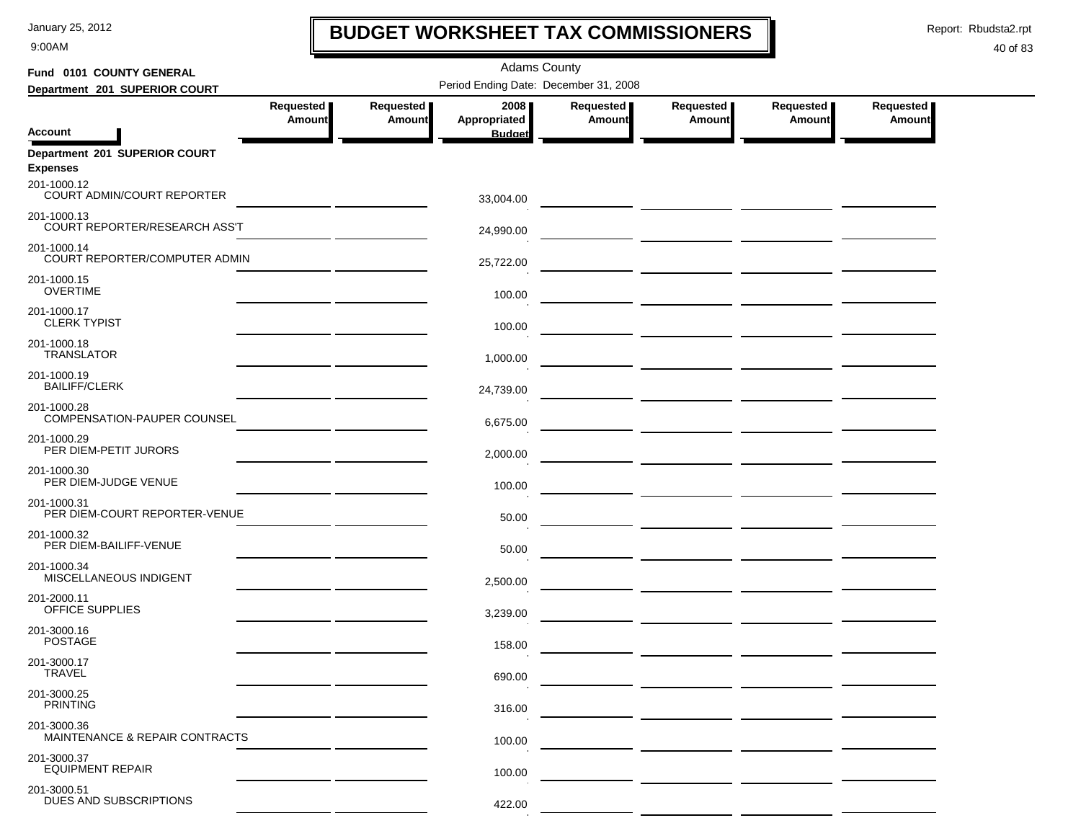9:00AM

# **BUDGET WORKSHEET TAX COMMISSIONERS**

Report: Rbudsta2.rpt

 $\mathbf I$ 

| Fund 0101 COUNTY GENERAL                         | <b>Adams County</b>                                                                                                   |               |                               |           |                                                     |                                       |               |  |  |  |
|--------------------------------------------------|-----------------------------------------------------------------------------------------------------------------------|---------------|-------------------------------|-----------|-----------------------------------------------------|---------------------------------------|---------------|--|--|--|
| Department 201 SUPERIOR COURT                    | Period Ending Date: December 31, 2008                                                                                 |               |                               |           |                                                     |                                       |               |  |  |  |
|                                                  | Requested                                                                                                             | Requested     | 2008                          | Requested | Requested                                           | Requested                             | Requested     |  |  |  |
| <b>Account</b>                                   | <b>Amount</b>                                                                                                         | <b>Amount</b> | Appropriated<br><b>Budget</b> | Amount    | <b>Amount</b>                                       | <b>Amount</b>                         | <b>Amount</b> |  |  |  |
| Department 201 SUPERIOR COURT<br><b>Expenses</b> |                                                                                                                       |               |                               |           |                                                     |                                       |               |  |  |  |
| 201-1000.12<br>COURT ADMIN/COURT REPORTER        |                                                                                                                       |               | 33,004.00                     |           |                                                     |                                       |               |  |  |  |
| 201-1000.13<br>COURT REPORTER/RESEARCH ASS'T     |                                                                                                                       |               | 24,990.00                     |           |                                                     |                                       |               |  |  |  |
| 201-1000.14<br>COURT REPORTER/COMPUTER ADMIN     |                                                                                                                       |               | 25,722.00                     |           |                                                     |                                       |               |  |  |  |
| 201-1000.15<br><b>OVERTIME</b>                   |                                                                                                                       |               | 100.00                        |           |                                                     |                                       |               |  |  |  |
| 201-1000.17<br><b>CLERK TYPIST</b>               |                                                                                                                       |               | 100.00                        |           |                                                     |                                       |               |  |  |  |
| 201-1000.18<br><b>TRANSLATOR</b>                 |                                                                                                                       |               | 1,000.00                      |           |                                                     |                                       |               |  |  |  |
| 201-1000.19<br><b>BAILIFF/CLERK</b>              |                                                                                                                       |               | 24,739.00                     |           | <u> 2000 - Jan Alexandro II, prima alemanista (</u> |                                       |               |  |  |  |
| 201-1000.28<br>COMPENSATION-PAUPER COUNSEL       |                                                                                                                       |               | 6,675.00                      |           |                                                     |                                       |               |  |  |  |
| 201-1000.29<br>PER DIEM-PETIT JURORS             | <u> 1989 - Johann Harry Harry Harry Harry Harry Harry Harry Harry Harry Harry Harry Harry Harry Harry Harry Harry</u> |               | 2,000.00                      |           |                                                     |                                       |               |  |  |  |
| 201-1000.30<br>PER DIEM-JUDGE VENUE              |                                                                                                                       |               | 100.00                        |           |                                                     |                                       |               |  |  |  |
| 201-1000.31<br>PER DIEM-COURT REPORTER-VENUE     |                                                                                                                       |               | 50.00                         |           |                                                     | — <u>— —————</u> ——————————————       |               |  |  |  |
| 201-1000.32<br>PER DIEM-BAILIFF-VENUE            |                                                                                                                       |               | 50.00                         |           |                                                     | — <u>— —————</u> <u>——————</u> —————— |               |  |  |  |
| 201-1000.34<br>MISCELLANEOUS INDIGENT            |                                                                                                                       |               | 2,500.00                      |           |                                                     |                                       |               |  |  |  |
| 201-2000.11<br>OFFICE SUPPLIES                   |                                                                                                                       |               | 3,239.00                      |           |                                                     |                                       |               |  |  |  |
| 201-3000.16<br><b>POSTAGE</b>                    |                                                                                                                       |               | 158.00                        |           |                                                     |                                       |               |  |  |  |
| 201-3000.17<br><b>IRAVEL</b>                     |                                                                                                                       |               | 690.00                        |           |                                                     |                                       |               |  |  |  |
| 201-3000.25<br><b>PRINTING</b>                   |                                                                                                                       |               | 316.00                        |           |                                                     |                                       |               |  |  |  |
| 201-3000.36<br>MAINTENANCE & REPAIR CONTRACTS    |                                                                                                                       |               | 100.00                        |           |                                                     |                                       |               |  |  |  |
| 201-3000.37<br><b>EQUIPMENT REPAIR</b>           |                                                                                                                       |               | 100.00                        |           |                                                     |                                       |               |  |  |  |
| 201-3000.51<br>DUES AND SUBSCRIPTIONS            |                                                                                                                       |               | 422.00                        |           |                                                     |                                       |               |  |  |  |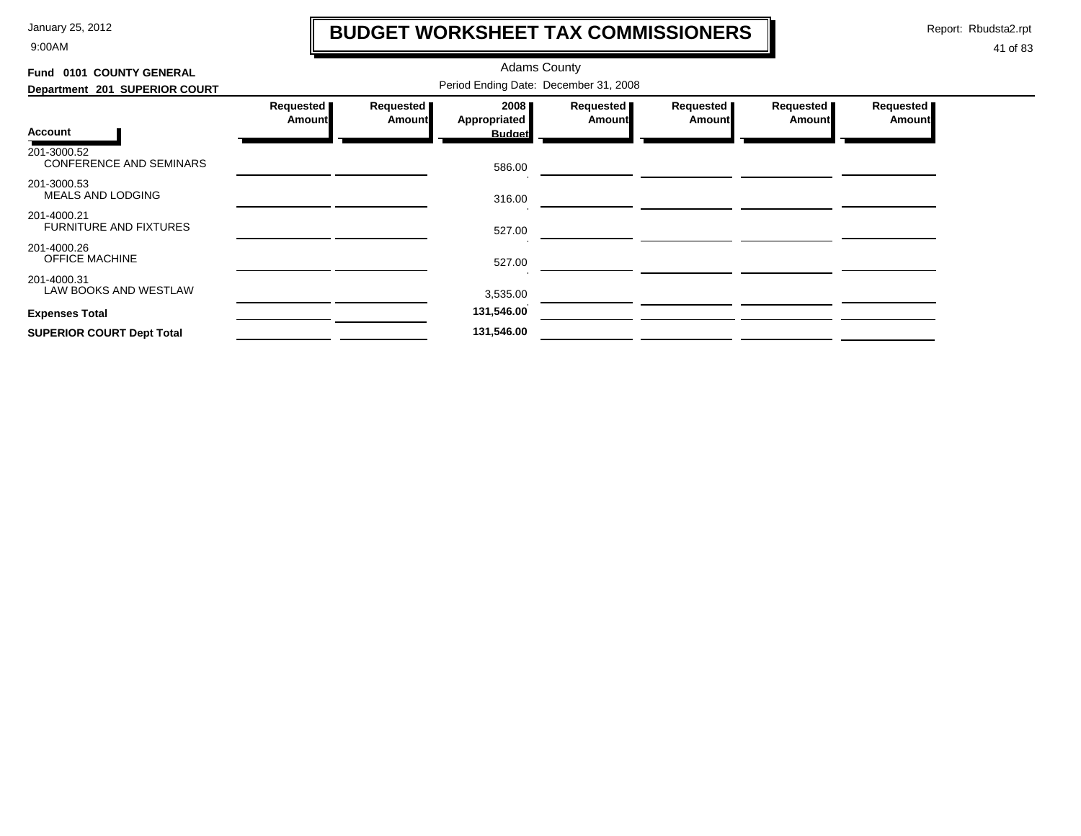9:00AM

# **BUDGET WORKSHEET TAX COMMISSIONERS**

Report: Rbudsta2.rpt

 $\mathbf l$ 

| Fund 0101 COUNTY GENERAL                      |                                       |                            | <b>Adams County</b>  |                            |                            |                            |                            |  |  |  |
|-----------------------------------------------|---------------------------------------|----------------------------|----------------------|----------------------------|----------------------------|----------------------------|----------------------------|--|--|--|
| Department 201 SUPERIOR COURT                 | Period Ending Date: December 31, 2008 |                            |                      |                            |                            |                            |                            |  |  |  |
|                                               | Requested<br><b>Amount</b>            | Requested<br><b>Amount</b> | 2008<br>Appropriated | Requested<br><b>Amount</b> | Requested<br><b>Amount</b> | Requested<br><b>Amount</b> | Requested<br><b>Amount</b> |  |  |  |
| Account                                       |                                       |                            | <b>Budget</b>        |                            |                            |                            |                            |  |  |  |
| 201-3000.52<br><b>CONFERENCE AND SEMINARS</b> |                                       |                            | 586.00               |                            |                            |                            |                            |  |  |  |
| 201-3000.53<br>MEALS AND LODGING              |                                       |                            | 316.00               |                            |                            |                            |                            |  |  |  |
| 201-4000.21<br><b>FURNITURE AND FIXTURES</b>  |                                       |                            | 527.00               |                            |                            |                            |                            |  |  |  |
| 201-4000.26<br><b>OFFICE MACHINE</b>          |                                       |                            | 527.00               |                            |                            |                            |                            |  |  |  |
| 201-4000.31<br>LAW BOOKS AND WESTLAW          |                                       |                            | 3,535.00             |                            |                            |                            |                            |  |  |  |
| <b>Expenses Total</b>                         |                                       |                            | 131,546.00           |                            |                            |                            |                            |  |  |  |
| <b>SUPERIOR COURT Dept Total</b>              |                                       |                            | 131,546.00           |                            |                            |                            |                            |  |  |  |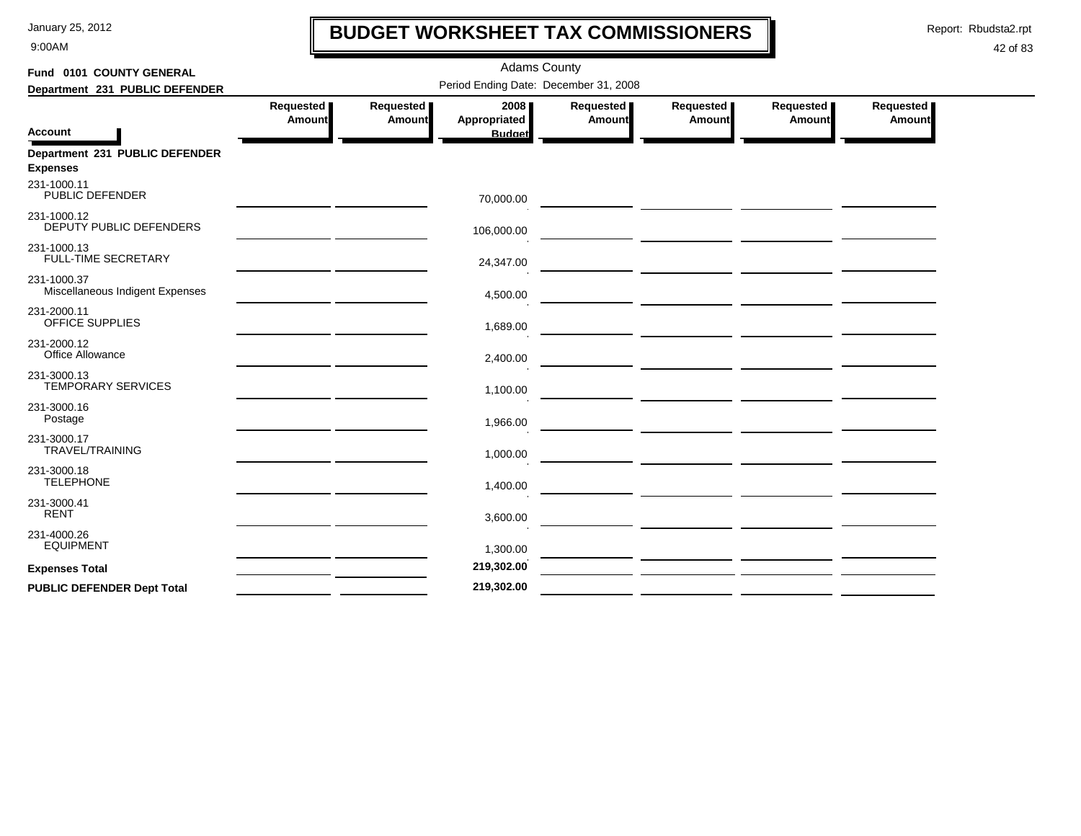9:00AM

# **BUDGET WORKSHEET TAX COMMISSIONERS**

Report: Rbudsta2.rpt

 $\mathbf l$ 

| Fund 0101 COUNTY GENERAL                          |                                       |                     | <b>Adams County</b>                   |                     |                                                 |                                                 |                              |  |  |  |  |
|---------------------------------------------------|---------------------------------------|---------------------|---------------------------------------|---------------------|-------------------------------------------------|-------------------------------------------------|------------------------------|--|--|--|--|
| Department 231 PUBLIC DEFENDER                    | Period Ending Date: December 31, 2008 |                     |                                       |                     |                                                 |                                                 |                              |  |  |  |  |
| <b>Account</b>                                    | Requested<br><b>Amount</b>            | Requested<br>Amount | 2008<br>Appropriated<br><b>Budget</b> | Requested<br>Amount | Requested<br>Amount                             | Requested  <br>Amount                           | Requested  <br><b>Amount</b> |  |  |  |  |
| Department 231 PUBLIC DEFENDER<br><b>Expenses</b> |                                       |                     |                                       |                     |                                                 |                                                 |                              |  |  |  |  |
| 231-1000.11<br>PUBLIC DEFENDER                    |                                       |                     | 70,000.00                             |                     |                                                 |                                                 |                              |  |  |  |  |
| 231-1000.12<br>DEPUTY PUBLIC DEFENDERS            |                                       |                     | 106,000.00                            |                     |                                                 |                                                 |                              |  |  |  |  |
| 231-1000.13<br>FULL-TIME SECRETARY                |                                       |                     | 24,347.00                             |                     |                                                 |                                                 |                              |  |  |  |  |
| 231-1000.37<br>Miscellaneous Indigent Expenses    |                                       |                     | 4,500.00                              |                     |                                                 |                                                 |                              |  |  |  |  |
| 231-2000.11<br>OFFICE SUPPLIES                    |                                       |                     | 1,689.00                              |                     |                                                 | <u> 1989 - Johann John Stone, mars et al. (</u> |                              |  |  |  |  |
| 231-2000.12<br>Office Allowance                   |                                       |                     | 2,400.00                              |                     |                                                 |                                                 |                              |  |  |  |  |
| 231-3000.13<br><b>TEMPORARY SERVICES</b>          |                                       |                     | 1,100.00                              |                     |                                                 |                                                 |                              |  |  |  |  |
| 231-3000.16<br>Postage                            |                                       |                     | 1,966.00                              |                     |                                                 |                                                 |                              |  |  |  |  |
| 231-3000.17<br><b>TRAVEL/TRAINING</b>             |                                       |                     | 1,000.00                              |                     | <u> 1989 - Johann John Stone, mars et al. (</u> |                                                 |                              |  |  |  |  |
| 231-3000.18<br><b>TELEPHONE</b>                   |                                       |                     | 1,400.00                              |                     |                                                 |                                                 |                              |  |  |  |  |
| 231-3000.41<br><b>RENT</b>                        |                                       |                     | 3,600.00                              |                     |                                                 |                                                 |                              |  |  |  |  |
| 231-4000.26<br><b>EQUIPMENT</b>                   |                                       |                     | 1,300.00                              |                     |                                                 |                                                 |                              |  |  |  |  |
| <b>Expenses Total</b>                             |                                       |                     | 219,302.00                            |                     |                                                 |                                                 |                              |  |  |  |  |
|                                                   |                                       |                     | 219,302.00                            |                     |                                                 |                                                 |                              |  |  |  |  |
| <b>PUBLIC DEFENDER Dept Total</b>                 |                                       |                     |                                       |                     |                                                 |                                                 |                              |  |  |  |  |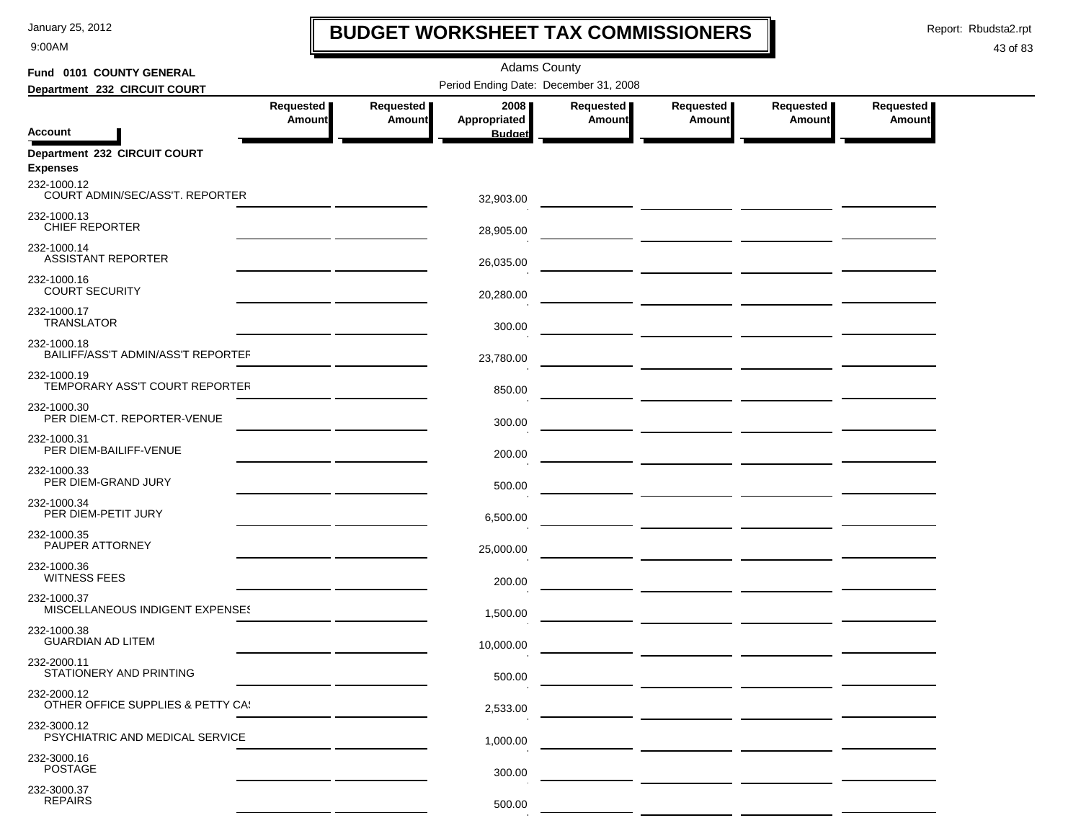9:00AM

# **BUDGET WORKSHEET TAX COMMISSIONERS**

Report: Rbudsta2.rpt

 $\mathbf I$ 

### 43 of 83

| Fund 0101 COUNTY GENERAL                          | <b>Adams County</b>                          |           |                               |           |                                                     |                                  |               |  |  |  |
|---------------------------------------------------|----------------------------------------------|-----------|-------------------------------|-----------|-----------------------------------------------------|----------------------------------|---------------|--|--|--|
| Department 232 CIRCUIT COURT                      | Period Ending Date: December 31, 2008        |           |                               |           |                                                     |                                  |               |  |  |  |
|                                                   | Requested                                    | Requested | 2008                          | Requested | Requested                                           | Requested                        | Requested     |  |  |  |
| <b>Account</b>                                    | <b>Amount</b>                                | Amount    | Appropriated<br><b>Budget</b> | Amount    | <b>Amount</b>                                       | Amount                           | <b>Amount</b> |  |  |  |
| Department 232 CIRCUIT COURT<br><b>Expenses</b>   |                                              |           |                               |           |                                                     |                                  |               |  |  |  |
| 232-1000.12<br>COURT ADMIN/SEC/ASS'T, REPORTER    |                                              |           | 32,903.00                     |           |                                                     |                                  |               |  |  |  |
| 232-1000.13<br>CHIEF REPORTER                     |                                              |           | 28,905.00                     |           |                                                     |                                  |               |  |  |  |
| 232-1000.14<br><b>ASSISTANT REPORTER</b>          |                                              |           | 26,035.00                     |           | <u> 1989 - Andrea Andrew Maria (b. 1989)</u>        |                                  |               |  |  |  |
| 232-1000.16<br><b>COURT SECURITY</b>              |                                              |           | 20,280.00                     |           |                                                     |                                  |               |  |  |  |
| 232-1000.17<br><b>TRANSLATOR</b>                  |                                              |           | 300.00                        |           | <u> 1999 - Johann Harry Communication (f. 1989)</u> |                                  |               |  |  |  |
| 232-1000.18<br>BAILIFF/ASS'T ADMIN/ASS'T REPORTEF |                                              |           | 23,780.00                     |           | <u> — _ _ _ _ _ _ _ _</u> _ _ _ _ _ _ _             |                                  |               |  |  |  |
| 232-1000.19<br>TEMPORARY ASS'T COURT REPORTER     |                                              |           | 850.00                        |           |                                                     |                                  |               |  |  |  |
| 232-1000.30<br>PER DIEM-CT. REPORTER-VENUE        |                                              |           | 300.00                        |           |                                                     |                                  |               |  |  |  |
| 232-1000.31<br>PER DIEM-BAILIFF-VENUE             |                                              |           | 200.00                        |           |                                                     |                                  |               |  |  |  |
| 232-1000.33<br>PER DIEM-GRAND JURY                | the control of the control of the control of |           | 500.00                        |           |                                                     |                                  |               |  |  |  |
| 232-1000.34<br>PER DIEM-PETIT JURY                |                                              |           | 6,500.00                      |           |                                                     |                                  |               |  |  |  |
| 232-1000.35<br>PAUPER ATTORNEY                    |                                              |           | 25,000.00                     |           |                                                     |                                  |               |  |  |  |
| 232-1000.36<br><b>WITNESS FEES</b>                |                                              |           | 200.00                        |           |                                                     | ___ _________ ________ _________ |               |  |  |  |
| 232-1000.37<br>MISCELLANEOUS INDIGENT EXPENSES    |                                              |           | 1,500.00                      |           |                                                     |                                  |               |  |  |  |
| 232-1000.38<br><b>GUARDIAN AD LITEM</b>           |                                              |           | 10,000.00                     |           | — <u>— — — — — — — — — — — —</u>                    |                                  |               |  |  |  |
| 232-2000.11<br>STATIONERY AND PRINTING            |                                              |           | 500.00                        |           |                                                     |                                  |               |  |  |  |
| 232-2000.12<br>OTHER OFFICE SUPPLIES & PETTY CA!  |                                              |           | 2,533.00                      |           |                                                     |                                  |               |  |  |  |
| 232-3000.12<br>PSYCHIATRIC AND MEDICAL SERVICE    |                                              |           | 1,000.00                      |           |                                                     |                                  |               |  |  |  |
| 232-3000.16<br><b>POSTAGE</b>                     |                                              |           | 300.00                        |           |                                                     |                                  |               |  |  |  |
| 232-3000.37<br><b>REPAIRS</b>                     |                                              |           | 500.00                        |           |                                                     |                                  |               |  |  |  |

 $\sim$   $-$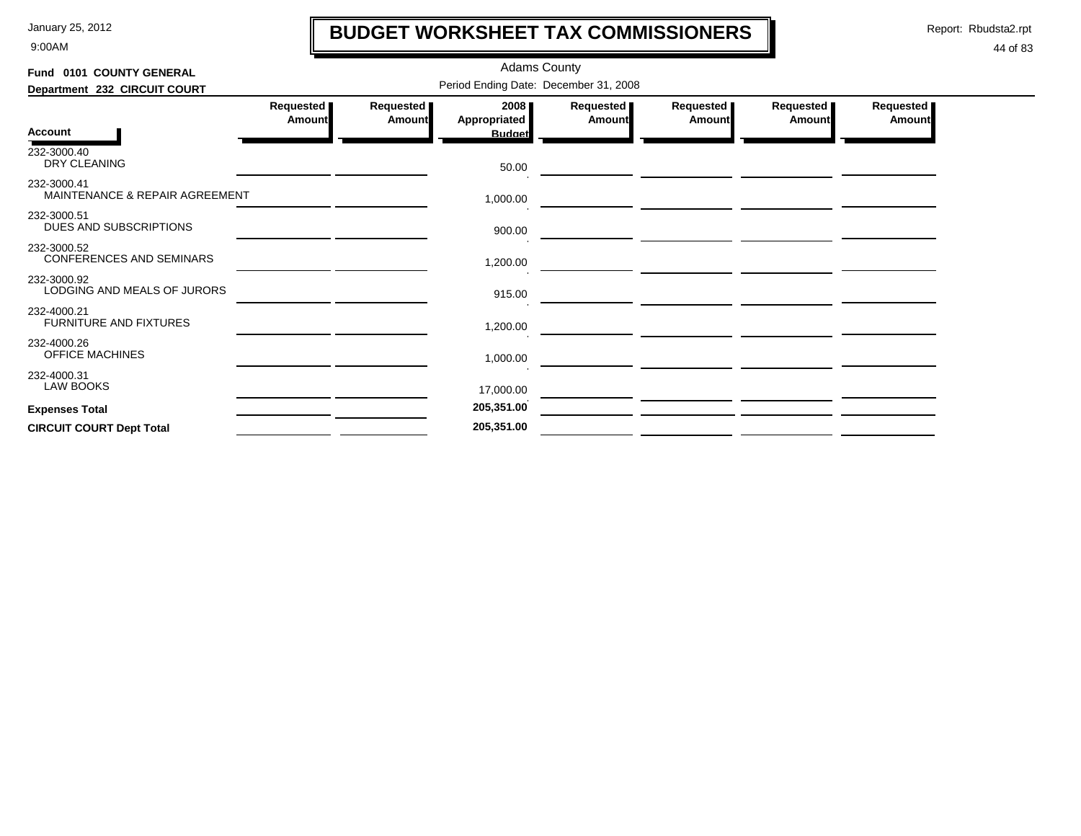9:00AM

# **BUDGET WORKSHEET TAX COMMISSIONERS**

Report: Rbudsta2.rpt

 $\mathbf I$ 

| Fund 0101 COUNTY GENERAL                       |                                       |                     |                                       |                     |                                                                                                                                                                                                                                      |                       |                              |  |  |  |  |
|------------------------------------------------|---------------------------------------|---------------------|---------------------------------------|---------------------|--------------------------------------------------------------------------------------------------------------------------------------------------------------------------------------------------------------------------------------|-----------------------|------------------------------|--|--|--|--|
| Department 232 CIRCUIT COURT                   | Period Ending Date: December 31, 2008 |                     |                                       |                     |                                                                                                                                                                                                                                      |                       |                              |  |  |  |  |
| <b>Account</b>                                 | Requested<br>Amount                   | Requested<br>Amount | 2008<br>Appropriated<br><b>Budget</b> | Requested<br>Amount | Requested  <br>Amount                                                                                                                                                                                                                | Requested  <br>Amount | Requested  <br><b>Amount</b> |  |  |  |  |
| 232-3000.40<br>DRY CLEANING                    |                                       |                     | 50.00                                 |                     |                                                                                                                                                                                                                                      |                       |                              |  |  |  |  |
| 232-3000.41<br>MAINTENANCE & REPAIR AGREEMENT  |                                       |                     | 1,000.00                              |                     |                                                                                                                                                                                                                                      |                       |                              |  |  |  |  |
| 232-3000.51<br>DUES AND SUBSCRIPTIONS          |                                       |                     | 900.00                                |                     |                                                                                                                                                                                                                                      |                       |                              |  |  |  |  |
| 232-3000.52<br><b>CONFERENCES AND SEMINARS</b> |                                       |                     | 1,200.00                              |                     |                                                                                                                                                                                                                                      |                       |                              |  |  |  |  |
| 232-3000.92<br>LODGING AND MEALS OF JURORS     |                                       |                     | 915.00                                |                     |                                                                                                                                                                                                                                      |                       |                              |  |  |  |  |
| 232-4000.21<br><b>FURNITURE AND FIXTURES</b>   |                                       |                     | 1,200.00                              |                     | <u>a sa mga salawang mga mga sangang ng mga sangang ng mga sangang ng mga sangang ng mga sangang ng mga sangang ng mga sangang ng mga sangang ng mga sangang ng mga sangang ng mga sangang ng mga sangang ng mga sangang ng mga </u> |                       |                              |  |  |  |  |
| 232-4000.26<br><b>OFFICE MACHINES</b>          |                                       |                     | 1,000.00                              |                     |                                                                                                                                                                                                                                      |                       |                              |  |  |  |  |
| 232-4000.31<br>LAW BOOKS                       |                                       |                     | 17,000.00                             |                     |                                                                                                                                                                                                                                      |                       |                              |  |  |  |  |
| <b>Expenses Total</b>                          |                                       |                     | 205,351.00                            |                     |                                                                                                                                                                                                                                      |                       |                              |  |  |  |  |
| <b>CIRCUIT COURT Dept Total</b>                |                                       |                     | 205,351.00                            |                     |                                                                                                                                                                                                                                      |                       |                              |  |  |  |  |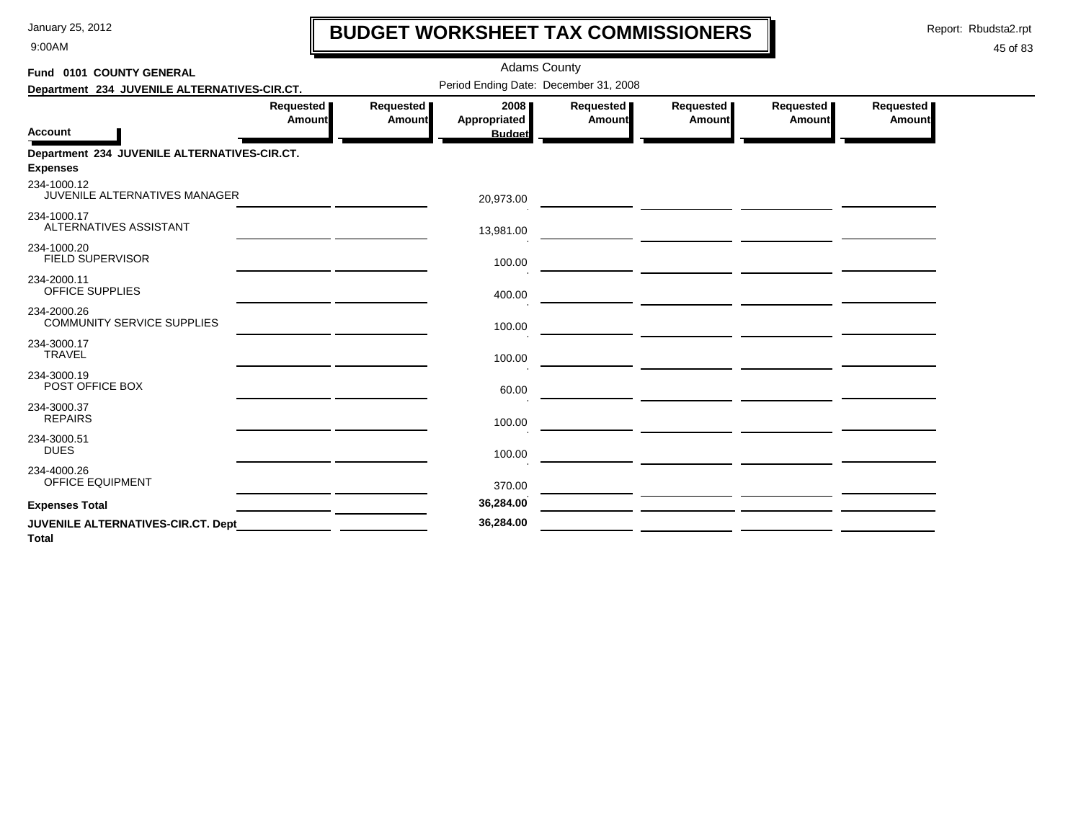9:00AM

# **BUDGET WORKSHEET TAX COMMISSIONERS**

Report: Rbudsta2.rpt

 $\mathbf l$ 

| Fund 0101 COUNTY GENERAL                                        |                     |                            | <b>Adams County</b>                   |                            |                     |                                                    |                     |
|-----------------------------------------------------------------|---------------------|----------------------------|---------------------------------------|----------------------------|---------------------|----------------------------------------------------|---------------------|
| Department 234 JUVENILE ALTERNATIVES-CIR.CT.                    |                     |                            | Period Ending Date: December 31, 2008 |                            |                     |                                                    |                     |
| <b>Account</b>                                                  | Requested<br>Amount | Requested<br><b>Amount</b> | 2008<br>Appropriated<br><b>Budget</b> | Requested<br><b>Amount</b> | Requested<br>Amount | Requested<br><b>Amount</b>                         | Requested<br>Amount |
| Department 234 JUVENILE ALTERNATIVES-CIR.CT.<br><b>Expenses</b> |                     |                            |                                       |                            |                     |                                                    |                     |
| 234-1000.12<br>JUVENILE ALTERNATIVES MANAGER                    |                     |                            | 20,973.00                             |                            |                     |                                                    |                     |
| 234-1000.17<br>ALTERNATIVES ASSISTANT                           |                     |                            | 13,981.00                             |                            |                     |                                                    |                     |
| 234-1000.20<br><b>FIELD SUPERVISOR</b>                          |                     |                            | 100.00                                |                            |                     |                                                    |                     |
| 234-2000.11<br>OFFICE SUPPLIES                                  |                     |                            | 400.00                                |                            |                     |                                                    |                     |
| 234-2000.26<br><b>COMMUNITY SERVICE SUPPLIES</b>                |                     |                            | 100.00                                |                            |                     |                                                    |                     |
| 234-3000.17<br><b>TRAVEL</b>                                    |                     |                            | 100.00                                |                            |                     |                                                    |                     |
| 234-3000.19<br>POST OFFICE BOX                                  |                     |                            | 60.00                                 |                            |                     | <u> 1989 - Johann Marie Johann Marie (h. 1989)</u> |                     |
| 234-3000.37<br><b>REPAIRS</b>                                   |                     |                            | 100.00                                |                            |                     |                                                    |                     |
| 234-3000.51<br><b>DUES</b>                                      |                     |                            | 100.00                                |                            |                     |                                                    |                     |
| 234-4000.26<br><b>OFFICE EQUIPMENT</b>                          |                     |                            | 370.00                                |                            |                     |                                                    |                     |
| <b>Expenses Total</b>                                           |                     |                            | 36,284.00                             |                            |                     |                                                    |                     |
| JUVENILE ALTERNATIVES-CIR.CT. Dept<br><b>Total</b>              |                     |                            | 36,284.00                             |                            |                     |                                                    |                     |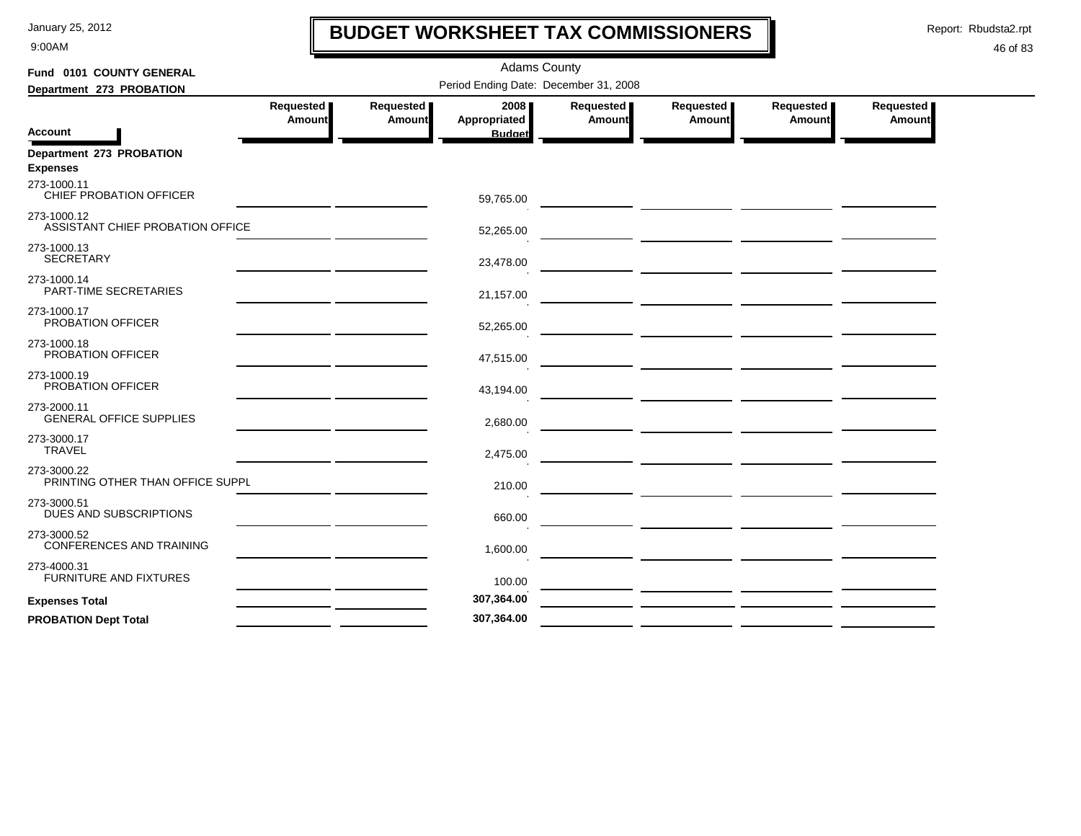9:00AM

# **BUDGET WORKSHEET TAX COMMISSIONERS**

Report: Rbudsta2.rpt

 $\mathbf l$ 

| Fund 0101 COUNTY GENERAL                        | <b>Adams County</b> |                     |                                       |                     |                                                                                                                        |                                                     |                            |  |  |  |
|-------------------------------------------------|---------------------|---------------------|---------------------------------------|---------------------|------------------------------------------------------------------------------------------------------------------------|-----------------------------------------------------|----------------------------|--|--|--|
| Department 273 PROBATION                        |                     |                     | Period Ending Date: December 31, 2008 |                     |                                                                                                                        |                                                     |                            |  |  |  |
|                                                 | Requested<br>Amount | Requested<br>Amount | 2008<br>Appropriated                  | Requested<br>Amount | Requested<br>Amount                                                                                                    | Requested<br>Amount                                 | Requested<br><b>Amount</b> |  |  |  |
| <b>Account</b>                                  |                     |                     | <b>Budget</b>                         |                     |                                                                                                                        |                                                     |                            |  |  |  |
| Department 273 PROBATION<br><b>Expenses</b>     |                     |                     |                                       |                     |                                                                                                                        |                                                     |                            |  |  |  |
| 273-1000.11<br>CHIEF PROBATION OFFICER          |                     |                     | 59,765.00                             |                     |                                                                                                                        |                                                     |                            |  |  |  |
| 273-1000.12<br>ASSISTANT CHIEF PROBATION OFFICE |                     |                     | 52,265.00                             |                     | $\overline{\phantom{a}}$ and $\overline{\phantom{a}}$                                                                  |                                                     |                            |  |  |  |
| 273-1000.13<br><b>SECRETARY</b>                 |                     |                     | 23,478.00                             |                     |                                                                                                                        |                                                     |                            |  |  |  |
| 273-1000.14<br>PART-TIME SECRETARIES            |                     |                     | 21,157.00                             |                     |                                                                                                                        |                                                     |                            |  |  |  |
| 273-1000.17<br>PROBATION OFFICER                |                     |                     | 52,265.00                             |                     |                                                                                                                        | <u>and the second contract of the second second</u> |                            |  |  |  |
| 273-1000.18<br>PROBATION OFFICER                |                     |                     | 47,515.00                             |                     |                                                                                                                        |                                                     |                            |  |  |  |
| 273-1000.19<br>PROBATION OFFICER                |                     |                     | 43,194.00                             |                     | <u> The Common State of the Common State of the Common State of the Common State of the Common State of the Common</u> |                                                     |                            |  |  |  |
| 273-2000.11<br><b>GENERAL OFFICE SUPPLIES</b>   |                     |                     | 2,680.00                              |                     |                                                                                                                        |                                                     |                            |  |  |  |
| 273-3000.17<br><b>TRAVEL</b>                    |                     |                     | 2,475.00                              |                     |                                                                                                                        |                                                     |                            |  |  |  |
| 273-3000.22<br>PRINTING OTHER THAN OFFICE SUPPL |                     |                     | 210.00                                |                     |                                                                                                                        |                                                     |                            |  |  |  |
| 273-3000.51<br>DUES AND SUBSCRIPTIONS           |                     |                     | 660.00                                |                     |                                                                                                                        |                                                     |                            |  |  |  |
| 273-3000.52<br><b>CONFERENCES AND TRAINING</b>  |                     |                     | 1,600.00                              |                     |                                                                                                                        |                                                     |                            |  |  |  |
| 273-4000.31<br><b>FURNITURE AND FIXTURES</b>    |                     |                     | 100.00                                |                     |                                                                                                                        |                                                     |                            |  |  |  |
| <b>Expenses Total</b>                           |                     |                     | 307,364.00                            |                     |                                                                                                                        |                                                     |                            |  |  |  |
| <b>PROBATION Dept Total</b>                     |                     |                     | 307,364.00                            |                     |                                                                                                                        |                                                     |                            |  |  |  |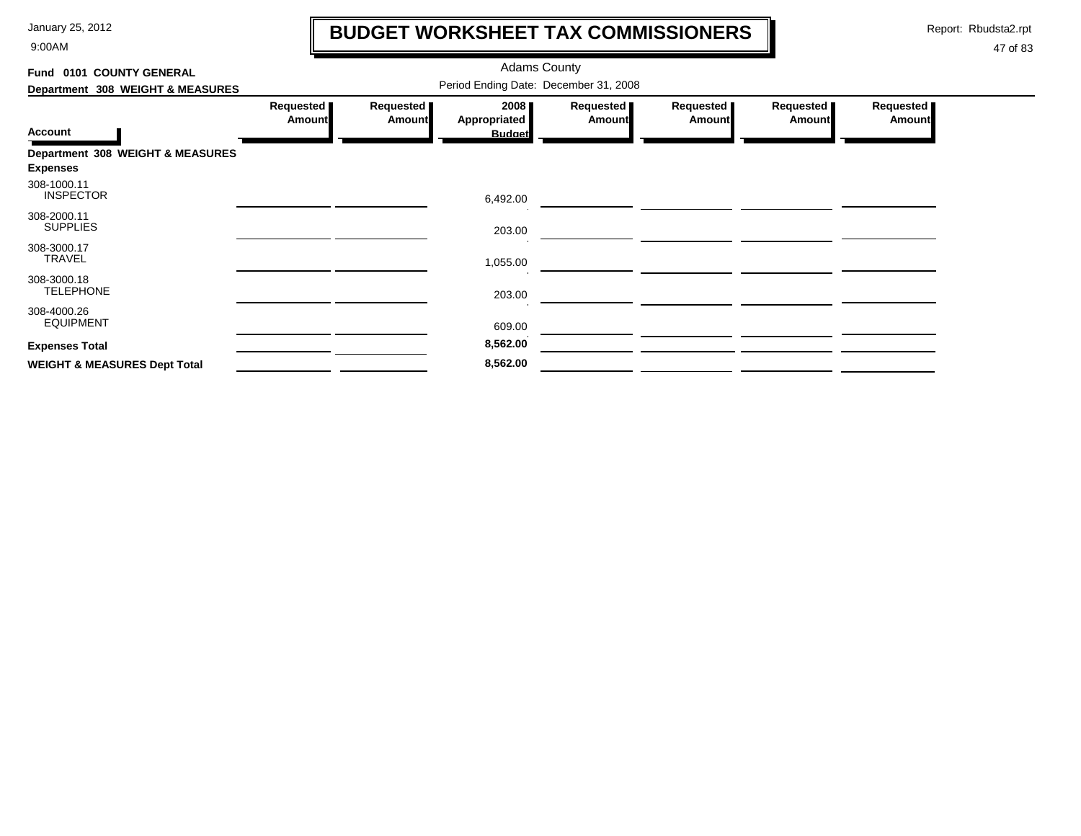9:00AM

# **BUDGET WORKSHEET TAX COMMISSIONERS**

Report: Rbudsta2.rpt

 $\mathbf \mathbf I$ 

| Fund 0101 COUNTY GENERAL                |                                       |                            | <b>Adams County</b>         |                            |                     |                            |                            |  |  |
|-----------------------------------------|---------------------------------------|----------------------------|-----------------------------|----------------------------|---------------------|----------------------------|----------------------------|--|--|
| Department 308 WEIGHT & MEASURES        | Period Ending Date: December 31, 2008 |                            |                             |                            |                     |                            |                            |  |  |
|                                         | Requested<br><b>Amount</b>            | Requested<br><b>Amount</b> | 2008<br><b>Appropriated</b> | Requested<br><b>Amount</b> | Requested<br>Amount | Requested<br><b>Amount</b> | Requested<br><b>Amount</b> |  |  |
| <b>Account</b>                          |                                       |                            | <b>Budget</b>               |                            |                     |                            |                            |  |  |
| Department 308 WEIGHT & MEASURES        |                                       |                            |                             |                            |                     |                            |                            |  |  |
| <b>Expenses</b>                         |                                       |                            |                             |                            |                     |                            |                            |  |  |
| 308-1000.11<br><b>INSPECTOR</b>         |                                       |                            | 6,492.00                    |                            |                     |                            |                            |  |  |
| 308-2000.11<br><b>SUPPLIES</b>          |                                       |                            | 203.00                      |                            |                     |                            |                            |  |  |
| 308-3000.17<br>TRAVEL                   |                                       |                            | 1,055.00                    |                            |                     |                            |                            |  |  |
| 308-3000.18<br><b>TELEPHONE</b>         |                                       |                            | 203.00                      |                            |                     |                            |                            |  |  |
| 308-4000.26<br><b>EQUIPMENT</b>         |                                       |                            | 609.00                      |                            |                     |                            |                            |  |  |
| <b>Expenses Total</b>                   |                                       |                            | 8,562.00                    |                            |                     |                            |                            |  |  |
| <b>WEIGHT &amp; MEASURES Dept Total</b> |                                       |                            | 8,562.00                    |                            |                     |                            |                            |  |  |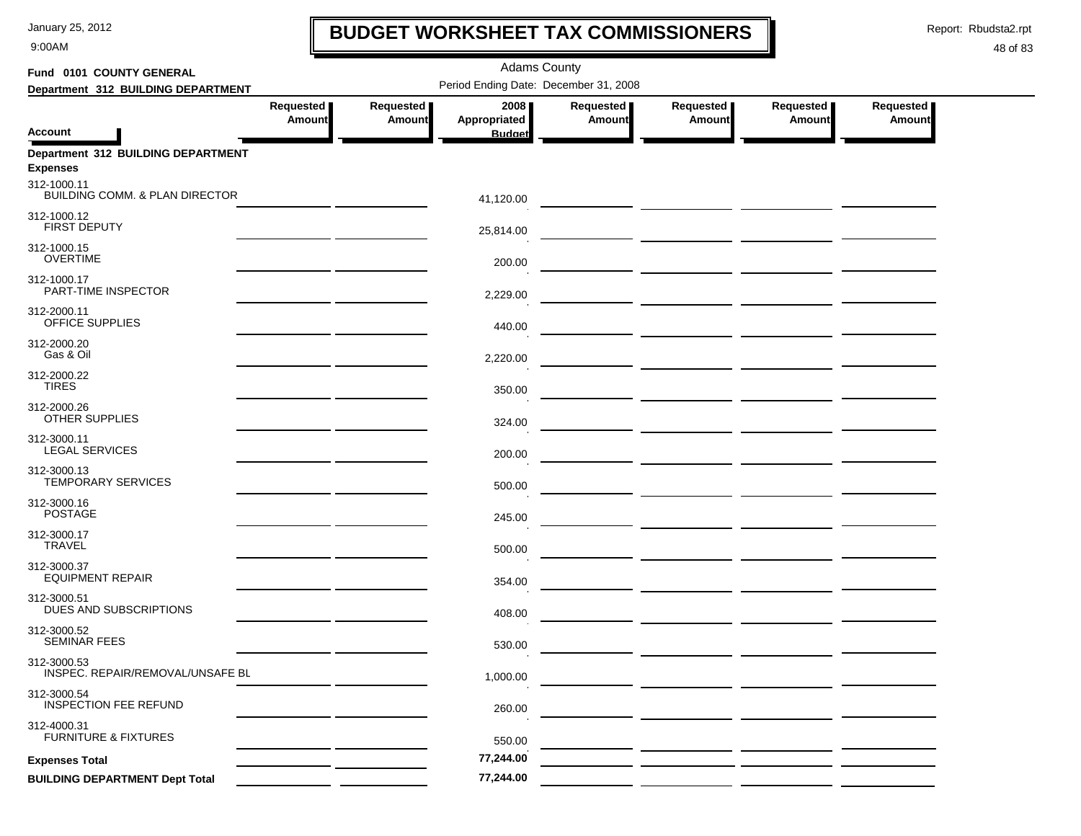9:00AM

# **BUDGET WORKSHEET TAX COMMISSIONERS**

Report: Rbudsta2.rpt

 $\mathbf l$ 

| Fund 0101 COUNTY GENERAL                              |                            |                            | <b>Adams County</b>                   |                            |                            |                     |                            |
|-------------------------------------------------------|----------------------------|----------------------------|---------------------------------------|----------------------------|----------------------------|---------------------|----------------------------|
| Department 312 BUILDING DEPARTMENT                    |                            |                            | Period Ending Date: December 31, 2008 |                            |                            |                     |                            |
| <b>Account</b>                                        | Requested<br><b>Amount</b> | Requested<br><b>Amount</b> | 2008<br>Appropriated<br><b>Budget</b> | Requested<br><b>Amount</b> | Requested<br><b>Amount</b> | Requested<br>Amount | Requested<br><b>Amount</b> |
| Department 312 BUILDING DEPARTMENT<br><b>Expenses</b> |                            |                            |                                       |                            |                            |                     |                            |
| 312-1000.11<br>BUILDING COMM. & PLAN DIRECTOR         |                            |                            | 41,120.00                             |                            |                            |                     |                            |
| 312-1000.12<br><b>FIRST DEPUTY</b>                    |                            |                            | 25,814.00                             |                            |                            |                     |                            |
| 312-1000.15<br><b>OVERTIME</b>                        |                            |                            | 200.00                                |                            |                            |                     |                            |
| 312-1000.17<br>PART-TIME INSPECTOR                    |                            |                            | 2,229.00                              |                            |                            |                     |                            |
| 312-2000.11<br>OFFICE SUPPLIES                        |                            |                            | 440.00                                |                            |                            |                     |                            |
| 312-2000.20<br>Gas & Oil                              |                            |                            | 2,220.00                              |                            |                            |                     |                            |
| 312-2000.22<br><b>TIRES</b>                           |                            |                            | 350.00                                |                            |                            |                     |                            |
| 312-2000.26<br>OTHER SUPPLIES                         |                            |                            | 324.00                                |                            |                            |                     |                            |
| 312-3000.11<br><b>LEGAL SERVICES</b>                  |                            |                            | 200.00                                |                            |                            |                     |                            |
| 312-3000.13<br>TEMPORARY SERVICES                     |                            |                            | 500.00                                |                            |                            |                     |                            |
| 312-3000.16<br><b>POSTAGE</b>                         |                            |                            | 245.00                                |                            |                            |                     |                            |
| 312-3000.17<br><b>TRAVEL</b>                          |                            |                            | 500.00                                |                            |                            |                     |                            |
| 312-3000.37<br><b>EQUIPMENT REPAIR</b>                |                            |                            | 354.00                                |                            |                            |                     |                            |
| 312-3000.51<br>DUES AND SUBSCRIPTIONS                 |                            |                            | 408.00                                |                            |                            |                     |                            |
| 312-3000.52<br><b>SEMINAR FEES</b>                    |                            |                            | 530.00                                |                            |                            |                     |                            |
| 312-3000.53<br>INSPEC. REPAIR/REMOVAL/UNSAFE BL       |                            |                            | 1,000.00                              |                            |                            |                     |                            |
| 312-3000.54<br><b>INSPECTION FEE REFUND</b>           |                            |                            | 260.00                                |                            |                            |                     |                            |
| 312-4000.31<br><b>FURNITURE &amp; FIXTURES</b>        |                            |                            | 550.00                                |                            |                            |                     |                            |
| <b>Expenses Total</b>                                 |                            |                            | 77,244.00                             |                            |                            |                     |                            |
| <b>BUILDING DEPARTMENT Dept Total</b>                 |                            |                            | 77,244.00                             |                            |                            |                     |                            |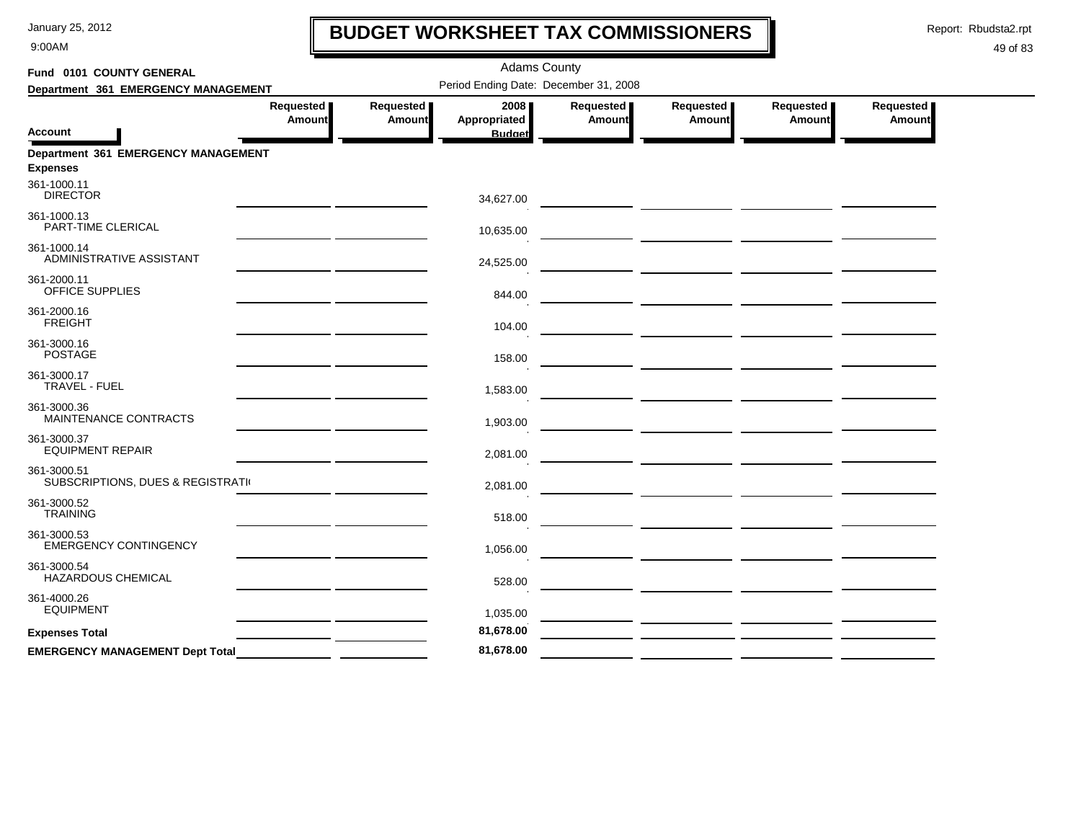9:00AM

# **BUDGET WORKSHEET TAX COMMISSIONERS**

Report: Rbudsta2.rpt

 $\mathbf l$ 

| Fund 0101 COUNTY GENERAL                               | <b>Adams County</b>        |                                       |                                       |                                   |                                                                                                                       |                            |                            |  |  |  |  |
|--------------------------------------------------------|----------------------------|---------------------------------------|---------------------------------------|-----------------------------------|-----------------------------------------------------------------------------------------------------------------------|----------------------------|----------------------------|--|--|--|--|
| Department 361 EMERGENCY MANAGEMENT                    |                            | Period Ending Date: December 31, 2008 |                                       |                                   |                                                                                                                       |                            |                            |  |  |  |  |
| <b>Account</b>                                         | Requested<br><b>Amount</b> | Requested<br><b>Amount</b>            | 2008<br>Appropriated<br><b>Budget</b> | Requested<br>Amount               | Requested<br><b>Amount</b>                                                                                            | Requested<br><b>Amount</b> | Requested<br><b>Amount</b> |  |  |  |  |
| Department 361 EMERGENCY MANAGEMENT<br><b>Expenses</b> |                            |                                       |                                       |                                   |                                                                                                                       |                            |                            |  |  |  |  |
| 361-1000.11<br><b>DIRECTOR</b>                         |                            |                                       | 34,627.00                             |                                   |                                                                                                                       |                            |                            |  |  |  |  |
| 361-1000.13<br>PART-TIME CLERICAL                      |                            |                                       | 10,635.00                             | <b>Contract Contract Contract</b> | <u> 1989 - Andrea State Barbara, política establecera en la contrada de la contrada de la contrada de la contrada</u> |                            |                            |  |  |  |  |
| 361-1000.14<br>ADMINISTRATIVE ASSISTANT                |                            |                                       | 24,525.00                             |                                   |                                                                                                                       |                            |                            |  |  |  |  |
| 361-2000.11<br><b>OFFICE SUPPLIES</b>                  |                            |                                       | 844.00                                |                                   |                                                                                                                       |                            |                            |  |  |  |  |
| 361-2000.16<br><b>FREIGHT</b>                          |                            |                                       | 104.00                                |                                   |                                                                                                                       |                            |                            |  |  |  |  |
| 361-3000.16<br><b>POSTAGE</b>                          |                            |                                       | 158.00                                |                                   |                                                                                                                       |                            |                            |  |  |  |  |
| 361-3000.17<br>TRAVEL - FUEL                           |                            |                                       | 1,583.00                              |                                   |                                                                                                                       |                            |                            |  |  |  |  |
| 361-3000.36<br>MAINTENANCE CONTRACTS                   |                            |                                       | 1,903.00                              |                                   |                                                                                                                       |                            |                            |  |  |  |  |
| 361-3000.37<br><b>EQUIPMENT REPAIR</b>                 |                            |                                       | 2,081.00                              |                                   |                                                                                                                       |                            |                            |  |  |  |  |
| 361-3000.51<br>SUBSCRIPTIONS, DUES & REGISTRATI        |                            |                                       | 2,081.00                              |                                   |                                                                                                                       |                            |                            |  |  |  |  |
| 361-3000.52<br><b>TRAINING</b>                         |                            |                                       | 518.00                                |                                   |                                                                                                                       |                            |                            |  |  |  |  |
| 361-3000.53<br><b>EMERGENCY CONTINGENCY</b>            |                            |                                       | 1,056.00                              |                                   |                                                                                                                       |                            |                            |  |  |  |  |
| 361-3000.54<br>HAZARDOUS CHEMICAL                      |                            |                                       | 528.00                                |                                   |                                                                                                                       |                            |                            |  |  |  |  |
| 361-4000.26<br><b>EQUIPMENT</b>                        |                            |                                       | 1,035.00                              |                                   |                                                                                                                       |                            |                            |  |  |  |  |
| <b>Expenses Total</b>                                  |                            |                                       | 81,678.00                             |                                   |                                                                                                                       |                            |                            |  |  |  |  |
| <b>EMERGENCY MANAGEMENT Dept Total</b>                 |                            |                                       | 81,678.00                             |                                   |                                                                                                                       |                            |                            |  |  |  |  |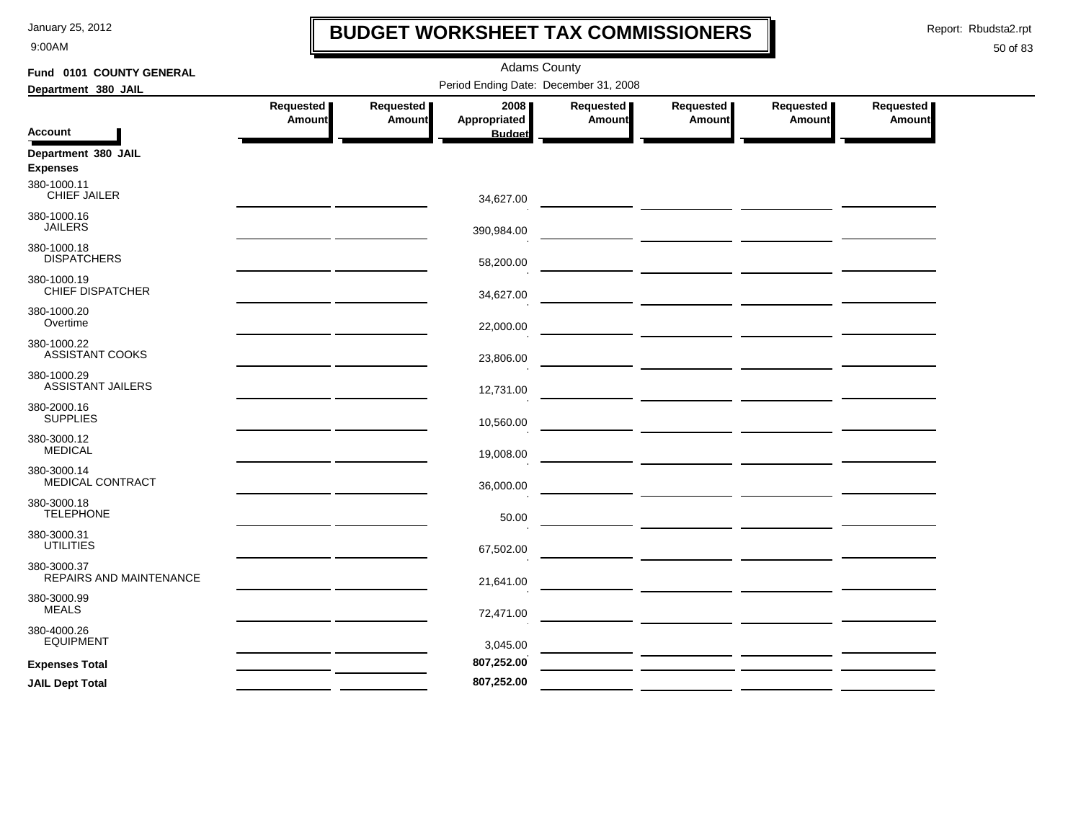9:00AM

### **BUDGET WORKSHEET TAX COMMISSIONERS**

Report: Rbudsta2.rpt

 $\mathbf l$ 

| Fund 0101 COUNTY GENERAL                |           |               | <b>Adams County</b>                   |               |                                                                                                                                                                                                                                      |               |               |
|-----------------------------------------|-----------|---------------|---------------------------------------|---------------|--------------------------------------------------------------------------------------------------------------------------------------------------------------------------------------------------------------------------------------|---------------|---------------|
| Department 380 JAIL                     |           |               | Period Ending Date: December 31, 2008 |               |                                                                                                                                                                                                                                      |               |               |
|                                         | Requested | Requested     | 2008                                  | Requested     | Requested                                                                                                                                                                                                                            | Requested     | Requested     |
| <b>Account</b>                          | Amount    | <b>Amount</b> | Appropriated<br><b>Budget</b>         | <b>Amount</b> | Amount                                                                                                                                                                                                                               | <b>Amount</b> | <b>Amount</b> |
| Department 380 JAIL<br><b>Expenses</b>  |           |               |                                       |               |                                                                                                                                                                                                                                      |               |               |
| 380-1000.11<br><b>CHIEF JAILER</b>      |           |               | 34,627.00                             |               |                                                                                                                                                                                                                                      |               |               |
| 380-1000.16<br><b>JAILERS</b>           |           |               | 390,984.00                            |               |                                                                                                                                                                                                                                      |               |               |
| 380-1000.18<br><b>DISPATCHERS</b>       |           |               | 58,200.00                             |               |                                                                                                                                                                                                                                      |               |               |
| 380-1000.19<br><b>CHIEF DISPATCHER</b>  |           |               | 34,627.00                             |               | <u> 1989 - Johann John Stone, mars and de Branch and de Branch and de Branch and de Branch and de Branch and de B</u>                                                                                                                |               |               |
| 380-1000.20<br>Overtime                 |           |               | 22,000.00                             |               |                                                                                                                                                                                                                                      |               |               |
| 380-1000.22<br><b>ASSISTANT COOKS</b>   |           |               | 23,806.00                             |               | <u> Alexandria de la contextual de la contextual de la contextual de la contextual de la contextual de la contextual de la contextual de la contextual de la contextual de la contextual de la contextual de la contextual de la</u> |               |               |
| 380-1000.29<br><b>ASSISTANT JAILERS</b> |           |               | 12,731.00                             |               | <u> 1999 - Jan Barristo, politik eta politik eta politika</u>                                                                                                                                                                        |               |               |
| 380-2000.16<br><b>SUPPLIES</b>          |           |               | 10,560.00                             |               |                                                                                                                                                                                                                                      |               |               |
| 380-3000.12<br><b>MEDICAL</b>           |           |               | 19,008.00                             |               |                                                                                                                                                                                                                                      |               |               |
| 380-3000.14<br>MEDICAL CONTRACT         |           |               | 36,000.00                             |               | <u> 1990 - Johann John Stone, mars and de la partie de la partie de la partie de la partie de la partie de la pa</u>                                                                                                                 |               |               |
| 380-3000.18<br><b>TELEPHONE</b>         |           |               | 50.00                                 |               |                                                                                                                                                                                                                                      |               |               |
| 380-3000.31<br><b>UTILITIES</b>         |           |               | 67,502.00                             |               |                                                                                                                                                                                                                                      |               |               |
| 380-3000.37<br>REPAIRS AND MAINTENANCE  |           |               | 21,641.00                             |               |                                                                                                                                                                                                                                      |               |               |
| 380-3000.99<br><b>MEALS</b>             |           |               | 72,471.00                             |               | <u> 1999 - John Harry Harry Harry Harry Harry Harry Harry Harry Harry Harry Harry Harry Harry Harry Harry Harry H</u>                                                                                                                |               |               |
| 380-4000.26<br><b>EQUIPMENT</b>         |           |               | 3,045.00                              |               | <u> La componente de la componente de la componente de la componente de la componente de la componente de la comp</u>                                                                                                                |               |               |
| <b>Expenses Total</b>                   |           |               | 807,252.00                            |               |                                                                                                                                                                                                                                      |               |               |
| <b>JAIL Dept Total</b>                  |           |               | 807,252.00                            |               |                                                                                                                                                                                                                                      |               |               |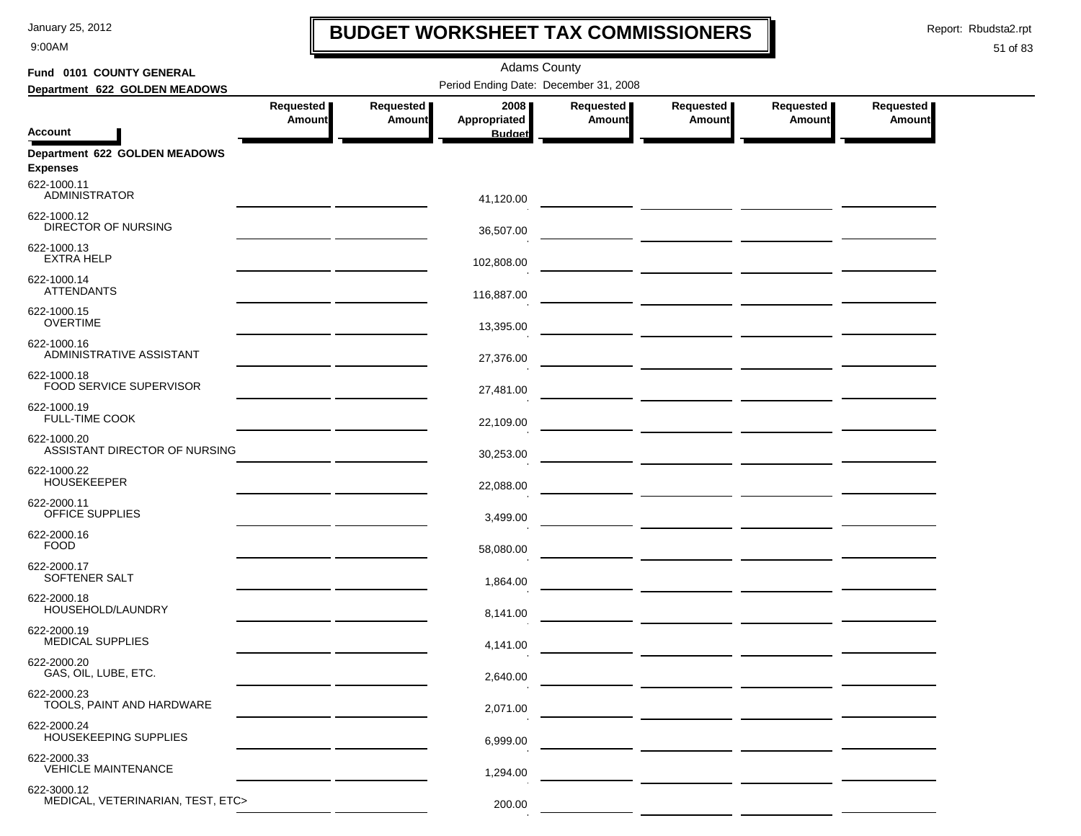9:00AM

### **BUDGET WORKSHEET TAX COMMISSIONERS**

Report: Rbudsta2.rpt

 $\mathbf I$ 

| Fund 0101 COUNTY GENERAL                         |               |               | <b>Adams County</b>                   |           |                                                                                                                      |               |           |
|--------------------------------------------------|---------------|---------------|---------------------------------------|-----------|----------------------------------------------------------------------------------------------------------------------|---------------|-----------|
| Department 622 GOLDEN MEADOWS                    |               |               | Period Ending Date: December 31, 2008 |           |                                                                                                                      |               |           |
|                                                  | Requested     | Requested     | 2008                                  | Requested | Requested                                                                                                            | Requested     | Requested |
| <b>Account</b>                                   | <b>Amount</b> | <b>Amount</b> | Appropriated<br><b>Budget</b>         | Amount    | <b>Amount</b>                                                                                                        | <b>Amount</b> | Amount    |
| Department 622 GOLDEN MEADOWS<br><b>Expenses</b> |               |               |                                       |           |                                                                                                                      |               |           |
| 622-1000.11<br><b>ADMINISTRATOR</b>              |               |               | 41,120.00                             |           |                                                                                                                      |               |           |
| 622-1000.12<br>DIRECTOR OF NURSING               |               |               | 36,507.00                             |           |                                                                                                                      |               |           |
| 622-1000.13<br><b>EXTRA HELP</b>                 |               |               | 102,808.00                            |           |                                                                                                                      |               |           |
| 622-1000.14<br><b>ATTENDANTS</b>                 |               |               | 116,887.00                            |           |                                                                                                                      |               |           |
| 622-1000.15<br><b>OVERTIME</b>                   |               |               | 13,395.00                             |           |                                                                                                                      |               |           |
| 622-1000.16<br>ADMINISTRATIVE ASSISTANT          |               |               | 27,376.00                             |           |                                                                                                                      |               |           |
| 622-1000.18<br>FOOD SERVICE SUPERVISOR           |               |               | 27,481.00                             |           |                                                                                                                      |               |           |
| 622-1000.19<br><b>FULL-TIME COOK</b>             |               |               | 22,109.00                             |           |                                                                                                                      |               |           |
| 622-1000.20<br>ASSISTANT DIRECTOR OF NURSING     |               |               | 30,253.00                             |           |                                                                                                                      |               |           |
| 622-1000.22<br><b>HOUSEKEEPER</b>                |               |               | 22,088.00                             |           |                                                                                                                      |               |           |
| 622-2000.11<br>OFFICE SUPPLIES                   |               |               | 3,499.00                              |           |                                                                                                                      |               |           |
| 622-2000.16<br><b>FOOD</b>                       |               |               | 58,080.00                             |           |                                                                                                                      |               |           |
| 622-2000.17<br>SOFTENER SALT                     |               |               | 1,864.00                              |           |                                                                                                                      |               |           |
| 622-2000.18<br>HOUSEHOLD/LAUNDRY                 |               |               | 8,141.00                              |           | <u> 1999 - Johann John Stone, mars and de la partie de la partie de la partie de la partie de la partie de la pa</u> |               |           |
| 622-2000.19<br><b>MEDICAL SUPPLIES</b>           |               |               | 4,141.00                              |           | — <u>— — — — — — — — — — — — —</u>                                                                                   |               |           |
| 622-2000.20<br>GAS, OIL, LUBE, ETC.              |               |               | 2,640.00                              |           |                                                                                                                      |               |           |
| 622-2000.23<br>TOOLS, PAINT AND HARDWARE         |               |               | 2,071.00                              |           |                                                                                                                      |               |           |
| 622-2000.24<br>HOUSEKEEPING SUPPLIES             |               |               | 6,999.00                              |           |                                                                                                                      |               |           |
| 622-2000.33<br><b>VEHICLE MAINTENANCE</b>        |               |               | 1,294.00                              |           |                                                                                                                      |               |           |
| 622-3000.12<br>MEDICAL, VETERINARIAN, TEST, ETC> |               |               | 200.00                                |           |                                                                                                                      |               |           |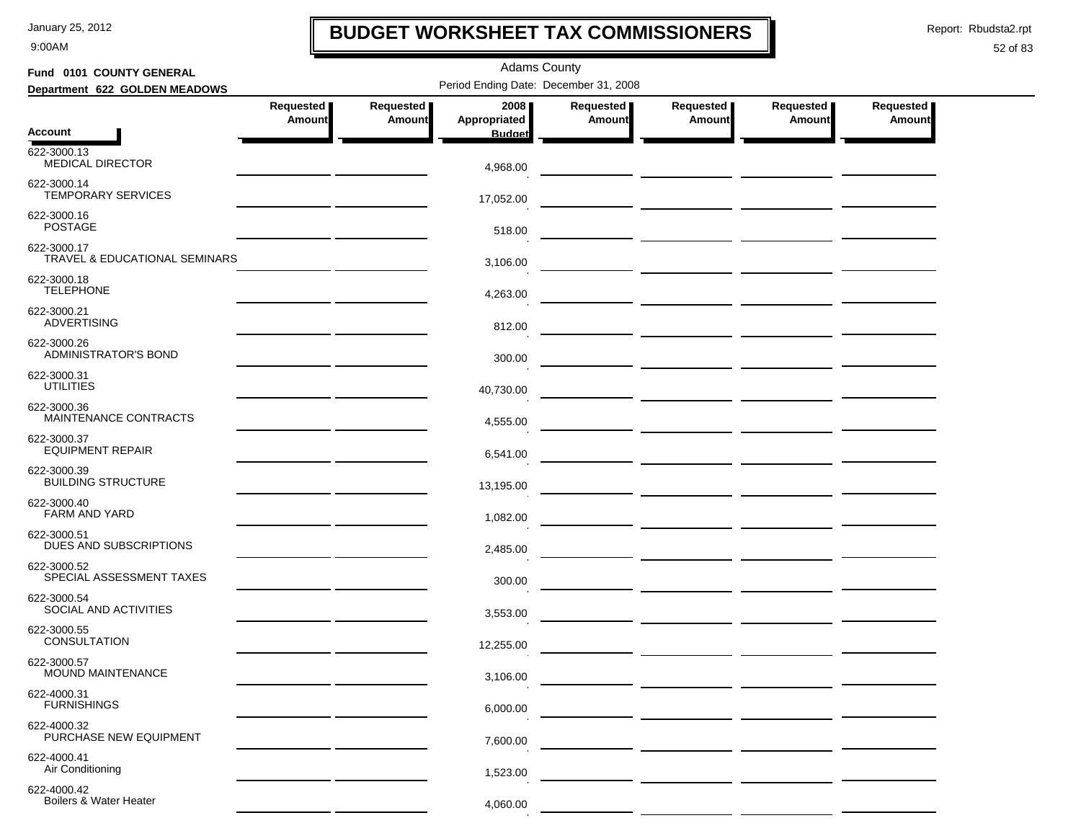9:00AM

### **BUDGET WORKSHEET TAX COMMISSIONERS**

Report: Rbudsta2.rpt

 $\mathbf I$ 

| Fund 0101 COUNTY GENERAL                     |                                                    |                            | <b>Adams County</b>  |                     |                                    |                     |                            |  |
|----------------------------------------------|----------------------------------------------------|----------------------------|----------------------|---------------------|------------------------------------|---------------------|----------------------------|--|
| Department 622 GOLDEN MEADOWS                | Period Ending Date: December 31, 2008              |                            |                      |                     |                                    |                     |                            |  |
|                                              | Requested<br>Amount                                | Requested<br><b>Amount</b> | 2008<br>Appropriated | Requested<br>Amount | Requested<br><b>Amount</b>         | Requested<br>Amount | Requested<br><b>Amount</b> |  |
| <b>Account</b>                               |                                                    |                            | <b>Budget</b>        |                     |                                    |                     |                            |  |
| 622-3000.13<br>MEDICAL DIRECTOR              |                                                    |                            | 4,968.00             |                     |                                    |                     |                            |  |
| 622-3000.14<br><b>TEMPORARY SERVICES</b>     |                                                    |                            | 17,052.00            |                     |                                    |                     |                            |  |
| 622-3000.16<br><b>POSTAGE</b>                |                                                    |                            | 518.00               |                     |                                    |                     |                            |  |
| 622-3000.17<br>TRAVEL & EDUCATIONAL SEMINARS |                                                    |                            | 3,106.00             |                     |                                    |                     |                            |  |
| 622-3000.18<br><b>TELEPHONE</b>              |                                                    |                            | 4,263.00             |                     | ___ <u>____________</u> __________ |                     |                            |  |
| 622-3000.21<br><b>ADVERTISING</b>            |                                                    |                            | 812.00               |                     |                                    |                     |                            |  |
| 622-3000.26<br>ADMINISTRATOR'S BOND          |                                                    |                            | 300.00               |                     |                                    |                     |                            |  |
| 622-3000.31<br><b>UTILITIES</b>              | <u> 1989 - Johann Barn, amerikansk politiker (</u> |                            | 40,730.00            |                     |                                    |                     |                            |  |
| 622-3000.36<br>MAINTENANCE CONTRACTS         | <u> 1980 - John Barnett, fransk politiker (</u>    |                            | 4,555.00             |                     |                                    |                     |                            |  |
| 622-3000.37<br><b>EQUIPMENT REPAIR</b>       |                                                    |                            | 6,541.00             |                     |                                    |                     |                            |  |
| 622-3000.39<br><b>BUILDING STRUCTURE</b>     |                                                    |                            | 13,195.00            |                     |                                    |                     |                            |  |
| 622-3000.40<br><b>FARM AND YARD</b>          |                                                    |                            | 1,082.00             |                     |                                    |                     |                            |  |
| 622-3000.51<br>DUES AND SUBSCRIPTIONS        |                                                    |                            | 2,485.00             |                     |                                    |                     |                            |  |
| 622-3000.52<br>SPECIAL ASSESSMENT TAXES      |                                                    |                            | 300.00               |                     |                                    |                     |                            |  |
| 622-3000.54<br>SOCIAL AND ACTIVITIES         |                                                    |                            | 3,553.00             |                     |                                    |                     |                            |  |
| 622-3000.55<br><b>CONSULTATION</b>           |                                                    |                            | 12,255.00            |                     |                                    |                     |                            |  |
| 622-3000.57<br><b>MOUND MAINTENANCE</b>      |                                                    |                            | 3,106.00             |                     |                                    |                     |                            |  |
| 622-4000.31<br><b>FURNISHINGS</b>            |                                                    |                            | 6,000.00             |                     |                                    |                     |                            |  |
| 622-4000.32<br>PURCHASE NEW EQUIPMENT        |                                                    |                            | 7,600.00             |                     |                                    |                     |                            |  |
| 622-4000.41<br>Air Conditioning              |                                                    |                            | 1,523.00             |                     |                                    |                     |                            |  |
| 622-4000.42<br>Boilers & Water Heater        |                                                    |                            | 4,060.00             |                     |                                    |                     |                            |  |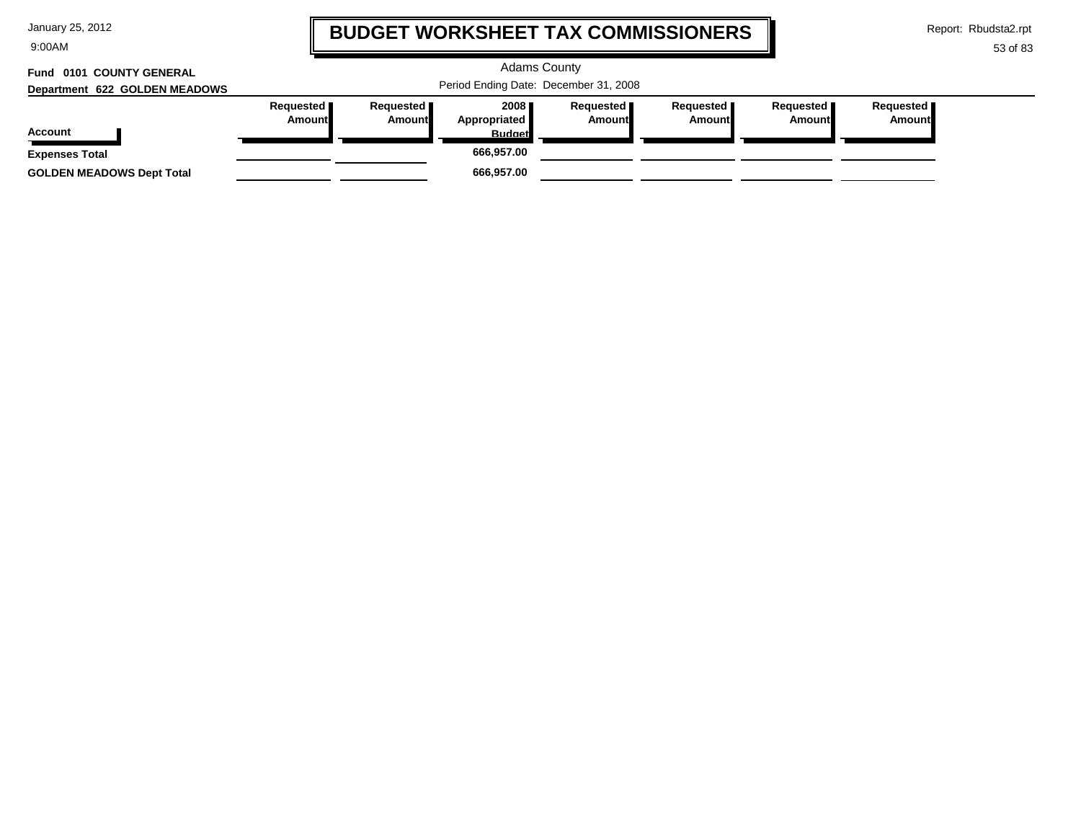9:00AM

# **BUDGET WORKSHEET TAX COMMISSIONERS**

Report: Rbudsta2.rpt

 $\mathbf \mathbf I$ 

| Fund 0101 COUNTY GENERAL<br>Department 622 GOLDEN MEADOWS | <b>Adams County</b><br>Period Ending Date: December 31, 2008 |                              |                                           |                              |                              |                       |                        |
|-----------------------------------------------------------|--------------------------------------------------------------|------------------------------|-------------------------------------------|------------------------------|------------------------------|-----------------------|------------------------|
| <b>Account</b>                                            | Requested <b>I</b><br><b>Amount</b>                          | Requested <b>I</b><br>Amount | 2008 ∎<br>Appropriated  <br><b>Budget</b> | Requested  <br><b>Amount</b> | Requested  <br><b>Amount</b> | Requested  <br>Amount | Requested   <br>Amount |
| <b>Expenses Total</b>                                     |                                                              |                              | 666,957.00                                |                              |                              |                       |                        |
| <b>GOLDEN MEADOWS Dept Total</b>                          |                                                              |                              | 666,957.00                                |                              |                              |                       |                        |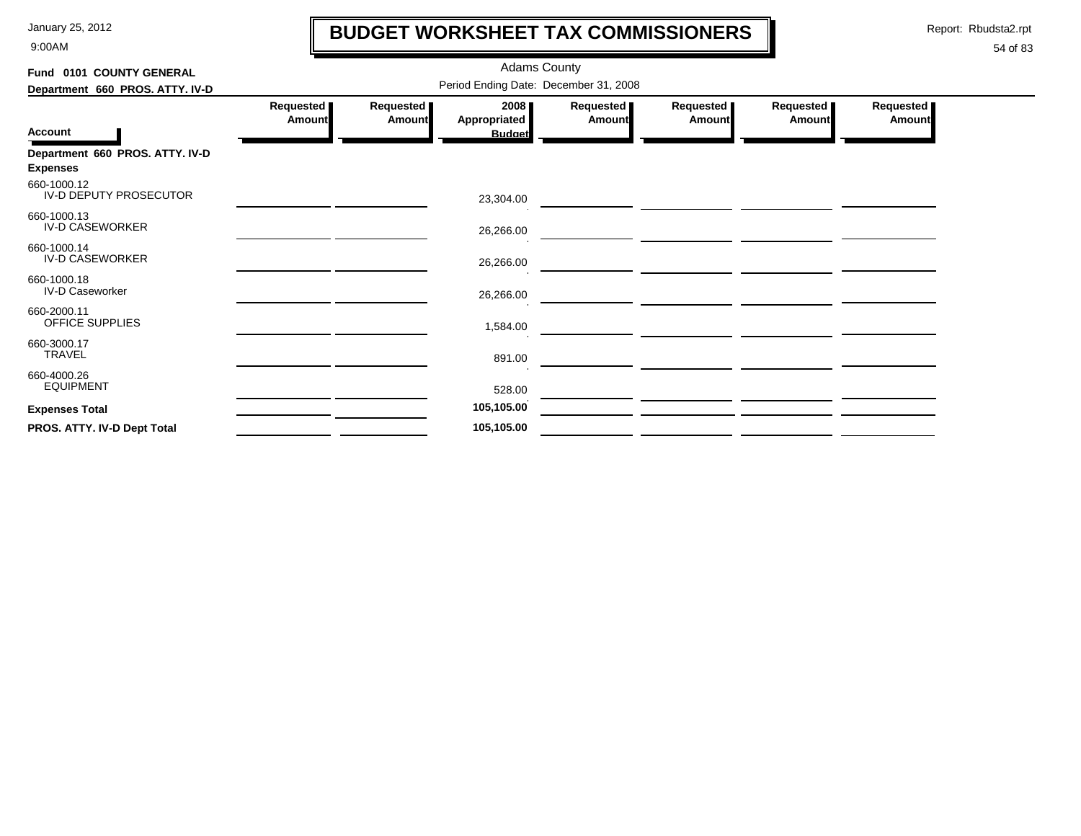9:00AM

# **BUDGET WORKSHEET TAX COMMISSIONERS**

Report: Rbudsta2.rpt

 $\mathbf \mathbf I$ 

| Fund 0101 COUNTY GENERAL                           |                                       |                     | <b>Adams County</b>                   |                     |                     |                     |                            |  |  |
|----------------------------------------------------|---------------------------------------|---------------------|---------------------------------------|---------------------|---------------------|---------------------|----------------------------|--|--|
| Department 660 PROS. ATTY. IV-D                    | Period Ending Date: December 31, 2008 |                     |                                       |                     |                     |                     |                            |  |  |
| <b>Account</b>                                     | Requested<br>Amount                   | Requested<br>Amount | 2008<br>Appropriated<br><b>Budget</b> | Requested<br>Amount | Requested<br>Amount | Requested<br>Amount | Requested<br><b>Amount</b> |  |  |
| Department 660 PROS. ATTY. IV-D<br><b>Expenses</b> |                                       |                     |                                       |                     |                     |                     |                            |  |  |
| 660-1000.12<br>IV-D DEPUTY PROSECUTOR              |                                       |                     | 23,304.00                             |                     |                     |                     |                            |  |  |
| 660-1000.13<br><b>IV-D CASEWORKER</b>              |                                       |                     | 26,266.00                             |                     |                     |                     |                            |  |  |
| 660-1000.14<br><b>IV-D CASEWORKER</b>              |                                       |                     | 26,266.00                             |                     |                     |                     |                            |  |  |
| 660-1000.18<br>IV-D Caseworker                     |                                       |                     | 26,266.00                             |                     |                     |                     |                            |  |  |
| 660-2000.11<br>OFFICE SUPPLIES                     |                                       |                     | 1,584.00                              |                     |                     |                     |                            |  |  |
| 660-3000.17<br>TRAVEL                              |                                       |                     | 891.00                                |                     |                     |                     |                            |  |  |
| 660-4000.26<br><b>EQUIPMENT</b>                    |                                       |                     | 528.00                                |                     |                     |                     |                            |  |  |
| <b>Expenses Total</b>                              |                                       |                     | 105,105.00                            |                     |                     |                     |                            |  |  |
| PROS. ATTY. IV-D Dept Total                        |                                       |                     | 105,105.00                            |                     |                     |                     |                            |  |  |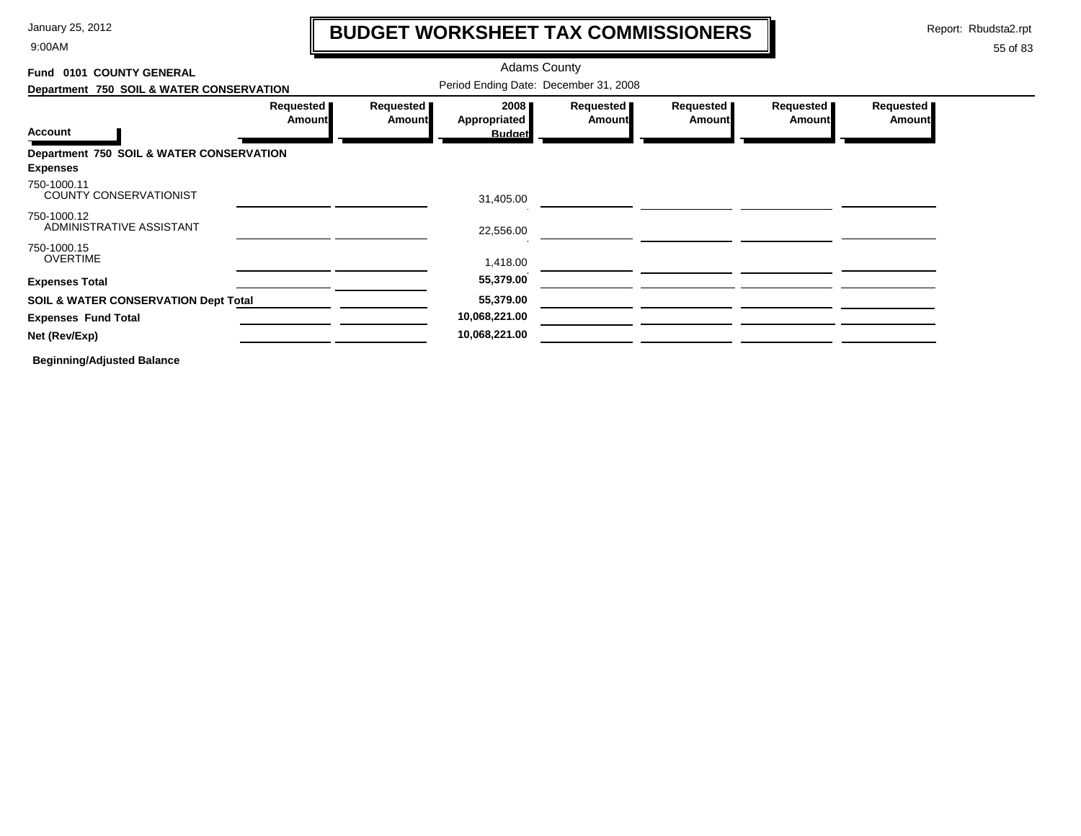9:00AM

# **BUDGET WORKSHEET TAX COMMISSIONERS**

Report: Rbudsta2.rpt

 $\mathbf l$ 

### 55 of 83

| Fund 0101 COUNTY GENERAL                        |                            | <b>Adams County</b><br>Period Ending Date: December 31, 2008 |                      |                            |                            |                       |                            |
|-------------------------------------------------|----------------------------|--------------------------------------------------------------|----------------------|----------------------------|----------------------------|-----------------------|----------------------------|
| Department 750 SOIL & WATER CONSERVATION        |                            |                                                              |                      |                            |                            |                       |                            |
|                                                 | Requested<br><b>Amount</b> | Requested<br>Amount                                          | 2008<br>Appropriated | Requested<br><b>Amount</b> | Requested<br><b>Amount</b> | Requested  <br>Amount | Requested<br><b>Amount</b> |
| <b>Account</b>                                  |                            |                                                              | <b>Budget</b>        |                            |                            |                       |                            |
| Department 750 SOIL & WATER CONSERVATION        |                            |                                                              |                      |                            |                            |                       |                            |
| <b>Expenses</b>                                 |                            |                                                              |                      |                            |                            |                       |                            |
| 750-1000.11<br><b>COUNTY CONSERVATIONIST</b>    |                            |                                                              | 31,405.00            |                            |                            |                       |                            |
| 750-1000.12<br>ADMINISTRATIVE ASSISTANT         |                            |                                                              | 22,556.00            |                            |                            |                       |                            |
| 750-1000.15                                     |                            |                                                              |                      |                            |                            |                       |                            |
| <b>OVERTIME</b>                                 |                            |                                                              | 1,418.00             |                            |                            |                       |                            |
| <b>Expenses Total</b>                           |                            |                                                              | 55,379.00            |                            |                            |                       |                            |
| <b>SOIL &amp; WATER CONSERVATION Dept Total</b> |                            |                                                              | 55,379.00            |                            |                            |                       |                            |
| <b>Expenses Fund Total</b>                      |                            |                                                              | 10,068,221.00        |                            |                            |                       |                            |
| Net (Rev/Exp)                                   |                            |                                                              | 10,068,221.00        |                            |                            |                       |                            |
|                                                 |                            |                                                              |                      |                            |                            |                       |                            |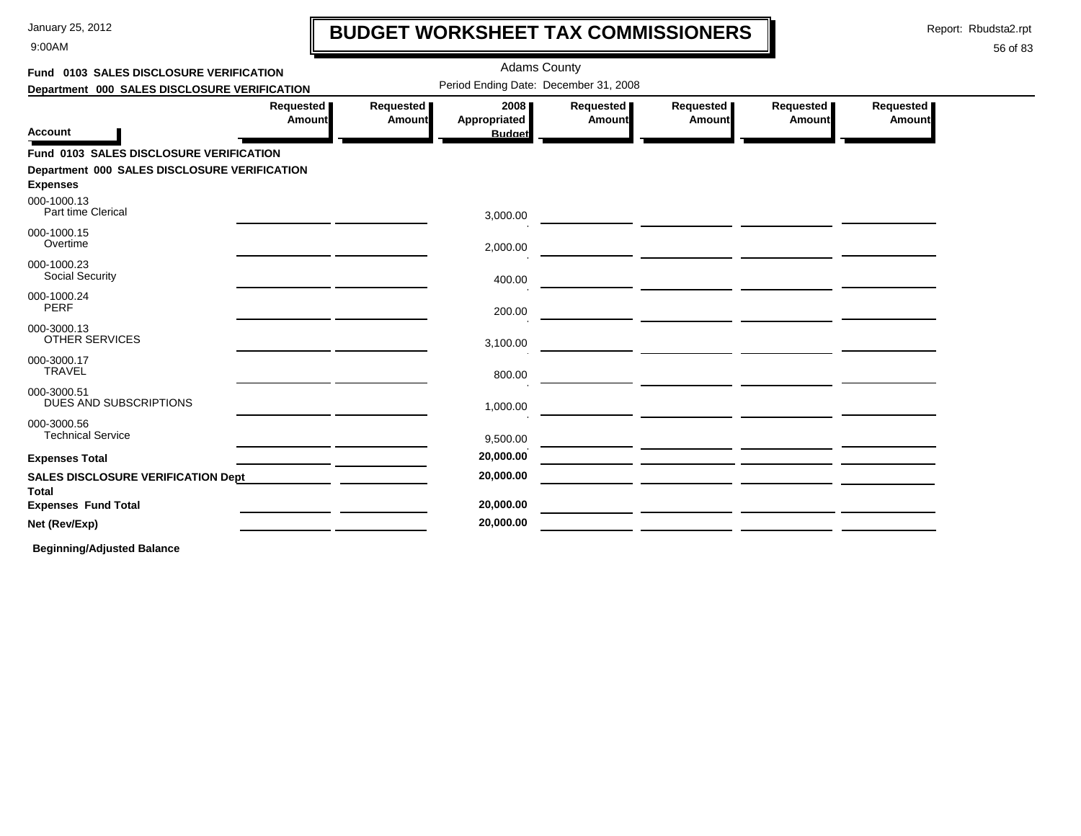9:00AM

# **BUDGET WORKSHEET TAX COMMISSIONERS**

Report: Rbudsta2.rpt

### 56 of 83

| Fund 0103 SALES DISCLOSURE VERIFICATION            |                            |                            |                      | <b>Adams County</b>                   |                                                       |                     |                     |  |
|----------------------------------------------------|----------------------------|----------------------------|----------------------|---------------------------------------|-------------------------------------------------------|---------------------|---------------------|--|
| Department 000 SALES DISCLOSURE VERIFICATION       |                            |                            |                      | Period Ending Date: December 31, 2008 |                                                       |                     |                     |  |
|                                                    | Requested<br><b>Amount</b> | Requested<br><b>Amount</b> | 2008<br>Appropriated | Requested  <br><b>Amount</b>          | Requested<br>Amount                                   | Requested<br>Amount | Requested<br>Amount |  |
| <b>Account</b>                                     |                            |                            | <b>Budget</b>        |                                       |                                                       |                     |                     |  |
| Fund 0103 SALES DISCLOSURE VERIFICATION            |                            |                            |                      |                                       |                                                       |                     |                     |  |
| Department 000 SALES DISCLOSURE VERIFICATION       |                            |                            |                      |                                       |                                                       |                     |                     |  |
| <b>Expenses</b>                                    |                            |                            |                      |                                       |                                                       |                     |                     |  |
| 000-1000.13<br>Part time Clerical                  |                            |                            | 3,000.00             |                                       |                                                       |                     |                     |  |
| 000-1000.15<br>Overtime                            |                            |                            | 2,000.00             |                                       |                                                       |                     |                     |  |
| 000-1000.23<br><b>Social Security</b>              |                            |                            | 400.00               |                                       |                                                       |                     |                     |  |
| 000-1000.24<br><b>PERF</b>                         |                            |                            | 200.00               |                                       |                                                       |                     |                     |  |
| 000-3000.13<br><b>OTHER SERVICES</b>               |                            |                            | 3,100.00             |                                       |                                                       |                     |                     |  |
| 000-3000.17<br><b>TRAVEL</b>                       |                            |                            | 800.00               |                                       |                                                       |                     |                     |  |
| 000-3000.51<br>DUES AND SUBSCRIPTIONS              |                            |                            | 1,000.00             |                                       | <u> 1989 - Johann Marie Barn, mars eta inperiodo</u>  |                     |                     |  |
| 000-3000.56<br><b>Technical Service</b>            |                            |                            | 9,500.00             |                                       | <u> 1989 - Andrea State Barbara, poeta esperanto-</u> |                     |                     |  |
| <b>Expenses Total</b>                              |                            |                            | 20,000.00            |                                       |                                                       |                     |                     |  |
| <b>SALES DISCLOSURE VERIFICATION Dept</b><br>Total |                            |                            | 20,000.00            |                                       |                                                       |                     |                     |  |
| <b>Expenses Fund Total</b>                         |                            |                            | 20,000.00            |                                       |                                                       |                     |                     |  |
| Net (Rev/Exp)                                      |                            |                            | 20,000.00            |                                       |                                                       |                     |                     |  |
|                                                    |                            |                            |                      |                                       |                                                       |                     |                     |  |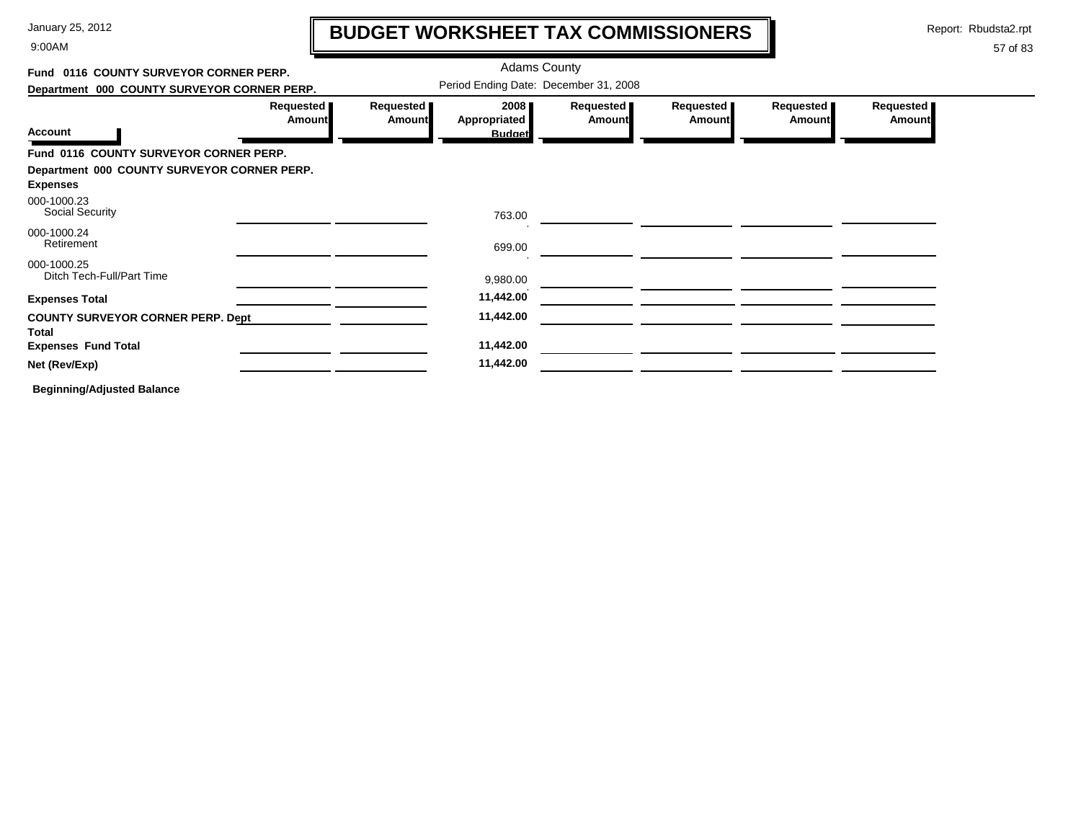9:00AM

# **BUDGET WORKSHEET TAX COMMISSIONERS**

Report: Rbudsta2.rpt

57 of 83

#### Adams County **Fund 0116 COUNTY SURVEYOR CORNER PERP.**Period Ending Date: December 31, 2008 **Department 000 COUNTY SURVEYOR CORNER PERP. Requested Requested Requested Requested Requested Requested 2008 AmountAmountAppropriated AmountAmount Amount Amount Account Budget Fund 0116 COUNTY SURVEYOR CORNER PERP. Department 000 COUNTY SURVEYOR CORNER PERP. Expenses** Social Security 000-1000.23 763.00<u> 1980 - John Harry Barn, mars and de la partie de la partie de la partie de la partie de la partie de la partie de la partie de la partie de la partie de la partie de la partie de la partie de la partie de la partie de la</u> 000-1000.24Retirement 699.00 <u> The Common State (1999)</u> 000-1000.25Ditch Tech-Full/Part Time 9,980.00 **Expenses Total 11,442.00** <u> La Carlo Carlo Ca</u> **COUNTY SURVEYOR CORNER PERP. Dept 11,442.00 TotalExpenses Fund Total 11,442.00 Net (Rev/Exp) 11,442.00**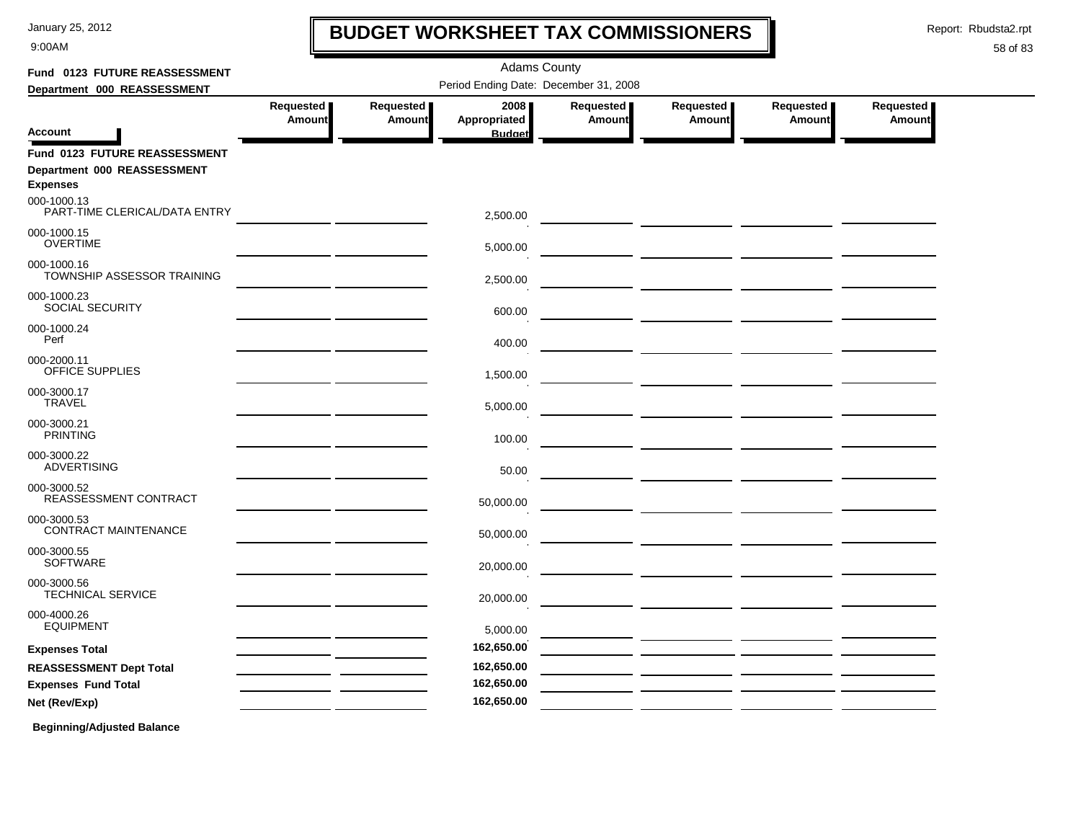9:00AM

# **BUDGET WORKSHEET TAX COMMISSIONERS**

Report: Rbudsta2.rpt

 $\mathbf I$ 

| Fund 0123 FUTURE REASSESSMENT                  |                     |                            | <b>Adams County</b>                   |                     |                                                                                                                      |                     |                            |
|------------------------------------------------|---------------------|----------------------------|---------------------------------------|---------------------|----------------------------------------------------------------------------------------------------------------------|---------------------|----------------------------|
| Department 000 REASSESSMENT                    |                     |                            | Period Ending Date: December 31, 2008 |                     |                                                                                                                      |                     |                            |
| <b>Account</b>                                 | Requested<br>Amount | Requested<br><b>Amount</b> | 2008<br>Appropriated<br><b>Budget</b> | Requested<br>Amount | Requested<br>Amount                                                                                                  | Requested<br>Amount | Requested<br><b>Amount</b> |
| Fund 0123 FUTURE REASSESSMENT                  |                     |                            |                                       |                     |                                                                                                                      |                     |                            |
| Department 000 REASSESSMENT<br><b>Expenses</b> |                     |                            |                                       |                     |                                                                                                                      |                     |                            |
| 000-1000.13<br>PART-TIME CLERICAL/DATA ENTRY   |                     |                            | 2,500.00                              |                     |                                                                                                                      |                     |                            |
| 000-1000.15<br><b>OVERTIME</b>                 |                     |                            | 5,000.00                              |                     |                                                                                                                      |                     |                            |
| 000-1000.16<br>TOWNSHIP ASSESSOR TRAINING      |                     |                            | 2,500.00                              |                     |                                                                                                                      |                     |                            |
| 000-1000.23<br><b>SOCIAL SECURITY</b>          |                     |                            | 600.00                                |                     |                                                                                                                      |                     |                            |
| 000-1000.24<br>Perf                            |                     |                            | 400.00                                |                     |                                                                                                                      |                     |                            |
| 000-2000.11<br>OFFICE SUPPLIES                 |                     |                            | 1,500.00                              |                     |                                                                                                                      |                     |                            |
| 000-3000.17<br><b>TRAVEL</b>                   |                     |                            | 5,000.00                              |                     |                                                                                                                      |                     |                            |
| 000-3000.21<br><b>PRINTING</b>                 |                     |                            | 100.00                                |                     |                                                                                                                      |                     |                            |
| 000-3000.22<br><b>ADVERTISING</b>              |                     |                            | 50.00                                 |                     |                                                                                                                      |                     |                            |
| 000-3000.52<br>REASSESSMENT CONTRACT           |                     |                            | 50,000.00                             |                     |                                                                                                                      |                     |                            |
| 000-3000.53<br><b>CONTRACT MAINTENANCE</b>     |                     |                            | 50,000.00                             |                     | <u> The Common Service (International Property</u>                                                                   |                     |                            |
| 000-3000.55<br><b>SOFTWARE</b>                 |                     |                            | 20,000.00                             |                     |                                                                                                                      |                     |                            |
| 000-3000.56<br><b>TECHNICAL SERVICE</b>        |                     |                            | 20,000.00                             |                     |                                                                                                                      |                     |                            |
| 000-4000.26<br><b>EQUIPMENT</b>                |                     |                            | 5,000.00                              |                     | <u> 1999 - John Harry Barn, mars and de la partie de la partie de la partie de la partie de la partie de la part</u> |                     |                            |
| <b>Expenses Total</b>                          |                     |                            | 162,650.00                            |                     |                                                                                                                      |                     |                            |
| <b>REASSESSMENT Dept Total</b>                 |                     |                            | 162,650.00                            |                     |                                                                                                                      |                     |                            |
| <b>Expenses Fund Total</b>                     |                     |                            | 162,650.00                            |                     |                                                                                                                      |                     |                            |
| Net (Rev/Exp)                                  |                     |                            | 162,650.00                            |                     |                                                                                                                      |                     |                            |
| <b>Beginning/Adjusted Balance</b>              |                     |                            |                                       |                     |                                                                                                                      |                     |                            |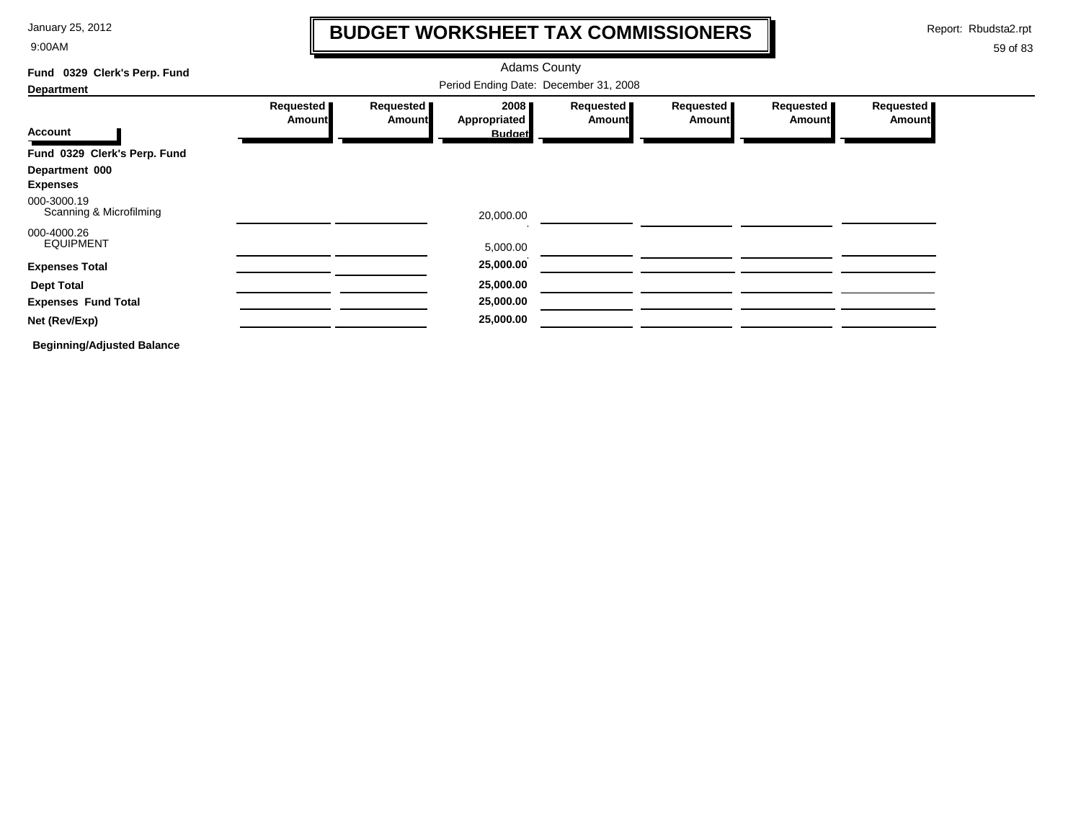9:00AM

### **BUDGET WORKSHEET TAX COMMISSIONERS**

Report: Rbudsta2.rpt

 $\mathbf I$ 

| 0329 Clerk's Perp. Fund<br>Fund        |                                       |                              | <b>Adams County</b>  |                              |                     |                            |                            |
|----------------------------------------|---------------------------------------|------------------------------|----------------------|------------------------------|---------------------|----------------------------|----------------------------|
| <b>Department</b>                      | Period Ending Date: December 31, 2008 |                              |                      |                              |                     |                            |                            |
|                                        | Requested<br><b>Amount</b>            | Requested  <br><b>Amount</b> | 2008<br>Appropriated | Requested  <br><b>Amount</b> | Requested<br>Amount | Requested<br><b>Amount</b> | Requested<br><b>Amount</b> |
| Account                                |                                       |                              | <b>Budget</b>        |                              |                     |                            |                            |
| Fund 0329 Clerk's Perp. Fund           |                                       |                              |                      |                              |                     |                            |                            |
| Department 000<br><b>Expenses</b>      |                                       |                              |                      |                              |                     |                            |                            |
| 000-3000.19<br>Scanning & Microfilming |                                       |                              | 20,000.00            |                              |                     |                            |                            |
| 000-4000.26<br><b>EQUIPMENT</b>        |                                       |                              | 5,000.00             |                              |                     |                            |                            |
| <b>Expenses Total</b>                  |                                       |                              | 25,000.00            |                              |                     |                            |                            |
| <b>Dept Total</b>                      |                                       |                              | 25,000.00            |                              |                     |                            |                            |
| <b>Expenses Fund Total</b>             |                                       |                              | 25,000.00            |                              |                     |                            |                            |
| Net (Rev/Exp)                          |                                       |                              | 25,000.00            |                              |                     |                            |                            |
| <b>Beginning/Adjusted Balance</b>      |                                       |                              |                      |                              |                     |                            |                            |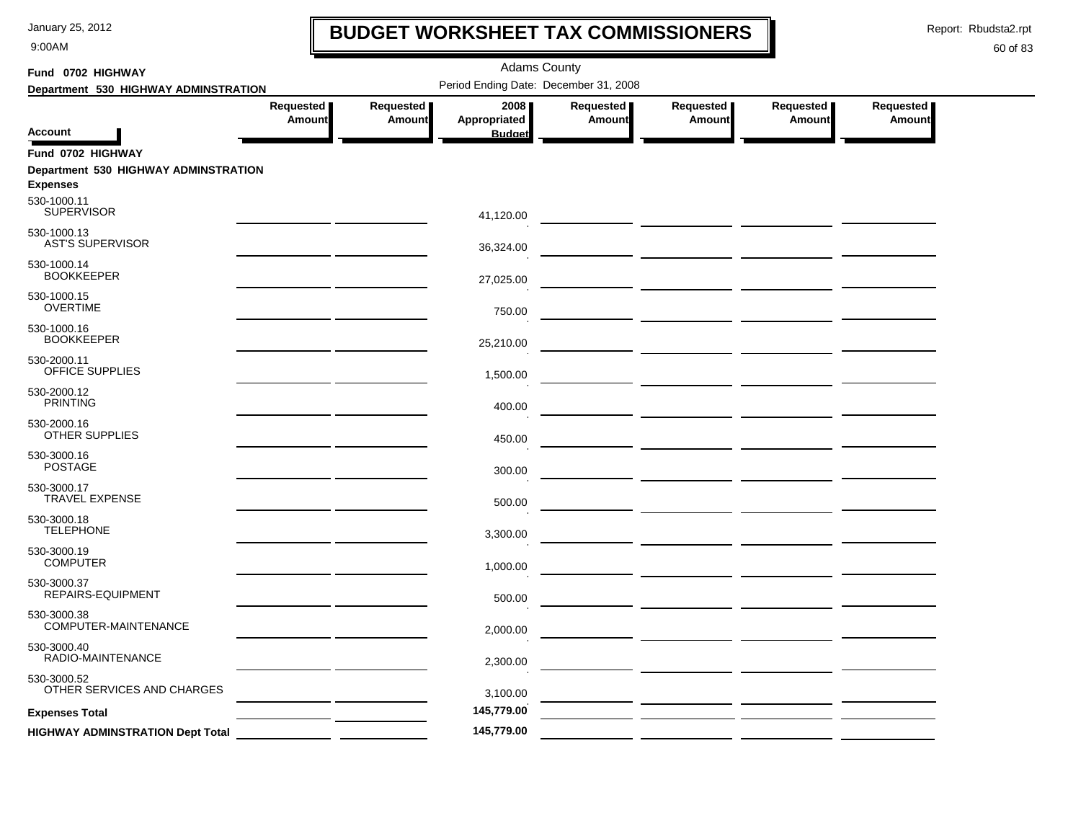9:00AM

## **BUDGET WORKSHEET TAX COMMISSIONERS**

Report: Rbudsta2.rpt

 $\mathbf l$ 

| Fund 0702 HIGHWAY                                       |                     |                            | <b>Adams County</b>                   |                            |                                          |                            |                            |  |
|---------------------------------------------------------|---------------------|----------------------------|---------------------------------------|----------------------------|------------------------------------------|----------------------------|----------------------------|--|
| Department 530 HIGHWAY ADMINSTRATION                    |                     |                            | Period Ending Date: December 31, 2008 |                            |                                          |                            |                            |  |
| <b>Account</b>                                          | Requested<br>Amount | Requested<br><b>Amount</b> | 2008<br>Appropriated<br><b>Budget</b> | Requested<br><b>Amount</b> | Requested<br>Amount                      | Requested<br><b>Amount</b> | Requested<br><b>Amount</b> |  |
| Fund 0702 HIGHWAY                                       |                     |                            |                                       |                            |                                          |                            |                            |  |
| Department 530 HIGHWAY ADMINSTRATION<br><b>Expenses</b> |                     |                            |                                       |                            |                                          |                            |                            |  |
| 530-1000.11<br><b>SUPERVISOR</b>                        |                     |                            | 41,120.00                             |                            |                                          |                            |                            |  |
| 530-1000.13<br><b>AST'S SUPERVISOR</b>                  |                     |                            | 36,324.00                             |                            |                                          |                            |                            |  |
| 530-1000.14<br><b>BOOKKEEPER</b>                        |                     |                            | 27,025.00                             |                            |                                          |                            |                            |  |
| 530-1000.15<br><b>OVERTIME</b>                          |                     |                            | 750.00                                |                            |                                          |                            |                            |  |
| 530-1000.16<br><b>BOOKKEEPER</b>                        |                     |                            | 25,210.00                             |                            | <u>and</u> the control of the control of |                            |                            |  |
| 530-2000.11<br>OFFICE SUPPLIES                          |                     |                            | 1,500.00                              |                            |                                          |                            |                            |  |
| 530-2000.12<br><b>PRINTING</b>                          |                     |                            | 400.00                                |                            |                                          |                            |                            |  |
| 530-2000.16<br>OTHER SUPPLIES                           |                     |                            | 450.00                                |                            |                                          |                            |                            |  |
| 530-3000.16<br><b>POSTAGE</b>                           |                     |                            | 300.00                                |                            |                                          |                            |                            |  |
| 530-3000.17<br><b>TRAVEL EXPENSE</b>                    |                     |                            | 500.00                                |                            |                                          |                            |                            |  |
| 530-3000.18<br><b>TELEPHONE</b>                         |                     |                            | 3,300.00                              |                            |                                          |                            |                            |  |
| 530-3000.19<br><b>COMPUTER</b>                          |                     |                            | 1,000.00                              |                            |                                          |                            |                            |  |
| 530-3000.37<br>REPAIRS-EQUIPMENT                        |                     |                            | 500.00                                |                            |                                          |                            |                            |  |
| 530-3000.38<br>COMPUTER-MAINTENANCE                     |                     |                            | 2,000.00                              |                            |                                          |                            |                            |  |
| 530-3000.40<br>RADIO-MAINTENANCE                        |                     |                            | 2,300.00                              |                            |                                          |                            |                            |  |
| 530-3000.52<br>OTHER SERVICES AND CHARGES               |                     |                            | 3,100.00                              |                            |                                          |                            |                            |  |
| <b>Expenses Total</b>                                   |                     |                            | 145,779.00                            |                            |                                          |                            |                            |  |
| <b>HIGHWAY ADMINSTRATION Dept Total</b>                 |                     |                            | 145,779.00                            |                            |                                          |                            |                            |  |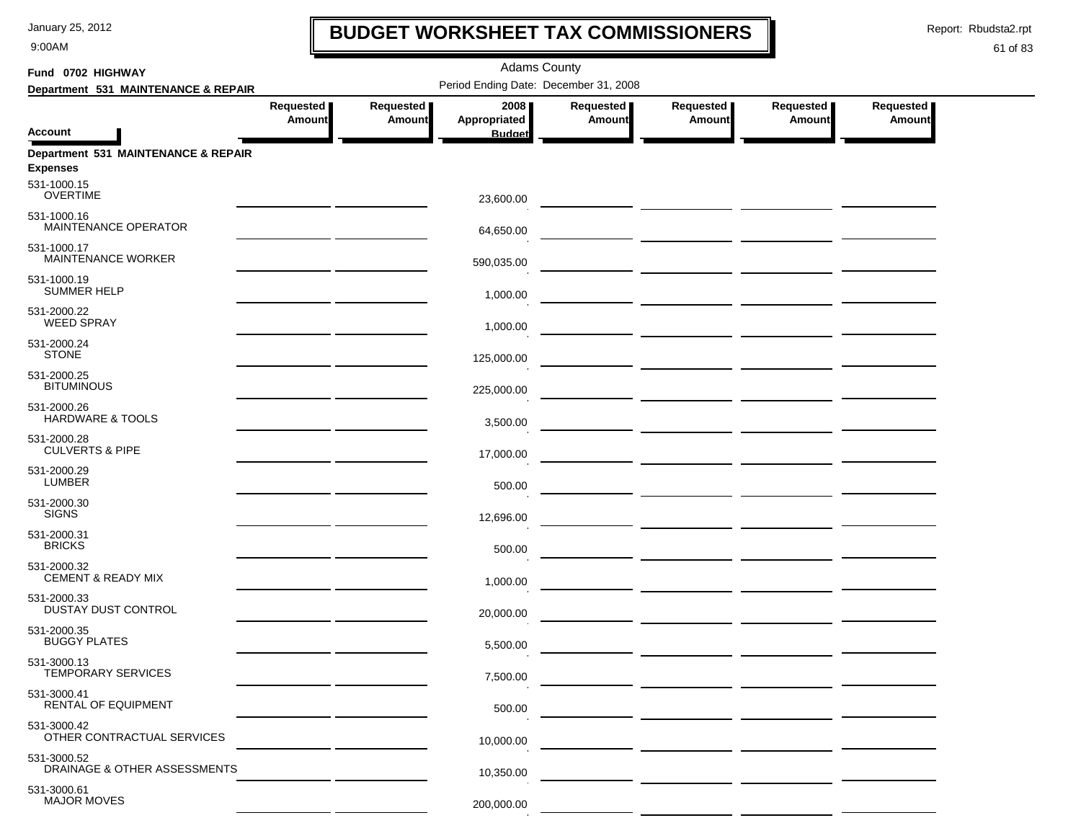9:00AM

### **BUDGET WORKSHEET TAX COMMISSIONERS**

Report: Rbudsta2.rpt

 $\mathbf I$ 

| Fund 0702 HIGHWAY                                      |                                                                                                                       |                            | <b>Adams County</b>                   |                            |                     |                                              |                            |
|--------------------------------------------------------|-----------------------------------------------------------------------------------------------------------------------|----------------------------|---------------------------------------|----------------------------|---------------------|----------------------------------------------|----------------------------|
| Department 531 MAINTENANCE & REPAIR                    |                                                                                                                       |                            | Period Ending Date: December 31, 2008 |                            |                     |                                              |                            |
|                                                        | Requested<br><b>Amount</b>                                                                                            | Requested<br><b>Amount</b> | 2008<br>Appropriated                  | Requested<br><b>Amount</b> | Requested<br>Amount | Requested<br>Amount                          | Requested<br><b>Amount</b> |
| <b>Account</b>                                         |                                                                                                                       |                            | <b>Budget</b>                         |                            |                     |                                              |                            |
| Department 531 MAINTENANCE & REPAIR<br><b>Expenses</b> |                                                                                                                       |                            |                                       |                            |                     |                                              |                            |
| 531-1000.15<br><b>OVERTIME</b>                         |                                                                                                                       |                            | 23,600.00                             |                            |                     |                                              |                            |
| 531-1000.16<br>MAINTENANCE OPERATOR                    |                                                                                                                       |                            | 64,650.00                             |                            |                     |                                              |                            |
| 531-1000.17<br>MAINTENANCE WORKER                      |                                                                                                                       |                            | 590,035.00                            |                            |                     |                                              |                            |
| 531-1000.19<br><b>SUMMER HELP</b>                      |                                                                                                                       |                            | 1,000.00                              |                            |                     |                                              |                            |
| 531-2000.22<br><b>WEED SPRAY</b>                       |                                                                                                                       |                            | 1,000.00                              |                            |                     |                                              |                            |
| 531-2000.24<br><b>STONE</b>                            |                                                                                                                       |                            | 125,000.00                            |                            |                     |                                              |                            |
| 531-2000.25<br><b>BITUMINOUS</b>                       |                                                                                                                       |                            | 225,000.00                            |                            |                     | — <u>— — — — — — — — — — — — — — — — — —</u> |                            |
| 531-2000.26<br><b>HARDWARE &amp; TOOLS</b>             | <u> 1989 - Johann Harry Harry Harry Harry Harry Harry Harry Harry Harry Harry Harry Harry Harry Harry Harry Harry</u> |                            | 3,500.00                              |                            |                     |                                              |                            |
| 531-2000.28<br><b>CULVERTS &amp; PIPE</b>              |                                                                                                                       |                            | 17,000.00                             |                            |                     |                                              |                            |
| 531-2000.29<br><b>LUMBER</b>                           |                                                                                                                       |                            | 500.00                                |                            |                     |                                              |                            |
| 531-2000.30<br><b>SIGNS</b>                            |                                                                                                                       |                            | 12,696.00                             |                            |                     |                                              |                            |
| 531-2000.31<br><b>BRICKS</b>                           |                                                                                                                       |                            | 500.00                                |                            |                     | — <u>— —————</u> <u>——————</u> ———————       |                            |
| 531-2000.32<br><b>CEMENT &amp; READY MIX</b>           |                                                                                                                       |                            | 1,000.00                              |                            |                     |                                              |                            |
| 531-2000.33<br>DUSTAY DUST CONTROL                     |                                                                                                                       |                            | 20,000.00                             |                            |                     |                                              |                            |
| 531-2000.35<br><b>BUGGY PLATES</b>                     |                                                                                                                       |                            | 5,500.00                              |                            |                     |                                              |                            |
| 531-3000.13<br>TEMPORARY SERVICES                      |                                                                                                                       |                            | 7,500.00                              |                            |                     |                                              |                            |
| 531-3000.41<br>RENTAL OF EQUIPMENT                     |                                                                                                                       |                            | 500.00                                |                            |                     |                                              |                            |
| 531-3000.42<br>OTHER CONTRACTUAL SERVICES              |                                                                                                                       |                            | 10,000.00                             |                            |                     |                                              |                            |
| 531-3000.52<br>DRAINAGE & OTHER ASSESSMENTS            |                                                                                                                       |                            | 10,350.00                             |                            |                     |                                              |                            |
| 531-3000.61<br><b>MAJOR MOVES</b>                      |                                                                                                                       |                            | 200,000.00                            |                            |                     |                                              |                            |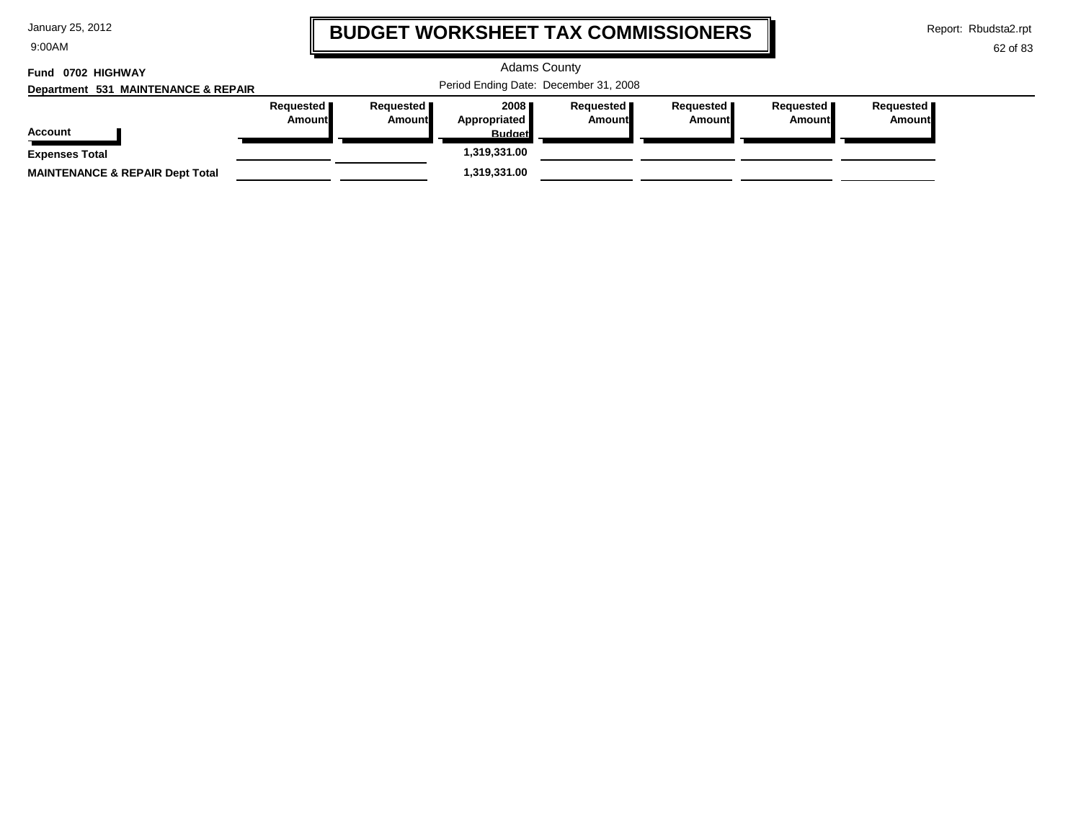| January 25, 2012 |  |  |  |
|------------------|--|--|--|
|------------------|--|--|--|

9:00AM

### **BUDGET WORKSHEET TAX COMMISSIONERS**

Report: Rbudsta2.rpt

 $\mathbf \mathbf I$ 

| Fund 0702 HIGHWAY<br>Department 531 MAINTENANCE & REPAIR |                       | <b>Adams County</b><br>Period Ending Date: December 31, 2008 |                                         |                                     |                       |                       |                              |  |  |  |
|----------------------------------------------------------|-----------------------|--------------------------------------------------------------|-----------------------------------------|-------------------------------------|-----------------------|-----------------------|------------------------------|--|--|--|
| <b>Account</b>                                           | Requested  <br>Amount | Requested <b>I</b><br>Amount                                 | 2008 ∎<br>Appropriated<br><b>Budget</b> | Requested <b>I</b><br><b>Amount</b> | Requested  <br>Amount | Requested  <br>Amount | Requested  <br><b>Amount</b> |  |  |  |
| <b>Expenses Total</b>                                    |                       |                                                              | 1,319,331.00                            |                                     |                       |                       |                              |  |  |  |
| <b>MAINTENANCE &amp; REPAIR Dept Total</b>               |                       |                                                              | 1,319,331.00                            |                                     |                       |                       |                              |  |  |  |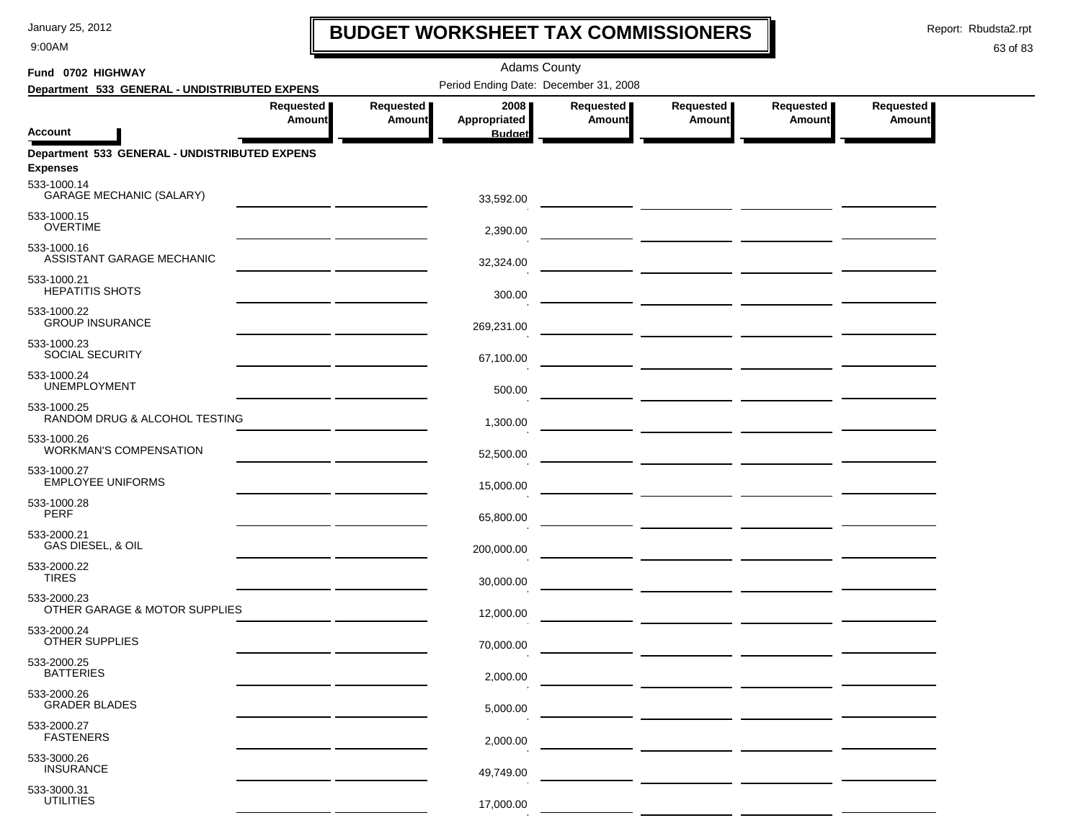9:00AM

# **BUDGET WORKSHEET TAX COMMISSIONERS**

Report: Rbudsta2.rpt

 $\mathbf l$ 

### 63 of 83

| Fund 0702 HIGHWAY                                                               | <b>Adams County</b>        |                              |                      |                                   |                                                                                                                                                                                                                                      |                            |                     |  |  |
|---------------------------------------------------------------------------------|----------------------------|------------------------------|----------------------|-----------------------------------|--------------------------------------------------------------------------------------------------------------------------------------------------------------------------------------------------------------------------------------|----------------------------|---------------------|--|--|
| Department 533 GENERAL - UNDISTRIBUTED EXPENS                                   |                            |                              |                      |                                   |                                                                                                                                                                                                                                      |                            |                     |  |  |
|                                                                                 | Requested<br><b>Amount</b> | Requested  <br><b>Amount</b> | 2008<br>Appropriated | <b>Requested</b><br><b>Amount</b> | Requested<br><b>Amount</b>                                                                                                                                                                                                           | Requested<br><b>Amount</b> | Requested<br>Amount |  |  |
| <b>Account</b>                                                                  |                            |                              | <b>Budget</b>        |                                   |                                                                                                                                                                                                                                      |                            |                     |  |  |
| Department 533 GENERAL - UNDISTRIBUTED EXPENS<br><b>Expenses</b><br>533-1000.14 |                            |                              |                      |                                   |                                                                                                                                                                                                                                      |                            |                     |  |  |
| <b>GARAGE MECHANIC (SALARY)</b>                                                 |                            |                              | 33,592.00            |                                   | <u> 1989 - Jan Samuel Barbara, politik a po</u>                                                                                                                                                                                      |                            |                     |  |  |
| 533-1000.15<br><b>OVERTIME</b>                                                  |                            |                              | 2,390.00             |                                   |                                                                                                                                                                                                                                      |                            |                     |  |  |
| 533-1000.16<br>ASSISTANT GARAGE MECHANIC                                        |                            |                              | 32,324.00            |                                   |                                                                                                                                                                                                                                      |                            |                     |  |  |
| 533-1000.21<br><b>HEPATITIS SHOTS</b>                                           |                            |                              | 300.00               |                                   |                                                                                                                                                                                                                                      |                            |                     |  |  |
| 533-1000.22<br><b>GROUP INSURANCE</b>                                           |                            |                              | 269,231.00           |                                   | <u> 1989 - Andrea Andrew Maria (b. 1989)</u>                                                                                                                                                                                         |                            |                     |  |  |
| 533-1000.23<br>SOCIAL SECURITY                                                  |                            |                              | 67,100.00            |                                   |                                                                                                                                                                                                                                      |                            |                     |  |  |
| 533-1000.24<br><b>UNEMPLOYMENT</b>                                              |                            |                              | 500.00               |                                   |                                                                                                                                                                                                                                      |                            |                     |  |  |
| 533-1000.25<br>RANDOM DRUG & ALCOHOL TESTING                                    |                            |                              | 1,300.00             |                                   |                                                                                                                                                                                                                                      |                            |                     |  |  |
| 533-1000.26<br><b>WORKMAN'S COMPENSATION</b>                                    |                            |                              | 52,500.00            |                                   |                                                                                                                                                                                                                                      |                            |                     |  |  |
| 533-1000.27<br><b>EMPLOYEE UNIFORMS</b>                                         |                            |                              | 15,000.00            |                                   |                                                                                                                                                                                                                                      |                            |                     |  |  |
| 533-1000.28<br><b>PERF</b>                                                      |                            |                              | 65,800.00            |                                   | <u> The Common State of the Common State of the Common State of the Common State of the Common State of the Common State of the Common State of the Common State of the Common State of the Common State of the Common State of </u> |                            |                     |  |  |
| 533-2000.21<br>GAS DIESEL, & OIL                                                |                            |                              | 200,000.00           |                                   |                                                                                                                                                                                                                                      |                            |                     |  |  |
| 533-2000.22<br><b>TIRES</b>                                                     |                            |                              | 30,000.00            |                                   | — <u>—————————————————</u>                                                                                                                                                                                                           |                            |                     |  |  |
| 533-2000.23<br>OTHER GARAGE & MOTOR SUPPLIES                                    |                            |                              | 12,000.00            |                                   | — <u>— ————————————————</u>                                                                                                                                                                                                          |                            |                     |  |  |
| 533-2000.24<br>OTHER SUPPLIES                                                   |                            |                              | 70,000.00            |                                   |                                                                                                                                                                                                                                      |                            |                     |  |  |
| 533-2000.25<br><b>BATTERIES</b>                                                 |                            |                              | 2,000.00             |                                   |                                                                                                                                                                                                                                      |                            |                     |  |  |
| 533-2000.26<br><b>GRADER BLADES</b>                                             |                            |                              | 5,000.00             |                                   |                                                                                                                                                                                                                                      |                            |                     |  |  |
| 533-2000.27<br><b>FASTENERS</b>                                                 |                            |                              | 2,000.00             |                                   |                                                                                                                                                                                                                                      |                            |                     |  |  |
| 533-3000.26<br><b>INSURANCE</b>                                                 |                            |                              | 49,749.00            |                                   |                                                                                                                                                                                                                                      |                            |                     |  |  |
| 533-3000.31<br><b>UTILITIES</b>                                                 |                            |                              | 17,000.00            |                                   |                                                                                                                                                                                                                                      |                            |                     |  |  |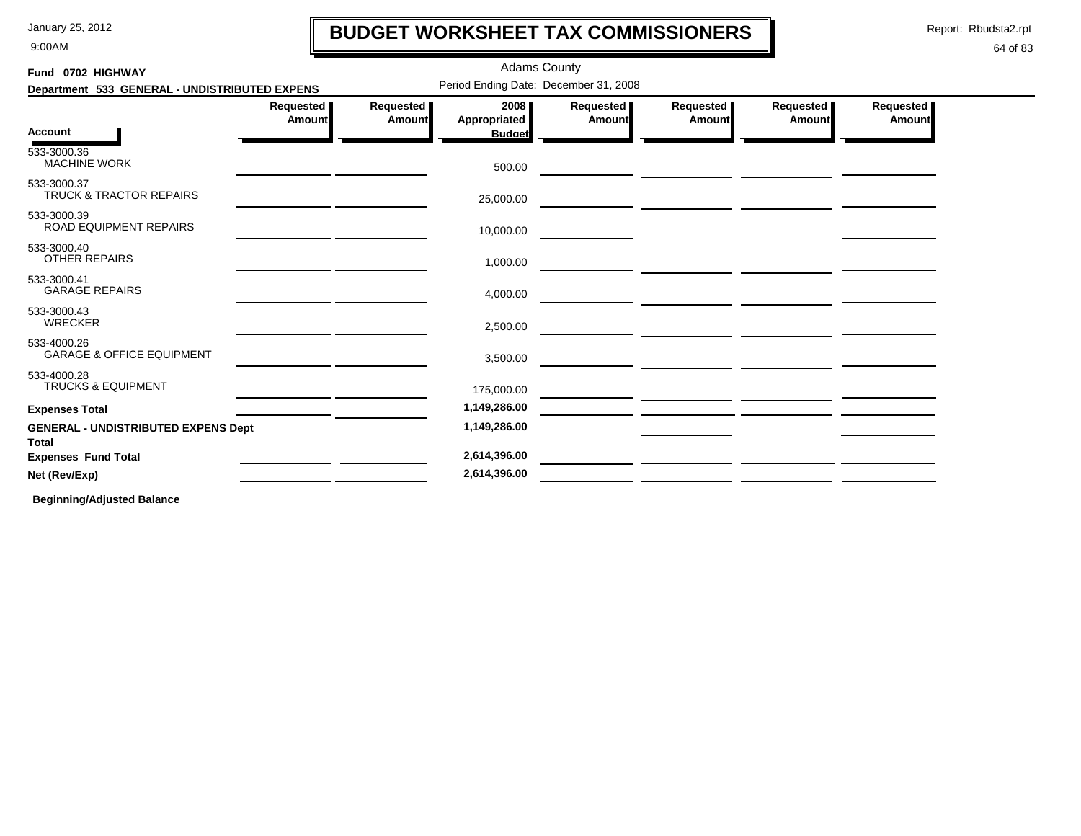#### 9:00AM

### **BUDGET WORKSHEET TAX COMMISSIONERS**

Adams County

Report: Rbudsta2.rpt

### 64 of 83

| Fund 0702 HIGHWAY                                          | <b>Adams County</b> |                            |                                       |                            |                       |                                                 |                            |  |  |
|------------------------------------------------------------|---------------------|----------------------------|---------------------------------------|----------------------------|-----------------------|-------------------------------------------------|----------------------------|--|--|
| Department 533 GENERAL - UNDISTRIBUTED EXPENS              |                     |                            | Period Ending Date: December 31, 2008 |                            |                       |                                                 |                            |  |  |
|                                                            | Requested<br>Amount | Requested<br><b>Amount</b> | 2008<br><b>Appropriated</b>           | Requested<br><b>Amount</b> | Requested  <br>Amount | Requested<br>Amount                             | Requested<br><b>Amount</b> |  |  |
| <b>Account</b>                                             |                     |                            | <b>Budget</b>                         |                            |                       |                                                 |                            |  |  |
| 533-3000.36<br><b>MACHINE WORK</b>                         |                     |                            | 500.00                                |                            |                       |                                                 |                            |  |  |
| 533-3000.37<br><b>TRUCK &amp; TRACTOR REPAIRS</b>          |                     |                            | 25,000.00                             |                            |                       | <u> 1989 - Johann John Stone, mars et al. (</u> |                            |  |  |
| 533-3000.39<br>ROAD EQUIPMENT REPAIRS                      |                     |                            | 10,000.00                             |                            |                       |                                                 |                            |  |  |
| 533-3000.40<br><b>OTHER REPAIRS</b>                        |                     |                            | 1,000.00                              |                            |                       |                                                 |                            |  |  |
| 533-3000.41<br><b>GARAGE REPAIRS</b>                       |                     |                            | 4,000.00                              |                            |                       |                                                 |                            |  |  |
| 533-3000.43<br><b>WRECKER</b>                              |                     |                            | 2,500.00                              |                            |                       |                                                 |                            |  |  |
| 533-4000.26<br><b>GARAGE &amp; OFFICE EQUIPMENT</b>        |                     |                            | 3,500.00                              |                            |                       |                                                 |                            |  |  |
| 533-4000.28<br><b>TRUCKS &amp; EQUIPMENT</b>               |                     |                            | 175,000.00                            |                            |                       |                                                 |                            |  |  |
| <b>Expenses Total</b>                                      |                     |                            | 1,149,286.00                          |                            |                       |                                                 |                            |  |  |
| <b>GENERAL - UNDISTRIBUTED EXPENS Dept</b><br><b>Total</b> |                     |                            | 1,149,286.00                          |                            |                       |                                                 |                            |  |  |
| <b>Expenses Fund Total</b>                                 |                     |                            | 2,614,396.00                          |                            |                       |                                                 |                            |  |  |
| Net (Rev/Exp)                                              |                     |                            | 2,614,396.00                          |                            |                       |                                                 |                            |  |  |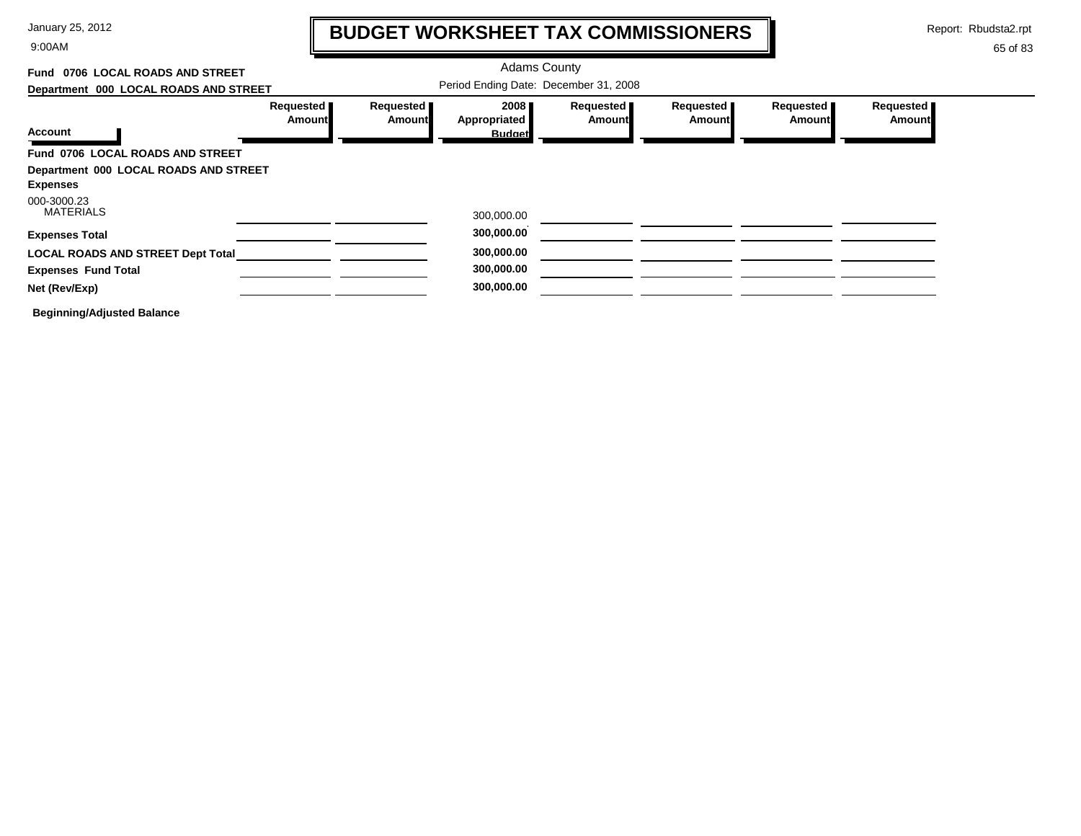9:00AM

# **BUDGET WORKSHEET TAX COMMISSIONERS**

Report: Rbudsta2.rpt

 $\mathbf l$ 

| Fund 0706 LOCAL ROADS AND STREET         |                                     |                     | <b>Adams County</b>                   |                            |                     |                     |                     |
|------------------------------------------|-------------------------------------|---------------------|---------------------------------------|----------------------------|---------------------|---------------------|---------------------|
| Department 000 LOCAL ROADS AND STREET    |                                     |                     | Period Ending Date: December 31, 2008 |                            |                     |                     |                     |
|                                          | Requested <b>I</b><br><b>Amount</b> | Requested<br>Amount | 2008<br>Appropriated                  | Requested<br><b>Amount</b> | Requested<br>Amount | Requested<br>Amount | Requested<br>Amount |
| <b>Account</b>                           |                                     |                     | <b>Budget</b>                         |                            |                     |                     |                     |
| Fund 0706 LOCAL ROADS AND STREET         |                                     |                     |                                       |                            |                     |                     |                     |
| Department 000 LOCAL ROADS AND STREET    |                                     |                     |                                       |                            |                     |                     |                     |
| <b>Expenses</b>                          |                                     |                     |                                       |                            |                     |                     |                     |
| 000-3000.23<br><b>MATERIALS</b>          |                                     |                     | 300,000.00                            |                            |                     |                     |                     |
| <b>Expenses Total</b>                    |                                     |                     | 300,000.00                            |                            |                     |                     |                     |
| <b>LOCAL ROADS AND STREET Dept Total</b> |                                     |                     | 300,000.00                            |                            |                     |                     |                     |
| <b>Expenses Fund Total</b>               |                                     |                     | 300,000.00                            |                            |                     |                     |                     |
| Net (Rev/Exp)                            |                                     |                     | 300,000.00                            |                            |                     |                     |                     |
| <b>Beginning/Adjusted Balance</b>        |                                     |                     |                                       |                            |                     |                     |                     |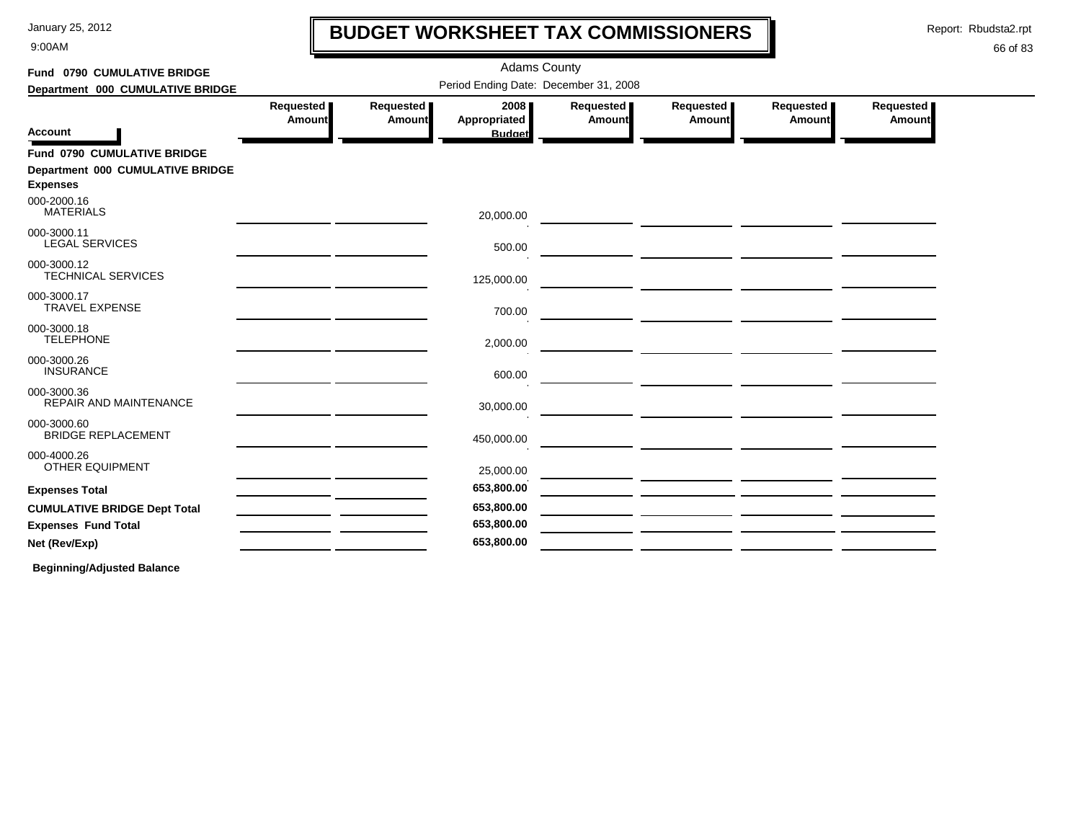9:00AM

# **BUDGET WORKSHEET TAX COMMISSIONERS**

Report: Rbudsta2.rpt

 $\mathbf l$ 

### 66 of 83

| Period Ending Date: December 31, 2008<br>Department 000 CUMULATIVE BRIDGE<br>Requested<br>Requested  <br>2008<br>Requested  <br>Requested<br>Requested<br>Requested<br>Appropriated<br>Amount<br><b>Amount</b><br>Amount<br><b>Amount</b><br>Amount<br><b>Amount</b><br><b>Account</b><br><b>Budget</b><br>Fund 0790 CUMULATIVE BRIDGE<br>Department 000 CUMULATIVE BRIDGE<br><b>Expenses</b><br><b>MATERIALS</b><br>20,000.00<br><b>LEGAL SERVICES</b><br>500.00<br><b>TECHNICAL SERVICES</b><br>125,000.00<br><b>TRAVEL EXPENSE</b><br>700.00<br><b>TELEPHONE</b><br>2,000.00<br><b>INSURANCE</b><br>600.00<br><b>REPAIR AND MAINTENANCE</b><br>30,000.00<br><b>BRIDGE REPLACEMENT</b><br>450,000.00<br><u> 1989 - Jan Barnett, politik eta politik eta politik eta politik eta politik eta politik eta politik eta polit</u><br>OTHER EQUIPMENT<br>25,000.00<br>653,800.00<br>653,800.00 | Fund 0790 CUMULATIVE BRIDGE | <b>Adams County</b> |  |            |  |  |  |  |  |  |  |  |
|---------------------------------------------------------------------------------------------------------------------------------------------------------------------------------------------------------------------------------------------------------------------------------------------------------------------------------------------------------------------------------------------------------------------------------------------------------------------------------------------------------------------------------------------------------------------------------------------------------------------------------------------------------------------------------------------------------------------------------------------------------------------------------------------------------------------------------------------------------------------------------------------|-----------------------------|---------------------|--|------------|--|--|--|--|--|--|--|--|
|                                                                                                                                                                                                                                                                                                                                                                                                                                                                                                                                                                                                                                                                                                                                                                                                                                                                                             |                             |                     |  |            |  |  |  |  |  |  |  |  |
|                                                                                                                                                                                                                                                                                                                                                                                                                                                                                                                                                                                                                                                                                                                                                                                                                                                                                             |                             |                     |  |            |  |  |  |  |  |  |  |  |
|                                                                                                                                                                                                                                                                                                                                                                                                                                                                                                                                                                                                                                                                                                                                                                                                                                                                                             |                             |                     |  |            |  |  |  |  |  |  |  |  |
|                                                                                                                                                                                                                                                                                                                                                                                                                                                                                                                                                                                                                                                                                                                                                                                                                                                                                             |                             |                     |  |            |  |  |  |  |  |  |  |  |
| 000-2000.16<br>000-3000.11<br>000-3000.12<br>000-3000.17<br>000-3000.18<br>000-3000.26<br>000-3000.36<br>000-3000.60<br>000-4000.26<br><b>Expenses Total</b><br><b>CUMULATIVE BRIDGE Dept Total</b>                                                                                                                                                                                                                                                                                                                                                                                                                                                                                                                                                                                                                                                                                         |                             |                     |  |            |  |  |  |  |  |  |  |  |
|                                                                                                                                                                                                                                                                                                                                                                                                                                                                                                                                                                                                                                                                                                                                                                                                                                                                                             |                             |                     |  |            |  |  |  |  |  |  |  |  |
|                                                                                                                                                                                                                                                                                                                                                                                                                                                                                                                                                                                                                                                                                                                                                                                                                                                                                             |                             |                     |  |            |  |  |  |  |  |  |  |  |
|                                                                                                                                                                                                                                                                                                                                                                                                                                                                                                                                                                                                                                                                                                                                                                                                                                                                                             |                             |                     |  |            |  |  |  |  |  |  |  |  |
|                                                                                                                                                                                                                                                                                                                                                                                                                                                                                                                                                                                                                                                                                                                                                                                                                                                                                             |                             |                     |  |            |  |  |  |  |  |  |  |  |
|                                                                                                                                                                                                                                                                                                                                                                                                                                                                                                                                                                                                                                                                                                                                                                                                                                                                                             |                             |                     |  |            |  |  |  |  |  |  |  |  |
|                                                                                                                                                                                                                                                                                                                                                                                                                                                                                                                                                                                                                                                                                                                                                                                                                                                                                             |                             |                     |  |            |  |  |  |  |  |  |  |  |
|                                                                                                                                                                                                                                                                                                                                                                                                                                                                                                                                                                                                                                                                                                                                                                                                                                                                                             |                             |                     |  |            |  |  |  |  |  |  |  |  |
|                                                                                                                                                                                                                                                                                                                                                                                                                                                                                                                                                                                                                                                                                                                                                                                                                                                                                             |                             |                     |  |            |  |  |  |  |  |  |  |  |
|                                                                                                                                                                                                                                                                                                                                                                                                                                                                                                                                                                                                                                                                                                                                                                                                                                                                                             |                             |                     |  |            |  |  |  |  |  |  |  |  |
|                                                                                                                                                                                                                                                                                                                                                                                                                                                                                                                                                                                                                                                                                                                                                                                                                                                                                             |                             |                     |  |            |  |  |  |  |  |  |  |  |
|                                                                                                                                                                                                                                                                                                                                                                                                                                                                                                                                                                                                                                                                                                                                                                                                                                                                                             |                             |                     |  |            |  |  |  |  |  |  |  |  |
|                                                                                                                                                                                                                                                                                                                                                                                                                                                                                                                                                                                                                                                                                                                                                                                                                                                                                             | <b>Expenses Fund Total</b>  |                     |  | 653,800.00 |  |  |  |  |  |  |  |  |
| 653,800.00<br>Net (Rev/Exp)                                                                                                                                                                                                                                                                                                                                                                                                                                                                                                                                                                                                                                                                                                                                                                                                                                                                 |                             |                     |  |            |  |  |  |  |  |  |  |  |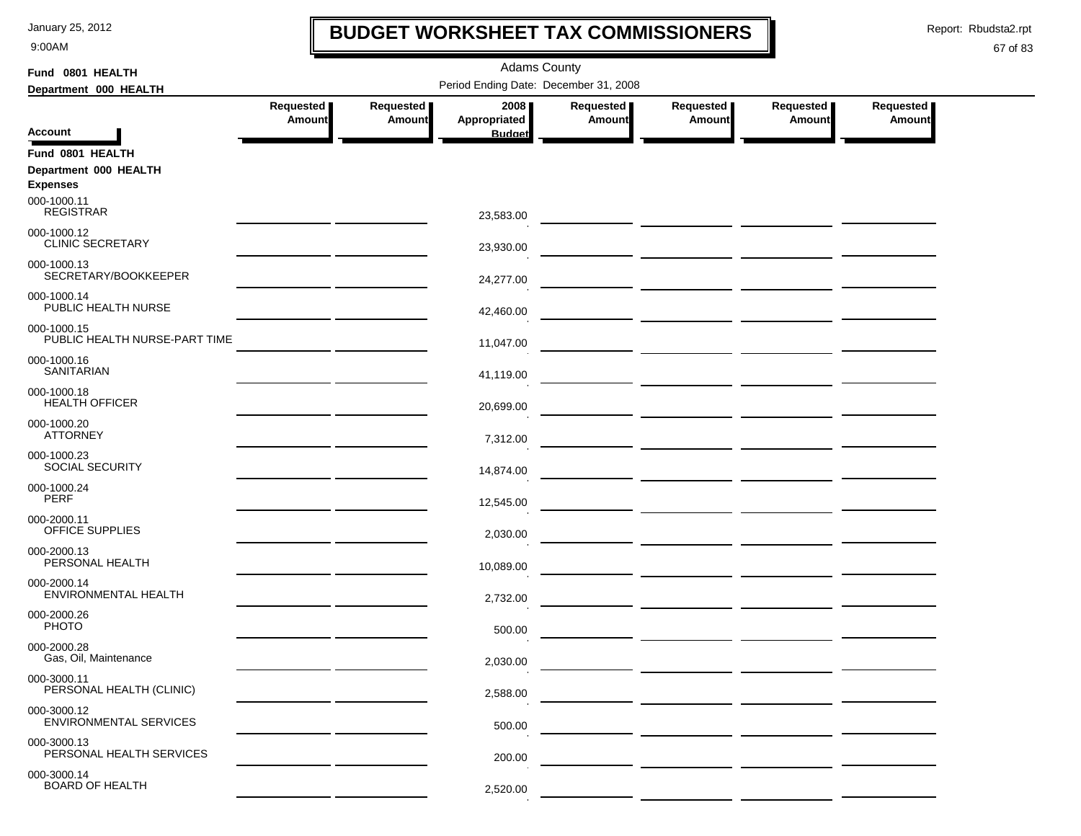9:00AM

### **BUDGET WORKSHEET TAX COMMISSIONERS**

Report: Rbudsta2.rpt

 $\mathbf l$ 

| Fund 0801 HEALTH                             |                                                                                                                      |                            | <b>Adams County</b>                   |                     |                            |                     |                     |  |
|----------------------------------------------|----------------------------------------------------------------------------------------------------------------------|----------------------------|---------------------------------------|---------------------|----------------------------|---------------------|---------------------|--|
| Department 000 HEALTH                        |                                                                                                                      |                            | Period Ending Date: December 31, 2008 |                     |                            |                     |                     |  |
|                                              | Requested<br>Amount                                                                                                  | Requested<br><b>Amount</b> | 2008<br>Appropriated                  | Requested<br>Amount | Requested<br><b>Amount</b> | Requested<br>Amount | Requested<br>Amount |  |
| <b>Account</b>                               |                                                                                                                      |                            | <b>Budget</b>                         |                     |                            |                     |                     |  |
| Fund 0801 HEALTH                             |                                                                                                                      |                            |                                       |                     |                            |                     |                     |  |
| Department 000 HEALTH                        |                                                                                                                      |                            |                                       |                     |                            |                     |                     |  |
| <b>Expenses</b><br>000-1000.11               |                                                                                                                      |                            |                                       |                     |                            |                     |                     |  |
| <b>REGISTRAR</b>                             |                                                                                                                      |                            | 23,583.00                             |                     |                            |                     |                     |  |
| 000-1000.12<br><b>CLINIC SECRETARY</b>       |                                                                                                                      |                            | 23,930.00                             |                     |                            |                     |                     |  |
| 000-1000.13<br>SECRETARY/BOOKKEEPER          |                                                                                                                      |                            | 24,277.00                             |                     |                            |                     |                     |  |
| 000-1000.14<br>PUBLIC HEALTH NURSE           |                                                                                                                      |                            | 42,460.00                             |                     |                            |                     |                     |  |
| 000-1000.15<br>PUBLIC HEALTH NURSE-PART TIME |                                                                                                                      |                            | 11,047.00                             |                     |                            |                     |                     |  |
| 000-1000.16<br><b>SANITARIAN</b>             |                                                                                                                      |                            | 41,119.00                             |                     |                            |                     |                     |  |
| 000-1000.18<br><b>HEALTH OFFICER</b>         |                                                                                                                      |                            | 20,699.00                             |                     |                            |                     |                     |  |
| 000-1000.20<br><b>ATTORNEY</b>               |                                                                                                                      |                            | 7,312.00                              |                     |                            |                     |                     |  |
| 000-1000.23<br>SOCIAL SECURITY               | <u> 1989 - Jan Stein Stein Stein Stein Stein Stein Stein Stein Stein Stein Stein Stein Stein Stein Stein Stein S</u> |                            | 14,874.00                             |                     |                            |                     |                     |  |
| 000-1000.24<br><b>PERF</b>                   |                                                                                                                      |                            | 12,545.00                             |                     |                            |                     |                     |  |
| 000-2000.11<br>OFFICE SUPPLIES               |                                                                                                                      |                            | 2,030.00                              |                     |                            |                     |                     |  |
| 000-2000.13<br>PERSONAL HEALTH               |                                                                                                                      |                            | 10,089.00                             |                     |                            |                     |                     |  |
| 000-2000.14<br><b>ENVIRONMENTAL HEALTH</b>   |                                                                                                                      |                            | 2,732.00                              |                     |                            |                     |                     |  |
| 000-2000.26<br><b>PHOTO</b>                  |                                                                                                                      |                            | 500.00                                |                     |                            |                     |                     |  |
| 000-2000.28<br>Gas, Oil, Maintenance         |                                                                                                                      |                            | 2,030.00                              |                     |                            |                     |                     |  |
| 000-3000.11<br>PERSONAL HEALTH (CLINIC)      |                                                                                                                      |                            | 2,588.00                              |                     |                            |                     |                     |  |
| 000-3000.12<br><b>ENVIRONMENTAL SERVICES</b> |                                                                                                                      |                            | 500.00                                |                     |                            |                     |                     |  |
| 000-3000.13<br>PERSONAL HEALTH SERVICES      |                                                                                                                      |                            | 200.00                                |                     |                            |                     |                     |  |
| 000-3000.14<br><b>BOARD OF HEALTH</b>        |                                                                                                                      |                            | 2,520.00                              |                     |                            |                     |                     |  |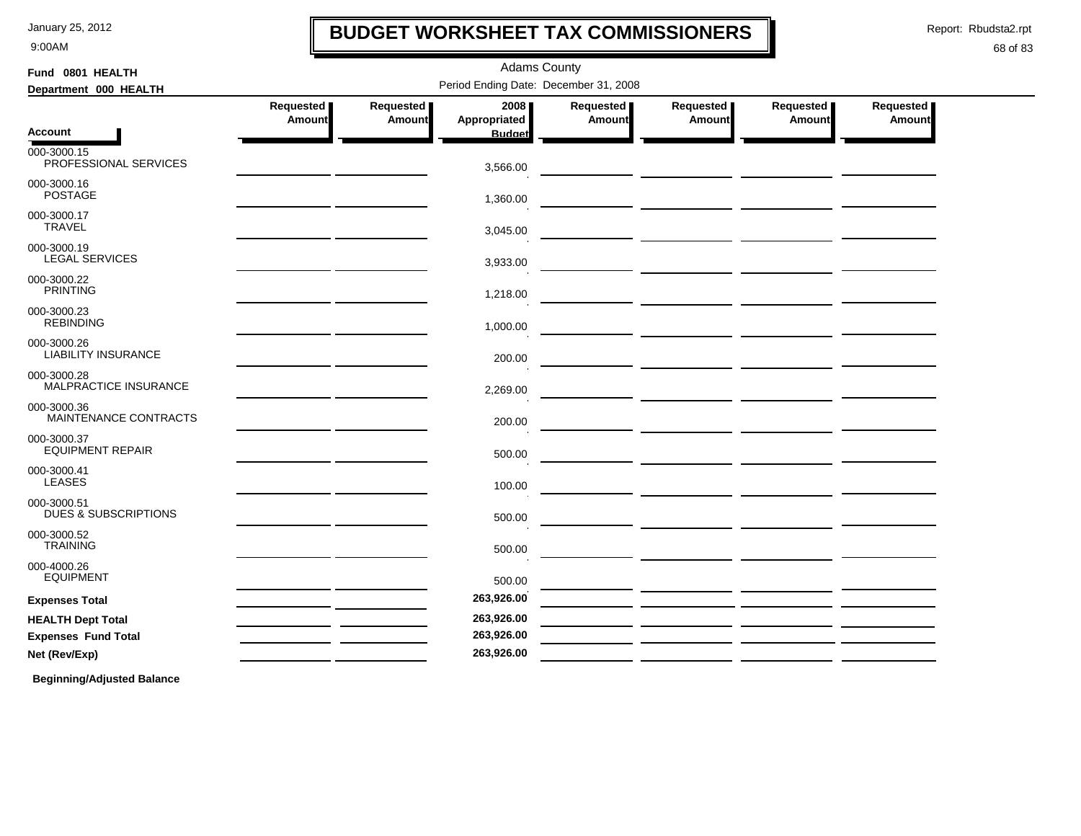9:00AM

### **BUDGET WORKSHEET TAX COMMISSIONERS**

Report: Rbudsta2.rpt

I

#### 68 of 83

| Fund 0801 HEALTH                               | <b>Adams County</b> |                            |                                       |                       |                            |                       |                            |  |  |  |
|------------------------------------------------|---------------------|----------------------------|---------------------------------------|-----------------------|----------------------------|-----------------------|----------------------------|--|--|--|
| Department 000 HEALTH                          |                     |                            | Period Ending Date: December 31, 2008 |                       |                            |                       |                            |  |  |  |
|                                                | Requested<br>Amount | Requested<br><b>Amount</b> | 2008<br>Appropriated                  | Requested  <br>Amount | Requested<br><b>Amount</b> | Requested  <br>Amount | <b>Requested</b><br>Amount |  |  |  |
| Account                                        |                     |                            | <b>Budget</b>                         |                       |                            |                       |                            |  |  |  |
| 000-3000.15<br>PROFESSIONAL SERVICES           |                     |                            | 3,566.00                              |                       |                            |                       |                            |  |  |  |
| 000-3000.16<br><b>POSTAGE</b>                  |                     |                            | 1,360.00                              |                       |                            |                       |                            |  |  |  |
| 000-3000.17<br><b>TRAVEL</b>                   |                     |                            | 3,045.00                              |                       |                            |                       |                            |  |  |  |
| 000-3000.19<br><b>LEGAL SERVICES</b>           |                     |                            | 3,933.00                              |                       |                            |                       |                            |  |  |  |
| 000-3000.22<br><b>PRINTING</b>                 |                     |                            | 1,218.00                              |                       |                            |                       |                            |  |  |  |
| 000-3000.23<br><b>REBINDING</b>                |                     |                            | 1,000.00                              |                       |                            |                       |                            |  |  |  |
| 000-3000.26<br><b>LIABILITY INSURANCE</b>      |                     |                            | 200.00                                |                       |                            |                       |                            |  |  |  |
| 000-3000.28<br>MALPRACTICE INSURANCE           |                     |                            | 2,269.00                              |                       |                            |                       |                            |  |  |  |
| 000-3000.36<br>MAINTENANCE CONTRACTS           |                     |                            | 200.00                                |                       |                            |                       |                            |  |  |  |
| 000-3000.37<br><b>EQUIPMENT REPAIR</b>         |                     |                            | 500.00                                |                       |                            |                       |                            |  |  |  |
| 000-3000.41<br><b>LEASES</b>                   |                     |                            | 100.00                                |                       |                            |                       |                            |  |  |  |
| 000-3000.51<br><b>DUES &amp; SUBSCRIPTIONS</b> |                     |                            | 500.00                                |                       |                            |                       |                            |  |  |  |
| 000-3000.52<br><b>TRAINING</b>                 |                     |                            | 500.00                                |                       |                            |                       |                            |  |  |  |
| 000-4000.26<br><b>EQUIPMENT</b>                |                     |                            | 500.00                                |                       |                            |                       |                            |  |  |  |
| <b>Expenses Total</b>                          |                     |                            | 263,926.00                            |                       |                            |                       |                            |  |  |  |
| <b>HEALTH Dept Total</b>                       |                     |                            | 263,926.00                            |                       |                            |                       |                            |  |  |  |
| <b>Expenses Fund Total</b>                     |                     |                            | 263,926.00                            |                       |                            |                       |                            |  |  |  |
| Net (Rev/Exp)                                  |                     |                            | 263,926.00                            |                       |                            |                       |                            |  |  |  |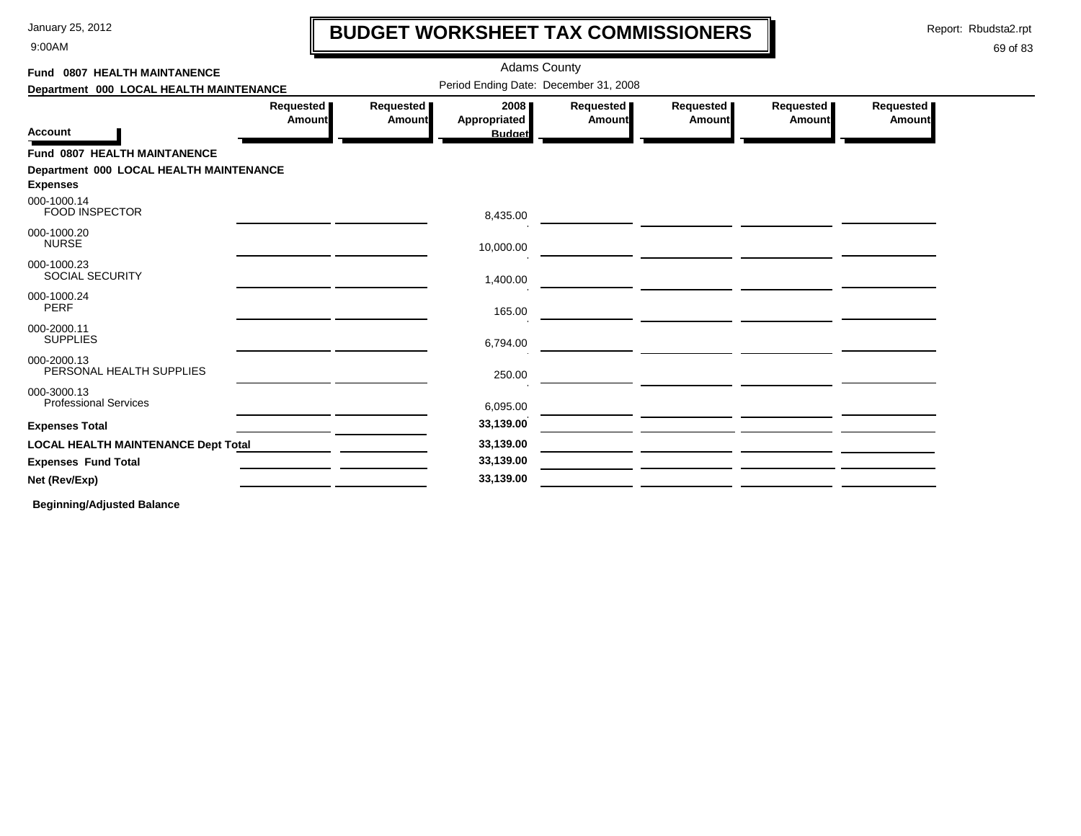9:00AM

# **BUDGET WORKSHEET TAX COMMISSIONERS**

Report: Rbudsta2.rpt

 $\mathbf l$ 

### 69 of 83

| Period Ending Date: December 31, 2008<br>Department 000 LOCAL HEALTH MAINTENANCE<br>Requested<br>Requested<br>2008<br>Requested<br>Requested<br>Requested<br>Requested<br><b>Appropriated</b><br><b>Amount</b><br><b>Amount</b><br><b>Amount</b><br>Amount<br>Amount<br><b>Amount</b><br><b>Budget</b><br><b>FOOD INSPECTOR</b><br>8,435.00<br><b>NURSE</b><br>10,000.00<br><u> 1989 - Jan Stein Berg, amerikansk politiker (</u><br><b>SOCIAL SECURITY</b><br>1,400.00<br><b>PERF</b><br>165.00<br><b>SUPPLIES</b><br>6,794.00<br>PERSONAL HEALTH SUPPLIES<br>250.00<br><b>Professional Services</b><br>6,095.00<br>33,139.00<br>33,139.00<br><b>LOCAL HEALTH MAINTENANCE Dept Total</b><br>33,139.00<br>33,139.00 | Fund 0807 HEALTH MAINTANENCE |  | <b>Adams County</b> |  |  |  |
|---------------------------------------------------------------------------------------------------------------------------------------------------------------------------------------------------------------------------------------------------------------------------------------------------------------------------------------------------------------------------------------------------------------------------------------------------------------------------------------------------------------------------------------------------------------------------------------------------------------------------------------------------------------------------------------------------------------------|------------------------------|--|---------------------|--|--|--|
| <b>Account</b><br>Fund 0807 HEALTH MAINTANENCE<br>Department 000 LOCAL HEALTH MAINTENANCE<br><b>Expenses</b><br>000-1000.14                                                                                                                                                                                                                                                                                                                                                                                                                                                                                                                                                                                         |                              |  |                     |  |  |  |
|                                                                                                                                                                                                                                                                                                                                                                                                                                                                                                                                                                                                                                                                                                                     |                              |  |                     |  |  |  |
|                                                                                                                                                                                                                                                                                                                                                                                                                                                                                                                                                                                                                                                                                                                     |                              |  |                     |  |  |  |
|                                                                                                                                                                                                                                                                                                                                                                                                                                                                                                                                                                                                                                                                                                                     |                              |  |                     |  |  |  |
|                                                                                                                                                                                                                                                                                                                                                                                                                                                                                                                                                                                                                                                                                                                     |                              |  |                     |  |  |  |
| 000-1000.20<br>000-1000.23<br>000-1000.24<br>000-2000.11<br>000-2000.13<br>000-3000.13<br><b>Expenses Total</b><br><b>Expenses Fund Total</b><br>Net (Rev/Exp)                                                                                                                                                                                                                                                                                                                                                                                                                                                                                                                                                      |                              |  |                     |  |  |  |
|                                                                                                                                                                                                                                                                                                                                                                                                                                                                                                                                                                                                                                                                                                                     |                              |  |                     |  |  |  |
|                                                                                                                                                                                                                                                                                                                                                                                                                                                                                                                                                                                                                                                                                                                     |                              |  |                     |  |  |  |
|                                                                                                                                                                                                                                                                                                                                                                                                                                                                                                                                                                                                                                                                                                                     |                              |  |                     |  |  |  |
|                                                                                                                                                                                                                                                                                                                                                                                                                                                                                                                                                                                                                                                                                                                     |                              |  |                     |  |  |  |
|                                                                                                                                                                                                                                                                                                                                                                                                                                                                                                                                                                                                                                                                                                                     |                              |  |                     |  |  |  |
|                                                                                                                                                                                                                                                                                                                                                                                                                                                                                                                                                                                                                                                                                                                     |                              |  |                     |  |  |  |
|                                                                                                                                                                                                                                                                                                                                                                                                                                                                                                                                                                                                                                                                                                                     |                              |  |                     |  |  |  |
|                                                                                                                                                                                                                                                                                                                                                                                                                                                                                                                                                                                                                                                                                                                     |                              |  |                     |  |  |  |
|                                                                                                                                                                                                                                                                                                                                                                                                                                                                                                                                                                                                                                                                                                                     |                              |  |                     |  |  |  |
|                                                                                                                                                                                                                                                                                                                                                                                                                                                                                                                                                                                                                                                                                                                     |                              |  |                     |  |  |  |
|                                                                                                                                                                                                                                                                                                                                                                                                                                                                                                                                                                                                                                                                                                                     |                              |  |                     |  |  |  |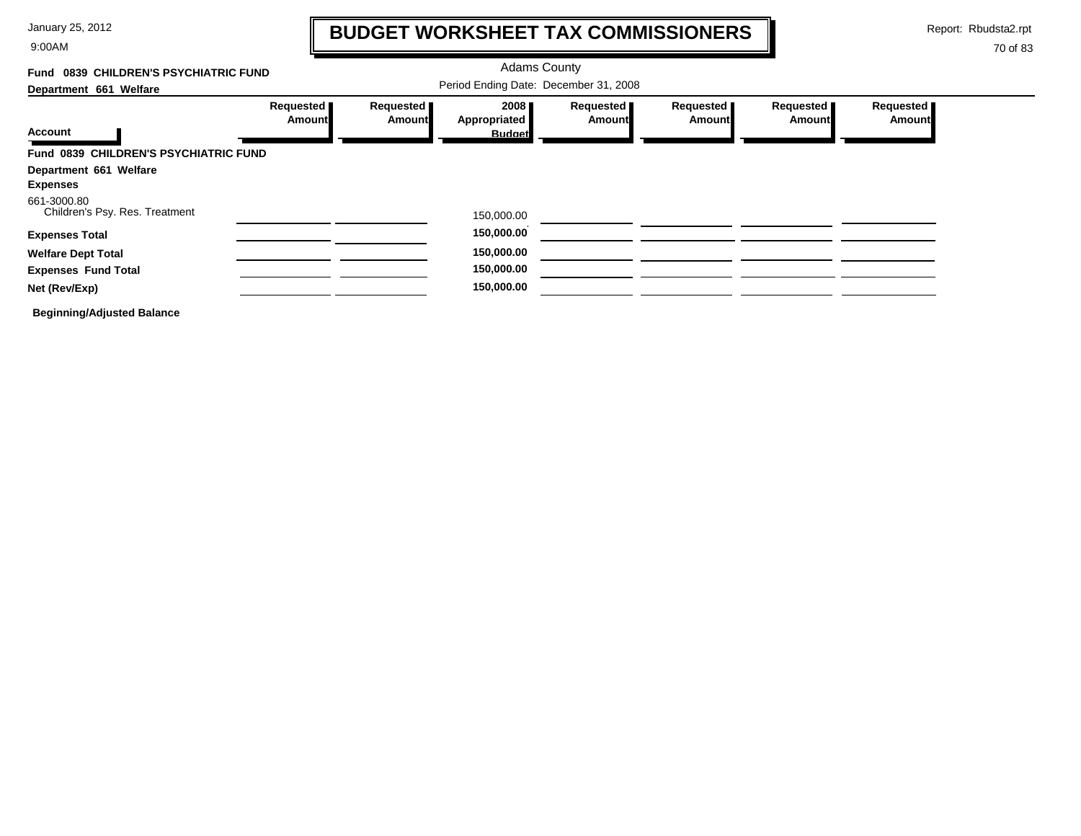9:00AM

# **BUDGET WORKSHEET TAX COMMISSIONERS**

Report: Rbudsta2.rpt

 $\mathbf l$ 

| Fund 0839 CHILDREN'S PSYCHIATRIC FUND         |                                       |                                   |                      |                            |                     |                            |                            |  |  |
|-----------------------------------------------|---------------------------------------|-----------------------------------|----------------------|----------------------------|---------------------|----------------------------|----------------------------|--|--|
| Department 661 Welfare                        | Period Ending Date: December 31, 2008 |                                   |                      |                            |                     |                            |                            |  |  |
| <b>Account</b>                                | Requested<br><b>Amount</b>            | <b>Requested</b><br><b>Amount</b> | 2008<br>Appropriated | Requested<br><b>Amount</b> | Requested<br>Amount | Requested<br><b>Amount</b> | Requested<br><b>Amount</b> |  |  |
|                                               |                                       |                                   | <b>Budget</b>        |                            |                     |                            |                            |  |  |
| Fund 0839 CHILDREN'S PSYCHIATRIC FUND         |                                       |                                   |                      |                            |                     |                            |                            |  |  |
| Department 661 Welfare                        |                                       |                                   |                      |                            |                     |                            |                            |  |  |
| <b>Expenses</b>                               |                                       |                                   |                      |                            |                     |                            |                            |  |  |
| 661-3000.80<br>Children's Psy. Res. Treatment |                                       |                                   | 150,000.00           |                            |                     |                            |                            |  |  |
| <b>Expenses Total</b>                         |                                       |                                   | 150,000.00           |                            |                     |                            |                            |  |  |
| <b>Welfare Dept Total</b>                     |                                       |                                   | 150,000.00           |                            |                     |                            |                            |  |  |
| <b>Expenses Fund Total</b>                    |                                       |                                   | 150,000.00           |                            |                     |                            |                            |  |  |
| Net (Rev/Exp)                                 |                                       |                                   | 150,000.00           |                            |                     |                            |                            |  |  |
| <b>Beginning/Adjusted Balance</b>             |                                       |                                   |                      |                            |                     |                            |                            |  |  |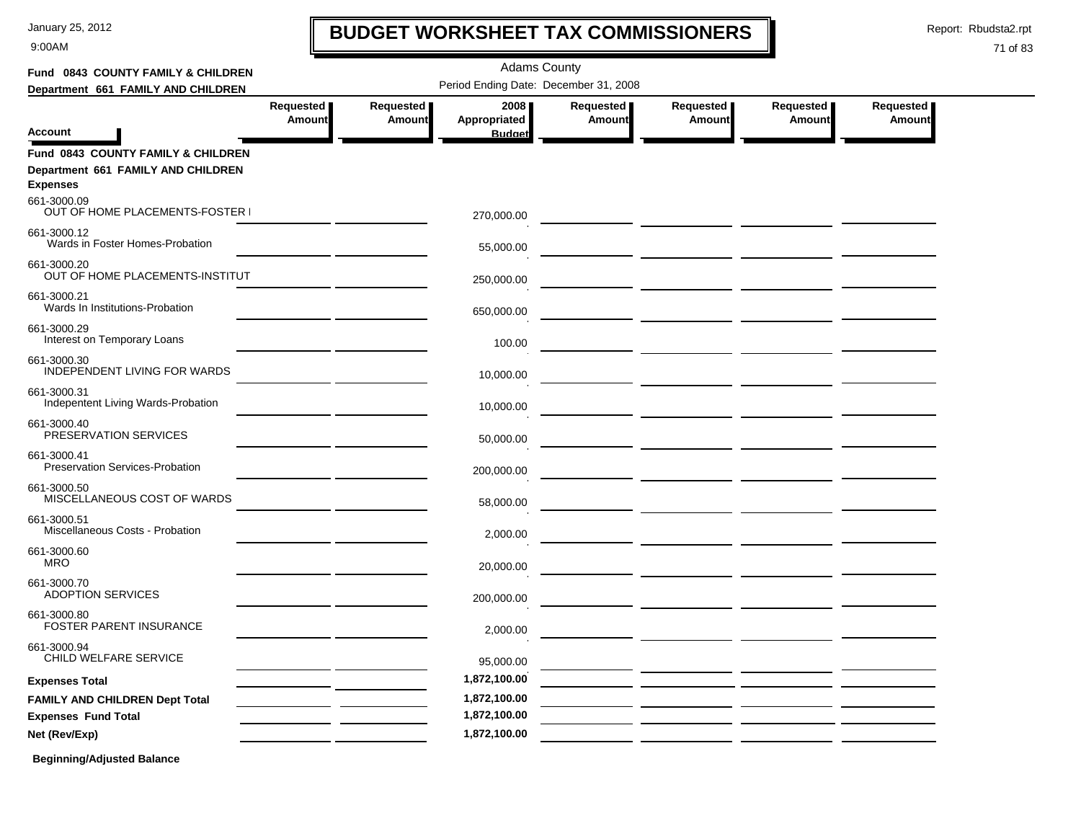9:00AM

# **BUDGET WORKSHEET TAX COMMISSIONERS**

Report: Rbudsta2.rpt

### 71 of 83

| Fund 0843 COUNTY FAMILY & CHILDREN                                                          |                            |                            |                                       |                            |                                                                                                                                                                                                                                      |                                                                                                                                                                                                                                      |                     |
|---------------------------------------------------------------------------------------------|----------------------------|----------------------------|---------------------------------------|----------------------------|--------------------------------------------------------------------------------------------------------------------------------------------------------------------------------------------------------------------------------------|--------------------------------------------------------------------------------------------------------------------------------------------------------------------------------------------------------------------------------------|---------------------|
| Department 661 FAMILY AND CHILDREN                                                          |                            |                            |                                       |                            |                                                                                                                                                                                                                                      |                                                                                                                                                                                                                                      |                     |
| Account                                                                                     | Requested<br><b>Amount</b> | Requested<br><b>Amount</b> | 2008<br>Appropriated<br><b>Budget</b> | Requested<br><b>Amount</b> | Requested<br>Amount                                                                                                                                                                                                                  | Requested<br><b>Amount</b>                                                                                                                                                                                                           | Requested<br>Amount |
| Fund 0843 COUNTY FAMILY & CHILDREN<br>Department 661 FAMILY AND CHILDREN<br><b>Expenses</b> |                            |                            |                                       |                            |                                                                                                                                                                                                                                      |                                                                                                                                                                                                                                      |                     |
| 661-3000.09<br>OUT OF HOME PLACEMENTS-FOSTER I                                              |                            |                            | 270,000.00                            |                            |                                                                                                                                                                                                                                      |                                                                                                                                                                                                                                      |                     |
| 661-3000.12<br>Wards in Foster Homes-Probation                                              |                            |                            | 55,000.00                             |                            |                                                                                                                                                                                                                                      |                                                                                                                                                                                                                                      |                     |
| 661-3000.20<br>OUT OF HOME PLACEMENTS-INSTITUT                                              |                            |                            | 250,000.00                            |                            |                                                                                                                                                                                                                                      |                                                                                                                                                                                                                                      |                     |
| 661-3000.21<br>Wards In Institutions-Probation                                              |                            |                            | 650,000.00                            |                            |                                                                                                                                                                                                                                      |                                                                                                                                                                                                                                      |                     |
| 661-3000.29<br>Interest on Temporary Loans                                                  |                            |                            | 100.00                                |                            |                                                                                                                                                                                                                                      |                                                                                                                                                                                                                                      |                     |
| 661-3000.30<br>INDEPENDENT LIVING FOR WARDS                                                 |                            |                            | 10,000.00                             |                            |                                                                                                                                                                                                                                      |                                                                                                                                                                                                                                      |                     |
| 661-3000.31<br>Indepentent Living Wards-Probation                                           |                            |                            | 10,000.00                             |                            |                                                                                                                                                                                                                                      |                                                                                                                                                                                                                                      |                     |
| 661-3000.40<br>PRESERVATION SERVICES                                                        |                            |                            | 50,000.00                             |                            |                                                                                                                                                                                                                                      |                                                                                                                                                                                                                                      |                     |
| 661-3000.41<br>Preservation Services-Probation                                              |                            |                            | 200,000.00                            |                            |                                                                                                                                                                                                                                      |                                                                                                                                                                                                                                      |                     |
| 661-3000.50<br>MISCELLANEOUS COST OF WARDS                                                  |                            |                            | 58,000.00                             |                            | — <u>— — — — — — — — — — — —</u>                                                                                                                                                                                                     |                                                                                                                                                                                                                                      |                     |
| 661-3000.51<br>Miscellaneous Costs - Probation                                              |                            |                            | 2,000.00                              |                            |                                                                                                                                                                                                                                      |                                                                                                                                                                                                                                      |                     |
| 661-3000.60<br><b>MRO</b>                                                                   |                            |                            | 20,000.00                             |                            |                                                                                                                                                                                                                                      |                                                                                                                                                                                                                                      |                     |
| 661-3000.70<br><b>ADOPTION SERVICES</b>                                                     |                            |                            | 200,000.00                            |                            |                                                                                                                                                                                                                                      | <u>and the community of the community of the community of the community of the community of the community of the community of the community of the community of the community of the community of the community of the community</u> |                     |
| 661-3000.80<br>FOSTER PARENT INSURANCE                                                      |                            |                            | 2,000.00                              |                            | <u> The Common State of the Common State of the Common State of the Common State of the Common State of the Common State of the Common State of the Common State of the Common State of the Common State of the Common State of </u> |                                                                                                                                                                                                                                      |                     |
| 661-3000.94<br>CHILD WELFARE SERVICE                                                        |                            |                            | 95,000.00                             |                            |                                                                                                                                                                                                                                      |                                                                                                                                                                                                                                      |                     |
| <b>Expenses Total</b>                                                                       |                            |                            | 1,872,100.00                          |                            |                                                                                                                                                                                                                                      |                                                                                                                                                                                                                                      |                     |
| <b>FAMILY AND CHILDREN Dept Total</b>                                                       |                            |                            | 1,872,100.00                          |                            |                                                                                                                                                                                                                                      |                                                                                                                                                                                                                                      |                     |
| <b>Expenses Fund Total</b>                                                                  |                            |                            | 1,872,100.00                          |                            |                                                                                                                                                                                                                                      |                                                                                                                                                                                                                                      |                     |
| Net (Rev/Exp)                                                                               |                            |                            | 1,872,100.00                          |                            |                                                                                                                                                                                                                                      |                                                                                                                                                                                                                                      |                     |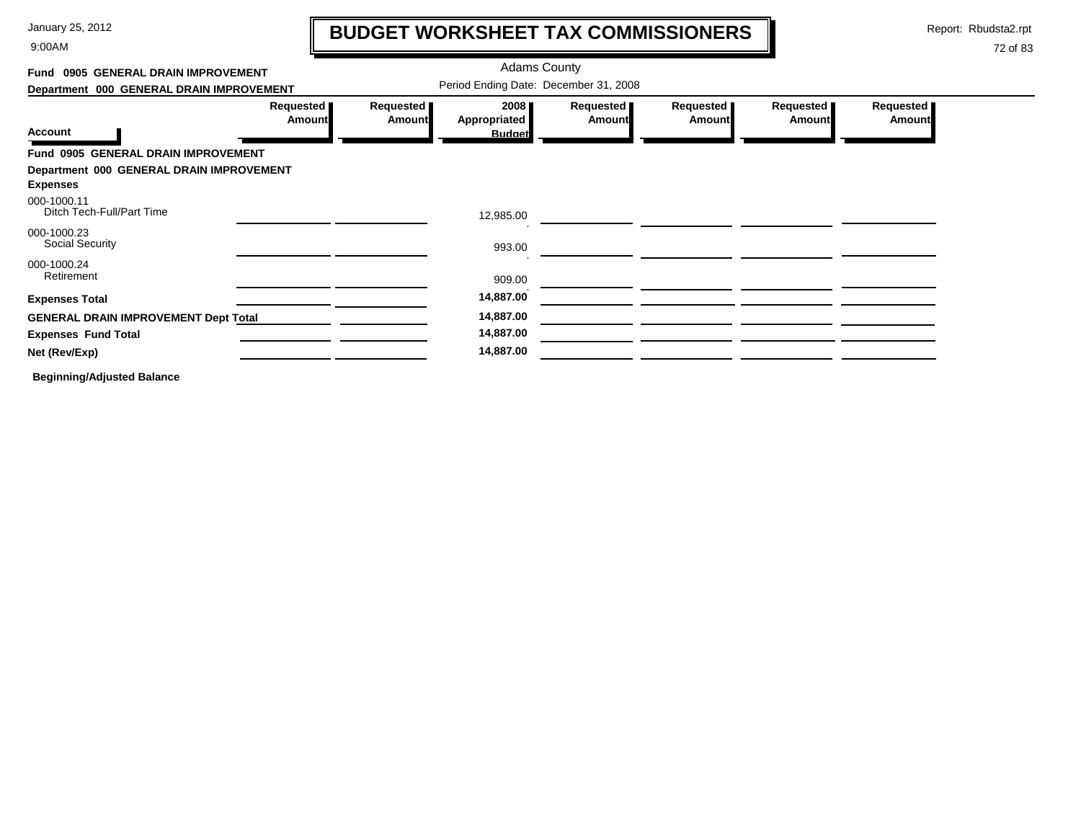9:00AM

# **BUDGET WORKSHEET TAX COMMISSIONERS**

Report: Rbudsta2.rpt

 $\mathbf l$ 

| Fund 0905 GENERAL DRAIN IMPROVEMENT                         |                            |                     | <b>Adams County</b>                   |                     |                            |                     |                     |
|-------------------------------------------------------------|----------------------------|---------------------|---------------------------------------|---------------------|----------------------------|---------------------|---------------------|
| Department 000 GENERAL DRAIN IMPROVEMENT                    |                            |                     | Period Ending Date: December 31, 2008 |                     |                            |                     |                     |
| <b>Account</b>                                              | Requested<br><b>Amount</b> | Requested<br>Amount | 2008<br>Appropriated<br><b>Budget</b> | Requested<br>Amount | Requested<br><b>Amount</b> | Requested<br>Amount | Requested<br>Amount |
| Fund 0905 GENERAL DRAIN IMPROVEMENT                         |                            |                     |                                       |                     |                            |                     |                     |
| Department 000 GENERAL DRAIN IMPROVEMENT<br><b>Expenses</b> |                            |                     |                                       |                     |                            |                     |                     |
| 000-1000.11<br>Ditch Tech-Full/Part Time                    |                            |                     | 12,985.00                             |                     |                            |                     |                     |
| 000-1000.23<br>Social Security                              |                            |                     | 993.00                                |                     |                            |                     |                     |
| 000-1000.24<br>Retirement                                   |                            |                     | 909.00                                |                     |                            |                     |                     |
| <b>Expenses Total</b>                                       |                            |                     | 14,887.00                             |                     |                            |                     |                     |
| <b>GENERAL DRAIN IMPROVEMENT Dept Total</b>                 |                            |                     | 14,887.00                             |                     |                            |                     |                     |
| <b>Expenses Fund Total</b>                                  |                            |                     | 14,887.00                             |                     |                            |                     |                     |
| Net (Rev/Exp)                                               |                            |                     | 14,887.00                             |                     |                            |                     |                     |
| <b>Beginning/Adjusted Balance</b>                           |                            |                     |                                       |                     |                            |                     |                     |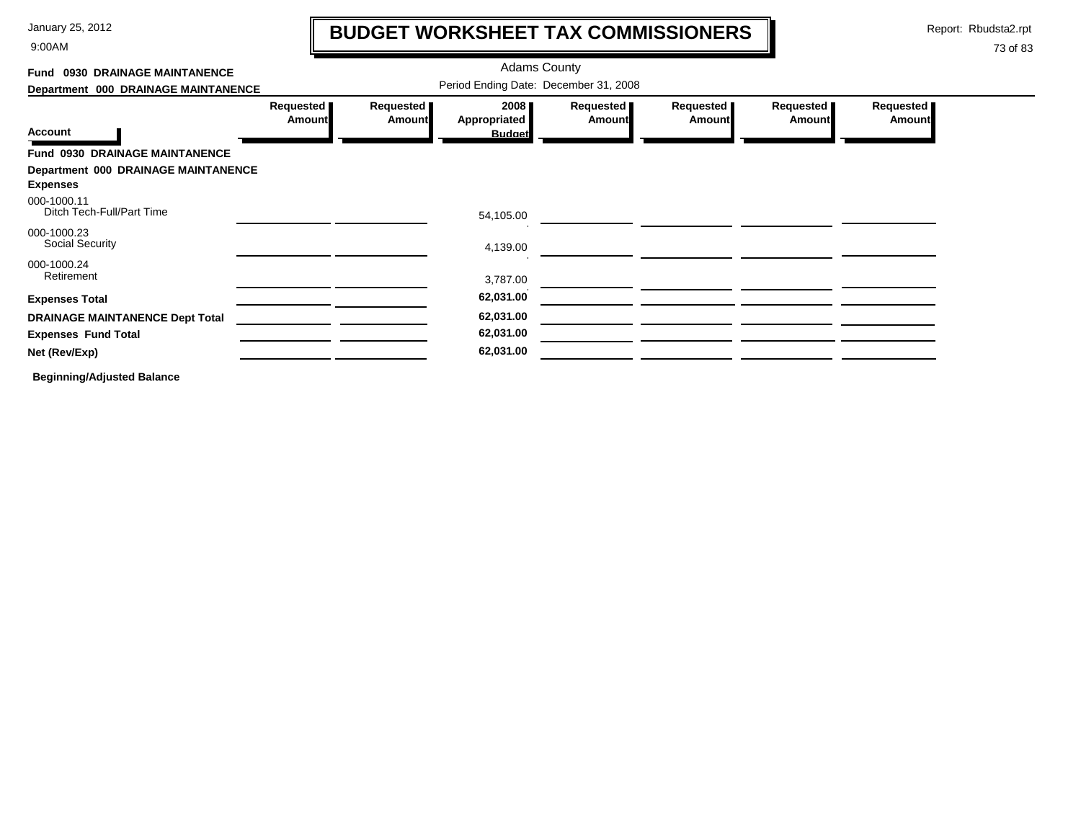9:00AM

# **BUDGET WORKSHEET TAX COMMISSIONERS**

Report: Rbudsta2.rpt

 $\mathbf l$ 

| Fund 0930 DRAINAGE MAINTANENCE                         |                                       |                            | <b>Adams County</b>                   |                            |                            |                            |                            |  |
|--------------------------------------------------------|---------------------------------------|----------------------------|---------------------------------------|----------------------------|----------------------------|----------------------------|----------------------------|--|
| Department 000 DRAINAGE MAINTANENCE                    | Period Ending Date: December 31, 2008 |                            |                                       |                            |                            |                            |                            |  |
| <b>Account</b>                                         | Requested<br>Amount                   | Requested<br><b>Amount</b> | 2008<br>Appropriated<br><b>Budget</b> | Requested<br><b>Amount</b> | Requested<br><b>Amount</b> | Requested<br><b>Amount</b> | Requested<br><b>Amount</b> |  |
| Fund 0930 DRAINAGE MAINTANENCE                         |                                       |                            |                                       |                            |                            |                            |                            |  |
| Department 000 DRAINAGE MAINTANENCE<br><b>Expenses</b> |                                       |                            |                                       |                            |                            |                            |                            |  |
| 000-1000.11<br>Ditch Tech-Full/Part Time               |                                       |                            | 54,105.00                             |                            |                            |                            |                            |  |
| 000-1000.23<br>Social Security                         |                                       |                            | 4,139.00                              |                            |                            |                            |                            |  |
| 000-1000.24<br>Retirement                              |                                       |                            | 3,787.00                              |                            |                            |                            |                            |  |
| <b>Expenses Total</b>                                  |                                       |                            | 62,031.00                             |                            |                            |                            |                            |  |
| <b>DRAINAGE MAINTANENCE Dept Total</b>                 |                                       |                            | 62,031.00                             |                            |                            |                            |                            |  |
| <b>Expenses Fund Total</b>                             |                                       |                            | 62,031.00                             |                            |                            |                            |                            |  |
| Net (Rev/Exp)                                          |                                       |                            | 62,031.00                             |                            |                            |                            |                            |  |
| <b>Beginning/Adjusted Balance</b>                      |                                       |                            |                                       |                            |                            |                            |                            |  |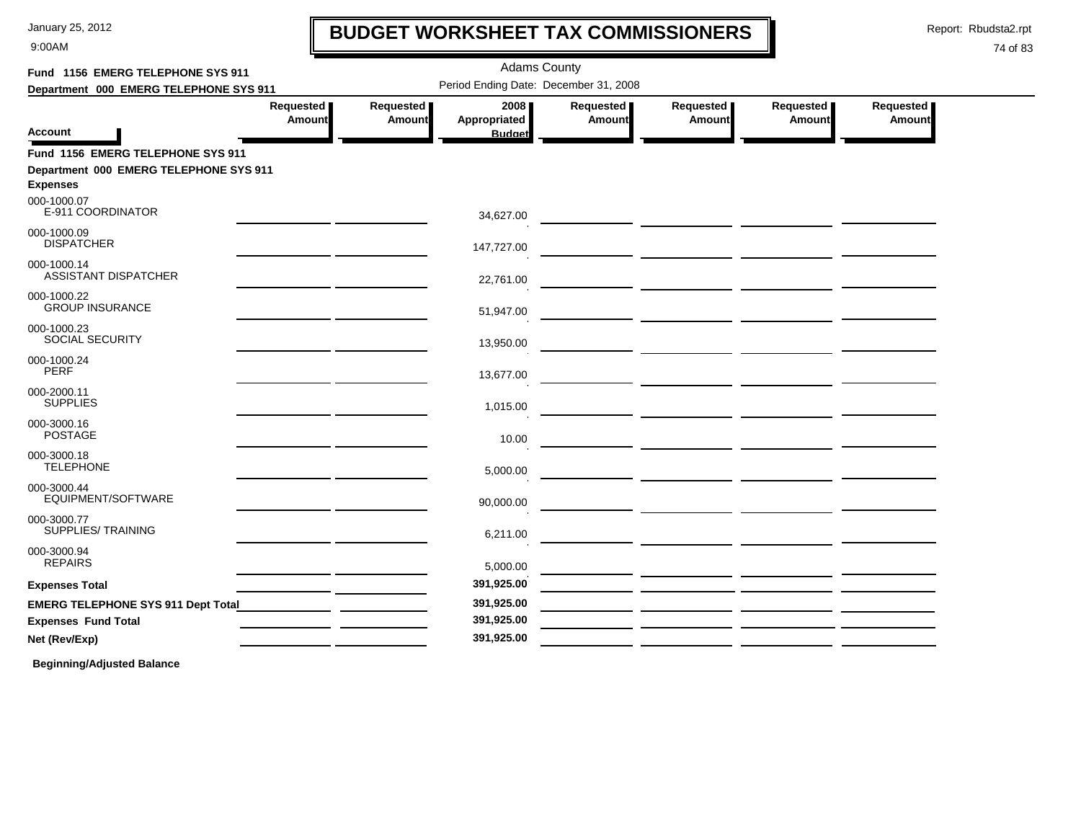9:00AM

## **BUDGET WORKSHEET TAX COMMISSIONERS**

Report: Rbudsta2.rpt

 $\mathbf l$ 

#### 74 of 83

| Fund 1156 EMERG TELEPHONE SYS 911                         |                                                                                                                                                                                                                                                 |                                       | <b>Adams County</b>  |                       |                       |                              |                       |
|-----------------------------------------------------------|-------------------------------------------------------------------------------------------------------------------------------------------------------------------------------------------------------------------------------------------------|---------------------------------------|----------------------|-----------------------|-----------------------|------------------------------|-----------------------|
| Department 000 EMERG TELEPHONE SYS 911                    |                                                                                                                                                                                                                                                 | Period Ending Date: December 31, 2008 |                      |                       |                       |                              |                       |
|                                                           | Requested  <br><b>Amount</b>                                                                                                                                                                                                                    | Requested  <br>Amount                 | 2008<br>Appropriated | Requested  <br>Amount | Requested  <br>Amount | Requested  <br><b>Amount</b> | Requested  <br>Amount |
| Account                                                   |                                                                                                                                                                                                                                                 |                                       | <b>Budget</b>        |                       |                       |                              |                       |
| Fund 1156 EMERG TELEPHONE SYS 911                         |                                                                                                                                                                                                                                                 |                                       |                      |                       |                       |                              |                       |
| Department 000 EMERG TELEPHONE SYS 911<br><b>Expenses</b> |                                                                                                                                                                                                                                                 |                                       |                      |                       |                       |                              |                       |
| 000-1000.07<br>E-911 COORDINATOR                          | <u> 1989 - Johann Harry Barn, mars an t-Amerikaansk kommunist (</u>                                                                                                                                                                             |                                       | 34,627.00            |                       |                       |                              |                       |
| 000-1000.09<br><b>DISPATCHER</b>                          | <u> 1989 - Johann Stein, mars an t-Amerikaansk kommunister (</u>                                                                                                                                                                                |                                       | 147.727.00           |                       |                       |                              |                       |
| 000-1000.14<br>ASSISTANT DISPATCHER                       | <u> 1989 - Johann Stein, mars an de Francisco (f. 1989)</u>                                                                                                                                                                                     |                                       | 22,761.00            |                       |                       |                              |                       |
| 000-1000.22<br><b>GROUP INSURANCE</b>                     | <u> 1989 - Johann Harry Barn, mars an t-Amerikaansk kommunister (</u>                                                                                                                                                                           |                                       | 51,947.00            |                       |                       |                              |                       |
| 000-1000.23<br><b>SOCIAL SECURITY</b>                     | <u> 1989 - Johann Harry Barn, mars an t-Amerikaansk kommunister (</u>                                                                                                                                                                           |                                       | 13,950.00            |                       |                       |                              |                       |
| 000-1000.24<br><b>PERF</b>                                |                                                                                                                                                                                                                                                 |                                       | 13,677.00            |                       |                       |                              |                       |
| 000-2000.11<br><b>SUPPLIES</b>                            | <u> 1989 - Johann John Stone, mars et al. (</u>                                                                                                                                                                                                 |                                       | 1,015.00             |                       |                       |                              |                       |
| 000-3000.16<br><b>POSTAGE</b>                             | <u> 1989 - Johann John Stone, mars et al. 1989 - John Stone, mars et al. 1989 - John Stone, mars et al. 1989 - Joh</u><br><u> 1989 - Johann Harry Harry Harry Harry Harry Harry Harry Harry Harry Harry Harry Harry Harry Harry Harry Harry</u> |                                       | 10.00                |                       |                       |                              |                       |
| 000-3000.18<br><b>TELEPHONE</b>                           |                                                                                                                                                                                                                                                 |                                       | 5,000.00             |                       |                       |                              |                       |
| 000-3000.44<br>EQUIPMENT/SOFTWARE                         | <u> 1989 - John Harry Barn, mars and de Branch and de Branch and de Branch and de Branch and de Branch and de Br</u>                                                                                                                            |                                       | 90,000.00            |                       |                       |                              |                       |
| 000-3000.77<br>SUPPLIES/TRAINING                          | <u> 1980 - Johann John Stone, mars and de final and de final and de final and de final and de final and de final</u>                                                                                                                            |                                       | 6,211.00             |                       |                       |                              |                       |
| 000-3000.94<br><b>REPAIRS</b>                             |                                                                                                                                                                                                                                                 |                                       | 5,000.00             |                       |                       |                              |                       |
| <b>Expenses Total</b>                                     | <u> 1989 - Johann John Stone, mars et al. 1989 - John Stone, mars et al. 1989 - John Stone, mars et al. 1989 - Joh</u>                                                                                                                          |                                       | 391,925.00           |                       |                       |                              |                       |
|                                                           | <u> 1989 - Johann Harry Barn, mars and de Branch and de Branch and de Branch and de Branch and de Branch and de B</u>                                                                                                                           |                                       | 391,925.00           |                       |                       |                              |                       |
| <b>Expenses Fund Total</b>                                | <u> 1989 - John Stone, amerikansk politiker (</u>                                                                                                                                                                                               |                                       | 391,925.00           |                       |                       |                              |                       |
| Net (Rev/Exp)                                             |                                                                                                                                                                                                                                                 |                                       | 391,925.00           |                       |                       |                              |                       |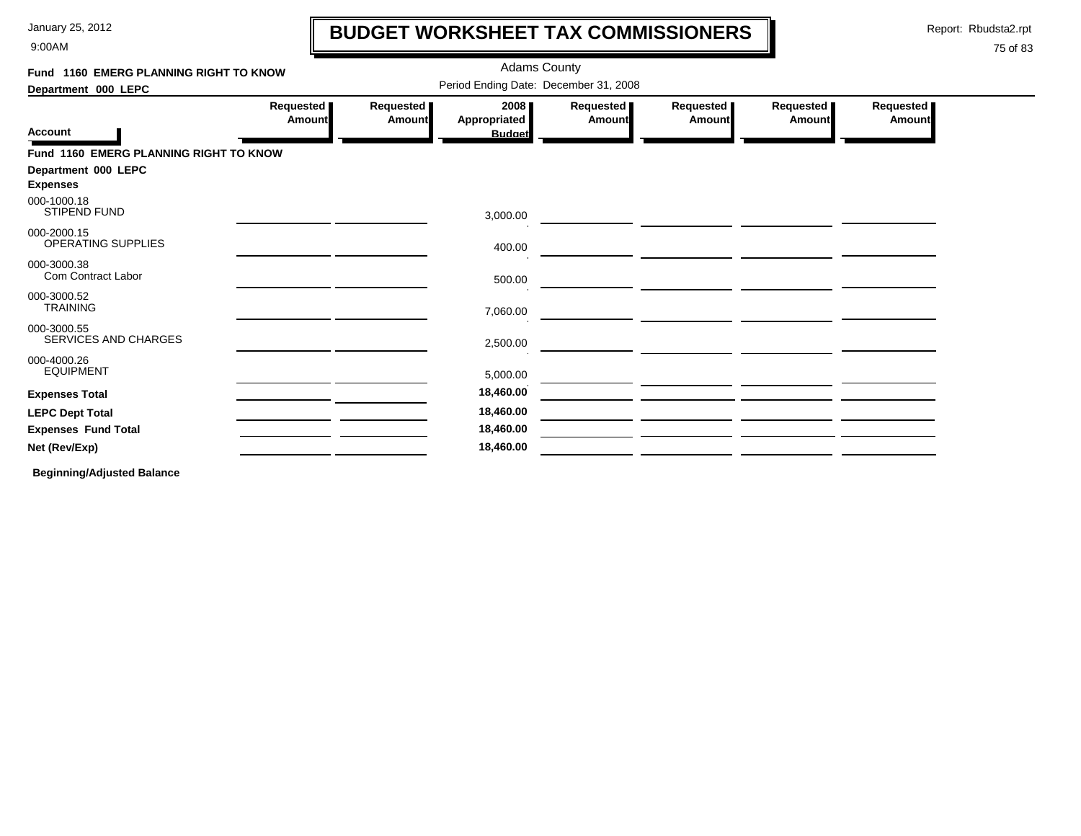9:00AM

### **BUDGET WORKSHEET TAX COMMISSIONERS**

Report: Rbudsta2.rpt

 $\mathbf l$ 

#### 75 of 83

| Period Ending Date: December 31, 2008<br>Requested  <br>Requested<br>Requested<br><b>Requested</b> ∎<br>2008<br>Requested<br>Requested<br><b>Appropriated</b><br><b>Amount</b><br><b>Amount</b><br>Amount<br><b>Amount</b><br>Amount<br>Amount<br><b>Budget</b><br>Fund 1160 EMERG PLANNING RIGHT TO KNOW<br><b>STIPEND FUND</b><br>3,000.00<br>OPERATING SUPPLIES<br>400.00<br>Com Contract Labor<br>500.00<br><b>TRAINING</b><br>7,060.00<br>SERVICES AND CHARGES<br>2,500.00<br><b>EQUIPMENT</b><br>5,000.00<br>18,460.00<br>18,460.00<br>18,460.00 | Fund 1160 EMERG PLANNING RIGHT TO KNOW |  | <b>Adams County</b> |  |  |
|--------------------------------------------------------------------------------------------------------------------------------------------------------------------------------------------------------------------------------------------------------------------------------------------------------------------------------------------------------------------------------------------------------------------------------------------------------------------------------------------------------------------------------------------------------|----------------------------------------|--|---------------------|--|--|
|                                                                                                                                                                                                                                                                                                                                                                                                                                                                                                                                                        | Department 000 LEPC                    |  |                     |  |  |
|                                                                                                                                                                                                                                                                                                                                                                                                                                                                                                                                                        | <b>Account</b>                         |  |                     |  |  |
|                                                                                                                                                                                                                                                                                                                                                                                                                                                                                                                                                        |                                        |  |                     |  |  |
|                                                                                                                                                                                                                                                                                                                                                                                                                                                                                                                                                        | Department 000 LEPC                    |  |                     |  |  |
|                                                                                                                                                                                                                                                                                                                                                                                                                                                                                                                                                        | <b>Expenses</b>                        |  |                     |  |  |
|                                                                                                                                                                                                                                                                                                                                                                                                                                                                                                                                                        | 000-1000.18                            |  |                     |  |  |
|                                                                                                                                                                                                                                                                                                                                                                                                                                                                                                                                                        | 000-2000.15                            |  |                     |  |  |
|                                                                                                                                                                                                                                                                                                                                                                                                                                                                                                                                                        | 000-3000.38                            |  |                     |  |  |
|                                                                                                                                                                                                                                                                                                                                                                                                                                                                                                                                                        | 000-3000.52                            |  |                     |  |  |
|                                                                                                                                                                                                                                                                                                                                                                                                                                                                                                                                                        | 000-3000.55                            |  |                     |  |  |
|                                                                                                                                                                                                                                                                                                                                                                                                                                                                                                                                                        | 000-4000.26                            |  |                     |  |  |
|                                                                                                                                                                                                                                                                                                                                                                                                                                                                                                                                                        | <b>Expenses Total</b>                  |  |                     |  |  |
|                                                                                                                                                                                                                                                                                                                                                                                                                                                                                                                                                        | <b>LEPC Dept Total</b>                 |  |                     |  |  |
|                                                                                                                                                                                                                                                                                                                                                                                                                                                                                                                                                        | <b>Expenses Fund Total</b>             |  |                     |  |  |
|                                                                                                                                                                                                                                                                                                                                                                                                                                                                                                                                                        | Net (Rev/Exp)                          |  | 18,460.00           |  |  |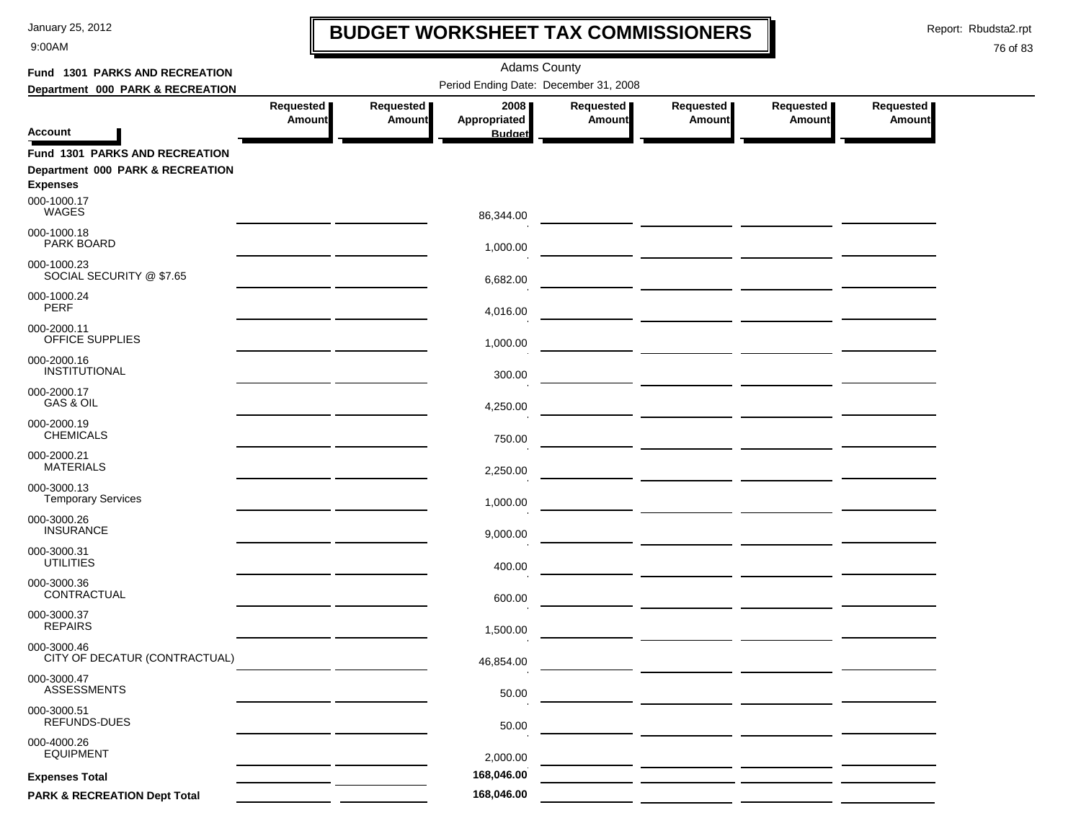9:00AM

## **BUDGET WORKSHEET TAX COMMISSIONERS**

Report: Rbudsta2.rpt

 $\mathbf \mathbf I$ 

| Fund 1301 PARKS AND RECREATION                                                               |                            |                            | <b>Adams County</b>                   |                            |                                                                |                            |                            |  |
|----------------------------------------------------------------------------------------------|----------------------------|----------------------------|---------------------------------------|----------------------------|----------------------------------------------------------------|----------------------------|----------------------------|--|
| Department 000 PARK & RECREATION                                                             |                            |                            | Period Ending Date: December 31, 2008 |                            |                                                                |                            |                            |  |
|                                                                                              | Requested<br><b>Amount</b> | Requested<br><b>Amount</b> | 2008<br>Appropriated                  | Requested<br><b>Amount</b> | Requested<br><b>Amount</b>                                     | Requested<br><b>Amount</b> | <b>Requested</b><br>Amount |  |
| <b>Account</b>                                                                               |                            |                            | <b>Budget</b>                         |                            |                                                                |                            |                            |  |
| <b>Fund 1301 PARKS AND RECREATION</b><br>Department 000 PARK & RECREATION<br><b>Expenses</b> |                            |                            |                                       |                            |                                                                |                            |                            |  |
| 000-1000.17<br><b>WAGES</b>                                                                  |                            |                            | 86,344.00                             |                            |                                                                |                            |                            |  |
| 000-1000.18<br>PARK BOARD                                                                    |                            |                            | 1,000.00                              |                            |                                                                |                            |                            |  |
| 000-1000.23<br>SOCIAL SECURITY @ \$7.65                                                      |                            |                            | 6,682.00                              |                            |                                                                |                            |                            |  |
| 000-1000.24<br><b>PERF</b>                                                                   |                            |                            | 4,016.00                              |                            |                                                                |                            |                            |  |
| 000-2000.11<br>OFFICE SUPPLIES                                                               |                            |                            | 1,000.00                              |                            |                                                                |                            |                            |  |
| 000-2000.16<br>INSTITUTIONAL                                                                 |                            |                            | 300.00                                |                            | <u> 1989 - Johann Stein, mars and de Brandenberg (b. 1989)</u> |                            |                            |  |
| 000-2000.17<br>GAS & OIL                                                                     |                            |                            | 4,250.00                              |                            |                                                                |                            |                            |  |
| 000-2000.19<br><b>CHEMICALS</b>                                                              |                            |                            | 750.00                                |                            |                                                                |                            |                            |  |
| 000-2000.21<br><b>MATERIALS</b>                                                              |                            |                            | 2,250.00                              |                            |                                                                |                            |                            |  |
| 000-3000.13<br><b>Temporary Services</b>                                                     |                            |                            | 1,000.00                              |                            |                                                                |                            |                            |  |
| 000-3000.26<br><b>INSURANCE</b>                                                              |                            |                            | 9,000.00                              |                            |                                                                |                            |                            |  |
| 000-3000.31<br><b>UTILITIES</b>                                                              |                            |                            | 400.00                                |                            |                                                                |                            |                            |  |
| 000-3000.36<br>CONTRACTUAL                                                                   |                            |                            | 600.00                                |                            |                                                                |                            |                            |  |
| 000-3000.37<br><b>REPAIRS</b>                                                                |                            |                            | 1,500.00                              |                            | — <u>— — — — — — — — — — — —</u>                               |                            |                            |  |
| 000-3000.46<br>CITY OF DECATUR (CONTRACTUAL)                                                 |                            |                            | 46,854.00                             |                            |                                                                |                            |                            |  |
| 000-3000.47<br><b>ASSESSMENTS</b>                                                            |                            |                            | 50.00                                 |                            |                                                                |                            |                            |  |
| 000-3000.51<br>REFUNDS-DUES                                                                  |                            |                            | 50.00                                 |                            |                                                                |                            |                            |  |
| 000-4000.26<br><b>EQUIPMENT</b>                                                              |                            |                            | 2,000.00                              |                            |                                                                |                            |                            |  |
| <b>Expenses Total</b>                                                                        |                            |                            | 168,046.00                            |                            |                                                                |                            |                            |  |
| <b>PARK &amp; RECREATION Dept Total</b>                                                      |                            |                            | 168,046.00                            |                            |                                                                |                            |                            |  |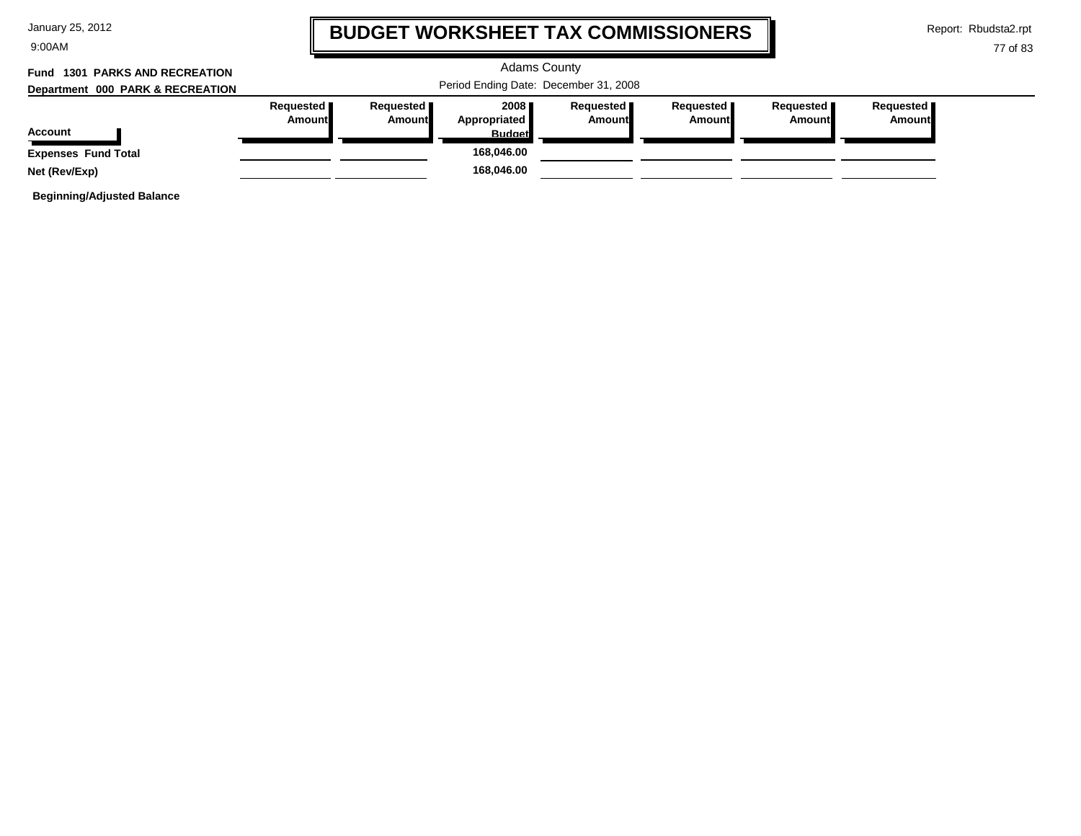| January 25, 2012 |  |  |
|------------------|--|--|
|------------------|--|--|

9:00AM

### **BUDGET WORKSHEET TAX COMMISSIONERS**

Report: Rbudsta2.rpt

#### 77 of 83

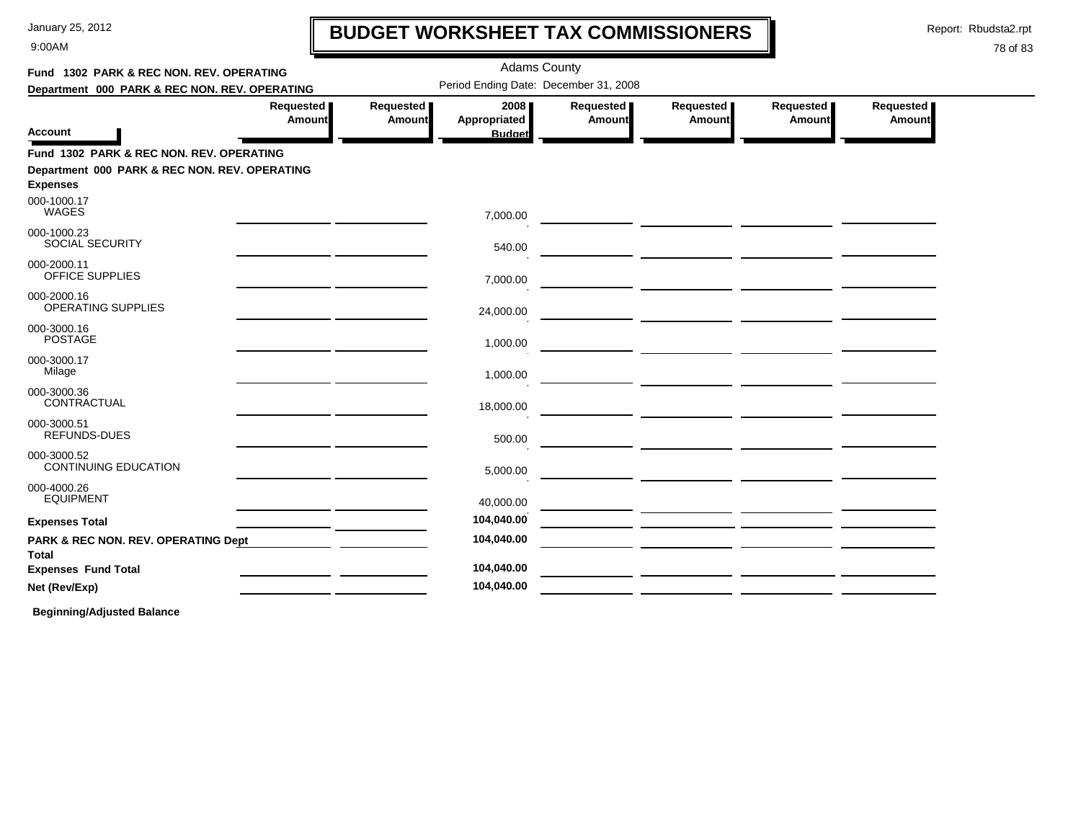9:00AM

# **BUDGET WORKSHEET TAX COMMISSIONERS**

Report: Rbudsta2.rpt

 $\mathbf l$ 

#### 78 of 83

| Fund 1302 PARK & REC NON. REV. OPERATING                         |                            |                     | <b>Adams County</b>                   |                            |                                                 |                       |                       |  |
|------------------------------------------------------------------|----------------------------|---------------------|---------------------------------------|----------------------------|-------------------------------------------------|-----------------------|-----------------------|--|
| Department 000 PARK & REC NON. REV. OPERATING                    |                            |                     | Period Ending Date: December 31, 2008 |                            |                                                 |                       |                       |  |
| <b>Account</b>                                                   | Requested<br><b>Amount</b> | Requested<br>Amount | 2008<br>Appropriated<br><b>Budget</b> | Requested<br><b>Amount</b> | Requested<br><b>Amount</b>                      | Requested  <br>Amount | Requested  <br>Amount |  |
| Fund 1302 PARK & REC NON. REV. OPERATING                         |                            |                     |                                       |                            |                                                 |                       |                       |  |
| Department 000 PARK & REC NON. REV. OPERATING<br><b>Expenses</b> |                            |                     |                                       |                            |                                                 |                       |                       |  |
| 000-1000.17<br>WAGES                                             |                            |                     | 7,000.00                              |                            |                                                 |                       |                       |  |
| 000-1000.23<br><b>SOCIAL SECURITY</b>                            |                            |                     | 540.00                                |                            |                                                 |                       |                       |  |
| 000-2000.11<br><b>OFFICE SUPPLIES</b>                            |                            |                     | 7,000.00                              |                            |                                                 |                       |                       |  |
| 000-2000.16<br>OPERATING SUPPLIES                                |                            |                     | 24,000.00                             |                            |                                                 |                       |                       |  |
| 000-3000.16<br><b>POSTAGE</b>                                    |                            |                     | 1,000.00                              |                            |                                                 |                       |                       |  |
| 000-3000.17<br>Milage                                            |                            |                     | 1,000.00                              |                            |                                                 |                       |                       |  |
| 000-3000.36<br>CONTRACTUAL                                       |                            |                     | 18,000.00                             |                            |                                                 |                       |                       |  |
| 000-3000.51<br><b>REFUNDS-DUES</b>                               |                            |                     | 500.00                                |                            |                                                 |                       |                       |  |
| 000-3000.52<br><b>CONTINUING EDUCATION</b>                       |                            |                     | 5,000.00                              |                            |                                                 |                       |                       |  |
| 000-4000.26<br><b>EQUIPMENT</b>                                  |                            |                     | 40,000.00                             |                            | <u> 1989 - Johann John Stone, mars et al. (</u> |                       |                       |  |
| <b>Expenses Total</b>                                            |                            |                     | 104,040.00                            |                            |                                                 |                       |                       |  |
| PARK & REC NON. REV. OPERATING Dept<br>Total                     |                            |                     | 104,040.00                            |                            |                                                 |                       |                       |  |
| <b>Expenses Fund Total</b>                                       |                            |                     | 104,040.00                            |                            |                                                 |                       |                       |  |
| Net (Rev/Exp)                                                    |                            |                     | 104,040.00                            |                            |                                                 |                       |                       |  |
|                                                                  |                            |                     |                                       |                            |                                                 |                       |                       |  |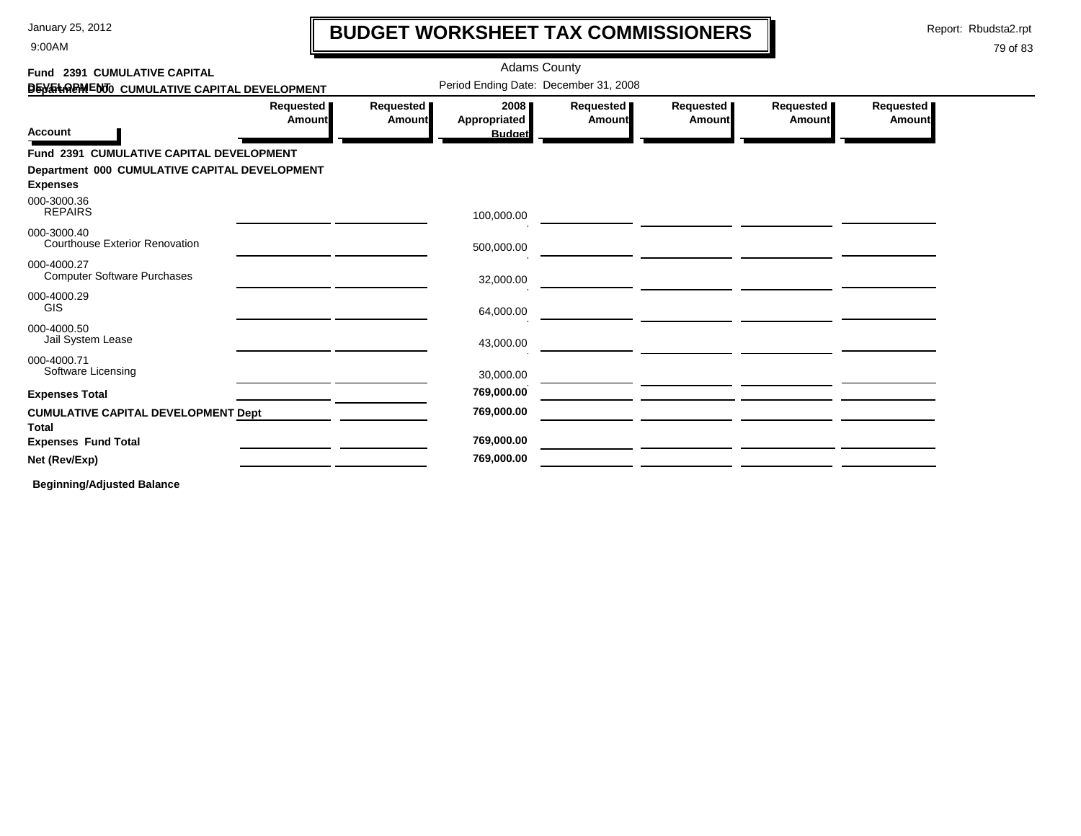9:00AM

# **BUDGET WORKSHEET TAX COMMISSIONERS**

Report: Rbudsta2.rpt

 $\mathbf l$ 

#### 79 of 83

| Fund 2391 CUMULATIVE CAPITAL                                     |                            |                            | <b>Adams County</b>                   |                     |                              |                            |                     |
|------------------------------------------------------------------|----------------------------|----------------------------|---------------------------------------|---------------------|------------------------------|----------------------------|---------------------|
| DEN THREM ENTO CUMULATIVE CAPITAL DEVELOPMENT                    |                            |                            | Period Ending Date: December 31, 2008 |                     |                              |                            |                     |
| <b>Account</b>                                                   | Requested<br><b>Amount</b> | Requested<br><b>Amount</b> | 2008<br>Appropriated<br><b>Budget</b> | Requested<br>Amount | Requested  <br><b>Amount</b> | Requested<br><b>Amount</b> | Requested<br>Amount |
| Fund 2391 CUMULATIVE CAPITAL DEVELOPMENT                         |                            |                            |                                       |                     |                              |                            |                     |
| Department 000 CUMULATIVE CAPITAL DEVELOPMENT<br><b>Expenses</b> |                            |                            |                                       |                     |                              |                            |                     |
| 000-3000.36<br><b>REPAIRS</b>                                    |                            |                            | 100,000.00                            |                     |                              |                            |                     |
| 000-3000.40<br><b>Courthouse Exterior Renovation</b>             |                            |                            | 500,000.00                            |                     |                              |                            |                     |
| 000-4000.27<br><b>Computer Software Purchases</b>                |                            |                            | 32,000.00                             |                     |                              |                            |                     |
| 000-4000.29<br><b>GIS</b>                                        |                            |                            | 64,000.00                             |                     |                              |                            |                     |
| 000-4000.50<br>Jail System Lease                                 |                            |                            | 43,000.00                             |                     |                              |                            |                     |
| 000-4000.71<br>Software Licensing                                |                            |                            | 30,000.00                             |                     |                              |                            |                     |
| <b>Expenses Total</b>                                            |                            |                            | 769,000.00                            |                     |                              |                            |                     |
| <b>CUMULATIVE CAPITAL DEVELOPMENT Dept</b><br><b>Total</b>       |                            |                            | 769,000.00                            |                     |                              |                            |                     |
| <b>Expenses Fund Total</b>                                       |                            |                            | 769,000.00                            |                     |                              |                            |                     |
| Net (Rev/Exp)                                                    |                            |                            | 769,000.00                            |                     |                              |                            |                     |
|                                                                  |                            |                            |                                       |                     |                              |                            |                     |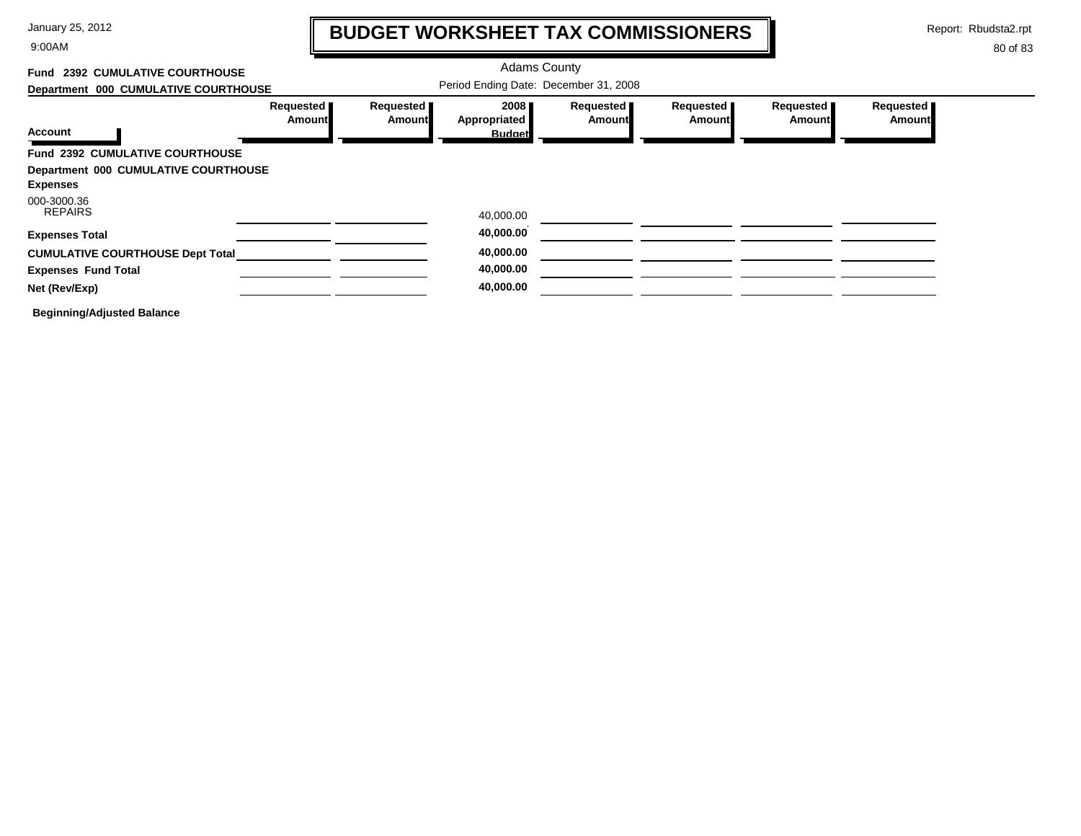9:00AM

# **BUDGET WORKSHEET TAX COMMISSIONERS**

Report: Rbudsta2.rpt

 $\mathbf l$ 

| <b>2392 CUMULATIVE COURTHOUSE</b><br>Fund |                       |                     | <b>Adams County</b>                   |                            |                            |                            |                            |
|-------------------------------------------|-----------------------|---------------------|---------------------------------------|----------------------------|----------------------------|----------------------------|----------------------------|
| Department 000 CUMULATIVE COURTHOUSE      |                       |                     | Period Ending Date: December 31, 2008 |                            |                            |                            |                            |
| <b>Account</b>                            | Requested  <br>Amount | Requested<br>Amount | 2008<br>Appropriated<br><b>Budget</b> | Requested<br><b>Amount</b> | Requested<br><b>Amount</b> | Requested<br><b>Amount</b> | Requested<br><b>Amount</b> |
| Fund 2392 CUMULATIVE COURTHOUSE           |                       |                     |                                       |                            |                            |                            |                            |
| Department 000 CUMULATIVE COURTHOUSE      |                       |                     |                                       |                            |                            |                            |                            |
| <b>Expenses</b>                           |                       |                     |                                       |                            |                            |                            |                            |
| 000-3000.36<br><b>REPAIRS</b>             |                       |                     | 40,000.00                             |                            |                            |                            |                            |
| <b>Expenses Total</b>                     |                       |                     | 40,000.00                             |                            |                            |                            |                            |
| <b>CUMULATIVE COURTHOUSE Dept Total</b>   |                       |                     | 40,000.00                             |                            |                            |                            |                            |
| <b>Expenses Fund Total</b>                |                       |                     | 40,000.00                             |                            |                            |                            |                            |
| Net (Rev/Exp)                             |                       |                     | 40,000.00                             |                            |                            |                            |                            |
| <b>Beginning/Adjusted Balance</b>         |                       |                     |                                       |                            |                            |                            |                            |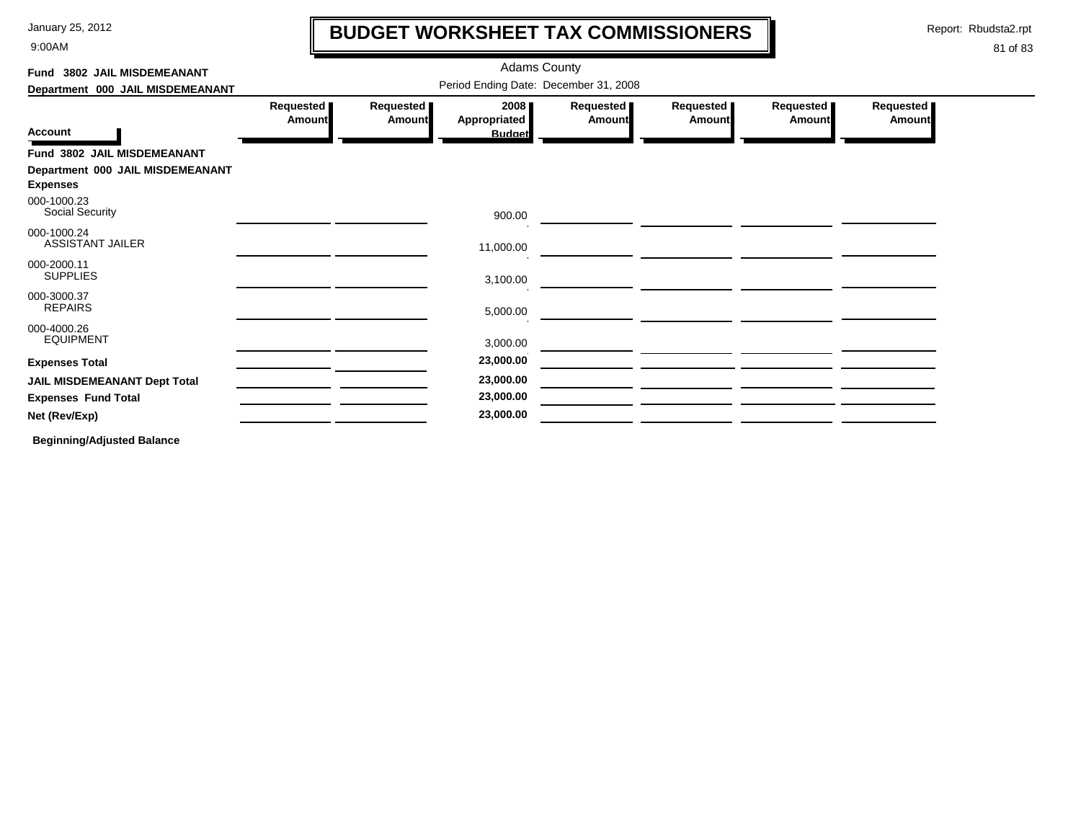9:00AM

# **BUDGET WORKSHEET TAX COMMISSIONERS**

Report: Rbudsta2.rpt

 $\mathbf l$ 

#### 81 of 83

| Fund 3802 JAIL MISDEMEANANT                         |                                       |                     |                                       |                            |                     |                            |                     |  |
|-----------------------------------------------------|---------------------------------------|---------------------|---------------------------------------|----------------------------|---------------------|----------------------------|---------------------|--|
| Department 000 JAIL MISDEMEANANT                    | Period Ending Date: December 31, 2008 |                     |                                       |                            |                     |                            |                     |  |
| <b>Account</b>                                      | Requested<br><b>Amount</b>            | Requested<br>Amount | 2008<br>Appropriated<br><b>Budget</b> | Requested<br><b>Amount</b> | Requested<br>Amount | Requested<br><b>Amount</b> | Requested<br>Amount |  |
| Fund 3802 JAIL MISDEMEANANT                         |                                       |                     |                                       |                            |                     |                            |                     |  |
| Department 000 JAIL MISDEMEANANT<br><b>Expenses</b> |                                       |                     |                                       |                            |                     |                            |                     |  |
| 000-1000.23<br><b>Social Security</b>               |                                       |                     | 900.00                                |                            |                     |                            |                     |  |
| 000-1000.24<br><b>ASSISTANT JAILER</b>              |                                       |                     | 11,000.00                             |                            |                     |                            |                     |  |
| 000-2000.11<br><b>SUPPLIES</b>                      |                                       |                     | 3,100.00                              |                            |                     |                            |                     |  |
| 000-3000.37<br><b>REPAIRS</b>                       |                                       |                     | 5,000.00                              |                            |                     |                            |                     |  |
| 000-4000.26<br><b>EQUIPMENT</b>                     |                                       |                     | 3,000.00                              |                            |                     |                            |                     |  |
| <b>Expenses Total</b>                               |                                       |                     | 23,000.00                             |                            |                     |                            |                     |  |
| <b>JAIL MISDEMEANANT Dept Total</b>                 |                                       |                     | 23,000.00                             |                            |                     |                            |                     |  |
| <b>Expenses Fund Total</b>                          |                                       |                     | 23,000.00                             |                            |                     |                            |                     |  |
| Net (Rev/Exp)                                       |                                       |                     | 23,000.00                             |                            |                     |                            |                     |  |
| .                                                   |                                       |                     |                                       |                            |                     |                            |                     |  |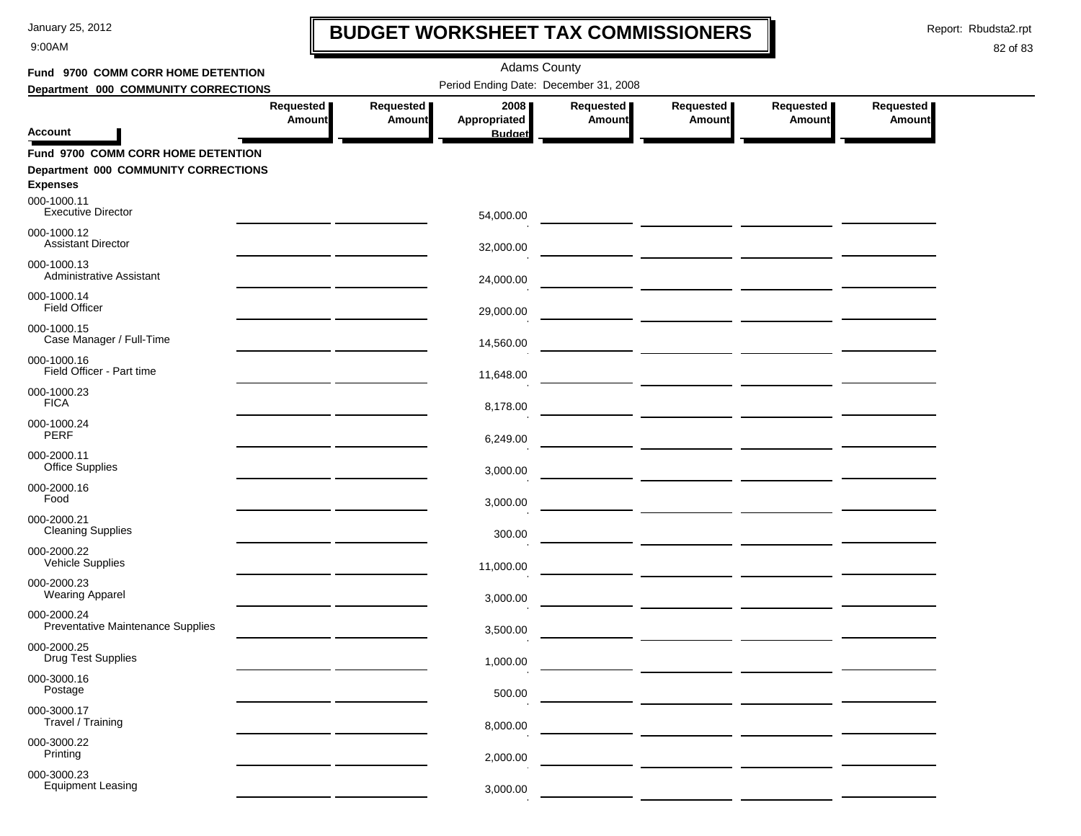9:00AM

# **BUDGET WORKSHEET TAX COMMISSIONERS**

Report: Rbudsta2.rpt

 $\mathbf l$ 

| Fund 9700 COMM CORR HOME DETENTION                                                            |                            |                     | <b>Adams County</b>                   |                              |                     |                     |                            |  |
|-----------------------------------------------------------------------------------------------|----------------------------|---------------------|---------------------------------------|------------------------------|---------------------|---------------------|----------------------------|--|
| Department 000 COMMUNITY CORRECTIONS                                                          |                            |                     | Period Ending Date: December 31, 2008 |                              |                     |                     |                            |  |
| Account                                                                                       | Requested<br><b>Amount</b> | Requested<br>Amount | 2008<br>Appropriated                  | Requested  <br><b>Amount</b> | Requested<br>Amount | Requested<br>Amount | Requested<br><b>Amount</b> |  |
|                                                                                               |                            |                     | <b>Budget</b>                         |                              |                     |                     |                            |  |
| Fund 9700 COMM CORR HOME DETENTION<br>Department 000 COMMUNITY CORRECTIONS<br><b>Expenses</b> |                            |                     |                                       |                              |                     |                     |                            |  |
| 000-1000.11<br><b>Executive Director</b>                                                      |                            |                     | 54,000.00                             |                              |                     |                     |                            |  |
| 000-1000.12<br><b>Assistant Director</b>                                                      |                            |                     | 32,000.00                             |                              |                     |                     |                            |  |
| 000-1000.13<br>Administrative Assistant                                                       |                            |                     | 24,000.00                             |                              |                     |                     |                            |  |
| 000-1000.14<br><b>Field Officer</b>                                                           |                            |                     | 29,000.00                             |                              |                     |                     |                            |  |
| 000-1000.15<br>Case Manager / Full-Time                                                       |                            |                     | 14,560.00                             |                              |                     |                     |                            |  |
| 000-1000.16<br>Field Officer - Part time                                                      |                            |                     | 11,648.00                             |                              |                     |                     |                            |  |
| 000-1000.23<br><b>FICA</b>                                                                    |                            |                     | 8,178.00                              |                              |                     |                     |                            |  |
| 000-1000.24<br><b>PERF</b>                                                                    |                            |                     | 6,249.00                              |                              |                     |                     |                            |  |
| 000-2000.11<br>Office Supplies                                                                |                            |                     | 3,000.00                              |                              |                     |                     |                            |  |
| 000-2000.16<br>Food                                                                           |                            |                     | 3,000.00                              |                              |                     |                     |                            |  |
| 000-2000.21<br><b>Cleaning Supplies</b>                                                       |                            |                     | 300.00                                |                              |                     |                     |                            |  |
| 000-2000.22<br>Vehicle Supplies                                                               |                            |                     | 11,000.00                             |                              |                     |                     |                            |  |
| 000-2000.23<br><b>Wearing Apparel</b>                                                         |                            |                     | 3,000.00                              |                              |                     |                     |                            |  |
| 000-2000.24<br>Preventative Maintenance Supplies                                              |                            |                     | 3,500.00                              |                              |                     |                     |                            |  |
| 000-2000.25<br><b>Drug Test Supplies</b>                                                      |                            |                     | 1,000.00                              |                              |                     |                     |                            |  |
| 000-3000.16<br>Postage                                                                        |                            |                     | 500.00                                |                              |                     |                     |                            |  |
| 000-3000.17<br>Travel / Training                                                              |                            |                     | 8,000.00                              |                              |                     |                     |                            |  |
| 000-3000.22<br>Printing                                                                       |                            |                     | 2,000.00                              |                              |                     |                     |                            |  |
| 000-3000.23<br><b>Equipment Leasing</b>                                                       |                            |                     | 3,000.00                              |                              |                     |                     |                            |  |